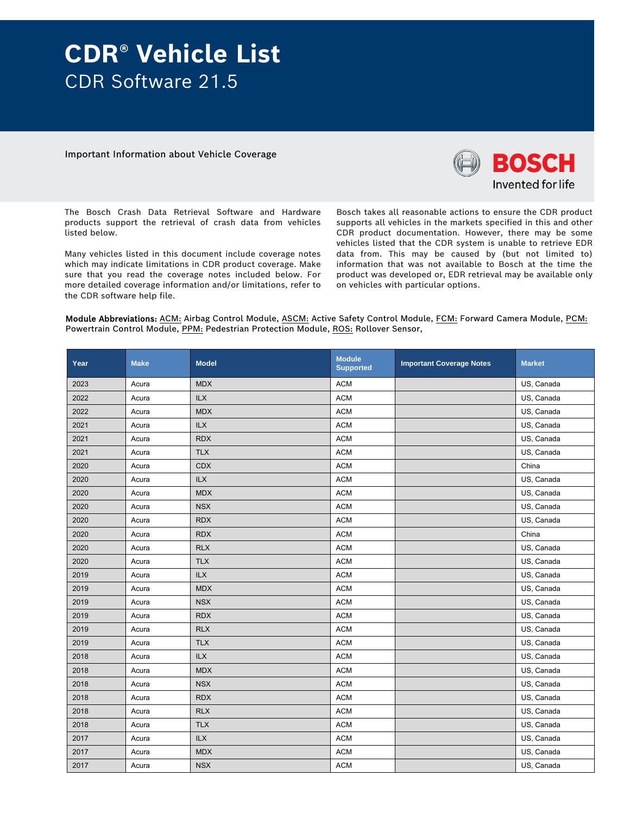## **CDR® Vehicle List**  CDR Software 21.5

Important Information about Vehicle Coverage



The Bosch Crash Data Retrieval Software and Hardware products support the retrieval of crash data from vehicles listed below.

Many vehicles listed in this document include coverage notes which may indicate limitations in CDR product coverage. Make sure that you read the coverage notes included below. For more detailed coverage information and/or limitations, refer to the CDR software help file.

Bosch takes all reasonable actions to ensure the CDR product supports all vehicles in the markets specified in this and other CDR product documentation. However, there may be some vehicles listed that the CDR system is unable to retrieve EDR data from. This may be caused by (but not limited to) information that was not available to Bosch at the time the product was developed or, EDR retrieval may be available only on vehicles with particular options.

Module Abbreviations: ACM: Airbag Control Module, ASCM: Active Safety Control Module, FCM: Forward Camera Module, PCM: Powertrain Control Module, PPM: Pedestrian Protection Module, ROS: Rollover Sensor,

| Year | <b>Make</b> | <b>Model</b>   | <b>Module</b><br><b>Supported</b> | <b>Important Coverage Notes</b> | <b>Market</b> |
|------|-------------|----------------|-----------------------------------|---------------------------------|---------------|
| 2023 | Acura       | <b>MDX</b>     | <b>ACM</b>                        |                                 | US, Canada    |
| 2022 | Acura       | <b>ILX</b>     | <b>ACM</b>                        |                                 | US, Canada    |
| 2022 | Acura       | <b>MDX</b>     | <b>ACM</b>                        |                                 | US, Canada    |
| 2021 | Acura       | <b>ILX</b>     | <b>ACM</b>                        |                                 | US, Canada    |
| 2021 | Acura       | <b>RDX</b>     | <b>ACM</b>                        |                                 | US, Canada    |
| 2021 | Acura       | <b>TLX</b>     | <b>ACM</b>                        |                                 | US, Canada    |
| 2020 | Acura       | <b>CDX</b>     | <b>ACM</b>                        |                                 | China         |
| 2020 | Acura       | <b>ILX</b>     | <b>ACM</b>                        |                                 | US, Canada    |
| 2020 | Acura       | <b>MDX</b>     | <b>ACM</b>                        |                                 | US, Canada    |
| 2020 | Acura       | <b>NSX</b>     | <b>ACM</b>                        |                                 | US, Canada    |
| 2020 | Acura       | <b>RDX</b>     | <b>ACM</b>                        |                                 | US, Canada    |
| 2020 | Acura       | <b>RDX</b>     | <b>ACM</b>                        |                                 | China         |
| 2020 | Acura       | <b>RLX</b>     | <b>ACM</b>                        |                                 | US, Canada    |
| 2020 | Acura       | <b>TLX</b>     | <b>ACM</b>                        |                                 | US, Canada    |
| 2019 | Acura       | <b>ILX</b>     | <b>ACM</b>                        |                                 | US, Canada    |
| 2019 | Acura       | <b>MDX</b>     | <b>ACM</b>                        |                                 | US, Canada    |
| 2019 | Acura       | <b>NSX</b>     | <b>ACM</b>                        |                                 | US, Canada    |
| 2019 | Acura       | <b>RDX</b>     | <b>ACM</b>                        |                                 | US, Canada    |
| 2019 | Acura       | <b>RLX</b>     | <b>ACM</b>                        |                                 | US, Canada    |
| 2019 | Acura       | <b>TLX</b>     | <b>ACM</b>                        |                                 | US, Canada    |
| 2018 | Acura       | $\mathsf{ILX}$ | ACM                               |                                 | US, Canada    |
| 2018 | Acura       | <b>MDX</b>     | <b>ACM</b>                        |                                 | US, Canada    |
| 2018 | Acura       | <b>NSX</b>     | <b>ACM</b>                        |                                 | US, Canada    |
| 2018 | Acura       | <b>RDX</b>     | <b>ACM</b>                        |                                 | US, Canada    |
| 2018 | Acura       | <b>RLX</b>     | <b>ACM</b>                        |                                 | US, Canada    |
| 2018 | Acura       | <b>TLX</b>     | <b>ACM</b>                        |                                 | US, Canada    |
| 2017 | Acura       | <b>ILX</b>     | <b>ACM</b>                        |                                 | US, Canada    |
| 2017 | Acura       | <b>MDX</b>     | <b>ACM</b>                        |                                 | US, Canada    |
| 2017 | Acura       | <b>NSX</b>     | <b>ACM</b>                        |                                 | US, Canada    |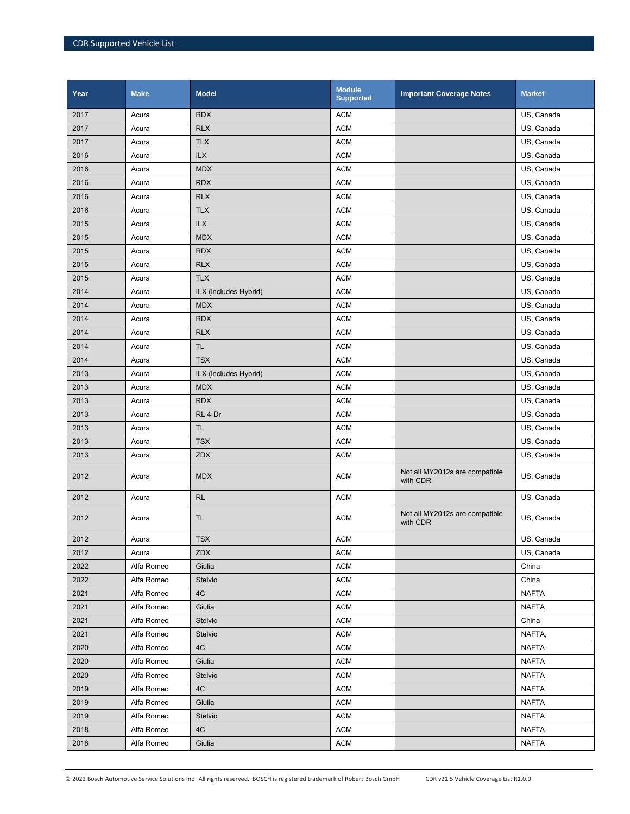| Year | <b>Make</b> | <b>Model</b>          | <b>Module</b><br><b>Supported</b> | <b>Important Coverage Notes</b>            | <b>Market</b> |
|------|-------------|-----------------------|-----------------------------------|--------------------------------------------|---------------|
| 2017 | Acura       | <b>RDX</b>            | <b>ACM</b>                        |                                            | US, Canada    |
| 2017 | Acura       | <b>RLX</b>            | <b>ACM</b>                        |                                            | US, Canada    |
| 2017 | Acura       | <b>TLX</b>            | <b>ACM</b>                        |                                            | US, Canada    |
| 2016 | Acura       | ILX                   | <b>ACM</b>                        |                                            | US, Canada    |
| 2016 | Acura       | <b>MDX</b>            | <b>ACM</b>                        |                                            | US, Canada    |
| 2016 | Acura       | <b>RDX</b>            | <b>ACM</b>                        |                                            | US, Canada    |
| 2016 | Acura       | <b>RLX</b>            | <b>ACM</b>                        |                                            | US, Canada    |
| 2016 | Acura       | <b>TLX</b>            | <b>ACM</b>                        |                                            | US, Canada    |
| 2015 | Acura       | <b>ILX</b>            | <b>ACM</b>                        |                                            | US, Canada    |
| 2015 | Acura       | <b>MDX</b>            | <b>ACM</b>                        |                                            | US, Canada    |
| 2015 | Acura       | <b>RDX</b>            | <b>ACM</b>                        |                                            | US, Canada    |
| 2015 | Acura       | <b>RLX</b>            | <b>ACM</b>                        |                                            | US, Canada    |
| 2015 | Acura       | <b>TLX</b>            | <b>ACM</b>                        |                                            | US, Canada    |
| 2014 | Acura       | ILX (includes Hybrid) | <b>ACM</b>                        |                                            | US, Canada    |
| 2014 | Acura       | <b>MDX</b>            | <b>ACM</b>                        |                                            | US, Canada    |
| 2014 | Acura       | <b>RDX</b>            | <b>ACM</b>                        |                                            | US, Canada    |
| 2014 | Acura       | <b>RLX</b>            | <b>ACM</b>                        |                                            | US, Canada    |
| 2014 | Acura       | <b>TL</b>             | <b>ACM</b>                        |                                            | US, Canada    |
| 2014 | Acura       | <b>TSX</b>            | <b>ACM</b>                        |                                            | US, Canada    |
| 2013 | Acura       | ILX (includes Hybrid) | <b>ACM</b>                        |                                            | US, Canada    |
| 2013 | Acura       | <b>MDX</b>            | <b>ACM</b>                        |                                            | US, Canada    |
| 2013 | Acura       | <b>RDX</b>            | <b>ACM</b>                        |                                            | US, Canada    |
| 2013 | Acura       | RL 4-Dr               | <b>ACM</b>                        |                                            | US, Canada    |
| 2013 | Acura       | <b>TL</b>             | <b>ACM</b>                        |                                            | US, Canada    |
| 2013 | Acura       | <b>TSX</b>            | <b>ACM</b>                        |                                            | US, Canada    |
| 2013 | Acura       | <b>ZDX</b>            | <b>ACM</b>                        |                                            | US, Canada    |
| 2012 | Acura       | <b>MDX</b>            | <b>ACM</b>                        | Not all MY2012s are compatible<br>with CDR | US, Canada    |
| 2012 | Acura       | <b>RL</b>             | <b>ACM</b>                        |                                            | US, Canada    |
| 2012 | Acura       | <b>TL</b>             | <b>ACM</b>                        | Not all MY2012s are compatible<br>with CDR | US, Canada    |
| 2012 | Acura       | <b>TSX</b>            | <b>ACM</b>                        |                                            | US, Canada    |
| 2012 | Acura       | ZDX                   | <b>ACM</b>                        |                                            | US, Canada    |
| 2022 | Alfa Romeo  | Giulia                | <b>ACM</b>                        |                                            | China         |
| 2022 | Alfa Romeo  | Stelvio               | <b>ACM</b>                        |                                            | China         |
| 2021 | Alfa Romeo  | 4C                    | <b>ACM</b>                        |                                            | <b>NAFTA</b>  |
| 2021 | Alfa Romeo  | Giulia                | <b>ACM</b>                        |                                            | <b>NAFTA</b>  |
| 2021 | Alfa Romeo  | Stelvio               | <b>ACM</b>                        |                                            | China         |
| 2021 | Alfa Romeo  | Stelvio               | <b>ACM</b>                        |                                            | NAFTA,        |
| 2020 | Alfa Romeo  | 4C                    | <b>ACM</b>                        |                                            | <b>NAFTA</b>  |
| 2020 | Alfa Romeo  | Giulia                | <b>ACM</b>                        |                                            | <b>NAFTA</b>  |
| 2020 | Alfa Romeo  | Stelvio               | <b>ACM</b>                        |                                            | <b>NAFTA</b>  |
| 2019 | Alfa Romeo  | 4C                    | <b>ACM</b>                        |                                            | <b>NAFTA</b>  |
| 2019 | Alfa Romeo  | Giulia                | <b>ACM</b>                        |                                            | <b>NAFTA</b>  |
| 2019 | Alfa Romeo  | Stelvio               | <b>ACM</b>                        |                                            | <b>NAFTA</b>  |
| 2018 | Alfa Romeo  | 4C                    | <b>ACM</b>                        |                                            | <b>NAFTA</b>  |
| 2018 | Alfa Romeo  | Giulia                | <b>ACM</b>                        |                                            | <b>NAFTA</b>  |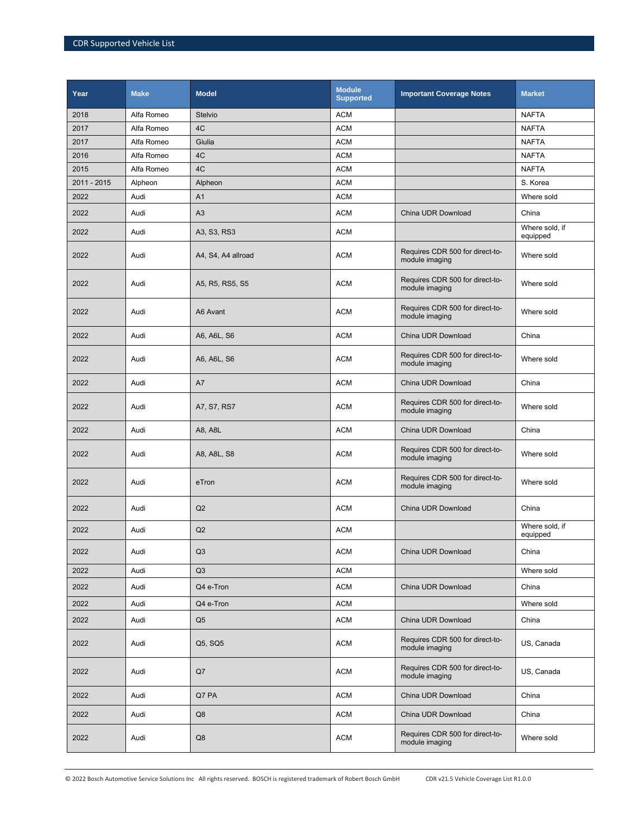| Year        | <b>Make</b> | <b>Model</b>       | <b>Module</b><br><b>Supported</b> | <b>Important Coverage Notes</b>                   | <b>Market</b>              |
|-------------|-------------|--------------------|-----------------------------------|---------------------------------------------------|----------------------------|
| 2018        | Alfa Romeo  | Stelvio            | <b>ACM</b>                        |                                                   | <b>NAFTA</b>               |
| 2017        | Alfa Romeo  | 4C                 | <b>ACM</b>                        |                                                   | <b>NAFTA</b>               |
| 2017        | Alfa Romeo  | Giulia             | <b>ACM</b>                        |                                                   | <b>NAFTA</b>               |
| 2016        | Alfa Romeo  | 4C                 | <b>ACM</b>                        |                                                   | <b>NAFTA</b>               |
| 2015        | Alfa Romeo  | 4C                 | <b>ACM</b>                        |                                                   | <b>NAFTA</b>               |
| 2011 - 2015 | Alpheon     | Alpheon            | <b>ACM</b>                        |                                                   | S. Korea                   |
| 2022        | Audi        | A <sub>1</sub>     | <b>ACM</b>                        |                                                   | Where sold                 |
| 2022        | Audi        | A3                 | <b>ACM</b>                        | China UDR Download                                | China                      |
| 2022        | Audi        | A3, S3, RS3        | <b>ACM</b>                        |                                                   | Where sold, if<br>equipped |
| 2022        | Audi        | A4, S4, A4 allroad | <b>ACM</b>                        | Requires CDR 500 for direct-to-<br>module imaging | Where sold                 |
| 2022        | Audi        | A5, R5, RS5, S5    | <b>ACM</b>                        | Requires CDR 500 for direct-to-<br>module imaging | Where sold                 |
| 2022        | Audi        | A6 Avant           | <b>ACM</b>                        | Requires CDR 500 for direct-to-<br>module imaging | Where sold                 |
| 2022        | Audi        | A6, A6L, S6        | <b>ACM</b>                        | China UDR Download                                | China                      |
| 2022        | Audi        | A6, A6L, S6        | <b>ACM</b>                        | Requires CDR 500 for direct-to-<br>module imaging | Where sold                 |
| 2022        | Audi        | A7                 | <b>ACM</b>                        | China UDR Download                                | China                      |
| 2022        | Audi        | A7, S7, RS7        | <b>ACM</b>                        | Requires CDR 500 for direct-to-<br>module imaging | Where sold                 |
| 2022        | Audi        | A8, A8L            | <b>ACM</b>                        | China UDR Download                                | China                      |
| 2022        | Audi        | A8, A8L, S8        | <b>ACM</b>                        | Requires CDR 500 for direct-to-<br>module imaging | Where sold                 |
| 2022        | Audi        | eTron              | <b>ACM</b>                        | Requires CDR 500 for direct-to-<br>module imaging | Where sold                 |
| 2022        | Audi        | Q2                 | <b>ACM</b>                        | China UDR Download                                | China                      |
| 2022        | Audi        | Q2                 | <b>ACM</b>                        |                                                   | Where sold, if<br>equipped |
| 2022        | Audi        | Q <sub>3</sub>     | <b>ACM</b>                        | China UDR Download                                | China                      |
| 2022        | Audi        | Q3                 | <b>ACM</b>                        |                                                   | Where sold                 |
| 2022        | Audi        | Q4 e-Tron          | <b>ACM</b>                        | China UDR Download                                | China                      |
| 2022        | Audi        | Q4 e-Tron          | <b>ACM</b>                        |                                                   | Where sold                 |
| 2022        | Audi        | Q <sub>5</sub>     | <b>ACM</b>                        | China UDR Download                                | China                      |
| 2022        | Audi        | Q5, SQ5            | <b>ACM</b>                        | Requires CDR 500 for direct-to-<br>module imaging | US, Canada                 |
| 2022        | Audi        | Q7                 | <b>ACM</b>                        | Requires CDR 500 for direct-to-<br>module imaging | US, Canada                 |
| 2022        | Audi        | Q7 PA              | <b>ACM</b>                        | China UDR Download                                | China                      |
| 2022        | Audi        | Q8                 | <b>ACM</b>                        | China UDR Download                                | China                      |
| 2022        | Audi        | Q8                 | <b>ACM</b>                        | Requires CDR 500 for direct-to-<br>module imaging | Where sold                 |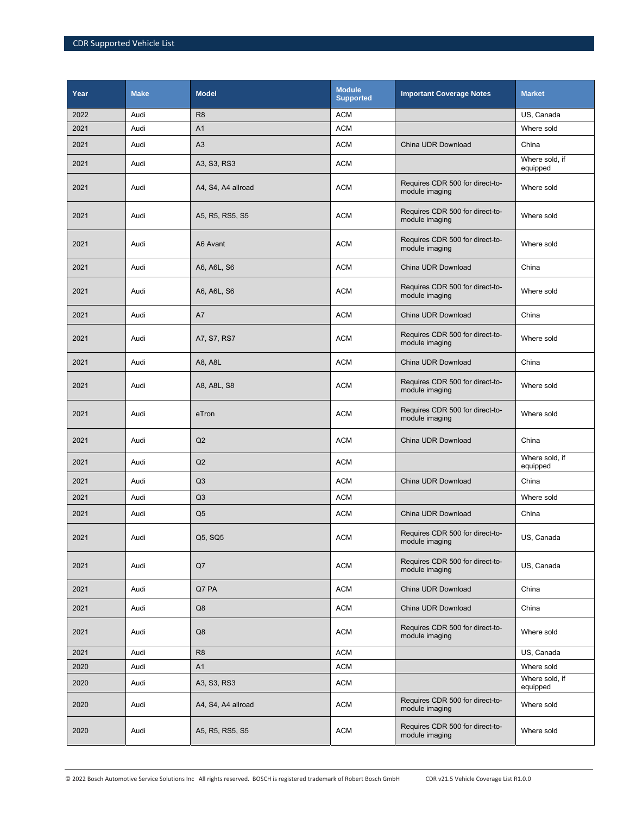| Year | <b>Make</b> | <b>Model</b>       | <b>Module</b><br><b>Supported</b> | <b>Important Coverage Notes</b>                   | <b>Market</b>              |
|------|-------------|--------------------|-----------------------------------|---------------------------------------------------|----------------------------|
| 2022 | Audi        | R <sub>8</sub>     | <b>ACM</b>                        |                                                   | US, Canada                 |
| 2021 | Audi        | A <sub>1</sub>     | <b>ACM</b>                        |                                                   | Where sold                 |
| 2021 | Audi        | A3                 | <b>ACM</b>                        | China UDR Download                                | China                      |
| 2021 | Audi        | A3, S3, RS3        | <b>ACM</b>                        |                                                   | Where sold, if<br>equipped |
| 2021 | Audi        | A4, S4, A4 allroad | <b>ACM</b>                        | Requires CDR 500 for direct-to-<br>module imaging | Where sold                 |
| 2021 | Audi        | A5, R5, RS5, S5    | <b>ACM</b>                        | Requires CDR 500 for direct-to-<br>module imaging | Where sold                 |
| 2021 | Audi        | A6 Avant           | <b>ACM</b>                        | Requires CDR 500 for direct-to-<br>module imaging | Where sold                 |
| 2021 | Audi        | A6, A6L, S6        | <b>ACM</b>                        | China UDR Download                                | China                      |
| 2021 | Audi        | A6, A6L, S6        | <b>ACM</b>                        | Requires CDR 500 for direct-to-<br>module imaging | Where sold                 |
| 2021 | Audi        | A7                 | <b>ACM</b>                        | China UDR Download                                | China                      |
| 2021 | Audi        | A7, S7, RS7        | <b>ACM</b>                        | Requires CDR 500 for direct-to-<br>module imaging | Where sold                 |
| 2021 | Audi        | A8, A8L            | <b>ACM</b>                        | China UDR Download                                | China                      |
| 2021 | Audi        | A8, A8L, S8        | <b>ACM</b>                        | Requires CDR 500 for direct-to-<br>module imaging | Where sold                 |
| 2021 | Audi        | eTron              | <b>ACM</b>                        | Requires CDR 500 for direct-to-<br>module imaging | Where sold                 |
| 2021 | Audi        | Q2                 | <b>ACM</b>                        | China UDR Download                                | China                      |
| 2021 | Audi        | Q2                 | <b>ACM</b>                        |                                                   | Where sold, if<br>equipped |
| 2021 | Audi        | Q3                 | <b>ACM</b>                        | China UDR Download                                | China                      |
| 2021 | Audi        | Q3                 | <b>ACM</b>                        |                                                   | Where sold                 |
| 2021 | Audi        | Q <sub>5</sub>     | <b>ACM</b>                        | China UDR Download                                | China                      |
| 2021 | Audi        | Q5, SQ5            | <b>ACM</b>                        | Requires CDR 500 for direct-to-<br>module imaging | US, Canada                 |
| 2021 | Audi        | Q7                 | <b>ACM</b>                        | Requires CDR 500 for direct-to-<br>module imaging | US, Canada                 |
| 2021 | Audi        | Q7 PA              | <b>ACM</b>                        | China UDR Download                                | China                      |
| 2021 | Audi        | Q8                 | <b>ACM</b>                        | China UDR Download                                | China                      |
| 2021 | Audi        | Q8                 | <b>ACM</b>                        | Requires CDR 500 for direct-to-<br>module imaging | Where sold                 |
| 2021 | Audi        | R <sub>8</sub>     | <b>ACM</b>                        |                                                   | US, Canada                 |
| 2020 | Audi        | A1                 | <b>ACM</b>                        |                                                   | Where sold                 |
| 2020 | Audi        | A3, S3, RS3        | <b>ACM</b>                        |                                                   | Where sold, if<br>equipped |
| 2020 | Audi        | A4, S4, A4 allroad | <b>ACM</b>                        | Requires CDR 500 for direct-to-<br>module imaging | Where sold                 |
| 2020 | Audi        | A5, R5, RS5, S5    | <b>ACM</b>                        | Requires CDR 500 for direct-to-<br>module imaging | Where sold                 |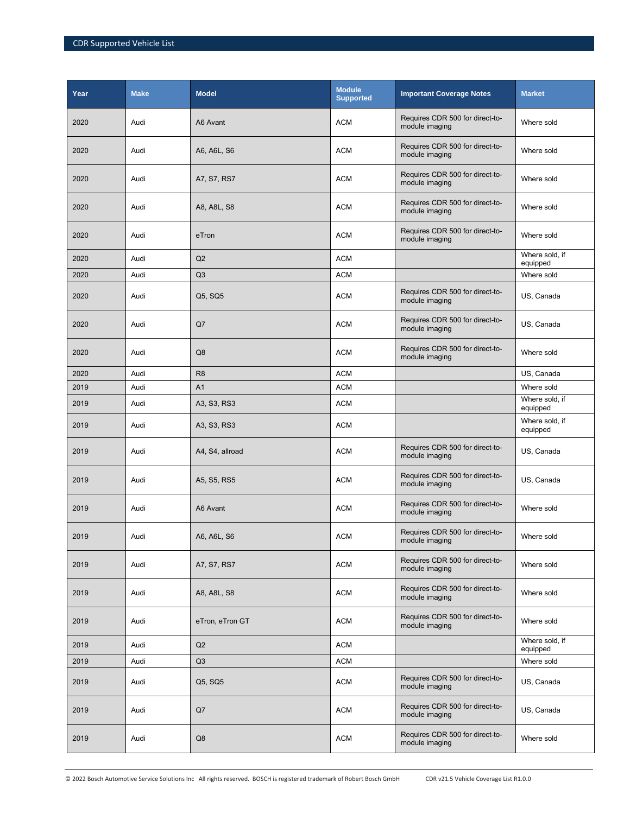| Year | <b>Make</b> | <b>Model</b>    | <b>Module</b><br><b>Supported</b> | <b>Important Coverage Notes</b>                   | <b>Market</b>              |
|------|-------------|-----------------|-----------------------------------|---------------------------------------------------|----------------------------|
| 2020 | Audi        | A6 Avant        | <b>ACM</b>                        | Requires CDR 500 for direct-to-<br>module imaging | Where sold                 |
| 2020 | Audi        | A6, A6L, S6     | <b>ACM</b>                        | Requires CDR 500 for direct-to-<br>module imaging | Where sold                 |
| 2020 | Audi        | A7, S7, RS7     | <b>ACM</b>                        | Requires CDR 500 for direct-to-<br>module imaging | Where sold                 |
| 2020 | Audi        | A8, A8L, S8     | <b>ACM</b>                        | Requires CDR 500 for direct-to-<br>module imaging | Where sold                 |
| 2020 | Audi        | eTron           | <b>ACM</b>                        | Requires CDR 500 for direct-to-<br>module imaging | Where sold                 |
| 2020 | Audi        | Q2              | <b>ACM</b>                        |                                                   | Where sold, if<br>equipped |
| 2020 | Audi        | Q3              | <b>ACM</b>                        |                                                   | Where sold                 |
| 2020 | Audi        | Q5, SQ5         | <b>ACM</b>                        | Requires CDR 500 for direct-to-<br>module imaging | US, Canada                 |
| 2020 | Audi        | Q7              | <b>ACM</b>                        | Requires CDR 500 for direct-to-<br>module imaging | US, Canada                 |
| 2020 | Audi        | Q8              | <b>ACM</b>                        | Requires CDR 500 for direct-to-<br>module imaging | Where sold                 |
| 2020 | Audi        | R <sub>8</sub>  | <b>ACM</b>                        |                                                   | US, Canada                 |
| 2019 | Audi        | A <sub>1</sub>  | <b>ACM</b>                        |                                                   | Where sold                 |
| 2019 | Audi        | A3, S3, RS3     | <b>ACM</b>                        |                                                   | Where sold, if<br>equipped |
| 2019 | Audi        | A3, S3, RS3     | <b>ACM</b>                        |                                                   | Where sold, if<br>equipped |
| 2019 | Audi        | A4, S4, allroad | <b>ACM</b>                        | Requires CDR 500 for direct-to-<br>module imaging | US, Canada                 |
| 2019 | Audi        | A5, S5, RS5     | <b>ACM</b>                        | Requires CDR 500 for direct-to-<br>module imaging | US, Canada                 |
| 2019 | Audi        | A6 Avant        | <b>ACM</b>                        | Requires CDR 500 for direct-to-<br>module imaging | Where sold                 |
| 2019 | Audi        | A6, A6L, S6     | <b>ACM</b>                        | Requires CDR 500 for direct-to-<br>module imaging | Where sold                 |
| 2019 | Audi        | A7, S7, RS7     | <b>ACM</b>                        | Requires CDR 500 for direct-to-<br>module imaging | Where sold                 |
| 2019 | Audi        | A8, A8L, S8     | <b>ACM</b>                        | Requires CDR 500 for direct-to-<br>module imaging | Where sold                 |
| 2019 | Audi        | eTron, eTron GT | <b>ACM</b>                        | Requires CDR 500 for direct-to-<br>module imaging | Where sold                 |
| 2019 | Audi        | Q2              | <b>ACM</b>                        |                                                   | Where sold, if<br>equipped |
| 2019 | Audi        | Q3              | <b>ACM</b>                        |                                                   | Where sold                 |
| 2019 | Audi        | Q5, SQ5         | <b>ACM</b>                        | Requires CDR 500 for direct-to-<br>module imaging | US, Canada                 |
| 2019 | Audi        | Q7              | <b>ACM</b>                        | Requires CDR 500 for direct-to-<br>module imaging | US, Canada                 |
| 2019 | Audi        | Q8              | <b>ACM</b>                        | Requires CDR 500 for direct-to-<br>module imaging | Where sold                 |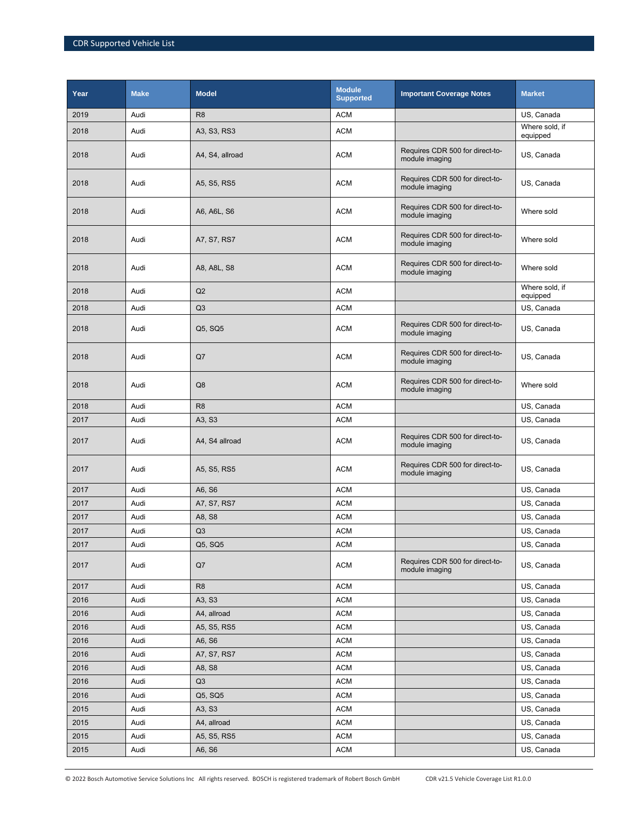| Year | <b>Make</b> | <b>Model</b>    | <b>Module</b><br><b>Supported</b> | <b>Important Coverage Notes</b>                   | <b>Market</b>              |
|------|-------------|-----------------|-----------------------------------|---------------------------------------------------|----------------------------|
| 2019 | Audi        | R <sub>8</sub>  | <b>ACM</b>                        |                                                   | US, Canada                 |
| 2018 | Audi        | A3, S3, RS3     | <b>ACM</b>                        |                                                   | Where sold, if<br>equipped |
| 2018 | Audi        | A4, S4, allroad | <b>ACM</b>                        | Requires CDR 500 for direct-to-<br>module imaging | US, Canada                 |
| 2018 | Audi        | A5, S5, RS5     | <b>ACM</b>                        | Requires CDR 500 for direct-to-<br>module imaging | US, Canada                 |
| 2018 | Audi        | A6, A6L, S6     | <b>ACM</b>                        | Requires CDR 500 for direct-to-<br>module imaging | Where sold                 |
| 2018 | Audi        | A7, S7, RS7     | <b>ACM</b>                        | Requires CDR 500 for direct-to-<br>module imaging | Where sold                 |
| 2018 | Audi        | A8, A8L, S8     | <b>ACM</b>                        | Requires CDR 500 for direct-to-<br>module imaging | Where sold                 |
| 2018 | Audi        | Q2              | <b>ACM</b>                        |                                                   | Where sold, if<br>equipped |
| 2018 | Audi        | Q3              | <b>ACM</b>                        |                                                   | US, Canada                 |
| 2018 | Audi        | Q5, SQ5         | <b>ACM</b>                        | Requires CDR 500 for direct-to-<br>module imaging | US, Canada                 |
| 2018 | Audi        | Q7              | <b>ACM</b>                        | Requires CDR 500 for direct-to-<br>module imaging | US, Canada                 |
| 2018 | Audi        | Q <sub>8</sub>  | <b>ACM</b>                        | Requires CDR 500 for direct-to-<br>module imaging | Where sold                 |
| 2018 | Audi        | R <sub>8</sub>  | <b>ACM</b>                        |                                                   | US, Canada                 |
| 2017 | Audi        | A3, S3          | <b>ACM</b>                        |                                                   | US, Canada                 |
| 2017 | Audi        | A4, S4 allroad  | <b>ACM</b>                        | Requires CDR 500 for direct-to-<br>module imaging | US, Canada                 |
| 2017 | Audi        | A5, S5, RS5     | <b>ACM</b>                        | Requires CDR 500 for direct-to-<br>module imaging | US, Canada                 |
| 2017 | Audi        | A6, S6          | <b>ACM</b>                        |                                                   | US, Canada                 |
| 2017 | Audi        | A7, S7, RS7     | <b>ACM</b>                        |                                                   | US, Canada                 |
| 2017 | Audi        | A8, S8          | <b>ACM</b>                        |                                                   | US, Canada                 |
| 2017 | Audi        | Q <sub>3</sub>  | <b>ACM</b>                        |                                                   | US, Canada                 |
| 2017 | Audi        | Q5, SQ5         | <b>ACM</b>                        |                                                   | US, Canada                 |
| 2017 | Audi        | Q7              | <b>ACM</b>                        | Requires CDR 500 for direct-to-<br>module imaging | US, Canada                 |
| 2017 | Audi        | R <sub>8</sub>  | <b>ACM</b>                        |                                                   | US, Canada                 |
| 2016 | Audi        | A3, S3          | <b>ACM</b>                        |                                                   | US, Canada                 |
| 2016 | Audi        | A4, allroad     | <b>ACM</b>                        |                                                   | US, Canada                 |
| 2016 | Audi        | A5, S5, RS5     | <b>ACM</b>                        |                                                   | US, Canada                 |
| 2016 | Audi        | A6, S6          | <b>ACM</b>                        |                                                   | US, Canada                 |
| 2016 | Audi        | A7, S7, RS7     | <b>ACM</b>                        |                                                   | US, Canada                 |
| 2016 | Audi        | A8, S8          | <b>ACM</b>                        |                                                   | US, Canada                 |
| 2016 | Audi        | Q3              | <b>ACM</b>                        |                                                   | US, Canada                 |
| 2016 | Audi        | Q5, SQ5         | <b>ACM</b>                        |                                                   | US, Canada                 |
| 2015 | Audi        | A3, S3          | <b>ACM</b>                        |                                                   | US, Canada                 |
| 2015 | Audi        | A4, allroad     | <b>ACM</b>                        |                                                   | US, Canada                 |
| 2015 | Audi        | A5, S5, RS5     | <b>ACM</b>                        |                                                   | US, Canada                 |
| 2015 | Audi        | A6, S6          | <b>ACM</b>                        |                                                   | US, Canada                 |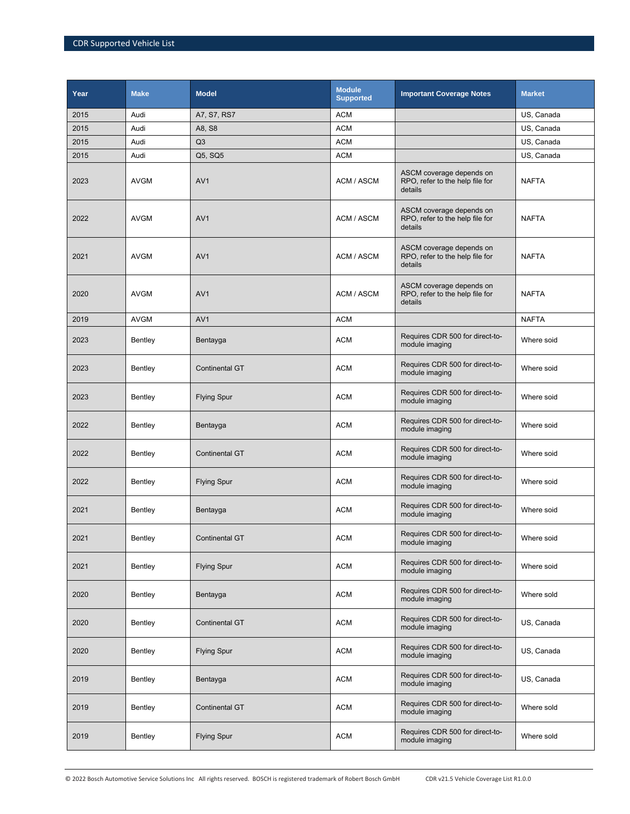| Year | <b>Make</b> | <b>Model</b>          | <b>Module</b><br><b>Supported</b> | <b>Important Coverage Notes</b>                                        | <b>Market</b> |
|------|-------------|-----------------------|-----------------------------------|------------------------------------------------------------------------|---------------|
| 2015 | Audi        | A7, S7, RS7           | <b>ACM</b>                        |                                                                        | US, Canada    |
| 2015 | Audi        | A8, S8                | <b>ACM</b>                        |                                                                        | US, Canada    |
| 2015 | Audi        | Q <sub>3</sub>        | <b>ACM</b>                        |                                                                        | US, Canada    |
| 2015 | Audi        | Q5, SQ5               | <b>ACM</b>                        |                                                                        | US, Canada    |
| 2023 | <b>AVGM</b> | AV <sub>1</sub>       | ACM / ASCM                        | ASCM coverage depends on<br>RPO, refer to the help file for<br>details | <b>NAFTA</b>  |
| 2022 | <b>AVGM</b> | AV <sub>1</sub>       | ACM / ASCM                        | ASCM coverage depends on<br>RPO, refer to the help file for<br>details | <b>NAFTA</b>  |
| 2021 | <b>AVGM</b> | AV <sub>1</sub>       | ACM / ASCM                        | ASCM coverage depends on<br>RPO, refer to the help file for<br>details | <b>NAFTA</b>  |
| 2020 | <b>AVGM</b> | AV <sub>1</sub>       | ACM / ASCM                        | ASCM coverage depends on<br>RPO, refer to the help file for<br>details | <b>NAFTA</b>  |
| 2019 | <b>AVGM</b> | AV <sub>1</sub>       | <b>ACM</b>                        |                                                                        | <b>NAFTA</b>  |
| 2023 | Bentley     | Bentayga              | <b>ACM</b>                        | Requires CDR 500 for direct-to-<br>module imaging                      | Where soid    |
| 2023 | Bentley     | <b>Continental GT</b> | <b>ACM</b>                        | Requires CDR 500 for direct-to-<br>module imaging                      | Where soid    |
| 2023 | Bentley     | <b>Flying Spur</b>    | <b>ACM</b>                        | Requires CDR 500 for direct-to-<br>module imaging                      | Where soid    |
| 2022 | Bentley     | Bentayga              | <b>ACM</b>                        | Requires CDR 500 for direct-to-<br>module imaging                      | Where soid    |
| 2022 | Bentley     | <b>Continental GT</b> | <b>ACM</b>                        | Requires CDR 500 for direct-to-<br>module imaging                      | Where soid    |
| 2022 | Bentley     | <b>Flying Spur</b>    | <b>ACM</b>                        | Requires CDR 500 for direct-to-<br>module imaging                      | Where soid    |
| 2021 | Bentley     | Bentayga              | <b>ACM</b>                        | Requires CDR 500 for direct-to-<br>module imaging                      | Where soid    |
| 2021 | Bentley     | <b>Continental GT</b> | <b>ACM</b>                        | Requires CDR 500 for direct-to-<br>module imaging                      | Where soid    |
| 2021 | Bentley     | <b>Flying Spur</b>    | <b>ACM</b>                        | Requires CDR 500 for direct-to-<br>module imaging                      | Where soid    |
| 2020 | Bentley     | Bentayga              | <b>ACM</b>                        | Requires CDR 500 for direct-to-<br>module imaging                      | Where sold    |
| 2020 | Bentley     | <b>Continental GT</b> | <b>ACM</b>                        | Requires CDR 500 for direct-to-<br>module imaging                      | US, Canada    |
| 2020 | Bentley     | <b>Flying Spur</b>    | <b>ACM</b>                        | Requires CDR 500 for direct-to-<br>module imaging                      | US, Canada    |
| 2019 | Bentley     | Bentayga              | <b>ACM</b>                        | Requires CDR 500 for direct-to-<br>module imaging                      | US, Canada    |
| 2019 | Bentley     | <b>Continental GT</b> | <b>ACM</b>                        | Requires CDR 500 for direct-to-<br>module imaging                      | Where sold    |
| 2019 | Bentley     | <b>Flying Spur</b>    | <b>ACM</b>                        | Requires CDR 500 for direct-to-<br>module imaging                      | Where sold    |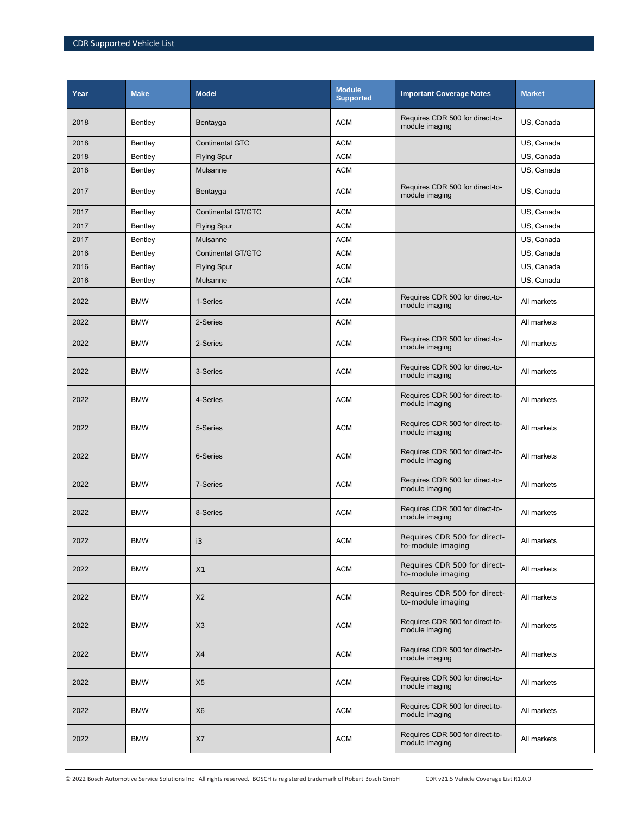| Year | <b>Make</b> | <b>Model</b>              | <b>Module</b><br><b>Supported</b> | <b>Important Coverage Notes</b>                   | <b>Market</b> |
|------|-------------|---------------------------|-----------------------------------|---------------------------------------------------|---------------|
| 2018 | Bentley     | Bentayga                  | <b>ACM</b>                        | Requires CDR 500 for direct-to-<br>module imaging | US, Canada    |
| 2018 | Bentley     | Continental GTC           | <b>ACM</b>                        |                                                   | US, Canada    |
| 2018 | Bentley     | <b>Flying Spur</b>        | <b>ACM</b>                        |                                                   | US, Canada    |
| 2018 | Bentley     | Mulsanne                  | <b>ACM</b>                        |                                                   | US, Canada    |
| 2017 | Bentley     | Bentayga                  | <b>ACM</b>                        | Requires CDR 500 for direct-to-<br>module imaging | US, Canada    |
| 2017 | Bentley     | <b>Continental GT/GTC</b> | <b>ACM</b>                        |                                                   | US, Canada    |
| 2017 | Bentley     | <b>Flying Spur</b>        | <b>ACM</b>                        |                                                   | US, Canada    |
| 2017 | Bentley     | Mulsanne                  | <b>ACM</b>                        |                                                   | US, Canada    |
| 2016 | Bentley     | <b>Continental GT/GTC</b> | <b>ACM</b>                        |                                                   | US, Canada    |
| 2016 | Bentley     | <b>Flying Spur</b>        | <b>ACM</b>                        |                                                   | US, Canada    |
| 2016 | Bentley     | Mulsanne                  | <b>ACM</b>                        |                                                   | US, Canada    |
| 2022 | <b>BMW</b>  | 1-Series                  | <b>ACM</b>                        | Requires CDR 500 for direct-to-<br>module imaging | All markets   |
| 2022 | <b>BMW</b>  | 2-Series                  | <b>ACM</b>                        |                                                   | All markets   |
| 2022 | <b>BMW</b>  | 2-Series                  | <b>ACM</b>                        | Requires CDR 500 for direct-to-<br>module imaging | All markets   |
| 2022 | <b>BMW</b>  | 3-Series                  | <b>ACM</b>                        | Requires CDR 500 for direct-to-<br>module imaging | All markets   |
| 2022 | <b>BMW</b>  | 4-Series                  | <b>ACM</b>                        | Requires CDR 500 for direct-to-<br>module imaging | All markets   |
| 2022 | <b>BMW</b>  | 5-Series                  | <b>ACM</b>                        | Requires CDR 500 for direct-to-<br>module imaging | All markets   |
| 2022 | <b>BMW</b>  | 6-Series                  | <b>ACM</b>                        | Requires CDR 500 for direct-to-<br>module imaging | All markets   |
| 2022 | <b>BMW</b>  | 7-Series                  | <b>ACM</b>                        | Requires CDR 500 for direct-to-<br>module imaging | All markets   |
| 2022 | <b>BMW</b>  | 8-Series                  | <b>ACM</b>                        | Requires CDR 500 for direct-to-<br>module imaging | All markets   |
| 2022 | <b>BMW</b>  | i3                        | <b>ACM</b>                        | Requires CDR 500 for direct-<br>to-module imaging | All markets   |
| 2022 | <b>BMW</b>  | X1                        | <b>ACM</b>                        | Requires CDR 500 for direct-<br>to-module imaging | All markets   |
| 2022 | <b>BMW</b>  | X <sub>2</sub>            | <b>ACM</b>                        | Requires CDR 500 for direct-<br>to-module imaging | All markets   |
| 2022 | <b>BMW</b>  | X3                        | <b>ACM</b>                        | Requires CDR 500 for direct-to-<br>module imaging | All markets   |
| 2022 | <b>BMW</b>  | X4                        | <b>ACM</b>                        | Requires CDR 500 for direct-to-<br>module imaging | All markets   |
| 2022 | <b>BMW</b>  | X <sub>5</sub>            | <b>ACM</b>                        | Requires CDR 500 for direct-to-<br>module imaging | All markets   |
| 2022 | <b>BMW</b>  | X <sub>6</sub>            | <b>ACM</b>                        | Requires CDR 500 for direct-to-<br>module imaging | All markets   |
| 2022 | <b>BMW</b>  | X7                        | <b>ACM</b>                        | Requires CDR 500 for direct-to-<br>module imaging | All markets   |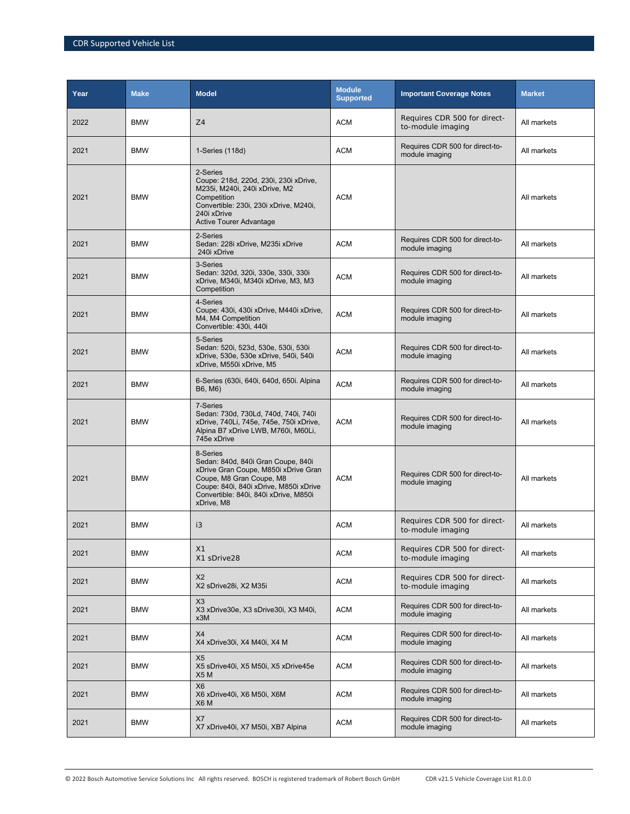| Year | <b>Make</b> | <b>Model</b>                                                                                                                                                                                                        | <b>Module</b><br><b>Supported</b> | <b>Important Coverage Notes</b>                   | <b>Market</b> |
|------|-------------|---------------------------------------------------------------------------------------------------------------------------------------------------------------------------------------------------------------------|-----------------------------------|---------------------------------------------------|---------------|
| 2022 | <b>BMW</b>  | Z <sub>4</sub>                                                                                                                                                                                                      | <b>ACM</b>                        | Requires CDR 500 for direct-<br>to-module imaging | All markets   |
| 2021 | <b>BMW</b>  | 1-Series (118d)                                                                                                                                                                                                     | <b>ACM</b>                        | Requires CDR 500 for direct-to-<br>module imaging | All markets   |
| 2021 | <b>BMW</b>  | 2-Series<br>Coupe: 218d, 220d, 230i, 230i xDrive,<br>M235i, M240i, 240i xDrive, M2<br>Competition<br>Convertible: 230i, 230i xDrive, M240i,<br>240i xDrive<br><b>Active Tourer Advantage</b>                        | <b>ACM</b>                        |                                                   | All markets   |
| 2021 | <b>BMW</b>  | 2-Series<br>Sedan: 228i xDrive, M235i xDrive<br>240i xDrive                                                                                                                                                         | <b>ACM</b>                        | Requires CDR 500 for direct-to-<br>module imaging | All markets   |
| 2021 | <b>BMW</b>  | 3-Series<br>Sedan: 320d, 320i, 330e, 330i, 330i<br>xDrive, M340i, M340i xDrive, M3, M3<br>Competition                                                                                                               | <b>ACM</b>                        | Requires CDR 500 for direct-to-<br>module imaging | All markets   |
| 2021 | <b>BMW</b>  | 4-Series<br>Coupe: 430i, 430i xDrive, M440i xDrive,<br>M4, M4 Competition<br>Convertible: 430i, 440i                                                                                                                | <b>ACM</b>                        | Requires CDR 500 for direct-to-<br>module imaging | All markets   |
| 2021 | <b>BMW</b>  | 5-Series<br>Sedan: 520i, 523d, 530e, 530i, 530i<br>xDrive, 530e, 530e xDrive, 540i, 540i<br>xDrive, M550i xDrive, M5                                                                                                | <b>ACM</b>                        | Requires CDR 500 for direct-to-<br>module imaging | All markets   |
| 2021 | <b>BMW</b>  | 6-Series (630i, 640i, 640d, 650i. Alpina<br>B6, M6)                                                                                                                                                                 | <b>ACM</b>                        | Requires CDR 500 for direct-to-<br>module imaging | All markets   |
| 2021 | <b>BMW</b>  | 7-Series<br>Sedan: 730d, 730Ld, 740d, 740i, 740i<br>xDrive, 740Li, 745e, 745e, 750i xDrive,<br>Alpina B7 xDrive LWB, M760i, M60Li,<br>745e xDrive                                                                   | <b>ACM</b>                        | Requires CDR 500 for direct-to-<br>module imaging | All markets   |
| 2021 | <b>BMW</b>  | 8-Series<br>Sedan: 840d, 840i Gran Coupe, 840i<br>xDrive Gran Coupe, M850i xDrive Gran<br>Coupe, M8 Gran Coupe, M8<br>Coupe: 840i, 840i xDrive, M850i xDrive<br>Convertible: 840i, 840i xDrive, M850i<br>xDrive, M8 | <b>ACM</b>                        | Requires CDR 500 for direct-to-<br>module imaging | All markets   |
| 2021 | <b>BMW</b>  | i3                                                                                                                                                                                                                  | <b>ACM</b>                        | Requires CDR 500 for direct-<br>to-module imaging | All markets   |
| 2021 | <b>BMW</b>  | X <sub>1</sub><br>X1 sDrive28                                                                                                                                                                                       | <b>ACM</b>                        | Requires CDR 500 for direct-<br>to-module imaging | All markets   |
| 2021 | <b>BMW</b>  | X <sub>2</sub><br>X2 sDrive28i, X2 M35i                                                                                                                                                                             | <b>ACM</b>                        | Requires CDR 500 for direct-<br>to-module imaging | All markets   |
| 2021 | <b>BMW</b>  | X <sub>3</sub><br>X3 xDrive30e, X3 sDrive30i, X3 M40i,<br>x3M                                                                                                                                                       | <b>ACM</b>                        | Requires CDR 500 for direct-to-<br>module imaging | All markets   |
| 2021 | <b>BMW</b>  | X4<br>X4 xDrive30i, X4 M40i, X4 M                                                                                                                                                                                   | <b>ACM</b>                        | Requires CDR 500 for direct-to-<br>module imaging | All markets   |
| 2021 | <b>BMW</b>  | X <sub>5</sub><br>X5 sDrive40i, X5 M50i, X5 xDrive45e<br>X <sub>5</sub> M                                                                                                                                           | <b>ACM</b>                        | Requires CDR 500 for direct-to-<br>module imaging | All markets   |
| 2021 | <b>BMW</b>  | X <sub>6</sub><br>X6 xDrive40i, X6 M50i, X6M<br>X6 M                                                                                                                                                                | <b>ACM</b>                        | Requires CDR 500 for direct-to-<br>module imaging | All markets   |
| 2021 | <b>BMW</b>  | X7<br>X7 xDrive40i, X7 M50i, XB7 Alpina                                                                                                                                                                             | <b>ACM</b>                        | Requires CDR 500 for direct-to-<br>module imaging | All markets   |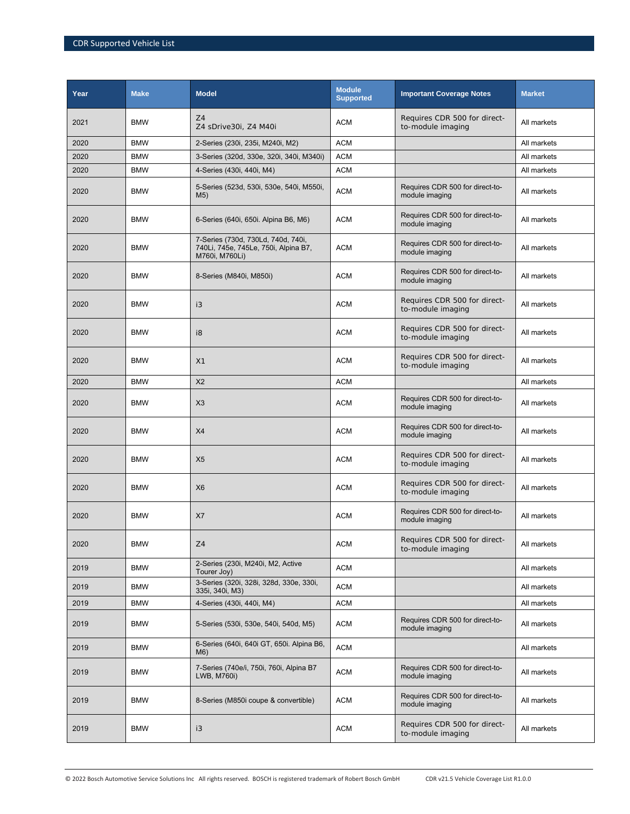| Year | <b>Make</b> | <b>Model</b>                                                                                 | <b>Module</b><br><b>Supported</b> | <b>Important Coverage Notes</b>                   | <b>Market</b> |
|------|-------------|----------------------------------------------------------------------------------------------|-----------------------------------|---------------------------------------------------|---------------|
| 2021 | <b>BMW</b>  | Z4<br>Z4 sDrive30i, Z4 M40i                                                                  | <b>ACM</b>                        | Requires CDR 500 for direct-<br>to-module imaging | All markets   |
| 2020 | <b>BMW</b>  | 2-Series (230i, 235i, M240i, M2)                                                             | <b>ACM</b>                        |                                                   | All markets   |
| 2020 | <b>BMW</b>  | 3-Series (320d, 330e, 320i, 340i, M340i)                                                     | <b>ACM</b>                        |                                                   | All markets   |
| 2020 | <b>BMW</b>  | 4-Series (430i, 440i, M4)                                                                    | <b>ACM</b>                        |                                                   | All markets   |
| 2020 | <b>BMW</b>  | 5-Series (523d, 530i, 530e, 540i, M550i,<br>M5)                                              | <b>ACM</b>                        | Requires CDR 500 for direct-to-<br>module imaging | All markets   |
| 2020 | <b>BMW</b>  | 6-Series (640i, 650i. Alpina B6, M6)                                                         | <b>ACM</b>                        | Requires CDR 500 for direct-to-<br>module imaging | All markets   |
| 2020 | <b>BMW</b>  | 7-Series (730d, 730Ld, 740d, 740i,<br>740Li, 745e, 745Le, 750i, Alpina B7,<br>M760i, M760Li) | <b>ACM</b>                        | Requires CDR 500 for direct-to-<br>module imaging | All markets   |
| 2020 | <b>BMW</b>  | 8-Series (M840i, M850i)                                                                      | <b>ACM</b>                        | Requires CDR 500 for direct-to-<br>module imaging | All markets   |
| 2020 | <b>BMW</b>  | i3                                                                                           | <b>ACM</b>                        | Requires CDR 500 for direct-<br>to-module imaging | All markets   |
| 2020 | <b>BMW</b>  | i8                                                                                           | <b>ACM</b>                        | Requires CDR 500 for direct-<br>to-module imaging | All markets   |
| 2020 | <b>BMW</b>  | X1                                                                                           | ACM                               | Requires CDR 500 for direct-<br>to-module imaging | All markets   |
| 2020 | <b>BMW</b>  | X <sub>2</sub>                                                                               | <b>ACM</b>                        |                                                   | All markets   |
| 2020 | <b>BMW</b>  | X3                                                                                           | <b>ACM</b>                        | Requires CDR 500 for direct-to-<br>module imaging | All markets   |
| 2020 | <b>BMW</b>  | X4                                                                                           | <b>ACM</b>                        | Requires CDR 500 for direct-to-<br>module imaging | All markets   |
| 2020 | <b>BMW</b>  | X <sub>5</sub>                                                                               | <b>ACM</b>                        | Requires CDR 500 for direct-<br>to-module imaging | All markets   |
| 2020 | <b>BMW</b>  | X <sub>6</sub>                                                                               | <b>ACM</b>                        | Requires CDR 500 for direct-<br>to-module imaging | All markets   |
| 2020 | <b>BMW</b>  | X7                                                                                           | <b>ACM</b>                        | Requires CDR 500 for direct-to-<br>module imaging | All markets   |
| 2020 | <b>BMW</b>  | Z4                                                                                           | <b>ACM</b>                        | Requires CDR 500 for direct-<br>to-module imaging | All markets   |
| 2019 | <b>BMW</b>  | 2-Series (230i, M240i, M2, Active<br>Tourer Joy)                                             | <b>ACM</b>                        |                                                   | All markets   |
| 2019 | <b>BMW</b>  | 3-Series (320i, 328i, 328d, 330e, 330i,<br>335i, 340i, M3)                                   | <b>ACM</b>                        |                                                   | All markets   |
| 2019 | <b>BMW</b>  | 4-Series (430i, 440i, M4)                                                                    | <b>ACM</b>                        |                                                   | All markets   |
| 2019 | <b>BMW</b>  | 5-Series (530i, 530e, 540i, 540d, M5)                                                        | <b>ACM</b>                        | Requires CDR 500 for direct-to-<br>module imaging | All markets   |
| 2019 | <b>BMW</b>  | 6-Series (640i, 640i GT, 650i. Alpina B6,<br>M6)                                             | <b>ACM</b>                        |                                                   | All markets   |
| 2019 | <b>BMW</b>  | 7-Series (740e/i, 750i, 760i, Alpina B7<br>LWB, M760i)                                       | <b>ACM</b>                        | Requires CDR 500 for direct-to-<br>module imaging | All markets   |
| 2019 | <b>BMW</b>  | 8-Series (M850i coupe & convertible)                                                         | <b>ACM</b>                        | Requires CDR 500 for direct-to-<br>module imaging | All markets   |
| 2019 | <b>BMW</b>  | i3                                                                                           | <b>ACM</b>                        | Requires CDR 500 for direct-<br>to-module imaging | All markets   |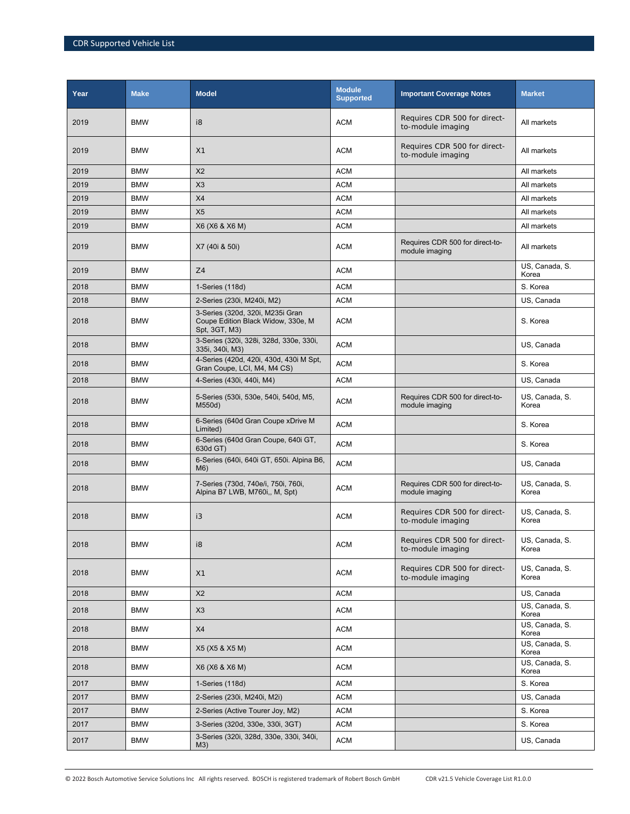| Year | <b>Make</b> | <b>Model</b>                                                                            | <b>Module</b><br><b>Supported</b> | <b>Important Coverage Notes</b>                   | <b>Market</b>           |
|------|-------------|-----------------------------------------------------------------------------------------|-----------------------------------|---------------------------------------------------|-------------------------|
| 2019 | <b>BMW</b>  | i8                                                                                      | <b>ACM</b>                        | Requires CDR 500 for direct-<br>to-module imaging | All markets             |
| 2019 | <b>BMW</b>  | X <sub>1</sub>                                                                          | <b>ACM</b>                        | Requires CDR 500 for direct-<br>to-module imaging | All markets             |
| 2019 | <b>BMW</b>  | X <sub>2</sub>                                                                          | <b>ACM</b>                        |                                                   | All markets             |
| 2019 | <b>BMW</b>  | X3                                                                                      | <b>ACM</b>                        |                                                   | All markets             |
| 2019 | <b>BMW</b>  | X4                                                                                      | <b>ACM</b>                        |                                                   | All markets             |
| 2019 | <b>BMW</b>  | X <sub>5</sub>                                                                          | <b>ACM</b>                        |                                                   | All markets             |
| 2019 | <b>BMW</b>  | X6 (X6 & X6 M)                                                                          | <b>ACM</b>                        |                                                   | All markets             |
| 2019 | <b>BMW</b>  | X7 (40i & 50i)                                                                          | <b>ACM</b>                        | Requires CDR 500 for direct-to-<br>module imaging | All markets             |
| 2019 | <b>BMW</b>  | Z4                                                                                      | <b>ACM</b>                        |                                                   | US, Canada, S.<br>Korea |
| 2018 | <b>BMW</b>  | 1-Series (118d)                                                                         | <b>ACM</b>                        |                                                   | S. Korea                |
| 2018 | <b>BMW</b>  | 2-Series (230i, M240i, M2)                                                              | <b>ACM</b>                        |                                                   | US, Canada              |
| 2018 | <b>BMW</b>  | 3-Series (320d, 320i, M235i Gran<br>Coupe Edition Black Widow, 330e, M<br>Spt, 3GT, M3) | ACM                               |                                                   | S. Korea                |
| 2018 | <b>BMW</b>  | 3-Series (320i, 328i, 328d, 330e, 330i,<br>335i, 340i, M3)                              | <b>ACM</b>                        |                                                   | US, Canada              |
| 2018 | <b>BMW</b>  | 4-Series (420d, 420i, 430d, 430i M Spt,<br>Gran Coupe, LCI, M4, M4 CS)                  | <b>ACM</b>                        |                                                   | S. Korea                |
| 2018 | <b>BMW</b>  | 4-Series (430i, 440i, M4)                                                               | <b>ACM</b>                        |                                                   | US, Canada              |
| 2018 | <b>BMW</b>  | 5-Series (530i, 530e, 540i, 540d, M5,<br>M550d)                                         | ACM                               | Requires CDR 500 for direct-to-<br>module imaging | US, Canada, S.<br>Korea |
| 2018 | <b>BMW</b>  | 6-Series (640d Gran Coupe xDrive M<br>Limited)                                          | <b>ACM</b>                        |                                                   | S. Korea                |
| 2018 | <b>BMW</b>  | 6-Series (640d Gran Coupe, 640i GT,<br>630d GT)                                         | <b>ACM</b>                        |                                                   | S. Korea                |
| 2018 | <b>BMW</b>  | 6-Series (640i, 640i GT, 650i. Alpina B6,<br>M6)                                        | <b>ACM</b>                        |                                                   | US, Canada              |
| 2018 | <b>BMW</b>  | 7-Series (730d, 740e/i, 750i, 760i,<br>Alpina B7 LWB, M760i,, M, Spt)                   | <b>ACM</b>                        | Requires CDR 500 for direct-to-<br>module imaging | US, Canada, S.<br>Korea |
| 2018 | <b>BMW</b>  | i3                                                                                      | <b>ACM</b>                        | Requires CDR 500 for direct-<br>to-module imaging | US, Canada, S.<br>Korea |
| 2018 | BMW         | i8                                                                                      | <b>ACM</b>                        | Requires CDR 500 for direct-<br>to-module imaging | US, Canada, S.<br>Korea |
| 2018 | <b>BMW</b>  | X1                                                                                      | <b>ACM</b>                        | Requires CDR 500 for direct-<br>to-module imaging | US, Canada, S.<br>Korea |
| 2018 | <b>BMW</b>  | X <sub>2</sub>                                                                          | <b>ACM</b>                        |                                                   | US, Canada              |
| 2018 | <b>BMW</b>  | X <sub>3</sub>                                                                          | <b>ACM</b>                        |                                                   | US, Canada, S.<br>Korea |
| 2018 | <b>BMW</b>  | X4                                                                                      | <b>ACM</b>                        |                                                   | US, Canada, S.<br>Korea |
| 2018 | <b>BMW</b>  | X5 (X5 & X5 M)                                                                          | <b>ACM</b>                        |                                                   | US, Canada, S.<br>Korea |
| 2018 | <b>BMW</b>  | X6 (X6 & X6 M)                                                                          | <b>ACM</b>                        |                                                   | US, Canada, S.<br>Korea |
| 2017 | <b>BMW</b>  | 1-Series (118d)                                                                         | <b>ACM</b>                        |                                                   | S. Korea                |
| 2017 | <b>BMW</b>  | 2-Series (230i, M240i, M2i)                                                             | <b>ACM</b>                        |                                                   | US, Canada              |
| 2017 | <b>BMW</b>  | 2-Series (Active Tourer Joy, M2)                                                        | <b>ACM</b>                        |                                                   | S. Korea                |
| 2017 | <b>BMW</b>  | 3-Series (320d, 330e, 330i, 3GT)                                                        | <b>ACM</b>                        |                                                   | S. Korea                |
| 2017 | <b>BMW</b>  | 3-Series (320i, 328d, 330e, 330i, 340i,<br>M3)                                          | ACM                               |                                                   | US, Canada              |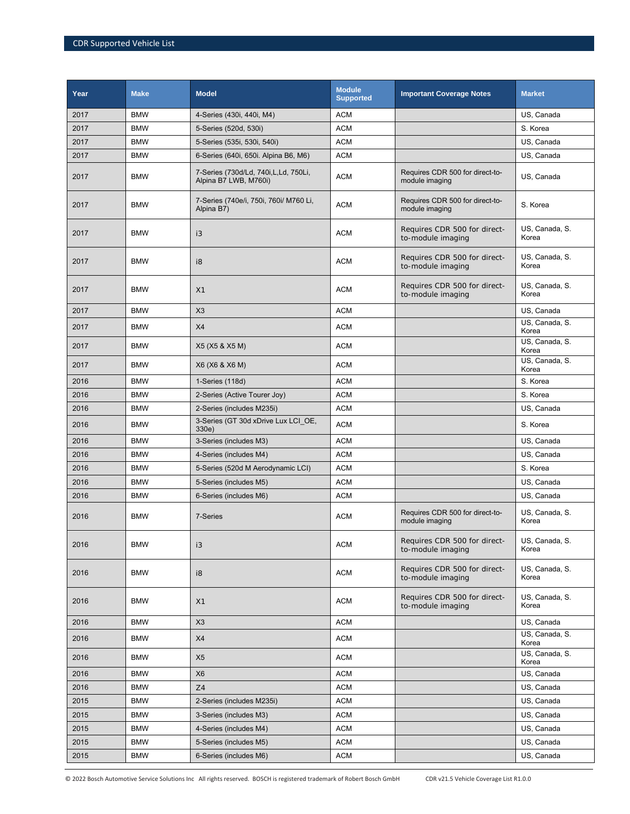| Year | <b>Make</b> | <b>Model</b>                                                    | <b>Module</b><br><b>Supported</b> | <b>Important Coverage Notes</b>                   | <b>Market</b>           |
|------|-------------|-----------------------------------------------------------------|-----------------------------------|---------------------------------------------------|-------------------------|
| 2017 | <b>BMW</b>  | 4-Series (430i, 440i, M4)                                       | <b>ACM</b>                        |                                                   | US, Canada              |
| 2017 | <b>BMW</b>  | 5-Series (520d, 530i)                                           | <b>ACM</b>                        |                                                   | S. Korea                |
| 2017 | <b>BMW</b>  | 5-Series (535i, 530i, 540i)                                     | <b>ACM</b>                        |                                                   | US, Canada              |
| 2017 | <b>BMW</b>  | 6-Series (640i, 650i. Alpina B6, M6)                            | <b>ACM</b>                        |                                                   | US, Canada              |
| 2017 | <b>BMW</b>  | 7-Series (730d/Ld, 740i, L, Ld, 750Li,<br>Alpina B7 LWB, M760i) | <b>ACM</b>                        | Requires CDR 500 for direct-to-<br>module imaging | US, Canada              |
| 2017 | <b>BMW</b>  | 7-Series (740e/i, 750i, 760i/ M760 Li,<br>Alpina B7)            | <b>ACM</b>                        | Requires CDR 500 for direct-to-<br>module imaging | S. Korea                |
| 2017 | <b>BMW</b>  | i3                                                              | <b>ACM</b>                        | Requires CDR 500 for direct-<br>to-module imaging | US, Canada, S.<br>Korea |
| 2017 | <b>BMW</b>  | i8                                                              | <b>ACM</b>                        | Requires CDR 500 for direct-<br>to-module imaging | US, Canada, S.<br>Korea |
| 2017 | <b>BMW</b>  | X1                                                              | <b>ACM</b>                        | Requires CDR 500 for direct-<br>to-module imaging | US, Canada, S.<br>Korea |
| 2017 | <b>BMW</b>  | X3                                                              | <b>ACM</b>                        |                                                   | US, Canada              |
| 2017 | <b>BMW</b>  | X4                                                              | <b>ACM</b>                        |                                                   | US, Canada, S.<br>Korea |
| 2017 | <b>BMW</b>  | X5 (X5 & X5 M)                                                  | <b>ACM</b>                        |                                                   | US, Canada, S.<br>Korea |
| 2017 | <b>BMW</b>  | X6 (X6 & X6 M)                                                  | <b>ACM</b>                        |                                                   | US, Canada, S.<br>Korea |
| 2016 | <b>BMW</b>  | 1-Series (118d)                                                 | <b>ACM</b>                        |                                                   | S. Korea                |
| 2016 | <b>BMW</b>  | 2-Series (Active Tourer Joy)                                    | <b>ACM</b>                        |                                                   | S. Korea                |
| 2016 | <b>BMW</b>  | 2-Series (includes M235i)                                       | <b>ACM</b>                        |                                                   | US, Canada              |
| 2016 | <b>BMW</b>  | 3-Series (GT 30d xDrive Lux LCI OE,<br>330e)                    | <b>ACM</b>                        |                                                   | S. Korea                |
| 2016 | <b>BMW</b>  | 3-Series (includes M3)                                          | <b>ACM</b>                        |                                                   | US, Canada              |
| 2016 | <b>BMW</b>  | 4-Series (includes M4)                                          | <b>ACM</b>                        |                                                   | US, Canada              |
| 2016 | <b>BMW</b>  | 5-Series (520d M Aerodynamic LCI)                               | <b>ACM</b>                        |                                                   | S. Korea                |
| 2016 | <b>BMW</b>  | 5-Series (includes M5)                                          | <b>ACM</b>                        |                                                   | US, Canada              |
| 2016 | <b>BMW</b>  | 6-Series (includes M6)                                          | <b>ACM</b>                        |                                                   | US, Canada              |
| 2016 | <b>BMW</b>  | 7-Series                                                        | <b>ACM</b>                        | Requires CDR 500 for direct-to-<br>module imaging | US, Canada, S.<br>Korea |
| 2016 | <b>BMW</b>  | i3                                                              | <b>ACM</b>                        | Requires CDR 500 for direct-<br>to-module imaging | US, Canada, S.<br>Korea |
| 2016 | <b>BMW</b>  | i8                                                              | <b>ACM</b>                        | Requires CDR 500 for direct-<br>to-module imaging | US, Canada, S.<br>Korea |
| 2016 | <b>BMW</b>  | X1                                                              | <b>ACM</b>                        | Requires CDR 500 for direct-<br>to-module imaging | US, Canada, S.<br>Korea |
| 2016 | <b>BMW</b>  | X3                                                              | <b>ACM</b>                        |                                                   | US, Canada              |
| 2016 | <b>BMW</b>  | X4                                                              | <b>ACM</b>                        |                                                   | US, Canada, S.<br>Korea |
| 2016 | <b>BMW</b>  | X <sub>5</sub>                                                  | <b>ACM</b>                        |                                                   | US, Canada, S.<br>Korea |
| 2016 | <b>BMW</b>  | X <sub>6</sub>                                                  | <b>ACM</b>                        |                                                   | US, Canada              |
| 2016 | <b>BMW</b>  | Z4                                                              | <b>ACM</b>                        |                                                   | US, Canada              |
| 2015 | <b>BMW</b>  | 2-Series (includes M235i)                                       | <b>ACM</b>                        |                                                   | US, Canada              |
| 2015 | <b>BMW</b>  | 3-Series (includes M3)                                          | <b>ACM</b>                        |                                                   | US, Canada              |
| 2015 | <b>BMW</b>  | 4-Series (includes M4)                                          | <b>ACM</b>                        |                                                   | US, Canada              |
| 2015 | <b>BMW</b>  | 5-Series (includes M5)                                          | <b>ACM</b>                        |                                                   | US, Canada              |
| 2015 | <b>BMW</b>  | 6-Series (includes M6)                                          | <b>ACM</b>                        |                                                   | US, Canada              |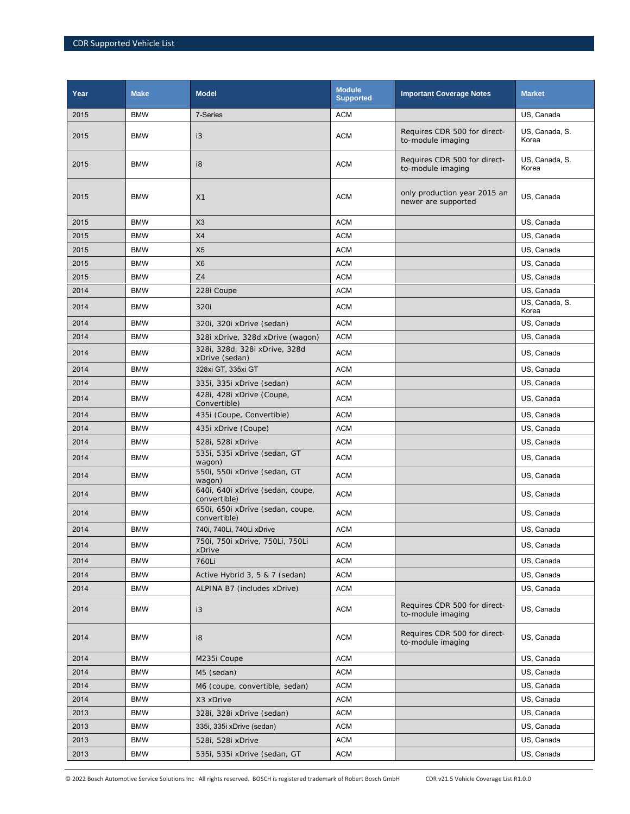| Year | <b>Make</b> | <b>Model</b>                                     | <b>Module</b><br><b>Supported</b> | <b>Important Coverage Notes</b>                     | <b>Market</b>           |
|------|-------------|--------------------------------------------------|-----------------------------------|-----------------------------------------------------|-------------------------|
| 2015 | <b>BMW</b>  | 7-Series                                         | <b>ACM</b>                        |                                                     | US, Canada              |
| 2015 | <b>BMW</b>  | i3                                               | <b>ACM</b>                        | Requires CDR 500 for direct-<br>to-module imaging   | US, Canada, S.<br>Korea |
| 2015 | <b>BMW</b>  | i8                                               | <b>ACM</b>                        | Requires CDR 500 for direct-<br>to-module imaging   | US, Canada, S.<br>Korea |
| 2015 | <b>BMW</b>  | X1                                               | <b>ACM</b>                        | only production year 2015 an<br>newer are supported | US. Canada              |
| 2015 | <b>BMW</b>  | X3                                               | <b>ACM</b>                        |                                                     | US, Canada              |
| 2015 | <b>BMW</b>  | X4                                               | <b>ACM</b>                        |                                                     | US, Canada              |
| 2015 | <b>BMW</b>  | X <sub>5</sub>                                   | <b>ACM</b>                        |                                                     | US, Canada              |
| 2015 | <b>BMW</b>  | X <sub>6</sub>                                   | <b>ACM</b>                        |                                                     | US, Canada              |
| 2015 | <b>BMW</b>  | Z4                                               | <b>ACM</b>                        |                                                     | US, Canada              |
| 2014 | <b>BMW</b>  | 228i Coupe                                       | <b>ACM</b>                        |                                                     | US, Canada              |
| 2014 | <b>BMW</b>  | 320i                                             | <b>ACM</b>                        |                                                     | US, Canada, S.<br>Korea |
| 2014 | <b>BMW</b>  | 320i, 320i xDrive (sedan)                        | <b>ACM</b>                        |                                                     | US, Canada              |
| 2014 | <b>BMW</b>  | 328i xDrive, 328d xDrive (wagon)                 | <b>ACM</b>                        |                                                     | US, Canada              |
| 2014 | <b>BMW</b>  | 328i, 328d, 328i xDrive, 328d<br>xDrive (sedan)  | <b>ACM</b>                        |                                                     | US, Canada              |
| 2014 | <b>BMW</b>  | 328xi GT, 335xi GT                               | <b>ACM</b>                        |                                                     | US, Canada              |
| 2014 | <b>BMW</b>  | 335i, 335i xDrive (sedan)                        | <b>ACM</b>                        |                                                     | US, Canada              |
| 2014 | <b>BMW</b>  | 428i, 428i xDrive (Coupe,<br>Convertible)        | <b>ACM</b>                        |                                                     | US, Canada              |
| 2014 | <b>BMW</b>  | 435i (Coupe, Convertible)                        | <b>ACM</b>                        |                                                     | US, Canada              |
| 2014 | <b>BMW</b>  | 435i xDrive (Coupe)                              | <b>ACM</b>                        |                                                     | US, Canada              |
| 2014 | <b>BMW</b>  | 528i, 528i xDrive                                | <b>ACM</b>                        |                                                     | US, Canada              |
| 2014 | <b>BMW</b>  | 535i, 535i xDrive (sedan, GT<br>wagon)           | <b>ACM</b>                        |                                                     | US, Canada              |
| 2014 | <b>BMW</b>  | 550i, 550i xDrive (sedan, GT<br>wagon)           | <b>ACM</b>                        |                                                     | US, Canada              |
| 2014 | <b>BMW</b>  | 640i, 640i xDrive (sedan, coupe,<br>convertible) | <b>ACM</b>                        |                                                     | US, Canada              |
| 2014 | <b>BMW</b>  | 650i, 650i xDrive (sedan, coupe,<br>convertible) | <b>ACM</b>                        |                                                     | US, Canada              |
| 2014 | <b>BMW</b>  | 740i, 740Li, 740Li xDrive                        | <b>ACM</b>                        |                                                     | US, Canada              |
| 2014 | <b>BMW</b>  | 750i, 750i xDrive, 750Li, 750Li<br>xDrive        | <b>ACM</b>                        |                                                     | US, Canada              |
| 2014 | <b>BMW</b>  | 760Li                                            | <b>ACM</b>                        |                                                     | US, Canada              |
| 2014 | <b>BMW</b>  | Active Hybrid 3, 5 & 7 (sedan)                   | <b>ACM</b>                        |                                                     | US, Canada              |
| 2014 | <b>BMW</b>  | ALPINA B7 (includes xDrive)                      | ACM                               |                                                     | US, Canada              |
| 2014 | BMW         | i3                                               | <b>ACM</b>                        | Requires CDR 500 for direct-<br>to-module imaging   | US, Canada              |
| 2014 | <b>BMW</b>  | i8                                               | <b>ACM</b>                        | Requires CDR 500 for direct-<br>to-module imaging   | US, Canada              |
| 2014 | <b>BMW</b>  | M235i Coupe                                      | <b>ACM</b>                        |                                                     | US, Canada              |
| 2014 | <b>BMW</b>  | M5 (sedan)                                       | <b>ACM</b>                        |                                                     | US, Canada              |
| 2014 | <b>BMW</b>  | M6 (coupe, convertible, sedan)                   | <b>ACM</b>                        |                                                     | US, Canada              |
| 2014 | <b>BMW</b>  | X3 xDrive                                        | <b>ACM</b>                        |                                                     | US, Canada              |
| 2013 | <b>BMW</b>  | 328i, 328i xDrive (sedan)                        | ACM                               |                                                     | US, Canada              |
| 2013 | BMW         | 335i, 335i xDrive (sedan)                        | <b>ACM</b>                        |                                                     | US, Canada              |
| 2013 | BMW         | 528i, 528i xDrive                                | ACM                               |                                                     | US, Canada              |
| 2013 | <b>BMW</b>  | 535i, 535i xDrive (sedan, GT                     | <b>ACM</b>                        |                                                     | US, Canada              |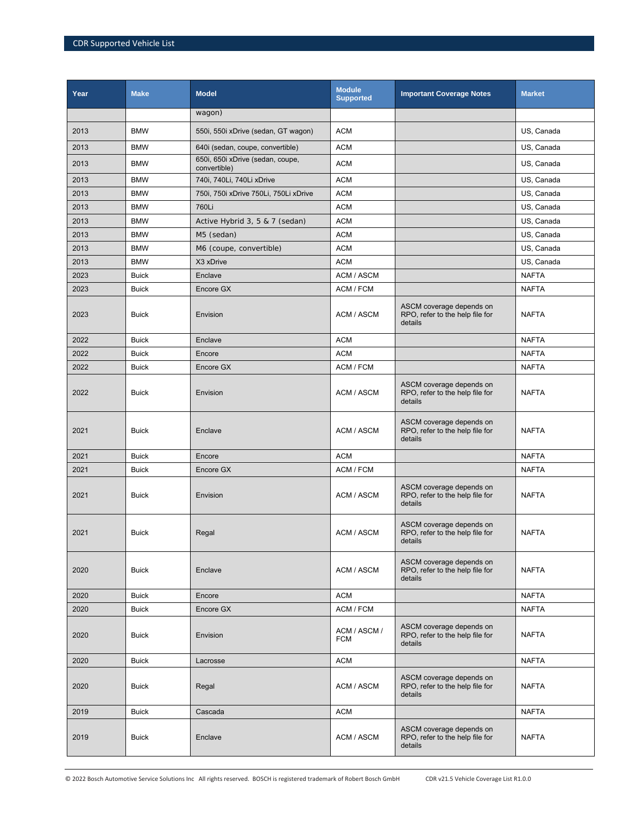| Year | <b>Make</b>  | <b>Model</b>                                     | <b>Module</b><br><b>Supported</b> | <b>Important Coverage Notes</b>                                        | <b>Market</b> |
|------|--------------|--------------------------------------------------|-----------------------------------|------------------------------------------------------------------------|---------------|
|      |              | wagon)                                           |                                   |                                                                        |               |
| 2013 | <b>BMW</b>   | 550i, 550i xDrive (sedan, GT wagon)              | <b>ACM</b>                        |                                                                        | US, Canada    |
| 2013 | <b>BMW</b>   | 640i (sedan, coupe, convertible)                 | <b>ACM</b>                        |                                                                        | US, Canada    |
| 2013 | <b>BMW</b>   | 650i, 650i xDrive (sedan, coupe,<br>convertible) | <b>ACM</b>                        |                                                                        | US, Canada    |
| 2013 | <b>BMW</b>   | 740i, 740Li, 740Li xDrive                        | <b>ACM</b>                        |                                                                        | US, Canada    |
| 2013 | <b>BMW</b>   | 750i, 750i xDrive 750Li, 750Li xDrive            | <b>ACM</b>                        |                                                                        | US, Canada    |
| 2013 | <b>BMW</b>   | 760Li                                            | <b>ACM</b>                        |                                                                        | US, Canada    |
| 2013 | <b>BMW</b>   | Active Hybrid 3, 5 & 7 (sedan)                   | <b>ACM</b>                        |                                                                        | US, Canada    |
| 2013 | <b>BMW</b>   | M5 (sedan)                                       | <b>ACM</b>                        |                                                                        | US, Canada    |
| 2013 | <b>BMW</b>   | M6 (coupe, convertible)                          | <b>ACM</b>                        |                                                                        | US, Canada    |
| 2013 | <b>BMW</b>   | X3 xDrive                                        | <b>ACM</b>                        |                                                                        | US, Canada    |
| 2023 | <b>Buick</b> | Enclave                                          | ACM / ASCM                        |                                                                        | <b>NAFTA</b>  |
| 2023 | <b>Buick</b> | Encore GX                                        | ACM / FCM                         |                                                                        | <b>NAFTA</b>  |
| 2023 | <b>Buick</b> | Envision                                         | ACM / ASCM                        | ASCM coverage depends on<br>RPO, refer to the help file for<br>details | <b>NAFTA</b>  |
| 2022 | <b>Buick</b> | Enclave                                          | <b>ACM</b>                        |                                                                        | <b>NAFTA</b>  |
| 2022 | <b>Buick</b> | Encore                                           | <b>ACM</b>                        |                                                                        | <b>NAFTA</b>  |
| 2022 | <b>Buick</b> | Encore GX                                        | ACM / FCM                         |                                                                        | <b>NAFTA</b>  |
| 2022 | <b>Buick</b> | Envision                                         | ACM / ASCM                        | ASCM coverage depends on<br>RPO, refer to the help file for<br>details | <b>NAFTA</b>  |
| 2021 | <b>Buick</b> | Enclave                                          | ACM / ASCM                        | ASCM coverage depends on<br>RPO, refer to the help file for<br>details | <b>NAFTA</b>  |
| 2021 | <b>Buick</b> | Encore                                           | <b>ACM</b>                        |                                                                        | <b>NAFTA</b>  |
| 2021 | <b>Buick</b> | Encore GX                                        | ACM / FCM                         |                                                                        | <b>NAFTA</b>  |
| 2021 | <b>Buick</b> | Envision                                         | ACM / ASCM                        | ASCM coverage depends on<br>RPO, refer to the help file for<br>details | <b>NAFTA</b>  |
| 2021 | <b>Buick</b> | Regal                                            | ACM / ASCM                        | ASCM coverage depends on<br>RPO, refer to the help file for<br>details | <b>NAFTA</b>  |
| 2020 | <b>Buick</b> | Enclave                                          | ACM / ASCM                        | ASCM coverage depends on<br>RPO, refer to the help file for<br>details | <b>NAFTA</b>  |
| 2020 | <b>Buick</b> | Encore                                           | <b>ACM</b>                        |                                                                        | <b>NAFTA</b>  |
| 2020 | <b>Buick</b> | Encore GX                                        | ACM / FCM                         |                                                                        | <b>NAFTA</b>  |
| 2020 | <b>Buick</b> | Envision                                         | ACM / ASCM /<br><b>FCM</b>        | ASCM coverage depends on<br>RPO, refer to the help file for<br>details | <b>NAFTA</b>  |
| 2020 | <b>Buick</b> | Lacrosse                                         | <b>ACM</b>                        |                                                                        | <b>NAFTA</b>  |
| 2020 | <b>Buick</b> | Regal                                            | ACM / ASCM                        | ASCM coverage depends on<br>RPO, refer to the help file for<br>details | <b>NAFTA</b>  |
| 2019 | <b>Buick</b> | Cascada                                          | <b>ACM</b>                        |                                                                        | <b>NAFTA</b>  |
| 2019 | <b>Buick</b> | Enclave                                          | ACM / ASCM                        | ASCM coverage depends on<br>RPO, refer to the help file for<br>details | <b>NAFTA</b>  |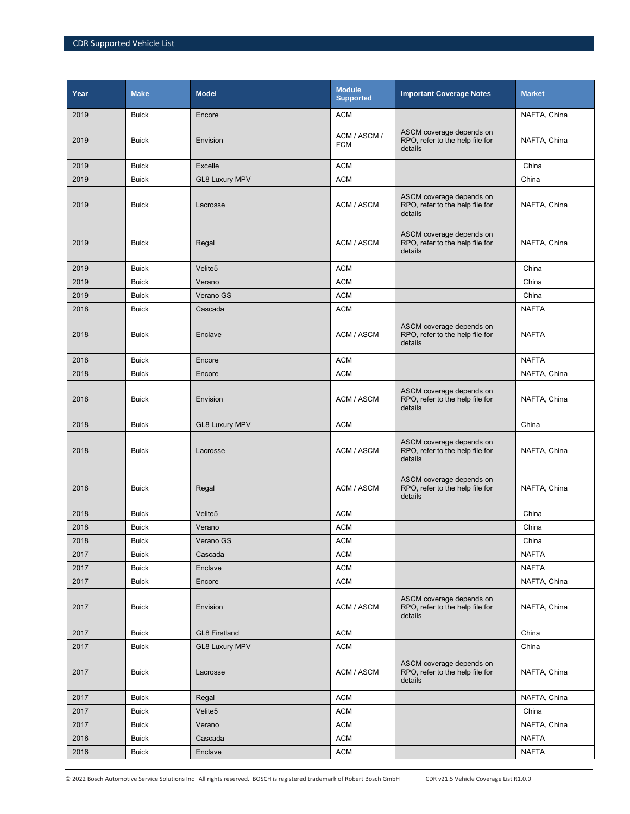| Year | <b>Make</b>  | <b>Model</b>          | <b>Module</b><br><b>Supported</b> | <b>Important Coverage Notes</b>                                        | <b>Market</b> |
|------|--------------|-----------------------|-----------------------------------|------------------------------------------------------------------------|---------------|
| 2019 | <b>Buick</b> | Encore                | <b>ACM</b>                        |                                                                        | NAFTA, China  |
| 2019 | <b>Buick</b> | Envision              | ACM / ASCM /<br><b>FCM</b>        | ASCM coverage depends on<br>RPO, refer to the help file for<br>details | NAFTA, China  |
| 2019 | <b>Buick</b> | Excelle               | <b>ACM</b>                        |                                                                        | China         |
| 2019 | <b>Buick</b> | <b>GL8 Luxury MPV</b> | <b>ACM</b>                        |                                                                        | China         |
| 2019 | <b>Buick</b> | Lacrosse              | ACM / ASCM                        | ASCM coverage depends on<br>RPO, refer to the help file for<br>details | NAFTA, China  |
| 2019 | <b>Buick</b> | Regal                 | ACM / ASCM                        | ASCM coverage depends on<br>RPO, refer to the help file for<br>details | NAFTA, China  |
| 2019 | <b>Buick</b> | Velite5               | <b>ACM</b>                        |                                                                        | China         |
| 2019 | <b>Buick</b> | Verano                | <b>ACM</b>                        |                                                                        | China         |
| 2019 | <b>Buick</b> | Verano GS             | <b>ACM</b>                        |                                                                        | China         |
| 2018 | <b>Buick</b> | Cascada               | <b>ACM</b>                        |                                                                        | NAFTA         |
| 2018 | <b>Buick</b> | Enclave               | ACM / ASCM                        | ASCM coverage depends on<br>RPO, refer to the help file for<br>details | <b>NAFTA</b>  |
| 2018 | <b>Buick</b> | Encore                | <b>ACM</b>                        |                                                                        | <b>NAFTA</b>  |
| 2018 | <b>Buick</b> | Encore                | <b>ACM</b>                        |                                                                        | NAFTA, China  |
| 2018 | <b>Buick</b> | Envision              | ACM / ASCM                        | ASCM coverage depends on<br>RPO, refer to the help file for<br>details | NAFTA, China  |
| 2018 | <b>Buick</b> | <b>GL8 Luxury MPV</b> | <b>ACM</b>                        |                                                                        | China         |
| 2018 | <b>Buick</b> | Lacrosse              | ACM / ASCM                        | ASCM coverage depends on<br>RPO, refer to the help file for<br>details | NAFTA, China  |
| 2018 | <b>Buick</b> | Regal                 | ACM / ASCM                        | ASCM coverage depends on<br>RPO, refer to the help file for<br>details | NAFTA, China  |
| 2018 | <b>Buick</b> | Velite5               | <b>ACM</b>                        |                                                                        | China         |
| 2018 | <b>Buick</b> | Verano                | <b>ACM</b>                        |                                                                        | China         |
| 2018 | <b>Buick</b> | Verano GS             | <b>ACM</b>                        |                                                                        | China         |
| 2017 | <b>Buick</b> | Cascada               | <b>ACM</b>                        |                                                                        | <b>NAFTA</b>  |
| 2017 | <b>Buick</b> | Enclave               | <b>ACM</b>                        |                                                                        | <b>NAFTA</b>  |
| 2017 | <b>Buick</b> | Encore                | <b>ACM</b>                        |                                                                        | NAFTA, China  |
| 2017 | <b>Buick</b> | Envision              | <b>ACM / ASCM</b>                 | ASCM coverage depends on<br>RPO, refer to the help file for<br>details | NAFTA, China  |
| 2017 | <b>Buick</b> | <b>GL8 Firstland</b>  | <b>ACM</b>                        |                                                                        | China         |
| 2017 | <b>Buick</b> | <b>GL8 Luxury MPV</b> | <b>ACM</b>                        |                                                                        | China         |
| 2017 | <b>Buick</b> | Lacrosse              | ACM / ASCM                        | ASCM coverage depends on<br>RPO, refer to the help file for<br>details | NAFTA, China  |
| 2017 | <b>Buick</b> | Regal                 | <b>ACM</b>                        |                                                                        | NAFTA, China  |
| 2017 | <b>Buick</b> | Velite <sub>5</sub>   | <b>ACM</b>                        |                                                                        | China         |
| 2017 | <b>Buick</b> | Verano                | <b>ACM</b>                        |                                                                        | NAFTA, China  |
| 2016 | <b>Buick</b> | Cascada               | <b>ACM</b>                        |                                                                        | <b>NAFTA</b>  |
| 2016 | <b>Buick</b> | Enclave               | <b>ACM</b>                        |                                                                        | <b>NAFTA</b>  |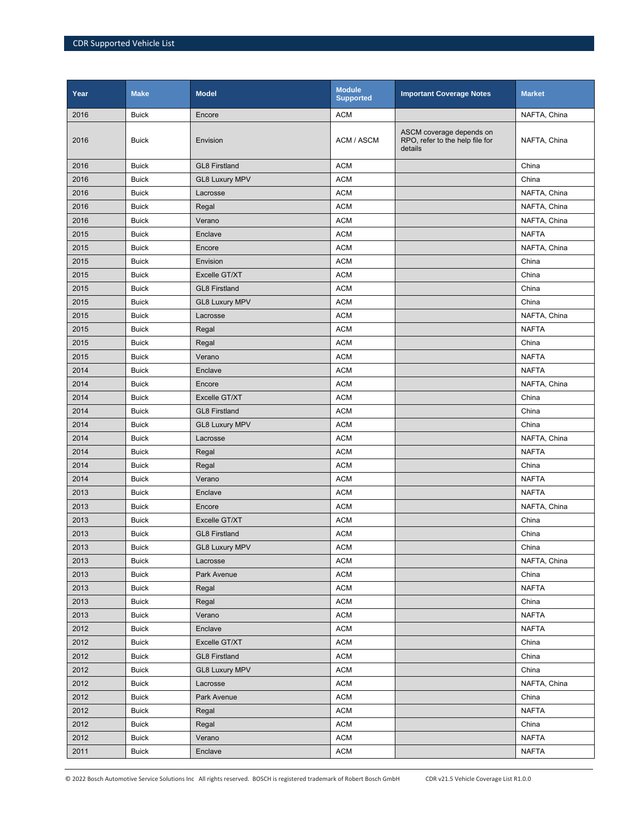| Year | <b>Make</b>  | <b>Model</b>          | <b>Module</b><br><b>Supported</b> | <b>Important Coverage Notes</b>                                        | <b>Market</b> |
|------|--------------|-----------------------|-----------------------------------|------------------------------------------------------------------------|---------------|
| 2016 | <b>Buick</b> | Encore                | <b>ACM</b>                        |                                                                        | NAFTA, China  |
| 2016 | <b>Buick</b> | Envision              | ACM / ASCM                        | ASCM coverage depends on<br>RPO, refer to the help file for<br>details | NAFTA, China  |
| 2016 | <b>Buick</b> | <b>GL8 Firstland</b>  | <b>ACM</b>                        |                                                                        | China         |
| 2016 | <b>Buick</b> | <b>GL8 Luxury MPV</b> | <b>ACM</b>                        |                                                                        | China         |
| 2016 | <b>Buick</b> | Lacrosse              | <b>ACM</b>                        |                                                                        | NAFTA, China  |
| 2016 | <b>Buick</b> | Regal                 | <b>ACM</b>                        |                                                                        | NAFTA, China  |
| 2016 | <b>Buick</b> | Verano                | <b>ACM</b>                        |                                                                        | NAFTA, China  |
| 2015 | <b>Buick</b> | Enclave               | <b>ACM</b>                        |                                                                        | <b>NAFTA</b>  |
| 2015 | <b>Buick</b> | Encore                | <b>ACM</b>                        |                                                                        | NAFTA, China  |
| 2015 | <b>Buick</b> | Envision              | <b>ACM</b>                        |                                                                        | China         |
| 2015 | <b>Buick</b> | Excelle GT/XT         | <b>ACM</b>                        |                                                                        | China         |
| 2015 | <b>Buick</b> | <b>GL8 Firstland</b>  | <b>ACM</b>                        |                                                                        | China         |
| 2015 | <b>Buick</b> | <b>GL8 Luxury MPV</b> | <b>ACM</b>                        |                                                                        | China         |
| 2015 | <b>Buick</b> | Lacrosse              | <b>ACM</b>                        |                                                                        | NAFTA, China  |
| 2015 | <b>Buick</b> | Regal                 | <b>ACM</b>                        |                                                                        | <b>NAFTA</b>  |
| 2015 | <b>Buick</b> | Regal                 | <b>ACM</b>                        |                                                                        | China         |
| 2015 | <b>Buick</b> | Verano                | <b>ACM</b>                        |                                                                        | <b>NAFTA</b>  |
| 2014 | <b>Buick</b> | Enclave               | <b>ACM</b>                        |                                                                        | <b>NAFTA</b>  |
| 2014 | <b>Buick</b> | Encore                | <b>ACM</b>                        |                                                                        | NAFTA, China  |
| 2014 | <b>Buick</b> | Excelle GT/XT         | <b>ACM</b>                        |                                                                        | China         |
| 2014 | <b>Buick</b> | <b>GL8 Firstland</b>  | <b>ACM</b>                        |                                                                        | China         |
| 2014 | <b>Buick</b> | <b>GL8 Luxury MPV</b> | <b>ACM</b>                        |                                                                        | China         |
| 2014 | <b>Buick</b> | Lacrosse              | <b>ACM</b>                        |                                                                        | NAFTA, China  |
| 2014 | <b>Buick</b> | Regal                 | <b>ACM</b>                        |                                                                        | <b>NAFTA</b>  |
| 2014 | <b>Buick</b> | Regal                 | <b>ACM</b>                        |                                                                        | China         |
| 2014 | <b>Buick</b> | Verano                | <b>ACM</b>                        |                                                                        | <b>NAFTA</b>  |
| 2013 | <b>Buick</b> | Enclave               | <b>ACM</b>                        |                                                                        | <b>NAFTA</b>  |
| 2013 | <b>Buick</b> | Encore                | <b>ACM</b>                        |                                                                        | NAFTA, China  |
| 2013 | <b>Buick</b> | Excelle GT/XT         | <b>ACM</b>                        |                                                                        | China         |
| 2013 | <b>Buick</b> | <b>GL8 Firstland</b>  | <b>ACM</b>                        |                                                                        | China         |
| 2013 | <b>Buick</b> | <b>GL8 Luxury MPV</b> | <b>ACM</b>                        |                                                                        | China         |
| 2013 | <b>Buick</b> | Lacrosse              | <b>ACM</b>                        |                                                                        | NAFTA, China  |
| 2013 | <b>Buick</b> | Park Avenue           | <b>ACM</b>                        |                                                                        | China         |
| 2013 | <b>Buick</b> | Regal                 | <b>ACM</b>                        |                                                                        | <b>NAFTA</b>  |
| 2013 | <b>Buick</b> | Regal                 | <b>ACM</b>                        |                                                                        | China         |
| 2013 | <b>Buick</b> | Verano                | <b>ACM</b>                        |                                                                        | <b>NAFTA</b>  |
| 2012 | <b>Buick</b> | Enclave               | <b>ACM</b>                        |                                                                        | <b>NAFTA</b>  |
| 2012 | <b>Buick</b> | Excelle GT/XT         | <b>ACM</b>                        |                                                                        | China         |
| 2012 | <b>Buick</b> | <b>GL8 Firstland</b>  | <b>ACM</b>                        |                                                                        | China         |
| 2012 | <b>Buick</b> | <b>GL8 Luxury MPV</b> | <b>ACM</b>                        |                                                                        | China         |
| 2012 | <b>Buick</b> | Lacrosse              | <b>ACM</b>                        |                                                                        | NAFTA, China  |
| 2012 | <b>Buick</b> | Park Avenue           | <b>ACM</b>                        |                                                                        | China         |
| 2012 | <b>Buick</b> | Regal                 | <b>ACM</b>                        |                                                                        | <b>NAFTA</b>  |
| 2012 | <b>Buick</b> | Regal                 | <b>ACM</b>                        |                                                                        | China         |
| 2012 | <b>Buick</b> | Verano                | <b>ACM</b>                        |                                                                        | <b>NAFTA</b>  |
| 2011 | <b>Buick</b> | Enclave               | <b>ACM</b>                        |                                                                        | <b>NAFTA</b>  |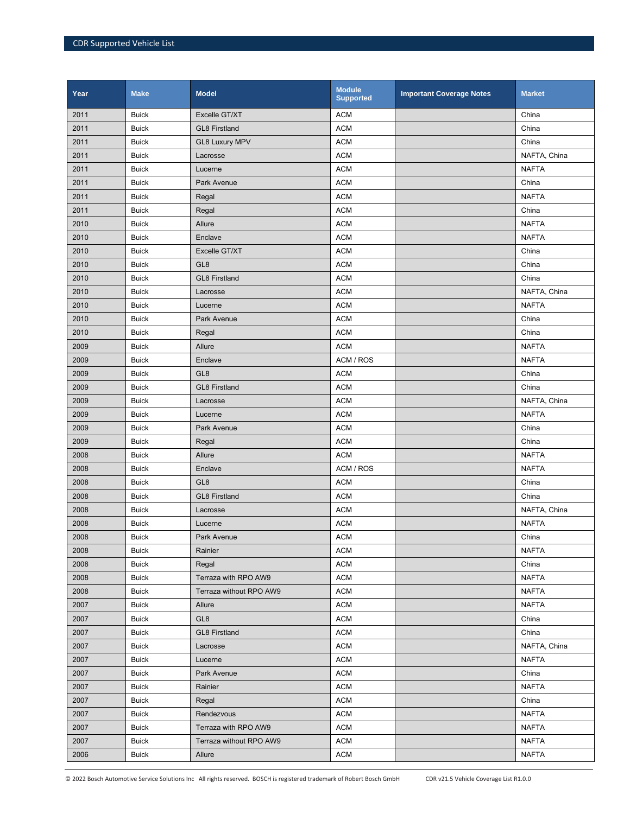| Year | <b>Make</b>  | <b>Model</b>            | <b>Module</b><br><b>Supported</b> | <b>Important Coverage Notes</b> | <b>Market</b> |
|------|--------------|-------------------------|-----------------------------------|---------------------------------|---------------|
| 2011 | <b>Buick</b> | Excelle GT/XT           | <b>ACM</b>                        |                                 | China         |
| 2011 | <b>Buick</b> | <b>GL8 Firstland</b>    | <b>ACM</b>                        |                                 | China         |
| 2011 | <b>Buick</b> | <b>GL8 Luxury MPV</b>   | <b>ACM</b>                        |                                 | China         |
| 2011 | <b>Buick</b> | Lacrosse                | <b>ACM</b>                        |                                 | NAFTA, China  |
| 2011 | <b>Buick</b> | Lucerne                 | <b>ACM</b>                        |                                 | <b>NAFTA</b>  |
| 2011 | <b>Buick</b> | Park Avenue             | <b>ACM</b>                        |                                 | China         |
| 2011 | <b>Buick</b> | Regal                   | <b>ACM</b>                        |                                 | <b>NAFTA</b>  |
| 2011 | <b>Buick</b> | Regal                   | <b>ACM</b>                        |                                 | China         |
| 2010 | <b>Buick</b> | Allure                  | <b>ACM</b>                        |                                 | <b>NAFTA</b>  |
| 2010 | <b>Buick</b> | Enclave                 | <b>ACM</b>                        |                                 | <b>NAFTA</b>  |
| 2010 | <b>Buick</b> | Excelle GT/XT           | <b>ACM</b>                        |                                 | China         |
| 2010 | <b>Buick</b> | GL <sub>8</sub>         | <b>ACM</b>                        |                                 | China         |
| 2010 | <b>Buick</b> | <b>GL8 Firstland</b>    | <b>ACM</b>                        |                                 | China         |
| 2010 | <b>Buick</b> | Lacrosse                | <b>ACM</b>                        |                                 | NAFTA, China  |
| 2010 | <b>Buick</b> | Lucerne                 | <b>ACM</b>                        |                                 | <b>NAFTA</b>  |
| 2010 | <b>Buick</b> | Park Avenue             | <b>ACM</b>                        |                                 | China         |
| 2010 | <b>Buick</b> | Regal                   | <b>ACM</b>                        |                                 | China         |
| 2009 | <b>Buick</b> | Allure                  | <b>ACM</b>                        |                                 | <b>NAFTA</b>  |
| 2009 | <b>Buick</b> | Enclave                 | ACM / ROS                         |                                 | <b>NAFTA</b>  |
| 2009 | <b>Buick</b> | GL <sub>8</sub>         | <b>ACM</b>                        |                                 | China         |
| 2009 | <b>Buick</b> | <b>GL8 Firstland</b>    | <b>ACM</b>                        |                                 | China         |
| 2009 | <b>Buick</b> | Lacrosse                | <b>ACM</b>                        |                                 | NAFTA, China  |
| 2009 | <b>Buick</b> | Lucerne                 | <b>ACM</b>                        |                                 | <b>NAFTA</b>  |
| 2009 | <b>Buick</b> | Park Avenue             | <b>ACM</b>                        |                                 | China         |
| 2009 | <b>Buick</b> | Regal                   | <b>ACM</b>                        |                                 | China         |
| 2008 | <b>Buick</b> | Allure                  | <b>ACM</b>                        |                                 | <b>NAFTA</b>  |
| 2008 | <b>Buick</b> | Enclave                 | ACM / ROS                         |                                 | <b>NAFTA</b>  |
| 2008 | <b>Buick</b> | GL <sub>8</sub>         | <b>ACM</b>                        |                                 | China         |
| 2008 | <b>Buick</b> | <b>GL8 Firstland</b>    | <b>ACM</b>                        |                                 | China         |
| 2008 | <b>Buick</b> | Lacrosse                | <b>ACM</b>                        |                                 | NAFTA, China  |
| 2008 | <b>Buick</b> | Lucerne                 | <b>ACM</b>                        |                                 | <b>NAFTA</b>  |
| 2008 | <b>Buick</b> | Park Avenue             | <b>ACM</b>                        |                                 | China         |
| 2008 | <b>Buick</b> | Rainier                 | <b>ACM</b>                        |                                 | <b>NAFTA</b>  |
| 2008 | <b>Buick</b> | Regal                   | <b>ACM</b>                        |                                 | China         |
| 2008 | <b>Buick</b> | Terraza with RPO AW9    | ACM                               |                                 | <b>NAFTA</b>  |
| 2008 | <b>Buick</b> | Terraza without RPO AW9 | <b>ACM</b>                        |                                 | <b>NAFTA</b>  |
| 2007 | <b>Buick</b> | Allure                  | ACM                               |                                 | <b>NAFTA</b>  |
| 2007 | <b>Buick</b> | GL8                     | <b>ACM</b>                        |                                 | China         |
| 2007 | <b>Buick</b> | <b>GL8 Firstland</b>    | <b>ACM</b>                        |                                 | China         |
| 2007 | <b>Buick</b> | Lacrosse                | <b>ACM</b>                        |                                 | NAFTA, China  |
| 2007 | <b>Buick</b> | Lucerne                 | <b>ACM</b>                        |                                 | <b>NAFTA</b>  |
| 2007 | <b>Buick</b> | Park Avenue             | ACM                               |                                 | China         |
| 2007 | <b>Buick</b> | Rainier                 | <b>ACM</b>                        |                                 | <b>NAFTA</b>  |
| 2007 | <b>Buick</b> | Regal                   | ACM                               |                                 | China         |
| 2007 | <b>Buick</b> | Rendezvous              | <b>ACM</b>                        |                                 | <b>NAFTA</b>  |
| 2007 | <b>Buick</b> | Terraza with RPO AW9    | <b>ACM</b>                        |                                 | <b>NAFTA</b>  |
| 2007 | <b>Buick</b> | Terraza without RPO AW9 | ACM                               |                                 | <b>NAFTA</b>  |
| 2006 | <b>Buick</b> | Allure                  | <b>ACM</b>                        |                                 | <b>NAFTA</b>  |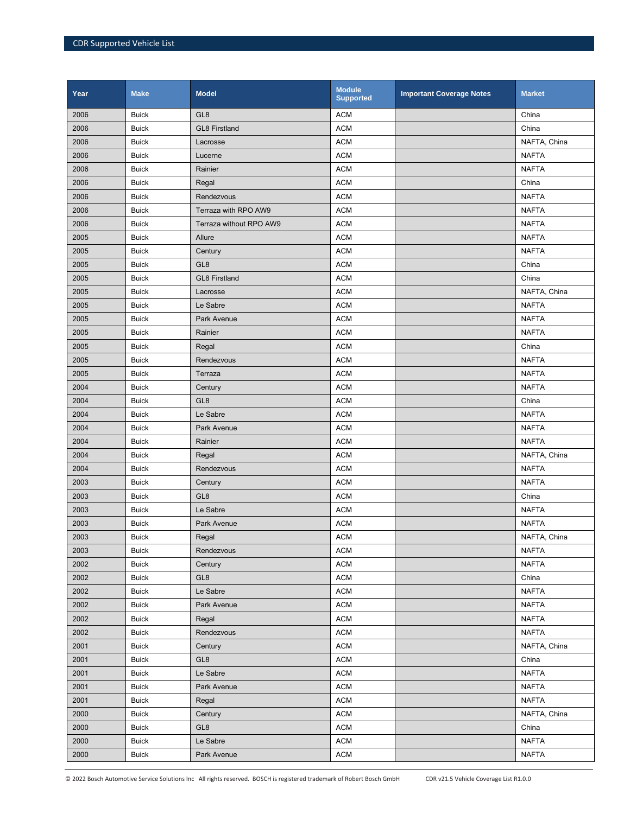| Year | <b>Make</b>  | <b>Model</b>            | <b>Module</b><br><b>Supported</b> | <b>Important Coverage Notes</b> | <b>Market</b> |
|------|--------------|-------------------------|-----------------------------------|---------------------------------|---------------|
| 2006 | <b>Buick</b> | GL <sub>8</sub>         | <b>ACM</b>                        |                                 | China         |
| 2006 | <b>Buick</b> | <b>GL8 Firstland</b>    | <b>ACM</b>                        |                                 | China         |
| 2006 | <b>Buick</b> | Lacrosse                | <b>ACM</b>                        |                                 | NAFTA, China  |
| 2006 | <b>Buick</b> | Lucerne                 | <b>ACM</b>                        |                                 | <b>NAFTA</b>  |
| 2006 | <b>Buick</b> | Rainier                 | <b>ACM</b>                        |                                 | <b>NAFTA</b>  |
| 2006 | <b>Buick</b> | Regal                   | <b>ACM</b>                        |                                 | China         |
| 2006 | <b>Buick</b> | Rendezvous              | <b>ACM</b>                        |                                 | <b>NAFTA</b>  |
| 2006 | <b>Buick</b> | Terraza with RPO AW9    | <b>ACM</b>                        |                                 | <b>NAFTA</b>  |
| 2006 | <b>Buick</b> | Terraza without RPO AW9 | <b>ACM</b>                        |                                 | <b>NAFTA</b>  |
| 2005 | <b>Buick</b> | Allure                  | <b>ACM</b>                        |                                 | <b>NAFTA</b>  |
| 2005 | <b>Buick</b> | Century                 | <b>ACM</b>                        |                                 | <b>NAFTA</b>  |
| 2005 | <b>Buick</b> | GL <sub>8</sub>         | <b>ACM</b>                        |                                 | China         |
| 2005 | <b>Buick</b> | <b>GL8 Firstland</b>    | <b>ACM</b>                        |                                 | China         |
| 2005 | <b>Buick</b> | Lacrosse                | <b>ACM</b>                        |                                 | NAFTA, China  |
| 2005 | <b>Buick</b> | Le Sabre                | <b>ACM</b>                        |                                 | <b>NAFTA</b>  |
| 2005 | <b>Buick</b> | <b>Park Avenue</b>      | <b>ACM</b>                        |                                 | <b>NAFTA</b>  |
| 2005 | <b>Buick</b> | Rainier                 | <b>ACM</b>                        |                                 | <b>NAFTA</b>  |
| 2005 | <b>Buick</b> | Regal                   | <b>ACM</b>                        |                                 | China         |
| 2005 | <b>Buick</b> | Rendezvous              | <b>ACM</b>                        |                                 | <b>NAFTA</b>  |
| 2005 | <b>Buick</b> | Terraza                 | <b>ACM</b>                        |                                 | <b>NAFTA</b>  |
| 2004 | <b>Buick</b> | Century                 | <b>ACM</b>                        |                                 | <b>NAFTA</b>  |
| 2004 | <b>Buick</b> | GL <sub>8</sub>         | <b>ACM</b>                        |                                 | China         |
| 2004 | <b>Buick</b> | Le Sabre                | <b>ACM</b>                        |                                 | <b>NAFTA</b>  |
| 2004 | <b>Buick</b> | Park Avenue             | <b>ACM</b>                        |                                 | <b>NAFTA</b>  |
| 2004 | <b>Buick</b> | Rainier                 | <b>ACM</b>                        |                                 | <b>NAFTA</b>  |
| 2004 | <b>Buick</b> | Regal                   | <b>ACM</b>                        |                                 | NAFTA, China  |
| 2004 | <b>Buick</b> | Rendezvous              | <b>ACM</b>                        |                                 | <b>NAFTA</b>  |
| 2003 | <b>Buick</b> | Century                 | <b>ACM</b>                        |                                 | <b>NAFTA</b>  |
| 2003 | <b>Buick</b> | GL <sub>8</sub>         | <b>ACM</b>                        |                                 | China         |
| 2003 | <b>Buick</b> | Le Sabre                | <b>ACM</b>                        |                                 | <b>NAFTA</b>  |
| 2003 | <b>Buick</b> | Park Avenue             | <b>ACM</b>                        |                                 | <b>NAFTA</b>  |
| 2003 | <b>Buick</b> | Regal                   | <b>ACM</b>                        |                                 | NAFTA, China  |
| 2003 | <b>Buick</b> | Rendezvous              | <b>ACM</b>                        |                                 | <b>NAFTA</b>  |
| 2002 | <b>Buick</b> | Century                 | <b>ACM</b>                        |                                 | <b>NAFTA</b>  |
| 2002 | <b>Buick</b> | GL <sub>8</sub>         | <b>ACM</b>                        |                                 | China         |
| 2002 | <b>Buick</b> | Le Sabre                | <b>ACM</b>                        |                                 | <b>NAFTA</b>  |
| 2002 | <b>Buick</b> | Park Avenue             | <b>ACM</b>                        |                                 | <b>NAFTA</b>  |
| 2002 | <b>Buick</b> | Regal                   | <b>ACM</b>                        |                                 | <b>NAFTA</b>  |
| 2002 | <b>Buick</b> | Rendezvous              | <b>ACM</b>                        |                                 | <b>NAFTA</b>  |
| 2001 | <b>Buick</b> | Century                 | <b>ACM</b>                        |                                 | NAFTA, China  |
| 2001 | <b>Buick</b> | GL <sub>8</sub>         | <b>ACM</b>                        |                                 | China         |
| 2001 | <b>Buick</b> | Le Sabre                | <b>ACM</b>                        |                                 | <b>NAFTA</b>  |
| 2001 | <b>Buick</b> | Park Avenue             | <b>ACM</b>                        |                                 | <b>NAFTA</b>  |
| 2001 | <b>Buick</b> | Regal                   | <b>ACM</b>                        |                                 | <b>NAFTA</b>  |
| 2000 | <b>Buick</b> | Century                 | <b>ACM</b>                        |                                 | NAFTA, China  |
| 2000 | <b>Buick</b> | GL <sub>8</sub>         | <b>ACM</b>                        |                                 | China         |
| 2000 | <b>Buick</b> | Le Sabre                | <b>ACM</b>                        |                                 | <b>NAFTA</b>  |
| 2000 | <b>Buick</b> | Park Avenue             | <b>ACM</b>                        |                                 | <b>NAFTA</b>  |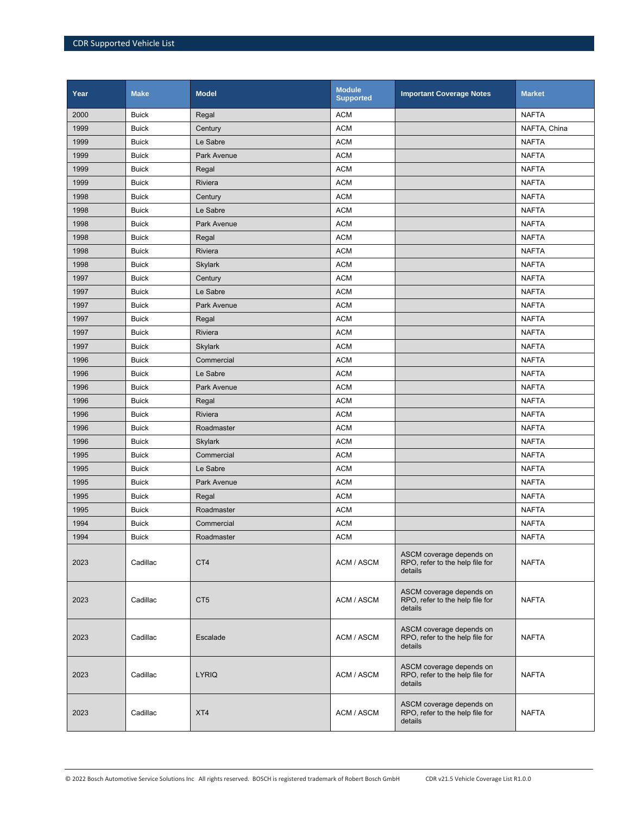| Year | <b>Make</b>  | <b>Model</b>    | <b>Module</b><br><b>Supported</b> | <b>Important Coverage Notes</b>                                        | <b>Market</b> |
|------|--------------|-----------------|-----------------------------------|------------------------------------------------------------------------|---------------|
| 2000 | <b>Buick</b> | Regal           | <b>ACM</b>                        |                                                                        | <b>NAFTA</b>  |
| 1999 | <b>Buick</b> | Century         | <b>ACM</b>                        |                                                                        | NAFTA, China  |
| 1999 | <b>Buick</b> | Le Sabre        | <b>ACM</b>                        |                                                                        | <b>NAFTA</b>  |
| 1999 | <b>Buick</b> | Park Avenue     | <b>ACM</b>                        |                                                                        | <b>NAFTA</b>  |
| 1999 | <b>Buick</b> | Regal           | <b>ACM</b>                        |                                                                        | <b>NAFTA</b>  |
| 1999 | <b>Buick</b> | Riviera         | <b>ACM</b>                        |                                                                        | <b>NAFTA</b>  |
| 1998 | <b>Buick</b> | Century         | <b>ACM</b>                        |                                                                        | <b>NAFTA</b>  |
| 1998 | <b>Buick</b> | Le Sabre        | <b>ACM</b>                        |                                                                        | <b>NAFTA</b>  |
| 1998 | <b>Buick</b> | Park Avenue     | <b>ACM</b>                        |                                                                        | <b>NAFTA</b>  |
| 1998 | <b>Buick</b> | Regal           | <b>ACM</b>                        |                                                                        | <b>NAFTA</b>  |
| 1998 | <b>Buick</b> | Riviera         | <b>ACM</b>                        |                                                                        | <b>NAFTA</b>  |
| 1998 | <b>Buick</b> | <b>Skylark</b>  | <b>ACM</b>                        |                                                                        | <b>NAFTA</b>  |
| 1997 | <b>Buick</b> | Century         | <b>ACM</b>                        |                                                                        | <b>NAFTA</b>  |
| 1997 | <b>Buick</b> | Le Sabre        | <b>ACM</b>                        |                                                                        | <b>NAFTA</b>  |
| 1997 | <b>Buick</b> | Park Avenue     | <b>ACM</b>                        |                                                                        | <b>NAFTA</b>  |
| 1997 | <b>Buick</b> | Regal           | <b>ACM</b>                        |                                                                        | <b>NAFTA</b>  |
| 1997 | <b>Buick</b> | Riviera         | <b>ACM</b>                        |                                                                        | <b>NAFTA</b>  |
| 1997 | <b>Buick</b> | <b>Skylark</b>  | <b>ACM</b>                        |                                                                        | <b>NAFTA</b>  |
| 1996 | <b>Buick</b> | Commercial      | <b>ACM</b>                        |                                                                        | <b>NAFTA</b>  |
| 1996 | <b>Buick</b> | Le Sabre        | <b>ACM</b>                        |                                                                        | <b>NAFTA</b>  |
| 1996 | <b>Buick</b> | Park Avenue     | <b>ACM</b>                        |                                                                        | <b>NAFTA</b>  |
| 1996 | <b>Buick</b> | Regal           | <b>ACM</b>                        |                                                                        | <b>NAFTA</b>  |
| 1996 | <b>Buick</b> | Riviera         | <b>ACM</b>                        |                                                                        | <b>NAFTA</b>  |
| 1996 | <b>Buick</b> | Roadmaster      | <b>ACM</b>                        |                                                                        | <b>NAFTA</b>  |
| 1996 | <b>Buick</b> | <b>Skylark</b>  | <b>ACM</b>                        |                                                                        | <b>NAFTA</b>  |
| 1995 | <b>Buick</b> | Commercial      | <b>ACM</b>                        |                                                                        | <b>NAFTA</b>  |
| 1995 | <b>Buick</b> | Le Sabre        | <b>ACM</b>                        |                                                                        | <b>NAFTA</b>  |
| 1995 | <b>Buick</b> | Park Avenue     | <b>ACM</b>                        |                                                                        | <b>NAFTA</b>  |
| 1995 | <b>Buick</b> | Regal           | <b>ACM</b>                        |                                                                        | <b>NAFTA</b>  |
| 1995 | <b>Buick</b> | Roadmaster      | <b>ACM</b>                        |                                                                        | <b>NAFTA</b>  |
| 1994 | <b>Buick</b> | Commercial      | <b>ACM</b>                        |                                                                        | <b>NAFTA</b>  |
| 1994 | <b>Buick</b> | Roadmaster      | <b>ACM</b>                        |                                                                        | <b>NAFTA</b>  |
| 2023 | Cadillac     | CT4             | ACM / ASCM                        | ASCM coverage depends on<br>RPO, refer to the help file for<br>details | <b>NAFTA</b>  |
| 2023 | Cadillac     | CT <sub>5</sub> | ACM / ASCM                        | ASCM coverage depends on<br>RPO, refer to the help file for<br>details | <b>NAFTA</b>  |
| 2023 | Cadillac     | Escalade        | ACM / ASCM                        | ASCM coverage depends on<br>RPO, refer to the help file for<br>details | <b>NAFTA</b>  |
| 2023 | Cadillac     | <b>LYRIQ</b>    | ACM / ASCM                        | ASCM coverage depends on<br>RPO, refer to the help file for<br>details | <b>NAFTA</b>  |
| 2023 | Cadillac     | XT4             | ACM / ASCM                        | ASCM coverage depends on<br>RPO, refer to the help file for<br>details | <b>NAFTA</b>  |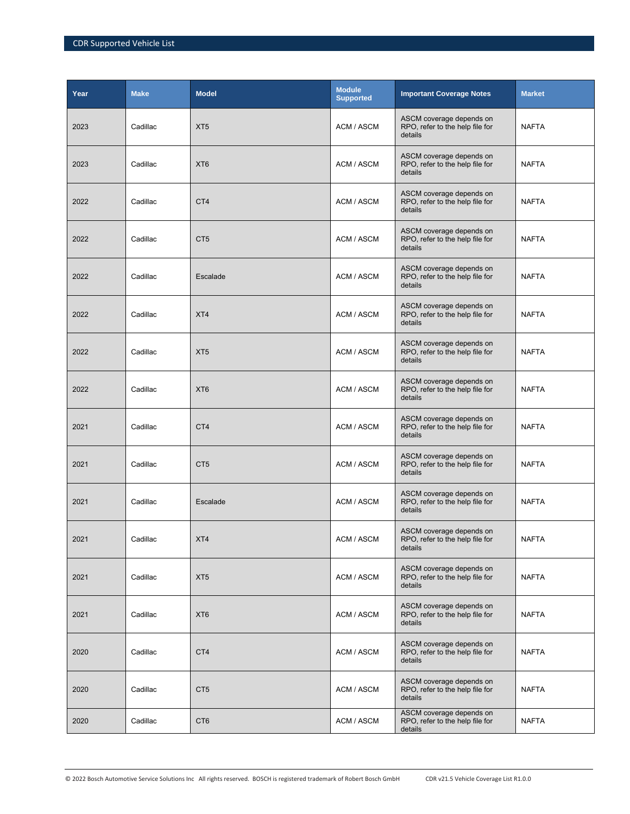| Year | <b>Make</b> | <b>Model</b>    | <b>Module</b><br><b>Supported</b> | <b>Important Coverage Notes</b>                                        | <b>Market</b> |
|------|-------------|-----------------|-----------------------------------|------------------------------------------------------------------------|---------------|
| 2023 | Cadillac    | XT <sub>5</sub> | ACM / ASCM                        | ASCM coverage depends on<br>RPO, refer to the help file for<br>details | <b>NAFTA</b>  |
| 2023 | Cadillac    | XT <sub>6</sub> | ACM / ASCM                        | ASCM coverage depends on<br>RPO, refer to the help file for<br>details | <b>NAFTA</b>  |
| 2022 | Cadillac    | CT4             | ACM / ASCM                        | ASCM coverage depends on<br>RPO, refer to the help file for<br>details | <b>NAFTA</b>  |
| 2022 | Cadillac    | CT <sub>5</sub> | ACM / ASCM                        | ASCM coverage depends on<br>RPO, refer to the help file for<br>details | <b>NAFTA</b>  |
| 2022 | Cadillac    | Escalade        | ACM / ASCM                        | ASCM coverage depends on<br>RPO, refer to the help file for<br>details | <b>NAFTA</b>  |
| 2022 | Cadillac    | XT4             | ACM / ASCM                        | ASCM coverage depends on<br>RPO, refer to the help file for<br>details | <b>NAFTA</b>  |
| 2022 | Cadillac    | XT <sub>5</sub> | ACM / ASCM                        | ASCM coverage depends on<br>RPO, refer to the help file for<br>details | <b>NAFTA</b>  |
| 2022 | Cadillac    | XT <sub>6</sub> | ACM / ASCM                        | ASCM coverage depends on<br>RPO, refer to the help file for<br>details | <b>NAFTA</b>  |
| 2021 | Cadillac    | CT4             | ACM / ASCM                        | ASCM coverage depends on<br>RPO, refer to the help file for<br>details | <b>NAFTA</b>  |
| 2021 | Cadillac    | CT <sub>5</sub> | ACM / ASCM                        | ASCM coverage depends on<br>RPO, refer to the help file for<br>details | <b>NAFTA</b>  |
| 2021 | Cadillac    | Escalade        | ACM / ASCM                        | ASCM coverage depends on<br>RPO, refer to the help file for<br>details | <b>NAFTA</b>  |
| 2021 | Cadillac    | XT4             | ACM / ASCM                        | ASCM coverage depends on<br>RPO, refer to the help file for<br>details | <b>NAFTA</b>  |
| 2021 | Cadillac    | XT <sub>5</sub> | ACM / ASCM                        | ASCM coverage depends on<br>RPO, refer to the help file for<br>details | <b>NAFTA</b>  |
| 2021 | Cadillac    | XT <sub>6</sub> | ACM / ASCM                        | ASCM coverage depends on<br>RPO, refer to the help file for<br>details | <b>NAFTA</b>  |
| 2020 | Cadillac    | CT4             | ACM / ASCM                        | ASCM coverage depends on<br>RPO, refer to the help file for<br>details | <b>NAFTA</b>  |
| 2020 | Cadillac    | CT <sub>5</sub> | ACM / ASCM                        | ASCM coverage depends on<br>RPO, refer to the help file for<br>details | <b>NAFTA</b>  |
| 2020 | Cadillac    | CT <sub>6</sub> | ACM / ASCM                        | ASCM coverage depends on<br>RPO, refer to the help file for<br>details | NAFTA         |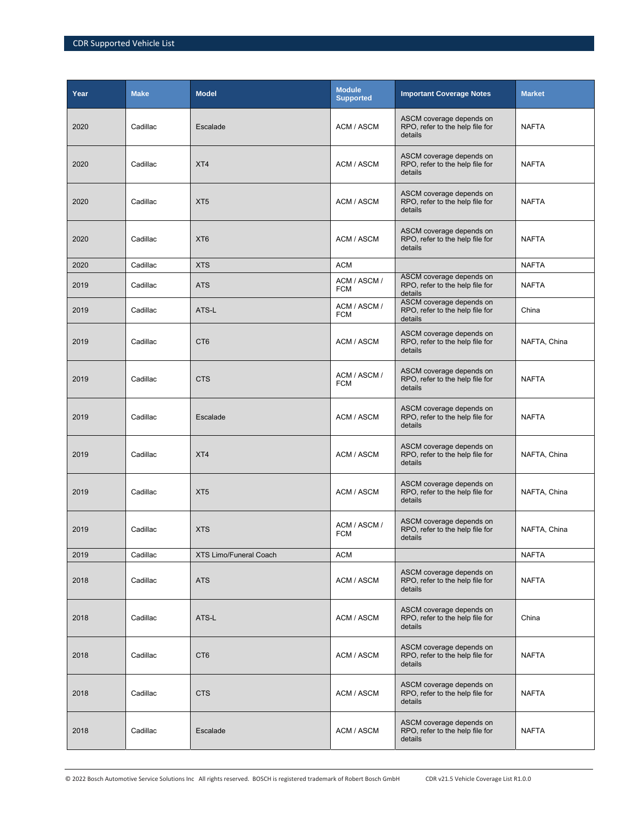| Year | <b>Make</b> | <b>Model</b>                  | <b>Module</b><br><b>Supported</b> | <b>Important Coverage Notes</b>                                        | <b>Market</b> |
|------|-------------|-------------------------------|-----------------------------------|------------------------------------------------------------------------|---------------|
| 2020 | Cadillac    | Escalade                      | ACM / ASCM                        | ASCM coverage depends on<br>RPO, refer to the help file for<br>details | <b>NAFTA</b>  |
| 2020 | Cadillac    | XT4                           | ACM / ASCM                        | ASCM coverage depends on<br>RPO, refer to the help file for<br>details | <b>NAFTA</b>  |
| 2020 | Cadillac    | XT <sub>5</sub>               | ACM / ASCM                        | ASCM coverage depends on<br>RPO, refer to the help file for<br>details | <b>NAFTA</b>  |
| 2020 | Cadillac    | XT <sub>6</sub>               | ACM / ASCM                        | ASCM coverage depends on<br>RPO, refer to the help file for<br>details | <b>NAFTA</b>  |
| 2020 | Cadillac    | <b>XTS</b>                    | <b>ACM</b>                        |                                                                        | <b>NAFTA</b>  |
| 2019 | Cadillac    | <b>ATS</b>                    | ACM / ASCM /<br><b>FCM</b>        | ASCM coverage depends on<br>RPO, refer to the help file for<br>details | <b>NAFTA</b>  |
| 2019 | Cadillac    | ATS-L                         | ACM / ASCM /<br><b>FCM</b>        | ASCM coverage depends on<br>RPO, refer to the help file for<br>details | China         |
| 2019 | Cadillac    | CT <sub>6</sub>               | ACM / ASCM                        | ASCM coverage depends on<br>RPO, refer to the help file for<br>details | NAFTA, China  |
| 2019 | Cadillac    | <b>CTS</b>                    | ACM / ASCM /<br><b>FCM</b>        | ASCM coverage depends on<br>RPO, refer to the help file for<br>details | <b>NAFTA</b>  |
| 2019 | Cadillac    | Escalade                      | ACM / ASCM                        | ASCM coverage depends on<br>RPO, refer to the help file for<br>details | <b>NAFTA</b>  |
| 2019 | Cadillac    | XT4                           | ACM / ASCM                        | ASCM coverage depends on<br>RPO, refer to the help file for<br>details | NAFTA, China  |
| 2019 | Cadillac    | XT <sub>5</sub>               | ACM / ASCM                        | ASCM coverage depends on<br>RPO, refer to the help file for<br>details | NAFTA, China  |
| 2019 | Cadillac    | <b>XTS</b>                    | ACM / ASCM /<br><b>FCM</b>        | ASCM coverage depends on<br>RPO, refer to the help file for<br>details | NAFTA, China  |
| 2019 | Cadillac    | <b>XTS Limo/Funeral Coach</b> | <b>ACM</b>                        |                                                                        | <b>NAFTA</b>  |
| 2018 | Cadillac    | <b>ATS</b>                    | ACM / ASCM                        | ASCM coverage depends on<br>RPO, refer to the help file for<br>details | NAFTA         |
| 2018 | Cadillac    | ATS-L                         | ACM / ASCM                        | ASCM coverage depends on<br>RPO, refer to the help file for<br>details | China         |
| 2018 | Cadillac    | CT <sub>6</sub>               | ACM / ASCM                        | ASCM coverage depends on<br>RPO, refer to the help file for<br>details | <b>NAFTA</b>  |
| 2018 | Cadillac    | <b>CTS</b>                    | ACM / ASCM                        | ASCM coverage depends on<br>RPO, refer to the help file for<br>details | <b>NAFTA</b>  |
| 2018 | Cadillac    | Escalade                      | ACM / ASCM                        | ASCM coverage depends on<br>RPO, refer to the help file for<br>details | <b>NAFTA</b>  |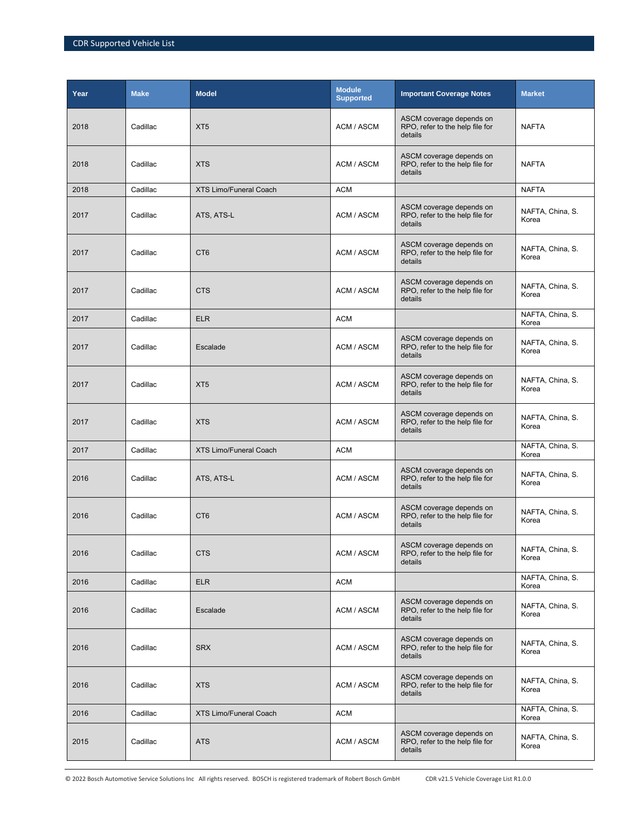| Year | <b>Make</b> | <b>Model</b>                  | <b>Module</b><br><b>Supported</b> | <b>Important Coverage Notes</b>                                        | <b>Market</b>             |
|------|-------------|-------------------------------|-----------------------------------|------------------------------------------------------------------------|---------------------------|
| 2018 | Cadillac    | XT <sub>5</sub>               | ACM / ASCM                        | ASCM coverage depends on<br>RPO, refer to the help file for<br>details | <b>NAFTA</b>              |
| 2018 | Cadillac    | <b>XTS</b>                    | ACM / ASCM                        | ASCM coverage depends on<br>RPO, refer to the help file for<br>details | <b>NAFTA</b>              |
| 2018 | Cadillac    | <b>XTS Limo/Funeral Coach</b> | <b>ACM</b>                        |                                                                        | <b>NAFTA</b>              |
| 2017 | Cadillac    | ATS, ATS-L                    | ACM / ASCM                        | ASCM coverage depends on<br>RPO, refer to the help file for<br>details | NAFTA, China, S.<br>Korea |
| 2017 | Cadillac    | CT <sub>6</sub>               | ACM / ASCM                        | ASCM coverage depends on<br>RPO, refer to the help file for<br>details | NAFTA, China, S.<br>Korea |
| 2017 | Cadillac    | <b>CTS</b>                    | ACM / ASCM                        | ASCM coverage depends on<br>RPO, refer to the help file for<br>details | NAFTA, China, S.<br>Korea |
| 2017 | Cadillac    | <b>ELR</b>                    | <b>ACM</b>                        |                                                                        | NAFTA, China, S.<br>Korea |
| 2017 | Cadillac    | Escalade                      | ACM / ASCM                        | ASCM coverage depends on<br>RPO, refer to the help file for<br>details | NAFTA, China, S.<br>Korea |
| 2017 | Cadillac    | XT <sub>5</sub>               | ACM / ASCM                        | ASCM coverage depends on<br>RPO, refer to the help file for<br>details | NAFTA, China, S.<br>Korea |
| 2017 | Cadillac    | <b>XTS</b>                    | ACM / ASCM                        | ASCM coverage depends on<br>RPO, refer to the help file for<br>details | NAFTA, China, S.<br>Korea |
| 2017 | Cadillac    | <b>XTS Limo/Funeral Coach</b> | <b>ACM</b>                        |                                                                        | NAFTA, China, S.<br>Korea |
| 2016 | Cadillac    | ATS, ATS-L                    | ACM / ASCM                        | ASCM coverage depends on<br>RPO, refer to the help file for<br>details | NAFTA, China, S.<br>Korea |
| 2016 | Cadillac    | CT <sub>6</sub>               | ACM / ASCM                        | ASCM coverage depends on<br>RPO, refer to the help file for<br>details | NAFTA, China, S.<br>Korea |
| 2016 | Cadillac    | <b>CTS</b>                    | ACM / ASCM                        | ASCM coverage depends on<br>RPO, refer to the help file for<br>details | NAFTA, China, S.<br>Korea |
| 2016 | Cadillac    | <b>ELR</b>                    | <b>ACM</b>                        |                                                                        | NAFTA, China, S.<br>Korea |
| 2016 | Cadillac    | Escalade                      | ACM / ASCM                        | ASCM coverage depends on<br>RPO, refer to the help file for<br>details | NAFTA, China, S.<br>Korea |
| 2016 | Cadillac    | <b>SRX</b>                    | ACM / ASCM                        | ASCM coverage depends on<br>RPO, refer to the help file for<br>details | NAFTA, China, S.<br>Korea |
| 2016 | Cadillac    | <b>XTS</b>                    | ACM / ASCM                        | ASCM coverage depends on<br>RPO, refer to the help file for<br>details | NAFTA, China, S.<br>Korea |
| 2016 | Cadillac    | <b>XTS Limo/Funeral Coach</b> | <b>ACM</b>                        |                                                                        | NAFTA, China, S.<br>Korea |
| 2015 | Cadillac    | <b>ATS</b>                    | ACM / ASCM                        | ASCM coverage depends on<br>RPO, refer to the help file for<br>details | NAFTA, China, S.<br>Korea |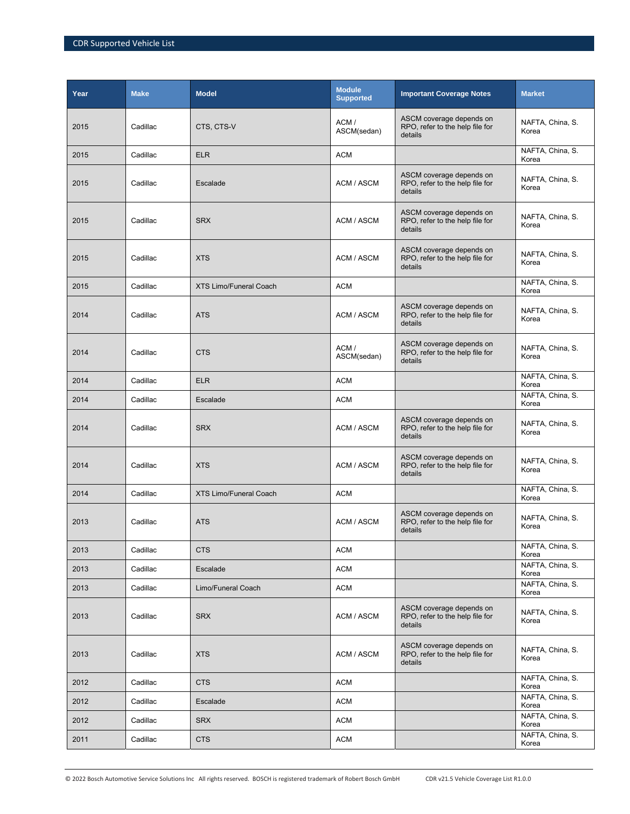| Year | <b>Make</b> | <b>Model</b>                  | <b>Module</b><br><b>Supported</b> | <b>Important Coverage Notes</b>                                        | <b>Market</b>             |
|------|-------------|-------------------------------|-----------------------------------|------------------------------------------------------------------------|---------------------------|
| 2015 | Cadillac    | CTS, CTS-V                    | ACM/<br>ASCM(sedan)               | ASCM coverage depends on<br>RPO, refer to the help file for<br>details | NAFTA, China, S.<br>Korea |
| 2015 | Cadillac    | <b>ELR</b>                    | <b>ACM</b>                        |                                                                        | NAFTA, China, S.<br>Korea |
| 2015 | Cadillac    | Escalade                      | ACM / ASCM                        | ASCM coverage depends on<br>RPO, refer to the help file for<br>details | NAFTA, China, S.<br>Korea |
| 2015 | Cadillac    | <b>SRX</b>                    | ACM / ASCM                        | ASCM coverage depends on<br>RPO, refer to the help file for<br>details | NAFTA, China, S.<br>Korea |
| 2015 | Cadillac    | <b>XTS</b>                    | ACM / ASCM                        | ASCM coverage depends on<br>RPO, refer to the help file for<br>details | NAFTA, China, S.<br>Korea |
| 2015 | Cadillac    | <b>XTS Limo/Funeral Coach</b> | <b>ACM</b>                        |                                                                        | NAFTA, China, S.<br>Korea |
| 2014 | Cadillac    | <b>ATS</b>                    | ACM / ASCM                        | ASCM coverage depends on<br>RPO, refer to the help file for<br>details | NAFTA, China, S.<br>Korea |
| 2014 | Cadillac    | <b>CTS</b>                    | ACM/<br>ASCM(sedan)               | ASCM coverage depends on<br>RPO, refer to the help file for<br>details | NAFTA, China, S.<br>Korea |
| 2014 | Cadillac    | <b>ELR</b>                    | <b>ACM</b>                        |                                                                        | NAFTA, China, S.<br>Korea |
| 2014 | Cadillac    | Escalade                      | <b>ACM</b>                        |                                                                        | NAFTA, China, S.<br>Korea |
| 2014 | Cadillac    | <b>SRX</b>                    | ACM / ASCM                        | ASCM coverage depends on<br>RPO, refer to the help file for<br>details | NAFTA, China, S.<br>Korea |
| 2014 | Cadillac    | <b>XTS</b>                    | ACM / ASCM                        | ASCM coverage depends on<br>RPO, refer to the help file for<br>details | NAFTA, China, S.<br>Korea |
| 2014 | Cadillac    | <b>XTS Limo/Funeral Coach</b> | <b>ACM</b>                        |                                                                        | NAFTA, China, S.<br>Korea |
| 2013 | Cadillac    | <b>ATS</b>                    | ACM / ASCM                        | ASCM coverage depends on<br>RPO, refer to the help file for<br>details | NAFTA, China, S.<br>Korea |
| 2013 | Cadillac    | <b>CTS</b>                    | <b>ACM</b>                        |                                                                        | NAFTA, China, S.<br>Korea |
| 2013 | Cadillac    | Escalade                      | <b>ACM</b>                        |                                                                        | NAFTA, China, S.<br>Korea |
| 2013 | Cadillac    | Limo/Funeral Coach            | ACM                               |                                                                        | NAFTA, China, S.<br>Korea |
| 2013 | Cadillac    | <b>SRX</b>                    | ACM / ASCM                        | ASCM coverage depends on<br>RPO, refer to the help file for<br>details | NAFTA, China, S.<br>Korea |
| 2013 | Cadillac    | <b>XTS</b>                    | ACM / ASCM                        | ASCM coverage depends on<br>RPO, refer to the help file for<br>details | NAFTA, China, S.<br>Korea |
| 2012 | Cadillac    | <b>CTS</b>                    | <b>ACM</b>                        |                                                                        | NAFTA, China, S.<br>Korea |
| 2012 | Cadillac    | Escalade                      | <b>ACM</b>                        |                                                                        | NAFTA, China, S.<br>Korea |
| 2012 | Cadillac    | <b>SRX</b>                    | <b>ACM</b>                        |                                                                        | NAFTA, China, S.<br>Korea |
| 2011 | Cadillac    | <b>CTS</b>                    | <b>ACM</b>                        |                                                                        | NAFTA, China, S.<br>Korea |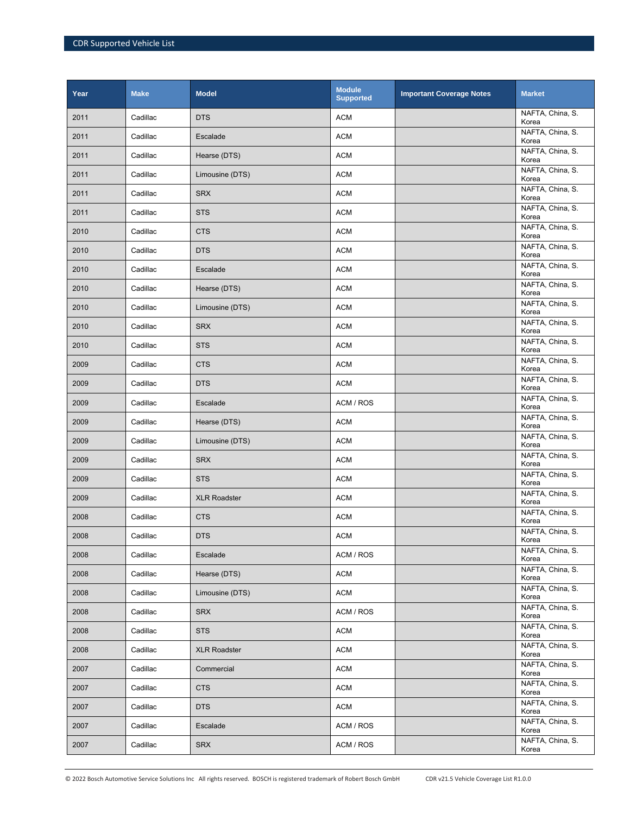| Year | <b>Make</b> | <b>Model</b>        | <b>Module</b><br><b>Supported</b> | <b>Important Coverage Notes</b> | <b>Market</b>             |
|------|-------------|---------------------|-----------------------------------|---------------------------------|---------------------------|
| 2011 | Cadillac    | <b>DTS</b>          | <b>ACM</b>                        |                                 | NAFTA, China, S.<br>Korea |
| 2011 | Cadillac    | Escalade            | <b>ACM</b>                        |                                 | NAFTA, China, S.<br>Korea |
| 2011 | Cadillac    | Hearse (DTS)        | <b>ACM</b>                        |                                 | NAFTA, China, S.<br>Korea |
| 2011 | Cadillac    | Limousine (DTS)     | <b>ACM</b>                        |                                 | NAFTA, China, S.<br>Korea |
| 2011 | Cadillac    | <b>SRX</b>          | <b>ACM</b>                        |                                 | NAFTA, China, S.<br>Korea |
| 2011 | Cadillac    | <b>STS</b>          | <b>ACM</b>                        |                                 | NAFTA, China, S.<br>Korea |
| 2010 | Cadillac    | <b>CTS</b>          | <b>ACM</b>                        |                                 | NAFTA, China, S.<br>Korea |
| 2010 | Cadillac    | <b>DTS</b>          | <b>ACM</b>                        |                                 | NAFTA, China, S.<br>Korea |
| 2010 | Cadillac    | Escalade            | <b>ACM</b>                        |                                 | NAFTA, China, S.<br>Korea |
| 2010 | Cadillac    | Hearse (DTS)        | <b>ACM</b>                        |                                 | NAFTA, China, S.<br>Korea |
| 2010 | Cadillac    | Limousine (DTS)     | <b>ACM</b>                        |                                 | NAFTA, China, S.<br>Korea |
| 2010 | Cadillac    | <b>SRX</b>          | <b>ACM</b>                        |                                 | NAFTA, China, S.<br>Korea |
| 2010 | Cadillac    | <b>STS</b>          | <b>ACM</b>                        |                                 | NAFTA, China, S.<br>Korea |
| 2009 | Cadillac    | <b>CTS</b>          | <b>ACM</b>                        |                                 | NAFTA, China, S.<br>Korea |
| 2009 | Cadillac    | <b>DTS</b>          | <b>ACM</b>                        |                                 | NAFTA, China, S.<br>Korea |
| 2009 | Cadillac    | Escalade            | ACM / ROS                         |                                 | NAFTA, China, S.<br>Korea |
| 2009 | Cadillac    | Hearse (DTS)        | <b>ACM</b>                        |                                 | NAFTA, China, S.<br>Korea |
| 2009 | Cadillac    | Limousine (DTS)     | <b>ACM</b>                        |                                 | NAFTA, China, S.<br>Korea |
| 2009 | Cadillac    | <b>SRX</b>          | <b>ACM</b>                        |                                 | NAFTA, China, S.<br>Korea |
| 2009 | Cadillac    | <b>STS</b>          | <b>ACM</b>                        |                                 | NAFTA, China, S.<br>Korea |
| 2009 | Cadillac    | <b>XLR Roadster</b> | <b>ACM</b>                        |                                 | NAFTA, China, S.<br>Korea |
| 2008 | Cadillac    | <b>CTS</b>          | <b>ACM</b>                        |                                 | NAFTA, China, S.<br>Korea |
| 2008 | Cadillac    | <b>DTS</b>          | <b>ACM</b>                        |                                 | NAFTA, China, S.<br>Korea |
| 2008 | Cadillac    | Escalade            | ACM / ROS                         |                                 | NAFTA, China, S.<br>Korea |
| 2008 | Cadillac    | Hearse (DTS)        | <b>ACM</b>                        |                                 | NAFTA, China, S.<br>Korea |
| 2008 | Cadillac    | Limousine (DTS)     | ACM                               |                                 | NAFTA, China, S.<br>Korea |
| 2008 | Cadillac    | <b>SRX</b>          | ACM / ROS                         |                                 | NAFTA, China, S.<br>Korea |
| 2008 | Cadillac    | <b>STS</b>          | <b>ACM</b>                        |                                 | NAFTA, China, S.<br>Korea |
| 2008 | Cadillac    | <b>XLR Roadster</b> | <b>ACM</b>                        |                                 | NAFTA, China, S.<br>Korea |
| 2007 | Cadillac    | Commercial          | <b>ACM</b>                        |                                 | NAFTA, China, S.<br>Korea |
| 2007 | Cadillac    | <b>CTS</b>          | <b>ACM</b>                        |                                 | NAFTA, China, S.<br>Korea |
| 2007 | Cadillac    | <b>DTS</b>          | <b>ACM</b>                        |                                 | NAFTA, China, S.<br>Korea |
| 2007 | Cadillac    | Escalade            | ACM / ROS                         |                                 | NAFTA, China, S.<br>Korea |
| 2007 | Cadillac    | <b>SRX</b>          | ACM / ROS                         |                                 | NAFTA, China, S.<br>Korea |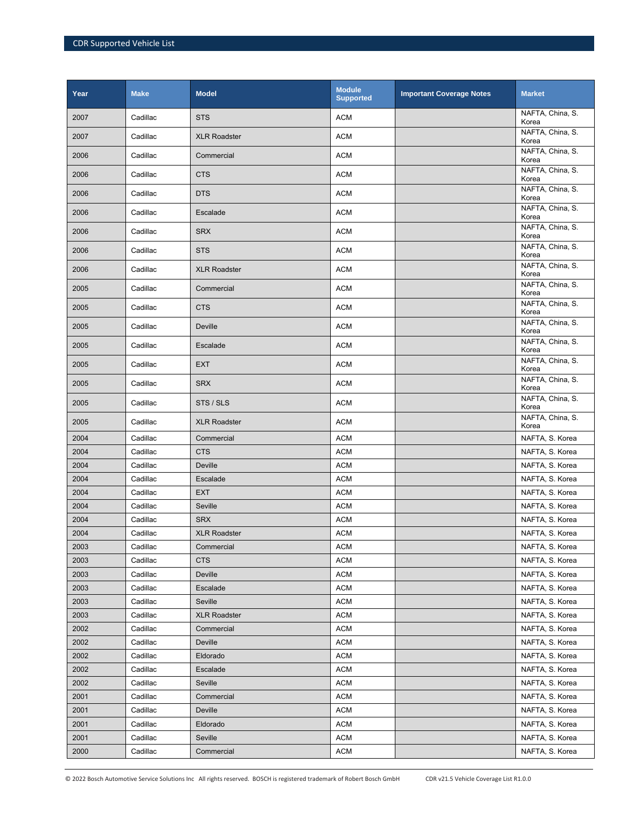| Year | <b>Make</b> | <b>Model</b>        | <b>Module</b><br><b>Supported</b> | <b>Important Coverage Notes</b> | <b>Market</b>             |
|------|-------------|---------------------|-----------------------------------|---------------------------------|---------------------------|
| 2007 | Cadillac    | <b>STS</b>          | <b>ACM</b>                        |                                 | NAFTA, China, S.<br>Korea |
| 2007 | Cadillac    | <b>XLR Roadster</b> | <b>ACM</b>                        |                                 | NAFTA, China, S.<br>Korea |
| 2006 | Cadillac    | Commercial          | <b>ACM</b>                        |                                 | NAFTA, China, S.<br>Korea |
| 2006 | Cadillac    | <b>CTS</b>          | <b>ACM</b>                        |                                 | NAFTA, China, S.<br>Korea |
| 2006 | Cadillac    | <b>DTS</b>          | <b>ACM</b>                        |                                 | NAFTA, China, S.<br>Korea |
| 2006 | Cadillac    | Escalade            | <b>ACM</b>                        |                                 | NAFTA, China, S.<br>Korea |
| 2006 | Cadillac    | <b>SRX</b>          | <b>ACM</b>                        |                                 | NAFTA, China, S.<br>Korea |
| 2006 | Cadillac    | <b>STS</b>          | <b>ACM</b>                        |                                 | NAFTA, China, S.<br>Korea |
| 2006 | Cadillac    | <b>XLR Roadster</b> | <b>ACM</b>                        |                                 | NAFTA, China, S.<br>Korea |
| 2005 | Cadillac    | Commercial          | <b>ACM</b>                        |                                 | NAFTA, China, S.<br>Korea |
| 2005 | Cadillac    | <b>CTS</b>          | <b>ACM</b>                        |                                 | NAFTA, China, S.<br>Korea |
| 2005 | Cadillac    | Deville             | <b>ACM</b>                        |                                 | NAFTA, China, S.<br>Korea |
| 2005 | Cadillac    | Escalade            | <b>ACM</b>                        |                                 | NAFTA, China, S.<br>Korea |
| 2005 | Cadillac    | <b>EXT</b>          | <b>ACM</b>                        |                                 | NAFTA, China, S.<br>Korea |
| 2005 | Cadillac    | <b>SRX</b>          | <b>ACM</b>                        |                                 | NAFTA, China, S.<br>Korea |
| 2005 | Cadillac    | STS / SLS           | <b>ACM</b>                        |                                 | NAFTA, China, S.<br>Korea |
| 2005 | Cadillac    | <b>XLR Roadster</b> | <b>ACM</b>                        |                                 | NAFTA, China, S.<br>Korea |
| 2004 | Cadillac    | Commercial          | <b>ACM</b>                        |                                 | NAFTA, S. Korea           |
| 2004 | Cadillac    | <b>CTS</b>          | <b>ACM</b>                        |                                 | NAFTA, S. Korea           |
| 2004 | Cadillac    | Deville             | <b>ACM</b>                        |                                 | NAFTA, S. Korea           |
| 2004 | Cadillac    | Escalade            | <b>ACM</b>                        |                                 | NAFTA, S. Korea           |
| 2004 | Cadillac    | <b>EXT</b>          | <b>ACM</b>                        |                                 | NAFTA, S. Korea           |
| 2004 | Cadillac    | Seville             | <b>ACM</b>                        |                                 | NAFTA, S. Korea           |
| 2004 | Cadillac    | <b>SRX</b>          | <b>ACM</b>                        |                                 | NAFTA, S. Korea           |
| 2004 | Cadillac    | <b>XLR Roadster</b> | <b>ACM</b>                        |                                 | NAFTA, S. Korea           |
| 2003 | Cadillac    | Commercial          | <b>ACM</b>                        |                                 | NAFTA, S. Korea           |
| 2003 | Cadillac    | <b>CTS</b>          | <b>ACM</b>                        |                                 | NAFTA, S. Korea           |
| 2003 | Cadillac    | Deville             | <b>ACM</b>                        |                                 | NAFTA, S. Korea           |
| 2003 | Cadillac    | Escalade            | <b>ACM</b>                        |                                 | NAFTA, S. Korea           |
| 2003 | Cadillac    | Seville             | <b>ACM</b>                        |                                 | NAFTA, S. Korea           |
| 2003 | Cadillac    | <b>XLR Roadster</b> | <b>ACM</b>                        |                                 | NAFTA, S. Korea           |
| 2002 | Cadillac    | Commercial          | <b>ACM</b>                        |                                 | NAFTA, S. Korea           |
| 2002 | Cadillac    | Deville             | <b>ACM</b>                        |                                 | NAFTA, S. Korea           |
| 2002 | Cadillac    | Eldorado            | <b>ACM</b>                        |                                 | NAFTA, S. Korea           |
| 2002 | Cadillac    | Escalade            | <b>ACM</b>                        |                                 | NAFTA, S. Korea           |
| 2002 | Cadillac    | Seville             | <b>ACM</b>                        |                                 | NAFTA, S. Korea           |
| 2001 | Cadillac    | Commercial          | <b>ACM</b>                        |                                 | NAFTA, S. Korea           |
| 2001 | Cadillac    | Deville             | <b>ACM</b>                        |                                 | NAFTA, S. Korea           |
| 2001 | Cadillac    | Eldorado            | <b>ACM</b>                        |                                 | NAFTA, S. Korea           |
| 2001 | Cadillac    | Seville             | <b>ACM</b>                        |                                 | NAFTA, S. Korea           |
| 2000 | Cadillac    | Commercial          | <b>ACM</b>                        |                                 | NAFTA, S. Korea           |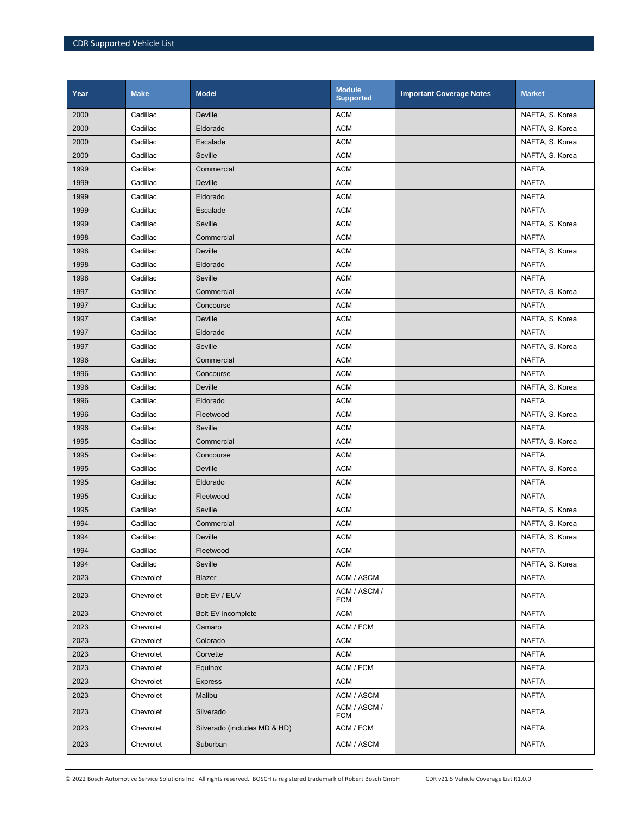| Year | <b>Make</b> | <b>Model</b>                 | <b>Module</b><br><b>Supported</b> | <b>Important Coverage Notes</b> | <b>Market</b>   |
|------|-------------|------------------------------|-----------------------------------|---------------------------------|-----------------|
| 2000 | Cadillac    | <b>Deville</b>               | <b>ACM</b>                        |                                 | NAFTA, S. Korea |
| 2000 | Cadillac    | Eldorado                     | <b>ACM</b>                        |                                 | NAFTA, S. Korea |
| 2000 | Cadillac    | Escalade                     | <b>ACM</b>                        |                                 | NAFTA, S. Korea |
| 2000 | Cadillac    | Seville                      | <b>ACM</b>                        |                                 | NAFTA, S. Korea |
| 1999 | Cadillac    | Commercial                   | <b>ACM</b>                        |                                 | <b>NAFTA</b>    |
| 1999 | Cadillac    | <b>Deville</b>               | <b>ACM</b>                        |                                 | <b>NAFTA</b>    |
| 1999 | Cadillac    | Eldorado                     | <b>ACM</b>                        |                                 | <b>NAFTA</b>    |
| 1999 | Cadillac    | Escalade                     | <b>ACM</b>                        |                                 | NAFTA           |
| 1999 | Cadillac    | Seville                      | <b>ACM</b>                        |                                 | NAFTA, S. Korea |
| 1998 | Cadillac    | Commercial                   | <b>ACM</b>                        |                                 | <b>NAFTA</b>    |
| 1998 | Cadillac    | Deville                      | <b>ACM</b>                        |                                 | NAFTA, S. Korea |
| 1998 | Cadillac    | Eldorado                     | <b>ACM</b>                        |                                 | <b>NAFTA</b>    |
| 1998 | Cadillac    | Seville                      | <b>ACM</b>                        |                                 | <b>NAFTA</b>    |
| 1997 | Cadillac    | Commercial                   | <b>ACM</b>                        |                                 | NAFTA, S. Korea |
| 1997 | Cadillac    | Concourse                    | <b>ACM</b>                        |                                 | <b>NAFTA</b>    |
| 1997 | Cadillac    | Deville                      | <b>ACM</b>                        |                                 | NAFTA, S. Korea |
| 1997 | Cadillac    | Eldorado                     | <b>ACM</b>                        |                                 | <b>NAFTA</b>    |
| 1997 | Cadillac    | Seville                      | <b>ACM</b>                        |                                 | NAFTA, S. Korea |
| 1996 | Cadillac    | Commercial                   | <b>ACM</b>                        |                                 | <b>NAFTA</b>    |
| 1996 | Cadillac    | Concourse                    | <b>ACM</b>                        |                                 | <b>NAFTA</b>    |
| 1996 | Cadillac    | <b>Deville</b>               | <b>ACM</b>                        |                                 | NAFTA, S. Korea |
| 1996 | Cadillac    | Eldorado                     | <b>ACM</b>                        |                                 | <b>NAFTA</b>    |
| 1996 | Cadillac    | Fleetwood                    | <b>ACM</b>                        |                                 | NAFTA, S. Korea |
| 1996 | Cadillac    | Seville                      | <b>ACM</b>                        |                                 | <b>NAFTA</b>    |
| 1995 | Cadillac    | Commercial                   | <b>ACM</b>                        |                                 | NAFTA, S. Korea |
| 1995 | Cadillac    | Concourse                    | <b>ACM</b>                        |                                 | <b>NAFTA</b>    |
| 1995 | Cadillac    | Deville                      | <b>ACM</b>                        |                                 | NAFTA, S. Korea |
| 1995 | Cadillac    | Eldorado                     | <b>ACM</b>                        |                                 | <b>NAFTA</b>    |
| 1995 | Cadillac    | Fleetwood                    | <b>ACM</b>                        |                                 | <b>NAFTA</b>    |
| 1995 | Cadillac    | Seville                      | <b>ACM</b>                        |                                 | NAFTA, S. Korea |
| 1994 | Cadillac    | Commercial                   | <b>ACM</b>                        |                                 | NAFTA, S. Korea |
| 1994 | Cadillac    | <b>Deville</b>               | <b>ACM</b>                        |                                 | NAFTA, S. Korea |
| 1994 | Cadillac    | Fleetwood                    | <b>ACM</b>                        |                                 | <b>NAFTA</b>    |
| 1994 | Cadillac    | Seville                      | <b>ACM</b>                        |                                 | NAFTA, S. Korea |
| 2023 | Chevrolet   | Blazer                       | ACM / ASCM                        |                                 | <b>NAFTA</b>    |
| 2023 | Chevrolet   | Bolt EV / EUV                | ACM / ASCM /<br>FCM               |                                 | NAFTA           |
| 2023 | Chevrolet   | Bolt EV incomplete           | <b>ACM</b>                        |                                 | <b>NAFTA</b>    |
| 2023 | Chevrolet   | Camaro                       | ACM / FCM                         |                                 | <b>NAFTA</b>    |
| 2023 | Chevrolet   | Colorado                     | <b>ACM</b>                        |                                 | <b>NAFTA</b>    |
| 2023 | Chevrolet   | Corvette                     | ACM                               |                                 | NAFTA           |
| 2023 | Chevrolet   | Equinox                      | ACM / FCM                         |                                 | <b>NAFTA</b>    |
| 2023 | Chevrolet   | <b>Express</b>               | <b>ACM</b>                        |                                 | <b>NAFTA</b>    |
| 2023 | Chevrolet   | Malibu                       | ACM / ASCM                        |                                 | <b>NAFTA</b>    |
| 2023 | Chevrolet   | Silverado                    | ACM / ASCM /<br>FCM               |                                 | NAFTA           |
| 2023 | Chevrolet   | Silverado (includes MD & HD) | ACM / FCM                         |                                 | <b>NAFTA</b>    |
| 2023 | Chevrolet   | Suburban                     | ACM / ASCM                        |                                 | <b>NAFTA</b>    |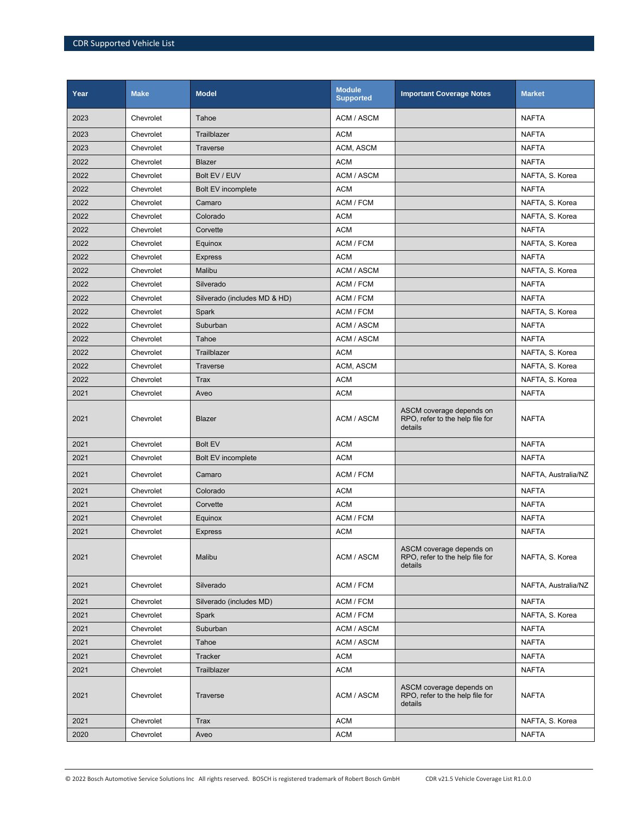| Year | <b>Make</b> | <b>Model</b>                 | <b>Module</b><br><b>Supported</b> | <b>Important Coverage Notes</b>                                        | <b>Market</b>       |
|------|-------------|------------------------------|-----------------------------------|------------------------------------------------------------------------|---------------------|
| 2023 | Chevrolet   | Tahoe                        | ACM / ASCM                        |                                                                        | <b>NAFTA</b>        |
| 2023 | Chevrolet   | Trailblazer                  | <b>ACM</b>                        |                                                                        | <b>NAFTA</b>        |
| 2023 | Chevrolet   | Traverse                     | ACM, ASCM                         |                                                                        | <b>NAFTA</b>        |
| 2022 | Chevrolet   | Blazer                       | <b>ACM</b>                        |                                                                        | <b>NAFTA</b>        |
| 2022 | Chevrolet   | Bolt EV / EUV                | <b>ACM / ASCM</b>                 |                                                                        | NAFTA, S. Korea     |
| 2022 | Chevrolet   | <b>Bolt EV incomplete</b>    | <b>ACM</b>                        |                                                                        | <b>NAFTA</b>        |
| 2022 | Chevrolet   | Camaro                       | ACM / FCM                         |                                                                        | NAFTA, S. Korea     |
| 2022 | Chevrolet   | Colorado                     | <b>ACM</b>                        |                                                                        | NAFTA, S. Korea     |
| 2022 | Chevrolet   | Corvette                     | <b>ACM</b>                        |                                                                        | <b>NAFTA</b>        |
| 2022 | Chevrolet   | Equinox                      | ACM / FCM                         |                                                                        | NAFTA, S. Korea     |
| 2022 | Chevrolet   | <b>Express</b>               | <b>ACM</b>                        |                                                                        | <b>NAFTA</b>        |
| 2022 | Chevrolet   | Malibu                       | <b>ACM / ASCM</b>                 |                                                                        | NAFTA, S. Korea     |
| 2022 | Chevrolet   | Silverado                    | ACM / FCM                         |                                                                        | <b>NAFTA</b>        |
| 2022 | Chevrolet   | Silverado (includes MD & HD) | ACM / FCM                         |                                                                        | <b>NAFTA</b>        |
| 2022 | Chevrolet   | Spark                        | ACM / FCM                         |                                                                        | NAFTA, S. Korea     |
| 2022 | Chevrolet   | Suburban                     | ACM / ASCM                        |                                                                        | <b>NAFTA</b>        |
| 2022 | Chevrolet   | Tahoe                        | ACM / ASCM                        |                                                                        | <b>NAFTA</b>        |
| 2022 | Chevrolet   | Trailblazer                  | <b>ACM</b>                        |                                                                        | NAFTA, S. Korea     |
| 2022 | Chevrolet   | Traverse                     | ACM, ASCM                         |                                                                        | NAFTA, S. Korea     |
| 2022 | Chevrolet   | Trax                         | <b>ACM</b>                        |                                                                        | NAFTA, S. Korea     |
| 2021 | Chevrolet   | Aveo                         | <b>ACM</b>                        |                                                                        | <b>NAFTA</b>        |
| 2021 | Chevrolet   | <b>Blazer</b>                | ACM / ASCM                        | ASCM coverage depends on<br>RPO, refer to the help file for<br>details | <b>NAFTA</b>        |
| 2021 | Chevrolet   | <b>Bolt EV</b>               | <b>ACM</b>                        |                                                                        | <b>NAFTA</b>        |
| 2021 | Chevrolet   | Bolt EV incomplete           | <b>ACM</b>                        |                                                                        | <b>NAFTA</b>        |
| 2021 | Chevrolet   | Camaro                       | ACM / FCM                         |                                                                        | NAFTA, Australia/NZ |
| 2021 | Chevrolet   | Colorado                     | <b>ACM</b>                        |                                                                        | <b>NAFTA</b>        |
| 2021 | Chevrolet   | Corvette                     | <b>ACM</b>                        |                                                                        | <b>NAFTA</b>        |
| 2021 | Chevrolet   | Equinox                      | ACM / FCM                         |                                                                        | <b>NAFTA</b>        |
| 2021 | Chevrolet   | <b>Express</b>               | <b>ACM</b>                        |                                                                        | <b>NAFTA</b>        |
| 2021 | Chevrolet   | Malibu                       | ACM / ASCM                        | ASCM coverage depends on<br>RPO, refer to the help file for<br>details | NAFTA, S. Korea     |
| 2021 | Chevrolet   | Silverado                    | ACM / FCM                         |                                                                        | NAFTA, Australia/NZ |
| 2021 | Chevrolet   | Silverado (includes MD)      | ACM / FCM                         |                                                                        | <b>NAFTA</b>        |
| 2021 | Chevrolet   | Spark                        | ACM / FCM                         |                                                                        | NAFTA, S. Korea     |
| 2021 | Chevrolet   | Suburban                     | ACM / ASCM                        |                                                                        | <b>NAFTA</b>        |
| 2021 | Chevrolet   | Tahoe                        | ACM / ASCM                        |                                                                        | <b>NAFTA</b>        |
| 2021 | Chevrolet   | Tracker                      | <b>ACM</b>                        |                                                                        | <b>NAFTA</b>        |
| 2021 | Chevrolet   | Trailblazer                  | <b>ACM</b>                        |                                                                        | <b>NAFTA</b>        |
| 2021 | Chevrolet   | Traverse                     | ACM / ASCM                        | ASCM coverage depends on<br>RPO, refer to the help file for<br>details | <b>NAFTA</b>        |
| 2021 | Chevrolet   | <b>Trax</b>                  | <b>ACM</b>                        |                                                                        | NAFTA, S. Korea     |
| 2020 | Chevrolet   | Aveo                         | <b>ACM</b>                        |                                                                        | <b>NAFTA</b>        |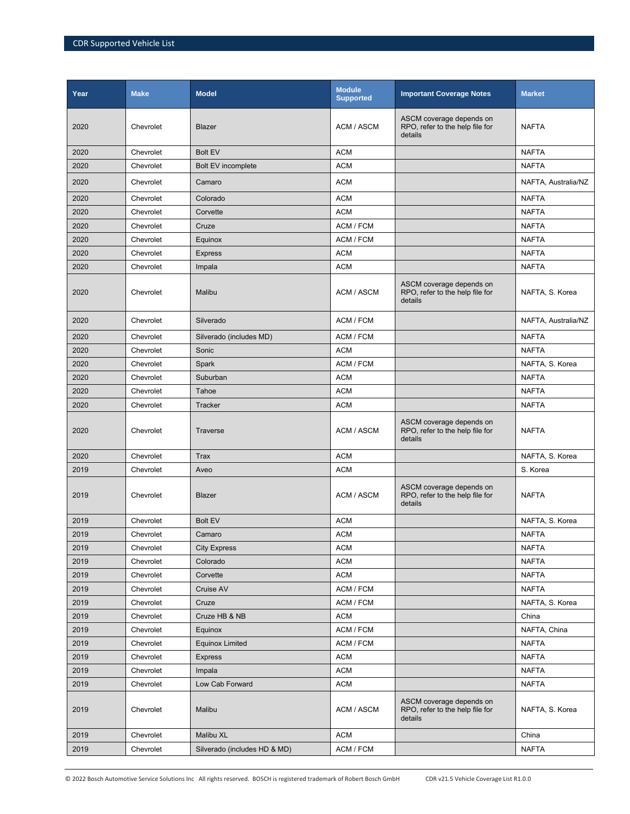| Year | <b>Make</b> | <b>Model</b>                 | <b>Module</b><br><b>Supported</b> | <b>Important Coverage Notes</b>                                        | <b>Market</b>       |
|------|-------------|------------------------------|-----------------------------------|------------------------------------------------------------------------|---------------------|
| 2020 | Chevrolet   | Blazer                       | ACM / ASCM                        | ASCM coverage depends on<br>RPO, refer to the help file for<br>details | <b>NAFTA</b>        |
| 2020 | Chevrolet   | <b>Bolt EV</b>               | <b>ACM</b>                        |                                                                        | <b>NAFTA</b>        |
| 2020 | Chevrolet   | <b>Bolt EV incomplete</b>    | <b>ACM</b>                        |                                                                        | <b>NAFTA</b>        |
| 2020 | Chevrolet   | Camaro                       | <b>ACM</b>                        |                                                                        | NAFTA, Australia/NZ |
| 2020 | Chevrolet   | Colorado                     | <b>ACM</b>                        |                                                                        | <b>NAFTA</b>        |
| 2020 | Chevrolet   | Corvette                     | <b>ACM</b>                        |                                                                        | <b>NAFTA</b>        |
| 2020 | Chevrolet   | Cruze                        | ACM / FCM                         |                                                                        | <b>NAFTA</b>        |
| 2020 | Chevrolet   | Equinox                      | ACM / FCM                         |                                                                        | <b>NAFTA</b>        |
| 2020 | Chevrolet   | <b>Express</b>               | <b>ACM</b>                        |                                                                        | <b>NAFTA</b>        |
| 2020 | Chevrolet   | Impala                       | <b>ACM</b>                        |                                                                        | <b>NAFTA</b>        |
| 2020 | Chevrolet   | Malibu                       | <b>ACM / ASCM</b>                 | ASCM coverage depends on<br>RPO, refer to the help file for<br>details | NAFTA, S. Korea     |
| 2020 | Chevrolet   | Silverado                    | ACM / FCM                         |                                                                        | NAFTA, Australia/NZ |
| 2020 | Chevrolet   | Silverado (includes MD)      | ACM / FCM                         |                                                                        | <b>NAFTA</b>        |
| 2020 | Chevrolet   | Sonic                        | <b>ACM</b>                        |                                                                        | <b>NAFTA</b>        |
| 2020 | Chevrolet   | Spark                        | ACM / FCM                         |                                                                        | NAFTA, S. Korea     |
| 2020 | Chevrolet   | Suburban                     | <b>ACM</b>                        |                                                                        | <b>NAFTA</b>        |
| 2020 | Chevrolet   | Tahoe                        | <b>ACM</b>                        |                                                                        | <b>NAFTA</b>        |
| 2020 | Chevrolet   | <b>Tracker</b>               | <b>ACM</b>                        |                                                                        | <b>NAFTA</b>        |
| 2020 | Chevrolet   | Traverse                     | ACM / ASCM                        | ASCM coverage depends on<br>RPO, refer to the help file for<br>details | <b>NAFTA</b>        |
| 2020 | Chevrolet   | Trax                         | <b>ACM</b>                        |                                                                        | NAFTA, S. Korea     |
| 2019 | Chevrolet   | Aveo                         | <b>ACM</b>                        |                                                                        | S. Korea            |
| 2019 | Chevrolet   | Blazer                       | ACM / ASCM                        | ASCM coverage depends on<br>RPO, refer to the help file for<br>details | <b>NAFTA</b>        |
| 2019 | Chevrolet   | <b>Bolt EV</b>               | <b>ACM</b>                        |                                                                        | NAFTA, S. Korea     |
| 2019 | Chevrolet   | Camaro                       | <b>ACM</b>                        |                                                                        | <b>NAFTA</b>        |
| 2019 | Chevrolet   | <b>City Express</b>          | <b>ACM</b>                        |                                                                        | <b>NAFTA</b>        |
| 2019 | Chevrolet   | Colorado                     | <b>ACM</b>                        |                                                                        | <b>NAFTA</b>        |
| 2019 | Chevrolet   | Corvette                     | <b>ACM</b>                        |                                                                        | <b>NAFTA</b>        |
| 2019 | Chevrolet   | Cruise AV                    | ACM / FCM                         |                                                                        | <b>NAFTA</b>        |
| 2019 | Chevrolet   | Cruze                        | ACM / FCM                         |                                                                        | NAFTA, S. Korea     |
| 2019 | Chevrolet   | Cruze HB & NB                | <b>ACM</b>                        |                                                                        | China               |
| 2019 | Chevrolet   | Equinox                      | ACM / FCM                         |                                                                        | NAFTA, China        |
| 2019 | Chevrolet   | <b>Equinox Limited</b>       | ACM / FCM                         |                                                                        | <b>NAFTA</b>        |
| 2019 | Chevrolet   | <b>Express</b>               | <b>ACM</b>                        |                                                                        | <b>NAFTA</b>        |
| 2019 | Chevrolet   | Impala                       | <b>ACM</b>                        |                                                                        | <b>NAFTA</b>        |
| 2019 | Chevrolet   | Low Cab Forward              | <b>ACM</b>                        |                                                                        | <b>NAFTA</b>        |
| 2019 | Chevrolet   | Malibu                       | ACM / ASCM                        | ASCM coverage depends on<br>RPO, refer to the help file for<br>details | NAFTA, S. Korea     |
| 2019 | Chevrolet   | Malibu XL                    | <b>ACM</b>                        |                                                                        | China               |
| 2019 | Chevrolet   | Silverado (includes HD & MD) | ACM / FCM                         |                                                                        | <b>NAFTA</b>        |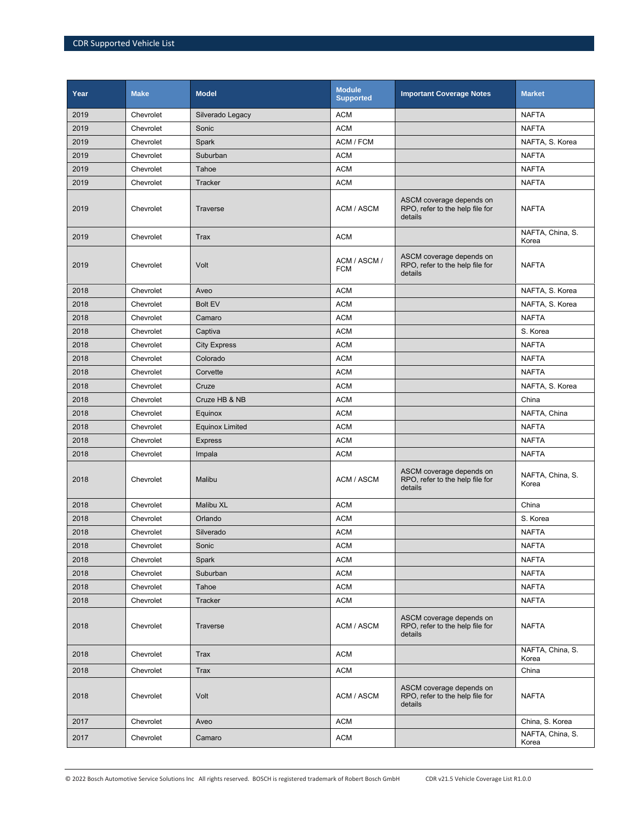| Year | <b>Make</b> | <b>Model</b>           | <b>Module</b><br><b>Supported</b> | <b>Important Coverage Notes</b>                                        | <b>Market</b>             |
|------|-------------|------------------------|-----------------------------------|------------------------------------------------------------------------|---------------------------|
| 2019 | Chevrolet   | Silverado Legacy       | <b>ACM</b>                        |                                                                        | <b>NAFTA</b>              |
| 2019 | Chevrolet   | Sonic                  | <b>ACM</b>                        |                                                                        | <b>NAFTA</b>              |
| 2019 | Chevrolet   | Spark                  | ACM / FCM                         |                                                                        | NAFTA, S. Korea           |
| 2019 | Chevrolet   | Suburban               | <b>ACM</b>                        |                                                                        | <b>NAFTA</b>              |
| 2019 | Chevrolet   | Tahoe                  | <b>ACM</b>                        |                                                                        | <b>NAFTA</b>              |
| 2019 | Chevrolet   | Tracker                | <b>ACM</b>                        |                                                                        | <b>NAFTA</b>              |
| 2019 | Chevrolet   | <b>Traverse</b>        | ACM / ASCM                        | ASCM coverage depends on<br>RPO, refer to the help file for<br>details | <b>NAFTA</b>              |
| 2019 | Chevrolet   | Trax                   | <b>ACM</b>                        |                                                                        | NAFTA, China, S.<br>Korea |
| 2019 | Chevrolet   | Volt                   | ACM / ASCM /<br><b>FCM</b>        | ASCM coverage depends on<br>RPO, refer to the help file for<br>details | <b>NAFTA</b>              |
| 2018 | Chevrolet   | Aveo                   | <b>ACM</b>                        |                                                                        | NAFTA, S. Korea           |
| 2018 | Chevrolet   | <b>Bolt EV</b>         | <b>ACM</b>                        |                                                                        | NAFTA, S. Korea           |
| 2018 | Chevrolet   | Camaro                 | <b>ACM</b>                        |                                                                        | <b>NAFTA</b>              |
| 2018 | Chevrolet   | Captiva                | <b>ACM</b>                        |                                                                        | S. Korea                  |
| 2018 | Chevrolet   | <b>City Express</b>    | <b>ACM</b>                        |                                                                        | <b>NAFTA</b>              |
| 2018 | Chevrolet   | Colorado               | <b>ACM</b>                        |                                                                        | <b>NAFTA</b>              |
| 2018 | Chevrolet   | Corvette               | <b>ACM</b>                        |                                                                        | <b>NAFTA</b>              |
| 2018 | Chevrolet   | Cruze                  | <b>ACM</b>                        |                                                                        | NAFTA, S. Korea           |
| 2018 | Chevrolet   | Cruze HB & NB          | <b>ACM</b>                        |                                                                        | China                     |
| 2018 | Chevrolet   | Equinox                | <b>ACM</b>                        |                                                                        | NAFTA, China              |
| 2018 | Chevrolet   | <b>Equinox Limited</b> | <b>ACM</b>                        |                                                                        | <b>NAFTA</b>              |
| 2018 | Chevrolet   | <b>Express</b>         | <b>ACM</b>                        |                                                                        | <b>NAFTA</b>              |
| 2018 | Chevrolet   | Impala                 | <b>ACM</b>                        |                                                                        | <b>NAFTA</b>              |
| 2018 | Chevrolet   | Malibu                 | ACM / ASCM                        | ASCM coverage depends on<br>RPO, refer to the help file for<br>details | NAFTA, China, S.<br>Korea |
| 2018 | Chevrolet   | Malibu XL              | <b>ACM</b>                        |                                                                        | China                     |
| 2018 | Chevrolet   | Orlando                | <b>ACM</b>                        |                                                                        | S. Korea                  |
| 2018 | Chevrolet   | Silverado              | <b>ACM</b>                        |                                                                        | <b>NAFTA</b>              |
| 2018 | Chevrolet   | Sonic                  | <b>ACM</b>                        |                                                                        | <b>NAFTA</b>              |
| 2018 | Chevrolet   | Spark                  | <b>ACM</b>                        |                                                                        | <b>NAFTA</b>              |
| 2018 | Chevrolet   | Suburban               | <b>ACM</b>                        |                                                                        | <b>NAFTA</b>              |
| 2018 | Chevrolet   | Tahoe                  | <b>ACM</b>                        |                                                                        | <b>NAFTA</b>              |
| 2018 | Chevrolet   | Tracker                | <b>ACM</b>                        |                                                                        | <b>NAFTA</b>              |
| 2018 | Chevrolet   | Traverse               | ACM / ASCM                        | ASCM coverage depends on<br>RPO, refer to the help file for<br>details | <b>NAFTA</b>              |
| 2018 | Chevrolet   | Trax                   | <b>ACM</b>                        |                                                                        | NAFTA, China, S.<br>Korea |
| 2018 | Chevrolet   | Trax                   | <b>ACM</b>                        |                                                                        | China                     |
| 2018 | Chevrolet   | Volt                   | ACM / ASCM                        | ASCM coverage depends on<br>RPO, refer to the help file for<br>details | <b>NAFTA</b>              |
| 2017 | Chevrolet   | Aveo                   | <b>ACM</b>                        |                                                                        | China, S. Korea           |
| 2017 | Chevrolet   | Camaro                 | <b>ACM</b>                        |                                                                        | NAFTA, China, S.<br>Korea |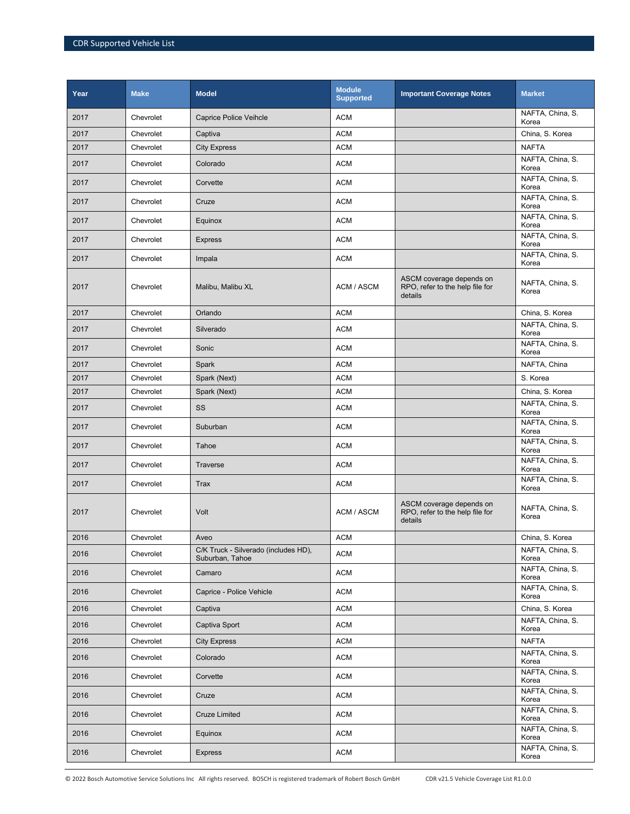| Year | <b>Make</b> | <b>Model</b>                                            | <b>Module</b><br><b>Supported</b> | <b>Important Coverage Notes</b>                                        | <b>Market</b>             |
|------|-------------|---------------------------------------------------------|-----------------------------------|------------------------------------------------------------------------|---------------------------|
| 2017 | Chevrolet   | <b>Caprice Police Veihcle</b>                           | <b>ACM</b>                        |                                                                        | NAFTA, China, S.<br>Korea |
| 2017 | Chevrolet   | Captiva                                                 | <b>ACM</b>                        |                                                                        | China, S. Korea           |
| 2017 | Chevrolet   | <b>City Express</b>                                     | <b>ACM</b>                        |                                                                        | <b>NAFTA</b>              |
| 2017 | Chevrolet   | Colorado                                                | <b>ACM</b>                        |                                                                        | NAFTA, China, S.<br>Korea |
| 2017 | Chevrolet   | Corvette                                                | <b>ACM</b>                        |                                                                        | NAFTA, China, S.<br>Korea |
| 2017 | Chevrolet   | Cruze                                                   | <b>ACM</b>                        |                                                                        | NAFTA, China, S.<br>Korea |
| 2017 | Chevrolet   | Equinox                                                 | <b>ACM</b>                        |                                                                        | NAFTA, China, S.<br>Korea |
| 2017 | Chevrolet   | <b>Express</b>                                          | <b>ACM</b>                        |                                                                        | NAFTA, China, S.<br>Korea |
| 2017 | Chevrolet   | Impala                                                  | <b>ACM</b>                        |                                                                        | NAFTA, China, S.<br>Korea |
| 2017 | Chevrolet   | Malibu, Malibu XL                                       | ACM / ASCM                        | ASCM coverage depends on<br>RPO, refer to the help file for<br>details | NAFTA, China, S.<br>Korea |
| 2017 | Chevrolet   | Orlando                                                 | <b>ACM</b>                        |                                                                        | China, S. Korea           |
| 2017 | Chevrolet   | Silverado                                               | <b>ACM</b>                        |                                                                        | NAFTA, China, S.<br>Korea |
| 2017 | Chevrolet   | Sonic                                                   | <b>ACM</b>                        |                                                                        | NAFTA, China, S.<br>Korea |
| 2017 | Chevrolet   | Spark                                                   | <b>ACM</b>                        |                                                                        | NAFTA, China              |
| 2017 | Chevrolet   | Spark (Next)                                            | <b>ACM</b>                        |                                                                        | S. Korea                  |
| 2017 | Chevrolet   | Spark (Next)                                            | <b>ACM</b>                        |                                                                        | China, S. Korea           |
| 2017 | Chevrolet   | SS                                                      | <b>ACM</b>                        |                                                                        | NAFTA, China, S.<br>Korea |
| 2017 | Chevrolet   | Suburban                                                | <b>ACM</b>                        |                                                                        | NAFTA, China, S.<br>Korea |
| 2017 | Chevrolet   | Tahoe                                                   | <b>ACM</b>                        |                                                                        | NAFTA, China, S.<br>Korea |
| 2017 | Chevrolet   | Traverse                                                | <b>ACM</b>                        |                                                                        | NAFTA, China, S.<br>Korea |
| 2017 | Chevrolet   | <b>Trax</b>                                             | <b>ACM</b>                        |                                                                        | NAFTA, China, S.<br>Korea |
| 2017 | Chevrolet   | Volt                                                    | ACM / ASCM                        | ASCM coverage depends on<br>RPO, refer to the help file for<br>details | NAFTA, China, S.<br>Korea |
| 2016 | Chevrolet   | Aveo                                                    | <b>ACM</b>                        |                                                                        | China, S. Korea           |
| 2016 | Chevrolet   | C/K Truck - Silverado (includes HD),<br>Suburban, Tahoe | <b>ACM</b>                        |                                                                        | NAFTA, China, S.<br>Korea |
| 2016 | Chevrolet   | Camaro                                                  | <b>ACM</b>                        |                                                                        | NAFTA, China, S.<br>Korea |
| 2016 | Chevrolet   | Caprice - Police Vehicle                                | <b>ACM</b>                        |                                                                        | NAFTA, China, S.<br>Korea |
| 2016 | Chevrolet   | Captiva                                                 | <b>ACM</b>                        |                                                                        | China, S. Korea           |
| 2016 | Chevrolet   | Captiva Sport                                           | <b>ACM</b>                        |                                                                        | NAFTA, China, S.<br>Korea |
| 2016 | Chevrolet   | <b>City Express</b>                                     | <b>ACM</b>                        |                                                                        | <b>NAFTA</b>              |
| 2016 | Chevrolet   | Colorado                                                | <b>ACM</b>                        |                                                                        | NAFTA, China, S.<br>Korea |
| 2016 | Chevrolet   | Corvette                                                | <b>ACM</b>                        |                                                                        | NAFTA, China, S.<br>Korea |
| 2016 | Chevrolet   | Cruze                                                   | <b>ACM</b>                        |                                                                        | NAFTA, China, S.<br>Korea |
| 2016 | Chevrolet   | <b>Cruze Limited</b>                                    | <b>ACM</b>                        |                                                                        | NAFTA, China, S.<br>Korea |
| 2016 | Chevrolet   | Equinox                                                 | <b>ACM</b>                        |                                                                        | NAFTA, China, S.<br>Korea |
| 2016 | Chevrolet   | <b>Express</b>                                          | <b>ACM</b>                        |                                                                        | NAFTA, China, S.<br>Korea |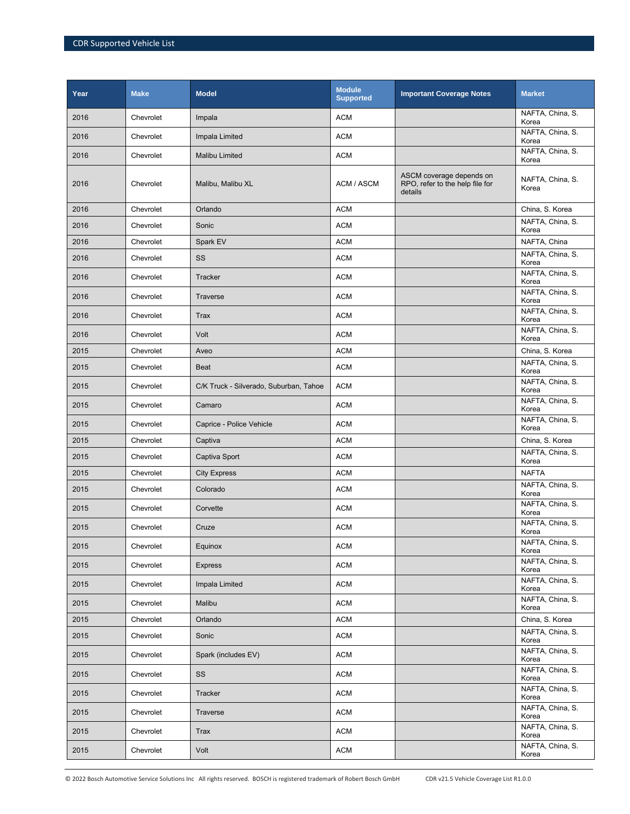| Year | <b>Make</b> | <b>Model</b>                           | <b>Module</b><br><b>Supported</b> | <b>Important Coverage Notes</b>                                        | <b>Market</b>             |
|------|-------------|----------------------------------------|-----------------------------------|------------------------------------------------------------------------|---------------------------|
| 2016 | Chevrolet   | Impala                                 | <b>ACM</b>                        |                                                                        | NAFTA, China, S.<br>Korea |
| 2016 | Chevrolet   | Impala Limited                         | <b>ACM</b>                        |                                                                        | NAFTA, China, S.<br>Korea |
| 2016 | Chevrolet   | <b>Malibu Limited</b>                  | <b>ACM</b>                        |                                                                        | NAFTA, China, S.<br>Korea |
| 2016 | Chevrolet   | Malibu, Malibu XL                      | ACM / ASCM                        | ASCM coverage depends on<br>RPO, refer to the help file for<br>details | NAFTA, China, S.<br>Korea |
| 2016 | Chevrolet   | Orlando                                | <b>ACM</b>                        |                                                                        | China, S. Korea           |
| 2016 | Chevrolet   | Sonic                                  | <b>ACM</b>                        |                                                                        | NAFTA, China, S.<br>Korea |
| 2016 | Chevrolet   | Spark EV                               | <b>ACM</b>                        |                                                                        | NAFTA, China              |
| 2016 | Chevrolet   | SS                                     | <b>ACM</b>                        |                                                                        | NAFTA, China, S.<br>Korea |
| 2016 | Chevrolet   | Tracker                                | <b>ACM</b>                        |                                                                        | NAFTA, China, S.<br>Korea |
| 2016 | Chevrolet   | <b>Traverse</b>                        | <b>ACM</b>                        |                                                                        | NAFTA, China, S.<br>Korea |
| 2016 | Chevrolet   | Trax                                   | <b>ACM</b>                        |                                                                        | NAFTA, China, S.<br>Korea |
| 2016 | Chevrolet   | Volt                                   | <b>ACM</b>                        |                                                                        | NAFTA, China, S.<br>Korea |
| 2015 | Chevrolet   | Aveo                                   | <b>ACM</b>                        |                                                                        | China, S. Korea           |
| 2015 | Chevrolet   | <b>Beat</b>                            | <b>ACM</b>                        |                                                                        | NAFTA, China, S.<br>Korea |
| 2015 | Chevrolet   | C/K Truck - Silverado, Suburban, Tahoe | <b>ACM</b>                        |                                                                        | NAFTA, China, S.<br>Korea |
| 2015 | Chevrolet   | Camaro                                 | <b>ACM</b>                        |                                                                        | NAFTA, China, S.<br>Korea |
| 2015 | Chevrolet   | Caprice - Police Vehicle               | <b>ACM</b>                        |                                                                        | NAFTA, China, S.<br>Korea |
| 2015 | Chevrolet   | Captiva                                | <b>ACM</b>                        |                                                                        | China, S. Korea           |
| 2015 | Chevrolet   | Captiva Sport                          | <b>ACM</b>                        |                                                                        | NAFTA, China, S.<br>Korea |
| 2015 | Chevrolet   | <b>City Express</b>                    | <b>ACM</b>                        |                                                                        | <b>NAFTA</b>              |
| 2015 | Chevrolet   | Colorado                               | <b>ACM</b>                        |                                                                        | NAFTA, China, S.<br>Korea |
| 2015 | Chevrolet   | Corvette                               | <b>ACM</b>                        |                                                                        | NAFTA, China, S.<br>Korea |
| 2015 | Chevrolet   | Cruze                                  | <b>ACM</b>                        |                                                                        | NAFTA, China, S.<br>Korea |
| 2015 | Chevrolet   | Equinox                                | <b>ACM</b>                        |                                                                        | NAFTA, China, S.<br>Korea |
| 2015 | Chevrolet   | <b>Express</b>                         | <b>ACM</b>                        |                                                                        | NAFTA, China, S.<br>Korea |
| 2015 | Chevrolet   | Impala Limited                         | <b>ACM</b>                        |                                                                        | NAFTA, China, S.<br>Korea |
| 2015 | Chevrolet   | Malibu                                 | <b>ACM</b>                        |                                                                        | NAFTA, China, S.<br>Korea |
| 2015 | Chevrolet   | Orlando                                | <b>ACM</b>                        |                                                                        | China, S. Korea           |
| 2015 | Chevrolet   | Sonic                                  | ACM                               |                                                                        | NAFTA, China, S.<br>Korea |
| 2015 | Chevrolet   | Spark (includes EV)                    | <b>ACM</b>                        |                                                                        | NAFTA, China, S.<br>Korea |
| 2015 | Chevrolet   | SS                                     | <b>ACM</b>                        |                                                                        | NAFTA, China, S.<br>Korea |
| 2015 | Chevrolet   | Tracker                                | <b>ACM</b>                        |                                                                        | NAFTA, China, S.<br>Korea |
| 2015 | Chevrolet   | Traverse                               | <b>ACM</b>                        |                                                                        | NAFTA, China, S.<br>Korea |
| 2015 | Chevrolet   | <b>Trax</b>                            | <b>ACM</b>                        |                                                                        | NAFTA, China, S.<br>Korea |
| 2015 | Chevrolet   | Volt                                   | ACM                               |                                                                        | NAFTA, China, S.<br>Korea |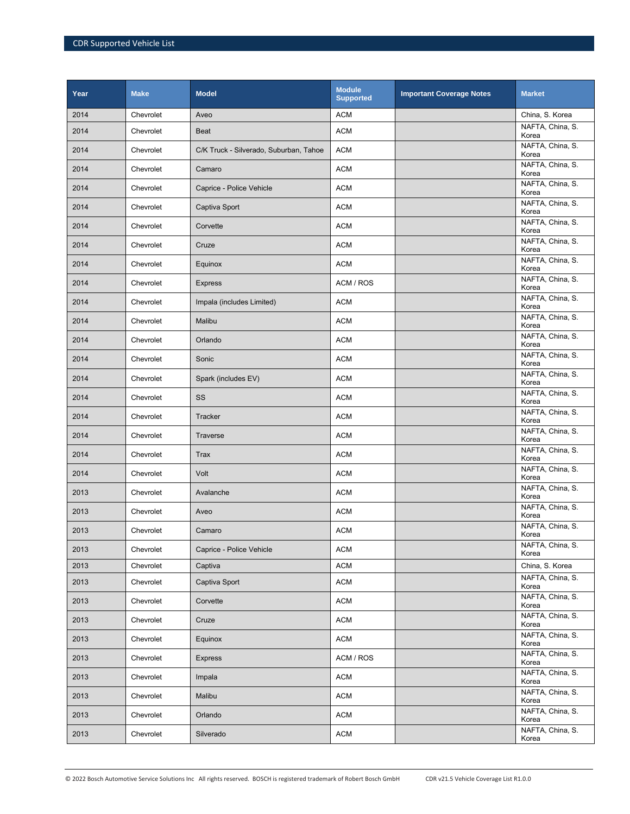| Year | <b>Make</b> | <b>Model</b>                           | <b>Module</b><br><b>Supported</b> | <b>Important Coverage Notes</b> | <b>Market</b>             |
|------|-------------|----------------------------------------|-----------------------------------|---------------------------------|---------------------------|
| 2014 | Chevrolet   | Aveo                                   | <b>ACM</b>                        |                                 | China, S. Korea           |
| 2014 | Chevrolet   | <b>Beat</b>                            | <b>ACM</b>                        |                                 | NAFTA, China, S.<br>Korea |
| 2014 | Chevrolet   | C/K Truck - Silverado, Suburban, Tahoe | <b>ACM</b>                        |                                 | NAFTA, China, S.<br>Korea |
| 2014 | Chevrolet   | Camaro                                 | <b>ACM</b>                        |                                 | NAFTA, China, S.<br>Korea |
| 2014 | Chevrolet   | Caprice - Police Vehicle               | <b>ACM</b>                        |                                 | NAFTA, China, S.<br>Korea |
| 2014 | Chevrolet   | Captiva Sport                          | <b>ACM</b>                        |                                 | NAFTA, China, S.<br>Korea |
| 2014 | Chevrolet   | Corvette                               | <b>ACM</b>                        |                                 | NAFTA, China, S.<br>Korea |
| 2014 | Chevrolet   | Cruze                                  | <b>ACM</b>                        |                                 | NAFTA, China, S.<br>Korea |
| 2014 | Chevrolet   | Equinox                                | <b>ACM</b>                        |                                 | NAFTA, China, S.<br>Korea |
| 2014 | Chevrolet   | <b>Express</b>                         | ACM / ROS                         |                                 | NAFTA, China, S.<br>Korea |
| 2014 | Chevrolet   | Impala (includes Limited)              | <b>ACM</b>                        |                                 | NAFTA, China, S.<br>Korea |
| 2014 | Chevrolet   | Malibu                                 | <b>ACM</b>                        |                                 | NAFTA, China, S.<br>Korea |
| 2014 | Chevrolet   | Orlando                                | <b>ACM</b>                        |                                 | NAFTA, China, S.<br>Korea |
| 2014 | Chevrolet   | Sonic                                  | <b>ACM</b>                        |                                 | NAFTA, China, S.<br>Korea |
| 2014 | Chevrolet   | Spark (includes EV)                    | <b>ACM</b>                        |                                 | NAFTA, China, S.<br>Korea |
| 2014 | Chevrolet   | SS                                     | <b>ACM</b>                        |                                 | NAFTA, China, S.<br>Korea |
| 2014 | Chevrolet   | Tracker                                | <b>ACM</b>                        |                                 | NAFTA, China, S.<br>Korea |
| 2014 | Chevrolet   | Traverse                               | <b>ACM</b>                        |                                 | NAFTA, China, S.<br>Korea |
| 2014 | Chevrolet   | <b>Trax</b>                            | <b>ACM</b>                        |                                 | NAFTA, China, S.<br>Korea |
| 2014 | Chevrolet   | Volt                                   | <b>ACM</b>                        |                                 | NAFTA, China, S.<br>Korea |
| 2013 | Chevrolet   | Avalanche                              | <b>ACM</b>                        |                                 | NAFTA, China, S.<br>Korea |
| 2013 | Chevrolet   | Aveo                                   | <b>ACM</b>                        |                                 | NAFTA, China, S.<br>Korea |
| 2013 | Chevrolet   | Camaro                                 | <b>ACM</b>                        |                                 | NAFTA, China, S.<br>Korea |
| 2013 | Chevrolet   | Caprice - Police Vehicle               | <b>ACM</b>                        |                                 | NAFTA, China, S.<br>Korea |
| 2013 | Chevrolet   | Captiva                                | <b>ACM</b>                        |                                 | China, S. Korea           |
| 2013 | Chevrolet   | Captiva Sport                          | <b>ACM</b>                        |                                 | NAFTA, China, S.<br>Korea |
| 2013 | Chevrolet   | Corvette                               | <b>ACM</b>                        |                                 | NAFTA, China, S.<br>Korea |
| 2013 | Chevrolet   | Cruze                                  | <b>ACM</b>                        |                                 | NAFTA, China, S.<br>Korea |
| 2013 | Chevrolet   | Equinox                                | <b>ACM</b>                        |                                 | NAFTA, China, S.<br>Korea |
| 2013 | Chevrolet   | <b>Express</b>                         | ACM / ROS                         |                                 | NAFTA, China, S.<br>Korea |
| 2013 | Chevrolet   | Impala                                 | <b>ACM</b>                        |                                 | NAFTA, China, S.<br>Korea |
| 2013 | Chevrolet   | Malibu                                 | <b>ACM</b>                        |                                 | NAFTA, China, S.<br>Korea |
| 2013 | Chevrolet   | Orlando                                | <b>ACM</b>                        |                                 | NAFTA, China, S.<br>Korea |
| 2013 | Chevrolet   | Silverado                              | <b>ACM</b>                        |                                 | NAFTA, China, S.<br>Korea |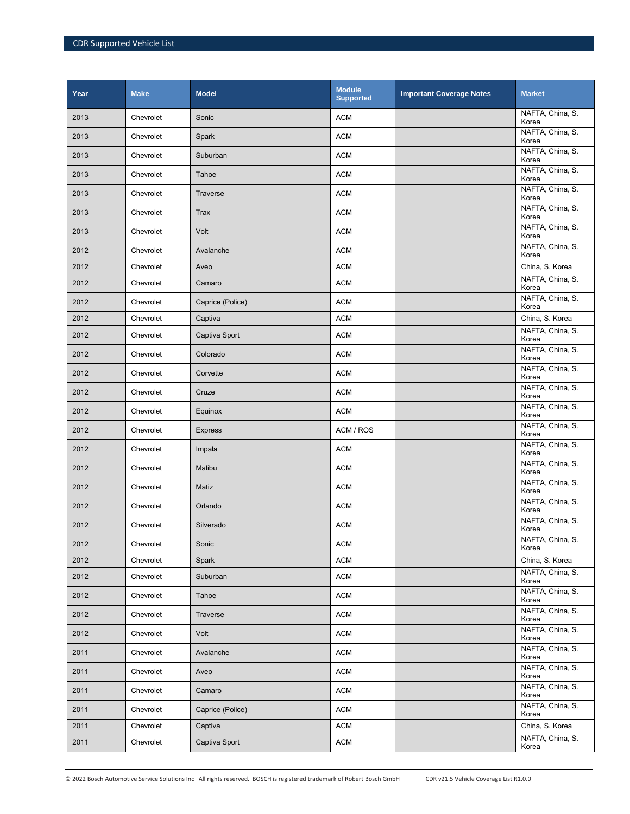| Year | <b>Make</b> | <b>Model</b>     | <b>Module</b><br><b>Supported</b> | <b>Important Coverage Notes</b> | <b>Market</b>             |
|------|-------------|------------------|-----------------------------------|---------------------------------|---------------------------|
| 2013 | Chevrolet   | Sonic            | <b>ACM</b>                        |                                 | NAFTA, China, S.<br>Korea |
| 2013 | Chevrolet   | Spark            | <b>ACM</b>                        |                                 | NAFTA, China, S.<br>Korea |
| 2013 | Chevrolet   | Suburban         | <b>ACM</b>                        |                                 | NAFTA, China, S.<br>Korea |
| 2013 | Chevrolet   | Tahoe            | <b>ACM</b>                        |                                 | NAFTA, China, S.<br>Korea |
| 2013 | Chevrolet   | Traverse         | <b>ACM</b>                        |                                 | NAFTA, China, S.<br>Korea |
| 2013 | Chevrolet   | Trax             | <b>ACM</b>                        |                                 | NAFTA, China, S.<br>Korea |
| 2013 | Chevrolet   | Volt             | <b>ACM</b>                        |                                 | NAFTA, China, S.<br>Korea |
| 2012 | Chevrolet   | Avalanche        | <b>ACM</b>                        |                                 | NAFTA, China, S.<br>Korea |
| 2012 | Chevrolet   | Aveo             | <b>ACM</b>                        |                                 | China, S. Korea           |
| 2012 | Chevrolet   | Camaro           | <b>ACM</b>                        |                                 | NAFTA, China, S.<br>Korea |
| 2012 | Chevrolet   | Caprice (Police) | <b>ACM</b>                        |                                 | NAFTA, China, S.<br>Korea |
| 2012 | Chevrolet   | Captiva          | <b>ACM</b>                        |                                 | China, S. Korea           |
| 2012 | Chevrolet   | Captiva Sport    | <b>ACM</b>                        |                                 | NAFTA, China, S.<br>Korea |
| 2012 | Chevrolet   | Colorado         | <b>ACM</b>                        |                                 | NAFTA, China, S.<br>Korea |
| 2012 | Chevrolet   | Corvette         | <b>ACM</b>                        |                                 | NAFTA, China, S.<br>Korea |
| 2012 | Chevrolet   | Cruze            | <b>ACM</b>                        |                                 | NAFTA, China, S.<br>Korea |
| 2012 | Chevrolet   | Equinox          | <b>ACM</b>                        |                                 | NAFTA, China, S.<br>Korea |
| 2012 | Chevrolet   | <b>Express</b>   | ACM / ROS                         |                                 | NAFTA, China, S.<br>Korea |
| 2012 | Chevrolet   | Impala           | <b>ACM</b>                        |                                 | NAFTA, China, S.<br>Korea |
| 2012 | Chevrolet   | Malibu           | <b>ACM</b>                        |                                 | NAFTA, China, S.<br>Korea |
| 2012 | Chevrolet   | Matiz            | <b>ACM</b>                        |                                 | NAFTA, China, S.<br>Korea |
| 2012 | Chevrolet   | Orlando          | <b>ACM</b>                        |                                 | NAFTA, China, S.<br>Korea |
| 2012 | Chevrolet   | Silverado        | <b>ACM</b>                        |                                 | NAFTA, China, S.<br>Korea |
| 2012 | Chevrolet   | Sonic            | <b>ACM</b>                        |                                 | NAFTA, China, S.<br>Korea |
| 2012 | Chevrolet   | Spark            | <b>ACM</b>                        |                                 | China, S. Korea           |
| 2012 | Chevrolet   | Suburban         | <b>ACM</b>                        |                                 | NAFTA, China, S.<br>Korea |
| 2012 | Chevrolet   | Tahoe            | <b>ACM</b>                        |                                 | NAFTA, China, S.<br>Korea |
| 2012 | Chevrolet   | Traverse         | <b>ACM</b>                        |                                 | NAFTA, China, S.<br>Korea |
| 2012 | Chevrolet   | Volt             | <b>ACM</b>                        |                                 | NAFTA, China, S.<br>Korea |
| 2011 | Chevrolet   | Avalanche        | <b>ACM</b>                        |                                 | NAFTA, China, S.<br>Korea |
| 2011 | Chevrolet   | Aveo             | <b>ACM</b>                        |                                 | NAFTA, China, S.<br>Korea |
| 2011 | Chevrolet   | Camaro           | <b>ACM</b>                        |                                 | NAFTA, China, S.<br>Korea |
| 2011 | Chevrolet   | Caprice (Police) | <b>ACM</b>                        |                                 | NAFTA, China, S.<br>Korea |
| 2011 | Chevrolet   | Captiva          | <b>ACM</b>                        |                                 | China, S. Korea           |
| 2011 | Chevrolet   | Captiva Sport    | <b>ACM</b>                        |                                 | NAFTA, China, S.<br>Korea |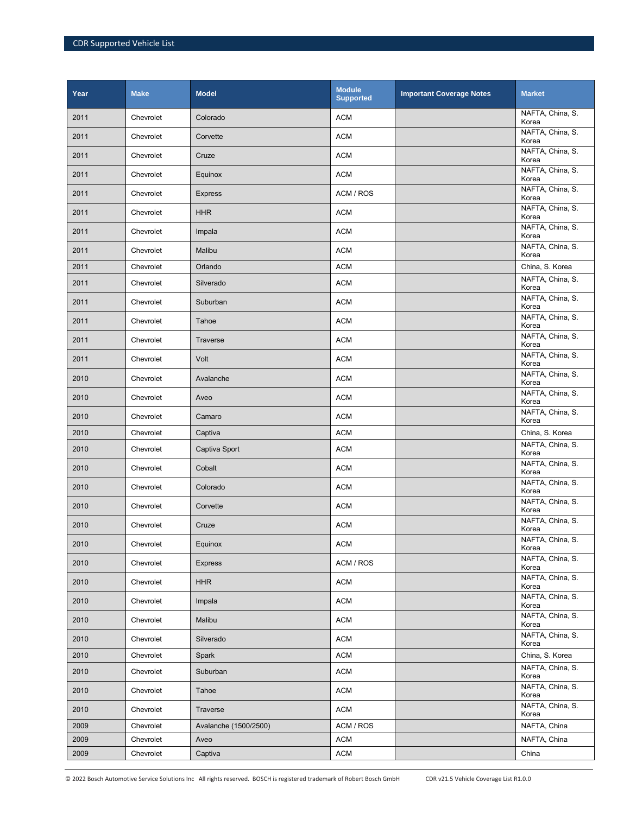| Year | <b>Make</b> | <b>Model</b>          | <b>Module</b><br><b>Supported</b> | <b>Important Coverage Notes</b> | <b>Market</b>             |
|------|-------------|-----------------------|-----------------------------------|---------------------------------|---------------------------|
| 2011 | Chevrolet   | Colorado              | <b>ACM</b>                        |                                 | NAFTA, China, S.<br>Korea |
| 2011 | Chevrolet   | Corvette              | <b>ACM</b>                        |                                 | NAFTA, China, S.<br>Korea |
| 2011 | Chevrolet   | Cruze                 | <b>ACM</b>                        |                                 | NAFTA, China, S.<br>Korea |
| 2011 | Chevrolet   | Equinox               | <b>ACM</b>                        |                                 | NAFTA, China, S.<br>Korea |
| 2011 | Chevrolet   | <b>Express</b>        | ACM / ROS                         |                                 | NAFTA, China, S.<br>Korea |
| 2011 | Chevrolet   | <b>HHR</b>            | <b>ACM</b>                        |                                 | NAFTA, China, S.<br>Korea |
| 2011 | Chevrolet   | Impala                | <b>ACM</b>                        |                                 | NAFTA, China, S.<br>Korea |
| 2011 | Chevrolet   | Malibu                | <b>ACM</b>                        |                                 | NAFTA, China, S.<br>Korea |
| 2011 | Chevrolet   | Orlando               | <b>ACM</b>                        |                                 | China, S. Korea           |
| 2011 | Chevrolet   | Silverado             | <b>ACM</b>                        |                                 | NAFTA, China, S.<br>Korea |
| 2011 | Chevrolet   | Suburban              | <b>ACM</b>                        |                                 | NAFTA, China, S.<br>Korea |
| 2011 | Chevrolet   | Tahoe                 | <b>ACM</b>                        |                                 | NAFTA, China, S.<br>Korea |
| 2011 | Chevrolet   | Traverse              | <b>ACM</b>                        |                                 | NAFTA, China, S.<br>Korea |
| 2011 | Chevrolet   | Volt                  | <b>ACM</b>                        |                                 | NAFTA, China, S.<br>Korea |
| 2010 | Chevrolet   | Avalanche             | <b>ACM</b>                        |                                 | NAFTA, China, S.<br>Korea |
| 2010 | Chevrolet   | Aveo                  | <b>ACM</b>                        |                                 | NAFTA, China, S.<br>Korea |
| 2010 | Chevrolet   | Camaro                | <b>ACM</b>                        |                                 | NAFTA, China, S.<br>Korea |
| 2010 | Chevrolet   | Captiva               | <b>ACM</b>                        |                                 | China, S. Korea           |
| 2010 | Chevrolet   | Captiva Sport         | <b>ACM</b>                        |                                 | NAFTA, China, S.<br>Korea |
| 2010 | Chevrolet   | Cobalt                | <b>ACM</b>                        |                                 | NAFTA, China, S.<br>Korea |
| 2010 | Chevrolet   | Colorado              | <b>ACM</b>                        |                                 | NAFTA, China, S.<br>Korea |
| 2010 | Chevrolet   | Corvette              | <b>ACM</b>                        |                                 | NAFTA, China, S.<br>Korea |
| 2010 | Chevrolet   | Cruze                 | <b>ACM</b>                        |                                 | NAFTA, China, S.<br>Korea |
| 2010 | Chevrolet   | Equinox               | ACM                               |                                 | NAFTA, China, S.<br>Korea |
| 2010 | Chevrolet   | <b>Express</b>        | ACM / ROS                         |                                 | NAFTA, China, S.<br>Korea |
| 2010 | Chevrolet   | <b>HHR</b>            | <b>ACM</b>                        |                                 | NAFTA, China, S.<br>Korea |
| 2010 | Chevrolet   | Impala                | <b>ACM</b>                        |                                 | NAFTA, China, S.<br>Korea |
| 2010 | Chevrolet   | Malibu                | <b>ACM</b>                        |                                 | NAFTA, China, S.<br>Korea |
| 2010 | Chevrolet   | Silverado             | <b>ACM</b>                        |                                 | NAFTA, China, S.<br>Korea |
| 2010 | Chevrolet   | Spark                 | <b>ACM</b>                        |                                 | China, S. Korea           |
| 2010 | Chevrolet   | Suburban              | <b>ACM</b>                        |                                 | NAFTA, China, S.<br>Korea |
| 2010 | Chevrolet   | Tahoe                 | <b>ACM</b>                        |                                 | NAFTA, China, S.<br>Korea |
| 2010 | Chevrolet   | Traverse              | ACM                               |                                 | NAFTA, China, S.<br>Korea |
| 2009 | Chevrolet   | Avalanche (1500/2500) | ACM / ROS                         |                                 | NAFTA, China              |
| 2009 | Chevrolet   | Aveo                  | <b>ACM</b>                        |                                 | NAFTA, China              |
| 2009 | Chevrolet   | Captiva               | <b>ACM</b>                        |                                 | China                     |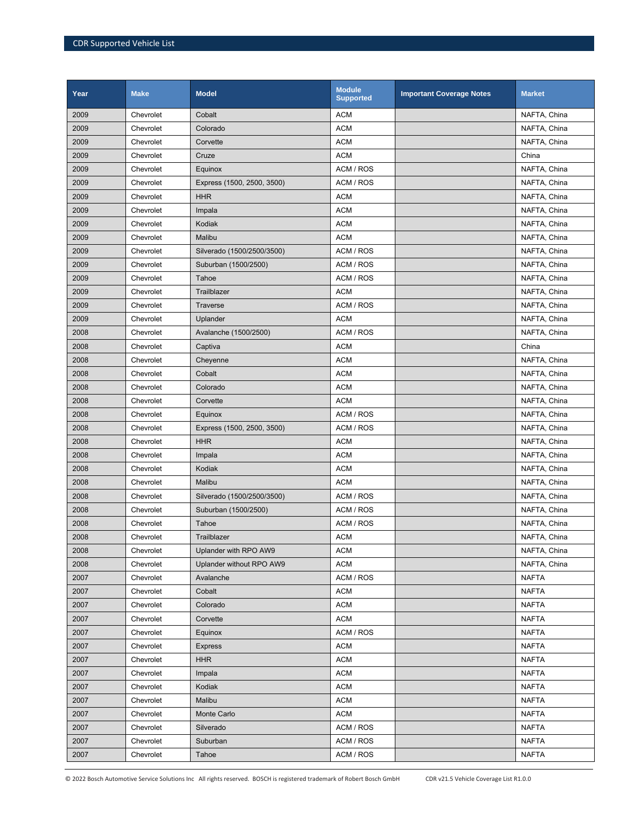| Year | <b>Make</b> | <b>Model</b>               | <b>Module</b><br><b>Supported</b> | <b>Important Coverage Notes</b> | <b>Market</b> |
|------|-------------|----------------------------|-----------------------------------|---------------------------------|---------------|
| 2009 | Chevrolet   | Cobalt                     | <b>ACM</b>                        |                                 | NAFTA, China  |
| 2009 | Chevrolet   | Colorado                   | <b>ACM</b>                        |                                 | NAFTA, China  |
| 2009 | Chevrolet   | Corvette                   | <b>ACM</b>                        |                                 | NAFTA, China  |
| 2009 | Chevrolet   | Cruze                      | <b>ACM</b>                        |                                 | China         |
| 2009 | Chevrolet   | Equinox                    | ACM / ROS                         |                                 | NAFTA, China  |
| 2009 | Chevrolet   | Express (1500, 2500, 3500) | ACM / ROS                         |                                 | NAFTA, China  |
| 2009 | Chevrolet   | <b>HHR</b>                 | <b>ACM</b>                        |                                 | NAFTA, China  |
| 2009 | Chevrolet   | Impala                     | <b>ACM</b>                        |                                 | NAFTA, China  |
| 2009 | Chevrolet   | Kodiak                     | <b>ACM</b>                        |                                 | NAFTA, China  |
| 2009 | Chevrolet   | Malibu                     | <b>ACM</b>                        |                                 | NAFTA, China  |
| 2009 | Chevrolet   | Silverado (1500/2500/3500) | ACM / ROS                         |                                 | NAFTA, China  |
| 2009 | Chevrolet   | Suburban (1500/2500)       | ACM / ROS                         |                                 | NAFTA, China  |
| 2009 | Chevrolet   | Tahoe                      | ACM / ROS                         |                                 | NAFTA, China  |
| 2009 | Chevrolet   | Trailblazer                | <b>ACM</b>                        |                                 | NAFTA, China  |
| 2009 | Chevrolet   | <b>Traverse</b>            | ACM / ROS                         |                                 | NAFTA, China  |
| 2009 | Chevrolet   | Uplander                   | <b>ACM</b>                        |                                 | NAFTA, China  |
| 2008 | Chevrolet   | Avalanche (1500/2500)      | ACM / ROS                         |                                 | NAFTA, China  |
| 2008 | Chevrolet   | Captiva                    | <b>ACM</b>                        |                                 | China         |
| 2008 | Chevrolet   | Cheyenne                   | <b>ACM</b>                        |                                 | NAFTA, China  |
| 2008 | Chevrolet   | Cobalt                     | <b>ACM</b>                        |                                 | NAFTA, China  |
| 2008 | Chevrolet   | Colorado                   | <b>ACM</b>                        |                                 | NAFTA, China  |
| 2008 | Chevrolet   | Corvette                   | <b>ACM</b>                        |                                 | NAFTA, China  |
| 2008 | Chevrolet   | Equinox                    | ACM / ROS                         |                                 | NAFTA, China  |
| 2008 | Chevrolet   | Express (1500, 2500, 3500) | ACM / ROS                         |                                 | NAFTA, China  |
| 2008 | Chevrolet   | <b>HHR</b>                 | <b>ACM</b>                        |                                 | NAFTA, China  |
| 2008 | Chevrolet   | Impala                     | <b>ACM</b>                        |                                 | NAFTA, China  |
| 2008 | Chevrolet   | Kodiak                     | <b>ACM</b>                        |                                 | NAFTA, China  |
| 2008 | Chevrolet   | Malibu                     | <b>ACM</b>                        |                                 | NAFTA, China  |
| 2008 | Chevrolet   | Silverado (1500/2500/3500) | ACM / ROS                         |                                 | NAFTA, China  |
| 2008 | Chevrolet   | Suburban (1500/2500)       | ACM / ROS                         |                                 | NAFTA, China  |
| 2008 | Chevrolet   | Tahoe                      | ACM / ROS                         |                                 | NAFTA, China  |
| 2008 | Chevrolet   | Trailblazer                | <b>ACM</b>                        |                                 | NAFTA, China  |
| 2008 | Chevrolet   | Uplander with RPO AW9      | <b>ACM</b>                        |                                 | NAFTA, China  |
| 2008 | Chevrolet   | Uplander without RPO AW9   | <b>ACM</b>                        |                                 | NAFTA, China  |
| 2007 | Chevrolet   | Avalanche                  | ACM / ROS                         |                                 | <b>NAFTA</b>  |
| 2007 | Chevrolet   | Cobalt                     | <b>ACM</b>                        |                                 | <b>NAFTA</b>  |
| 2007 | Chevrolet   | Colorado                   | <b>ACM</b>                        |                                 | <b>NAFTA</b>  |
| 2007 | Chevrolet   | Corvette                   | <b>ACM</b>                        |                                 | <b>NAFTA</b>  |
| 2007 | Chevrolet   | Equinox                    | ACM / ROS                         |                                 | <b>NAFTA</b>  |
| 2007 | Chevrolet   | Express                    | <b>ACM</b>                        |                                 | <b>NAFTA</b>  |
| 2007 | Chevrolet   | <b>HHR</b>                 | <b>ACM</b>                        |                                 | <b>NAFTA</b>  |
| 2007 | Chevrolet   | Impala                     | <b>ACM</b>                        |                                 | <b>NAFTA</b>  |
| 2007 | Chevrolet   | Kodiak                     | <b>ACM</b>                        |                                 | <b>NAFTA</b>  |
| 2007 | Chevrolet   | Malibu                     | <b>ACM</b>                        |                                 | <b>NAFTA</b>  |
| 2007 | Chevrolet   | Monte Carlo                | <b>ACM</b>                        |                                 | <b>NAFTA</b>  |
| 2007 | Chevrolet   | Silverado                  | ACM / ROS                         |                                 | <b>NAFTA</b>  |
| 2007 | Chevrolet   | Suburban                   | ACM / ROS                         |                                 | <b>NAFTA</b>  |
| 2007 | Chevrolet   | Tahoe                      | ACM / ROS                         |                                 | <b>NAFTA</b>  |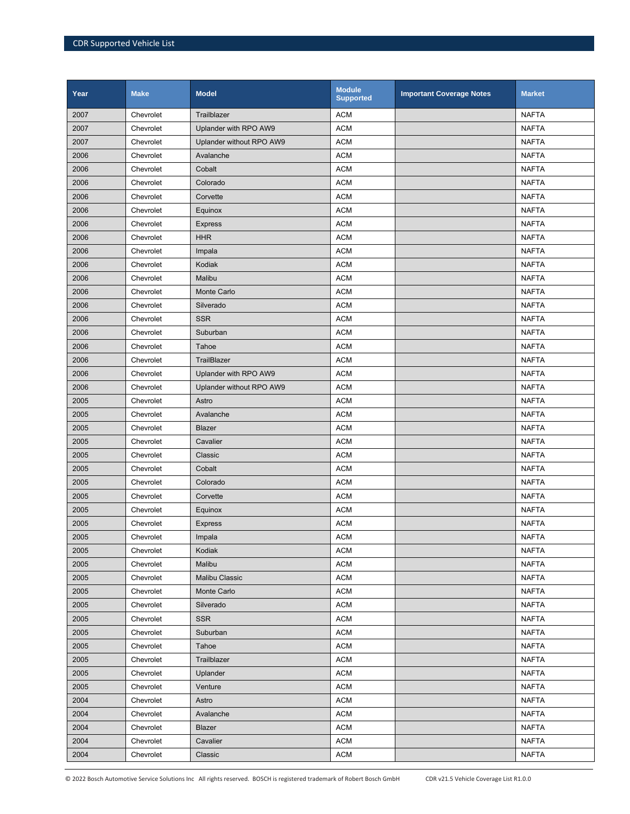| Year | <b>Make</b> | <b>Model</b>             | <b>Module</b><br><b>Supported</b> | <b>Important Coverage Notes</b> | <b>Market</b> |
|------|-------------|--------------------------|-----------------------------------|---------------------------------|---------------|
| 2007 | Chevrolet   | Trailblazer              | <b>ACM</b>                        |                                 | <b>NAFTA</b>  |
| 2007 | Chevrolet   | Uplander with RPO AW9    | <b>ACM</b>                        |                                 | <b>NAFTA</b>  |
| 2007 | Chevrolet   | Uplander without RPO AW9 | <b>ACM</b>                        |                                 | <b>NAFTA</b>  |
| 2006 | Chevrolet   | Avalanche                | <b>ACM</b>                        |                                 | <b>NAFTA</b>  |
| 2006 | Chevrolet   | Cobalt                   | <b>ACM</b>                        |                                 | <b>NAFTA</b>  |
| 2006 | Chevrolet   | Colorado                 | <b>ACM</b>                        |                                 | <b>NAFTA</b>  |
| 2006 | Chevrolet   | Corvette                 | <b>ACM</b>                        |                                 | <b>NAFTA</b>  |
| 2006 | Chevrolet   | Equinox                  | <b>ACM</b>                        |                                 | <b>NAFTA</b>  |
| 2006 | Chevrolet   | <b>Express</b>           | <b>ACM</b>                        |                                 | <b>NAFTA</b>  |
| 2006 | Chevrolet   | <b>HHR</b>               | <b>ACM</b>                        |                                 | <b>NAFTA</b>  |
| 2006 | Chevrolet   | Impala                   | <b>ACM</b>                        |                                 | <b>NAFTA</b>  |
| 2006 | Chevrolet   | Kodiak                   | <b>ACM</b>                        |                                 | <b>NAFTA</b>  |
| 2006 | Chevrolet   | Malibu                   | <b>ACM</b>                        |                                 | <b>NAFTA</b>  |
| 2006 | Chevrolet   | <b>Monte Carlo</b>       | <b>ACM</b>                        |                                 | <b>NAFTA</b>  |
| 2006 | Chevrolet   | Silverado                | <b>ACM</b>                        |                                 | <b>NAFTA</b>  |
| 2006 | Chevrolet   | <b>SSR</b>               | <b>ACM</b>                        |                                 | <b>NAFTA</b>  |
| 2006 | Chevrolet   | Suburban                 | <b>ACM</b>                        |                                 | <b>NAFTA</b>  |
| 2006 | Chevrolet   | Tahoe                    | <b>ACM</b>                        |                                 | <b>NAFTA</b>  |
| 2006 | Chevrolet   | TrailBlazer              | <b>ACM</b>                        |                                 | <b>NAFTA</b>  |
| 2006 | Chevrolet   | Uplander with RPO AW9    | <b>ACM</b>                        |                                 | <b>NAFTA</b>  |
| 2006 | Chevrolet   | Uplander without RPO AW9 | <b>ACM</b>                        |                                 | <b>NAFTA</b>  |
| 2005 | Chevrolet   | Astro                    | <b>ACM</b>                        |                                 | <b>NAFTA</b>  |
| 2005 | Chevrolet   | Avalanche                | <b>ACM</b>                        |                                 | <b>NAFTA</b>  |
| 2005 | Chevrolet   | <b>Blazer</b>            | <b>ACM</b>                        |                                 | <b>NAFTA</b>  |
| 2005 | Chevrolet   | Cavalier                 | <b>ACM</b>                        |                                 | <b>NAFTA</b>  |
| 2005 | Chevrolet   | Classic                  | <b>ACM</b>                        |                                 | <b>NAFTA</b>  |
| 2005 | Chevrolet   | Cobalt                   | <b>ACM</b>                        |                                 | <b>NAFTA</b>  |
| 2005 | Chevrolet   | Colorado                 | <b>ACM</b>                        |                                 | <b>NAFTA</b>  |
| 2005 | Chevrolet   | Corvette                 | <b>ACM</b>                        |                                 | <b>NAFTA</b>  |
| 2005 | Chevrolet   | Equinox                  | <b>ACM</b>                        |                                 | <b>NAFTA</b>  |
| 2005 | Chevrolet   | <b>Express</b>           | <b>ACM</b>                        |                                 | <b>NAFTA</b>  |
| 2005 | Chevrolet   | Impala                   | <b>ACM</b>                        |                                 | <b>NAFTA</b>  |
| 2005 | Chevrolet   | Kodiak                   | <b>ACM</b>                        |                                 | <b>NAFTA</b>  |
| 2005 | Chevrolet   | Malibu                   | <b>ACM</b>                        |                                 | <b>NAFTA</b>  |
| 2005 | Chevrolet   | <b>Malibu Classic</b>    | <b>ACM</b>                        |                                 | <b>NAFTA</b>  |
| 2005 | Chevrolet   | Monte Carlo              | <b>ACM</b>                        |                                 | <b>NAFTA</b>  |
| 2005 | Chevrolet   | Silverado                | <b>ACM</b>                        |                                 | <b>NAFTA</b>  |
| 2005 | Chevrolet   | <b>SSR</b>               | <b>ACM</b>                        |                                 | <b>NAFTA</b>  |
| 2005 | Chevrolet   | Suburban                 | <b>ACM</b>                        |                                 | <b>NAFTA</b>  |
| 2005 | Chevrolet   | Tahoe                    | <b>ACM</b>                        |                                 | <b>NAFTA</b>  |
| 2005 | Chevrolet   | Trailblazer              | <b>ACM</b>                        |                                 | <b>NAFTA</b>  |
| 2005 | Chevrolet   | Uplander                 | <b>ACM</b>                        |                                 | <b>NAFTA</b>  |
| 2005 | Chevrolet   | Venture                  | <b>ACM</b>                        |                                 | <b>NAFTA</b>  |
| 2004 | Chevrolet   | Astro                    | <b>ACM</b>                        |                                 | <b>NAFTA</b>  |
| 2004 | Chevrolet   | Avalanche                | <b>ACM</b>                        |                                 | <b>NAFTA</b>  |
| 2004 | Chevrolet   | Blazer                   | <b>ACM</b>                        |                                 | <b>NAFTA</b>  |
| 2004 | Chevrolet   | Cavalier                 | <b>ACM</b>                        |                                 | <b>NAFTA</b>  |
| 2004 | Chevrolet   | Classic                  | <b>ACM</b>                        |                                 | <b>NAFTA</b>  |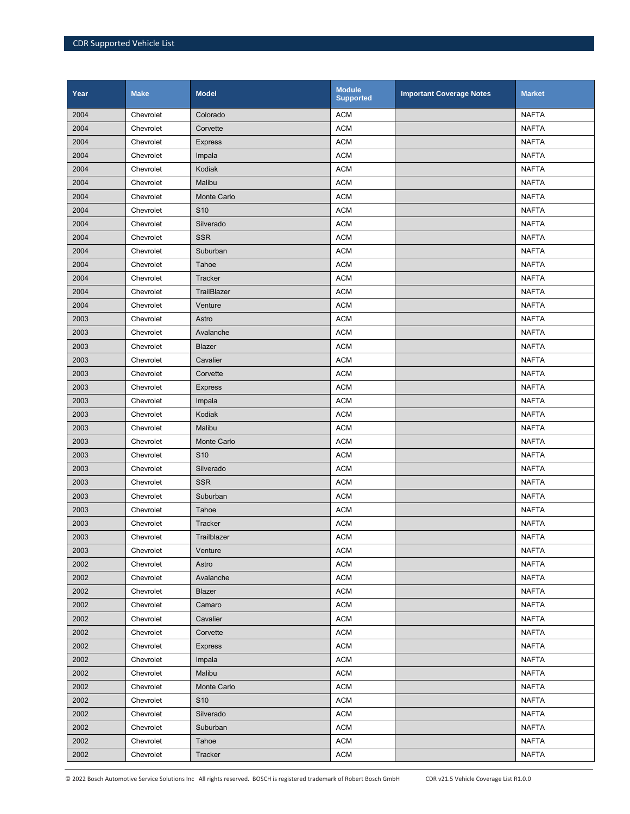| Year | <b>Make</b> | <b>Model</b>       | <b>Module</b><br><b>Supported</b> | <b>Important Coverage Notes</b> | <b>Market</b> |
|------|-------------|--------------------|-----------------------------------|---------------------------------|---------------|
| 2004 | Chevrolet   | Colorado           | <b>ACM</b>                        |                                 | <b>NAFTA</b>  |
| 2004 | Chevrolet   | Corvette           | <b>ACM</b>                        |                                 | <b>NAFTA</b>  |
| 2004 | Chevrolet   | <b>Express</b>     | <b>ACM</b>                        |                                 | <b>NAFTA</b>  |
| 2004 | Chevrolet   | Impala             | <b>ACM</b>                        |                                 | <b>NAFTA</b>  |
| 2004 | Chevrolet   | Kodiak             | <b>ACM</b>                        |                                 | <b>NAFTA</b>  |
| 2004 | Chevrolet   | Malibu             | <b>ACM</b>                        |                                 | <b>NAFTA</b>  |
| 2004 | Chevrolet   | <b>Monte Carlo</b> | <b>ACM</b>                        |                                 | <b>NAFTA</b>  |
| 2004 | Chevrolet   | S <sub>10</sub>    | <b>ACM</b>                        |                                 | <b>NAFTA</b>  |
| 2004 | Chevrolet   | Silverado          | <b>ACM</b>                        |                                 | <b>NAFTA</b>  |
| 2004 | Chevrolet   | <b>SSR</b>         | <b>ACM</b>                        |                                 | <b>NAFTA</b>  |
| 2004 | Chevrolet   | Suburban           | <b>ACM</b>                        |                                 | <b>NAFTA</b>  |
| 2004 | Chevrolet   | Tahoe              | <b>ACM</b>                        |                                 | <b>NAFTA</b>  |
| 2004 | Chevrolet   | Tracker            | <b>ACM</b>                        |                                 | <b>NAFTA</b>  |
| 2004 | Chevrolet   | TrailBlazer        | <b>ACM</b>                        |                                 | <b>NAFTA</b>  |
| 2004 | Chevrolet   | Venture            | <b>ACM</b>                        |                                 | <b>NAFTA</b>  |
| 2003 | Chevrolet   | Astro              | <b>ACM</b>                        |                                 | <b>NAFTA</b>  |
| 2003 | Chevrolet   | Avalanche          | <b>ACM</b>                        |                                 | <b>NAFTA</b>  |
| 2003 | Chevrolet   | Blazer             | <b>ACM</b>                        |                                 | <b>NAFTA</b>  |
| 2003 | Chevrolet   | Cavalier           | <b>ACM</b>                        |                                 | <b>NAFTA</b>  |
| 2003 | Chevrolet   | Corvette           | <b>ACM</b>                        |                                 | <b>NAFTA</b>  |
| 2003 | Chevrolet   | <b>Express</b>     | <b>ACM</b>                        |                                 | <b>NAFTA</b>  |
| 2003 | Chevrolet   | Impala             | <b>ACM</b>                        |                                 | <b>NAFTA</b>  |
| 2003 | Chevrolet   | Kodiak             | <b>ACM</b>                        |                                 | <b>NAFTA</b>  |
| 2003 | Chevrolet   | Malibu             | <b>ACM</b>                        |                                 | <b>NAFTA</b>  |
| 2003 | Chevrolet   | Monte Carlo        | <b>ACM</b>                        |                                 | <b>NAFTA</b>  |
| 2003 | Chevrolet   | S <sub>10</sub>    | <b>ACM</b>                        |                                 | <b>NAFTA</b>  |
| 2003 | Chevrolet   | Silverado          | <b>ACM</b>                        |                                 | <b>NAFTA</b>  |
| 2003 | Chevrolet   | <b>SSR</b>         | <b>ACM</b>                        |                                 | <b>NAFTA</b>  |
| 2003 | Chevrolet   | Suburban           | <b>ACM</b>                        |                                 | <b>NAFTA</b>  |
| 2003 | Chevrolet   | Tahoe              | <b>ACM</b>                        |                                 | <b>NAFTA</b>  |
| 2003 | Chevrolet   | <b>Tracker</b>     | <b>ACM</b>                        |                                 | <b>NAFTA</b>  |
| 2003 | Chevrolet   | Trailblazer        | <b>ACM</b>                        |                                 | <b>NAFTA</b>  |
| 2003 | Chevrolet   | Venture            | <b>ACM</b>                        |                                 | <b>NAFTA</b>  |
| 2002 | Chevrolet   | Astro              | <b>ACM</b>                        |                                 | <b>NAFTA</b>  |
| 2002 | Chevrolet   | Avalanche          | <b>ACM</b>                        |                                 | <b>NAFTA</b>  |
| 2002 | Chevrolet   | Blazer             | <b>ACM</b>                        |                                 | <b>NAFTA</b>  |
| 2002 | Chevrolet   | Camaro             | <b>ACM</b>                        |                                 | <b>NAFTA</b>  |
| 2002 | Chevrolet   | Cavalier           | <b>ACM</b>                        |                                 | <b>NAFTA</b>  |
| 2002 | Chevrolet   | Corvette           | <b>ACM</b>                        |                                 | <b>NAFTA</b>  |
| 2002 | Chevrolet   | <b>Express</b>     | <b>ACM</b>                        |                                 | <b>NAFTA</b>  |
| 2002 | Chevrolet   | Impala             | <b>ACM</b>                        |                                 | <b>NAFTA</b>  |
| 2002 | Chevrolet   | Malibu             | <b>ACM</b>                        |                                 | <b>NAFTA</b>  |
| 2002 | Chevrolet   | Monte Carlo        | <b>ACM</b>                        |                                 | <b>NAFTA</b>  |
| 2002 | Chevrolet   | S <sub>10</sub>    | <b>ACM</b>                        |                                 | <b>NAFTA</b>  |
| 2002 | Chevrolet   | Silverado          | <b>ACM</b>                        |                                 | <b>NAFTA</b>  |
| 2002 | Chevrolet   | Suburban           | <b>ACM</b>                        |                                 | <b>NAFTA</b>  |
| 2002 | Chevrolet   | Tahoe              | <b>ACM</b>                        |                                 | <b>NAFTA</b>  |
| 2002 | Chevrolet   | Tracker            | <b>ACM</b>                        |                                 | <b>NAFTA</b>  |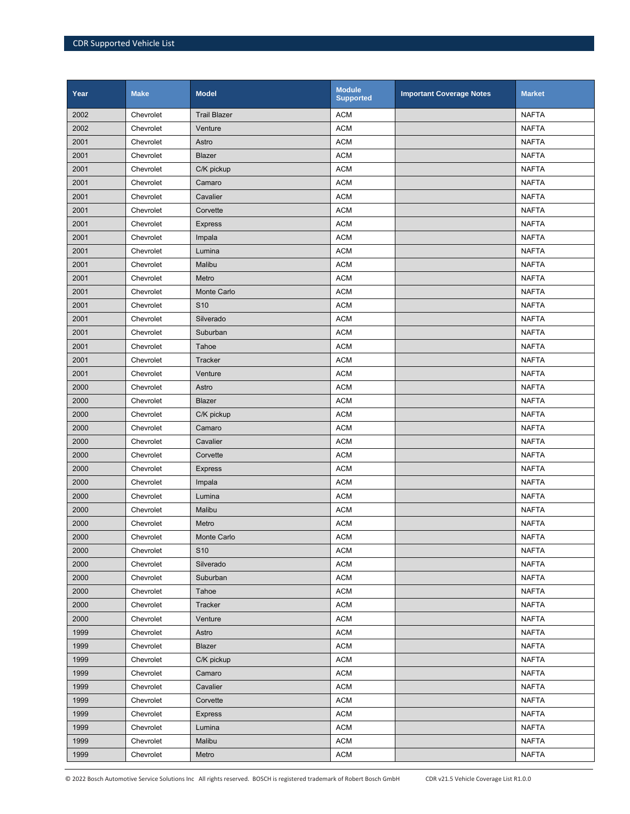| Year | <b>Make</b> | <b>Model</b>        | <b>Module</b><br><b>Supported</b> | <b>Important Coverage Notes</b> | <b>Market</b> |
|------|-------------|---------------------|-----------------------------------|---------------------------------|---------------|
| 2002 | Chevrolet   | <b>Trail Blazer</b> | <b>ACM</b>                        |                                 | <b>NAFTA</b>  |
| 2002 | Chevrolet   | Venture             | <b>ACM</b>                        |                                 | <b>NAFTA</b>  |
| 2001 | Chevrolet   | Astro               | <b>ACM</b>                        |                                 | <b>NAFTA</b>  |
| 2001 | Chevrolet   | Blazer              | <b>ACM</b>                        |                                 | <b>NAFTA</b>  |
| 2001 | Chevrolet   | C/K pickup          | <b>ACM</b>                        |                                 | <b>NAFTA</b>  |
| 2001 | Chevrolet   | Camaro              | <b>ACM</b>                        |                                 | <b>NAFTA</b>  |
| 2001 | Chevrolet   | Cavalier            | <b>ACM</b>                        |                                 | <b>NAFTA</b>  |
| 2001 | Chevrolet   | Corvette            | <b>ACM</b>                        |                                 | <b>NAFTA</b>  |
| 2001 | Chevrolet   | <b>Express</b>      | <b>ACM</b>                        |                                 | <b>NAFTA</b>  |
| 2001 | Chevrolet   | Impala              | <b>ACM</b>                        |                                 | <b>NAFTA</b>  |
| 2001 | Chevrolet   | Lumina              | <b>ACM</b>                        |                                 | <b>NAFTA</b>  |
| 2001 | Chevrolet   | Malibu              | <b>ACM</b>                        |                                 | <b>NAFTA</b>  |
| 2001 | Chevrolet   | Metro               | <b>ACM</b>                        |                                 | <b>NAFTA</b>  |
| 2001 | Chevrolet   | <b>Monte Carlo</b>  | <b>ACM</b>                        |                                 | <b>NAFTA</b>  |
| 2001 | Chevrolet   | S <sub>10</sub>     | <b>ACM</b>                        |                                 | <b>NAFTA</b>  |
| 2001 | Chevrolet   | Silverado           | <b>ACM</b>                        |                                 | <b>NAFTA</b>  |
| 2001 | Chevrolet   | Suburban            | <b>ACM</b>                        |                                 | <b>NAFTA</b>  |
| 2001 | Chevrolet   | Tahoe               | <b>ACM</b>                        |                                 | <b>NAFTA</b>  |
| 2001 | Chevrolet   | Tracker             | <b>ACM</b>                        |                                 | <b>NAFTA</b>  |
| 2001 | Chevrolet   | Venture             | <b>ACM</b>                        |                                 | <b>NAFTA</b>  |
| 2000 | Chevrolet   | Astro               | <b>ACM</b>                        |                                 | <b>NAFTA</b>  |
| 2000 | Chevrolet   | Blazer              | <b>ACM</b>                        |                                 | <b>NAFTA</b>  |
| 2000 | Chevrolet   | C/K pickup          | <b>ACM</b>                        |                                 | <b>NAFTA</b>  |
| 2000 | Chevrolet   | Camaro              | <b>ACM</b>                        |                                 | <b>NAFTA</b>  |
| 2000 | Chevrolet   | Cavalier            | <b>ACM</b>                        |                                 | <b>NAFTA</b>  |
| 2000 | Chevrolet   | Corvette            | <b>ACM</b>                        |                                 | <b>NAFTA</b>  |
| 2000 | Chevrolet   | <b>Express</b>      | <b>ACM</b>                        |                                 | <b>NAFTA</b>  |
| 2000 | Chevrolet   | Impala              | <b>ACM</b>                        |                                 | <b>NAFTA</b>  |
| 2000 | Chevrolet   | Lumina              | <b>ACM</b>                        |                                 | <b>NAFTA</b>  |
| 2000 | Chevrolet   | Malibu              | <b>ACM</b>                        |                                 | <b>NAFTA</b>  |
| 2000 | Chevrolet   | Metro               | <b>ACM</b>                        |                                 | <b>NAFTA</b>  |
| 2000 | Chevrolet   | <b>Monte Carlo</b>  | <b>ACM</b>                        |                                 | <b>NAFTA</b>  |
| 2000 | Chevrolet   | S <sub>10</sub>     | <b>ACM</b>                        |                                 | <b>NAFTA</b>  |
| 2000 | Chevrolet   | Silverado           | <b>ACM</b>                        |                                 | <b>NAFTA</b>  |
| 2000 | Chevrolet   | Suburban            | <b>ACM</b>                        |                                 | <b>NAFTA</b>  |
| 2000 | Chevrolet   | Tahoe               | <b>ACM</b>                        |                                 | <b>NAFTA</b>  |
| 2000 | Chevrolet   | Tracker             | <b>ACM</b>                        |                                 | <b>NAFTA</b>  |
| 2000 | Chevrolet   | Venture             | <b>ACM</b>                        |                                 | <b>NAFTA</b>  |
| 1999 | Chevrolet   | Astro               | <b>ACM</b>                        |                                 | <b>NAFTA</b>  |
| 1999 | Chevrolet   | Blazer              | <b>ACM</b>                        |                                 | <b>NAFTA</b>  |
| 1999 | Chevrolet   | C/K pickup          | <b>ACM</b>                        |                                 | <b>NAFTA</b>  |
| 1999 | Chevrolet   | Camaro              | <b>ACM</b>                        |                                 | <b>NAFTA</b>  |
| 1999 | Chevrolet   | Cavalier            | <b>ACM</b>                        |                                 | <b>NAFTA</b>  |
| 1999 | Chevrolet   | Corvette            | <b>ACM</b>                        |                                 | <b>NAFTA</b>  |
| 1999 | Chevrolet   | <b>Express</b>      | <b>ACM</b>                        |                                 | <b>NAFTA</b>  |
| 1999 | Chevrolet   | Lumina              | <b>ACM</b>                        |                                 | <b>NAFTA</b>  |
| 1999 | Chevrolet   | Malibu              | <b>ACM</b>                        |                                 | <b>NAFTA</b>  |
| 1999 | Chevrolet   | Metro               | <b>ACM</b>                        |                                 | <b>NAFTA</b>  |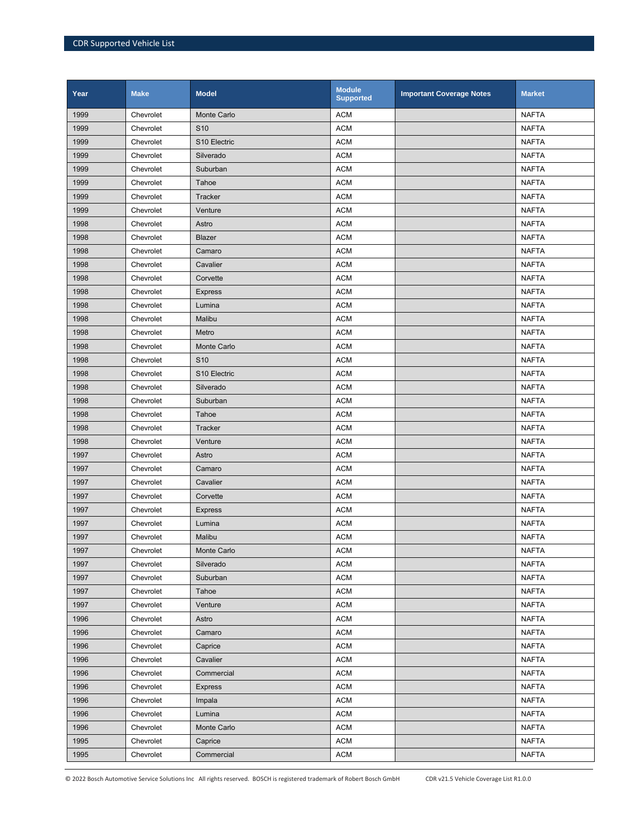| Year | <b>Make</b> | <b>Model</b>       | <b>Module</b><br><b>Supported</b> | <b>Important Coverage Notes</b> | <b>Market</b> |
|------|-------------|--------------------|-----------------------------------|---------------------------------|---------------|
| 1999 | Chevrolet   | <b>Monte Carlo</b> | <b>ACM</b>                        |                                 | <b>NAFTA</b>  |
| 1999 | Chevrolet   | S <sub>10</sub>    | <b>ACM</b>                        |                                 | <b>NAFTA</b>  |
| 1999 | Chevrolet   | S10 Electric       | <b>ACM</b>                        |                                 | <b>NAFTA</b>  |
| 1999 | Chevrolet   | Silverado          | <b>ACM</b>                        |                                 | <b>NAFTA</b>  |
| 1999 | Chevrolet   | Suburban           | <b>ACM</b>                        |                                 | <b>NAFTA</b>  |
| 1999 | Chevrolet   | Tahoe              | <b>ACM</b>                        |                                 | <b>NAFTA</b>  |
| 1999 | Chevrolet   | Tracker            | <b>ACM</b>                        |                                 | <b>NAFTA</b>  |
| 1999 | Chevrolet   | Venture            | <b>ACM</b>                        |                                 | <b>NAFTA</b>  |
| 1998 | Chevrolet   | Astro              | <b>ACM</b>                        |                                 | <b>NAFTA</b>  |
| 1998 | Chevrolet   | Blazer             | <b>ACM</b>                        |                                 | <b>NAFTA</b>  |
| 1998 | Chevrolet   | Camaro             | <b>ACM</b>                        |                                 | <b>NAFTA</b>  |
| 1998 | Chevrolet   | Cavalier           | <b>ACM</b>                        |                                 | <b>NAFTA</b>  |
| 1998 | Chevrolet   | Corvette           | <b>ACM</b>                        |                                 | <b>NAFTA</b>  |
| 1998 | Chevrolet   | <b>Express</b>     | <b>ACM</b>                        |                                 | <b>NAFTA</b>  |
| 1998 | Chevrolet   | Lumina             | <b>ACM</b>                        |                                 | <b>NAFTA</b>  |
| 1998 | Chevrolet   | Malibu             | <b>ACM</b>                        |                                 | <b>NAFTA</b>  |
| 1998 | Chevrolet   | Metro              | <b>ACM</b>                        |                                 | <b>NAFTA</b>  |
| 1998 | Chevrolet   | <b>Monte Carlo</b> | <b>ACM</b>                        |                                 | <b>NAFTA</b>  |
| 1998 | Chevrolet   | S <sub>10</sub>    | <b>ACM</b>                        |                                 | <b>NAFTA</b>  |
| 1998 | Chevrolet   | S10 Electric       | <b>ACM</b>                        |                                 | <b>NAFTA</b>  |
| 1998 | Chevrolet   | Silverado          | <b>ACM</b>                        |                                 | <b>NAFTA</b>  |
| 1998 | Chevrolet   | Suburban           | <b>ACM</b>                        |                                 | <b>NAFTA</b>  |
| 1998 | Chevrolet   | Tahoe              | <b>ACM</b>                        |                                 | <b>NAFTA</b>  |
| 1998 | Chevrolet   | <b>Tracker</b>     | <b>ACM</b>                        |                                 | <b>NAFTA</b>  |
| 1998 | Chevrolet   | Venture            | <b>ACM</b>                        |                                 | <b>NAFTA</b>  |
| 1997 | Chevrolet   | Astro              | <b>ACM</b>                        |                                 | <b>NAFTA</b>  |
| 1997 | Chevrolet   | Camaro             | <b>ACM</b>                        |                                 | <b>NAFTA</b>  |
| 1997 | Chevrolet   | Cavalier           | <b>ACM</b>                        |                                 | <b>NAFTA</b>  |
| 1997 | Chevrolet   | Corvette           | <b>ACM</b>                        |                                 | <b>NAFTA</b>  |
| 1997 | Chevrolet   | <b>Express</b>     | <b>ACM</b>                        |                                 | <b>NAFTA</b>  |
| 1997 | Chevrolet   | Lumina             | <b>ACM</b>                        |                                 | <b>NAFTA</b>  |
| 1997 | Chevrolet   | Malibu             | <b>ACM</b>                        |                                 | <b>NAFTA</b>  |
| 1997 | Chevrolet   | Monte Carlo        | <b>ACM</b>                        |                                 | <b>NAFTA</b>  |
| 1997 | Chevrolet   | Silverado          | <b>ACM</b>                        |                                 | <b>NAFTA</b>  |
| 1997 | Chevrolet   | Suburban           | <b>ACM</b>                        |                                 | <b>NAFTA</b>  |
| 1997 | Chevrolet   | Tahoe              | <b>ACM</b>                        |                                 | <b>NAFTA</b>  |
| 1997 | Chevrolet   | Venture            | <b>ACM</b>                        |                                 | <b>NAFTA</b>  |
| 1996 | Chevrolet   | Astro              | <b>ACM</b>                        |                                 | <b>NAFTA</b>  |
| 1996 | Chevrolet   | Camaro             | <b>ACM</b>                        |                                 | <b>NAFTA</b>  |
| 1996 | Chevrolet   | Caprice            | <b>ACM</b>                        |                                 | <b>NAFTA</b>  |
| 1996 | Chevrolet   | Cavalier           | <b>ACM</b>                        |                                 | <b>NAFTA</b>  |
| 1996 | Chevrolet   | Commercial         | <b>ACM</b>                        |                                 | <b>NAFTA</b>  |
| 1996 | Chevrolet   | <b>Express</b>     | <b>ACM</b>                        |                                 | <b>NAFTA</b>  |
| 1996 | Chevrolet   | Impala             | <b>ACM</b>                        |                                 | <b>NAFTA</b>  |
| 1996 | Chevrolet   | Lumina             | <b>ACM</b>                        |                                 | <b>NAFTA</b>  |
| 1996 | Chevrolet   | Monte Carlo        | <b>ACM</b>                        |                                 | <b>NAFTA</b>  |
| 1995 | Chevrolet   | Caprice            | <b>ACM</b>                        |                                 | <b>NAFTA</b>  |
| 1995 | Chevrolet   | Commercial         | <b>ACM</b>                        |                                 | <b>NAFTA</b>  |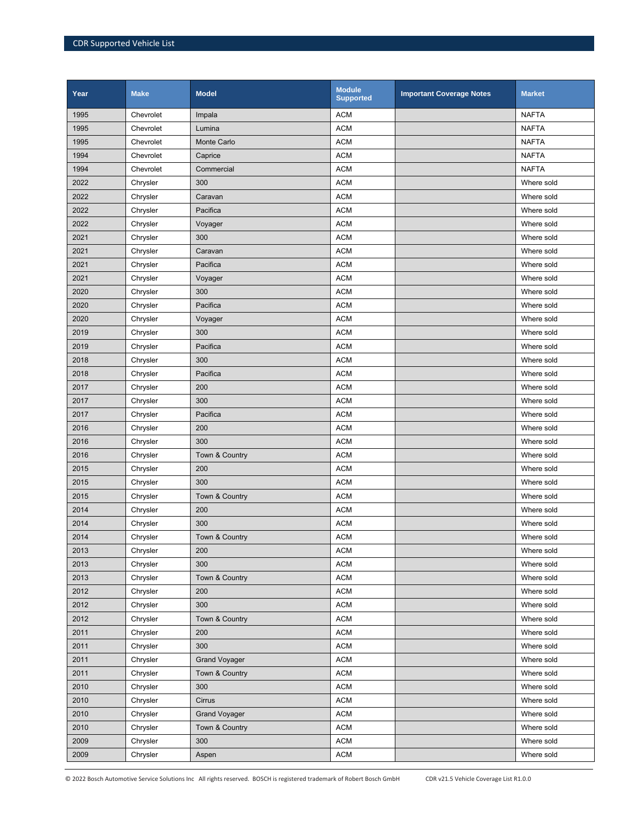| Year | <b>Make</b> | <b>Model</b>         | <b>Module</b><br><b>Supported</b> | <b>Important Coverage Notes</b> | <b>Market</b> |
|------|-------------|----------------------|-----------------------------------|---------------------------------|---------------|
| 1995 | Chevrolet   | Impala               | <b>ACM</b>                        |                                 | <b>NAFTA</b>  |
| 1995 | Chevrolet   | Lumina               | <b>ACM</b>                        |                                 | <b>NAFTA</b>  |
| 1995 | Chevrolet   | <b>Monte Carlo</b>   | <b>ACM</b>                        |                                 | <b>NAFTA</b>  |
| 1994 | Chevrolet   | Caprice              | <b>ACM</b>                        |                                 | <b>NAFTA</b>  |
| 1994 | Chevrolet   | Commercial           | <b>ACM</b>                        |                                 | <b>NAFTA</b>  |
| 2022 | Chrysler    | 300                  | <b>ACM</b>                        |                                 | Where sold    |
| 2022 | Chrysler    | Caravan              | <b>ACM</b>                        |                                 | Where sold    |
| 2022 | Chrysler    | Pacifica             | <b>ACM</b>                        |                                 | Where sold    |
| 2022 | Chrysler    | Voyager              | <b>ACM</b>                        |                                 | Where sold    |
| 2021 | Chrysler    | 300                  | <b>ACM</b>                        |                                 | Where sold    |
| 2021 | Chrysler    | Caravan              | <b>ACM</b>                        |                                 | Where sold    |
| 2021 | Chrysler    | Pacifica             | <b>ACM</b>                        |                                 | Where sold    |
| 2021 | Chrysler    | Voyager              | <b>ACM</b>                        |                                 | Where sold    |
| 2020 | Chrysler    | 300                  | <b>ACM</b>                        |                                 | Where sold    |
| 2020 | Chrysler    | Pacifica             | <b>ACM</b>                        |                                 | Where sold    |
| 2020 | Chrysler    | Voyager              | <b>ACM</b>                        |                                 | Where sold    |
| 2019 | Chrysler    | 300                  | <b>ACM</b>                        |                                 | Where sold    |
| 2019 | Chrysler    | Pacifica             | <b>ACM</b>                        |                                 | Where sold    |
| 2018 | Chrysler    | 300                  | <b>ACM</b>                        |                                 | Where sold    |
| 2018 | Chrysler    | Pacifica             | <b>ACM</b>                        |                                 | Where sold    |
| 2017 | Chrysler    | 200                  | <b>ACM</b>                        |                                 | Where sold    |
| 2017 | Chrysler    | 300                  | <b>ACM</b>                        |                                 | Where sold    |
| 2017 | Chrysler    | Pacifica             | <b>ACM</b>                        |                                 | Where sold    |
| 2016 | Chrysler    | 200                  | <b>ACM</b>                        |                                 | Where sold    |
| 2016 | Chrysler    | 300                  | <b>ACM</b>                        |                                 | Where sold    |
| 2016 | Chrysler    | Town & Country       | <b>ACM</b>                        |                                 | Where sold    |
| 2015 | Chrysler    | 200                  | <b>ACM</b>                        |                                 | Where sold    |
| 2015 | Chrysler    | 300                  | <b>ACM</b>                        |                                 | Where sold    |
| 2015 | Chrysler    | Town & Country       | <b>ACM</b>                        |                                 | Where sold    |
| 2014 | Chrysler    | 200                  | <b>ACM</b>                        |                                 | Where sold    |
| 2014 | Chrysler    | 300                  | <b>ACM</b>                        |                                 | Where sold    |
| 2014 | Chrysler    | Town & Country       | <b>ACM</b>                        |                                 | Where sold    |
| 2013 | Chrysler    | 200                  | <b>ACM</b>                        |                                 | Where sold    |
| 2013 | Chrysler    | 300                  | <b>ACM</b>                        |                                 | Where sold    |
| 2013 | Chrysler    | Town & Country       | <b>ACM</b>                        |                                 | Where sold    |
| 2012 | Chrysler    | 200                  | <b>ACM</b>                        |                                 | Where sold    |
| 2012 | Chrysler    | 300                  | ACM                               |                                 | Where sold    |
| 2012 | Chrysler    | Town & Country       | <b>ACM</b>                        |                                 | Where sold    |
| 2011 | Chrysler    | 200                  | <b>ACM</b>                        |                                 | Where sold    |
| 2011 | Chrysler    | 300                  | <b>ACM</b>                        |                                 | Where sold    |
| 2011 | Chrysler    | <b>Grand Voyager</b> | <b>ACM</b>                        |                                 | Where sold    |
| 2011 | Chrysler    | Town & Country       | ACM                               |                                 | Where sold    |
| 2010 | Chrysler    | 300                  | <b>ACM</b>                        |                                 | Where sold    |
| 2010 | Chrysler    | Cirrus               | <b>ACM</b>                        |                                 | Where sold    |
| 2010 | Chrysler    | <b>Grand Voyager</b> | <b>ACM</b>                        |                                 | Where sold    |
| 2010 | Chrysler    | Town & Country       | <b>ACM</b>                        |                                 | Where sold    |
| 2009 | Chrysler    | 300                  | <b>ACM</b>                        |                                 | Where sold    |
| 2009 | Chrysler    | Aspen                | <b>ACM</b>                        |                                 | Where sold    |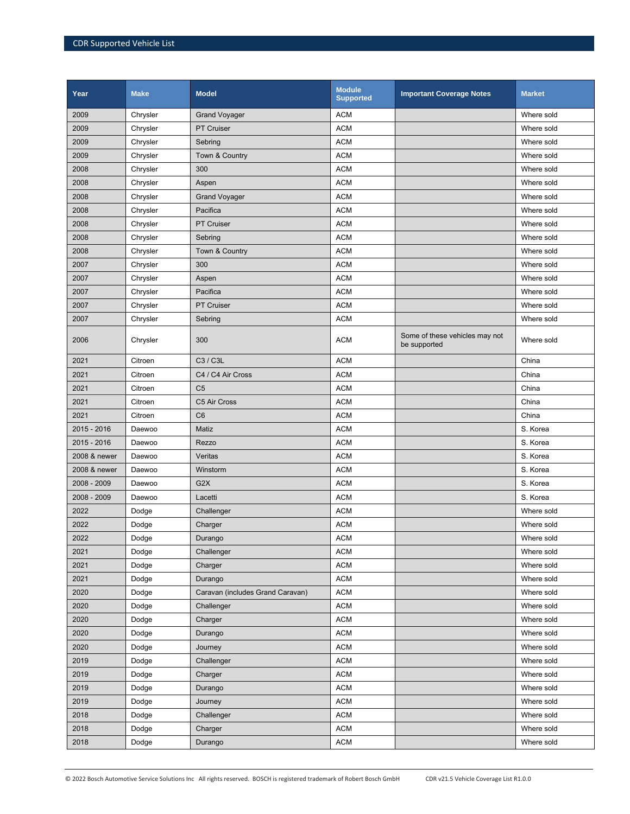| Year         | <b>Make</b> | <b>Model</b>                     | <b>Module</b><br><b>Supported</b> | <b>Important Coverage Notes</b>                | <b>Market</b> |
|--------------|-------------|----------------------------------|-----------------------------------|------------------------------------------------|---------------|
| 2009         | Chrysler    | <b>Grand Voyager</b>             | <b>ACM</b>                        |                                                | Where sold    |
| 2009         | Chrysler    | <b>PT Cruiser</b>                | <b>ACM</b>                        |                                                | Where sold    |
| 2009         | Chrysler    | Sebring                          | <b>ACM</b>                        |                                                | Where sold    |
| 2009         | Chrysler    | Town & Country                   | <b>ACM</b>                        |                                                | Where sold    |
| 2008         | Chrysler    | 300                              | <b>ACM</b>                        |                                                | Where sold    |
| 2008         | Chrysler    | Aspen                            | <b>ACM</b>                        |                                                | Where sold    |
| 2008         | Chrysler    | <b>Grand Voyager</b>             | <b>ACM</b>                        |                                                | Where sold    |
| 2008         | Chrysler    | Pacifica                         | <b>ACM</b>                        |                                                | Where sold    |
| 2008         | Chrysler    | <b>PT Cruiser</b>                | <b>ACM</b>                        |                                                | Where sold    |
| 2008         | Chrysler    | Sebring                          | <b>ACM</b>                        |                                                | Where sold    |
| 2008         | Chrysler    | Town & Country                   | <b>ACM</b>                        |                                                | Where sold    |
| 2007         | Chrysler    | 300                              | <b>ACM</b>                        |                                                | Where sold    |
| 2007         | Chrysler    | Aspen                            | <b>ACM</b>                        |                                                | Where sold    |
| 2007         | Chrysler    | Pacifica                         | <b>ACM</b>                        |                                                | Where sold    |
| 2007         | Chrysler    | <b>PT Cruiser</b>                | <b>ACM</b>                        |                                                | Where sold    |
| 2007         | Chrysler    | Sebring                          | <b>ACM</b>                        |                                                | Where sold    |
| 2006         | Chrysler    | 300                              | <b>ACM</b>                        | Some of these vehicles may not<br>be supported | Where sold    |
| 2021         | Citroen     | C3 / C3L                         | <b>ACM</b>                        |                                                | China         |
| 2021         | Citroen     | C4 / C4 Air Cross                | <b>ACM</b>                        |                                                | China         |
| 2021         | Citroen     | C <sub>5</sub>                   | <b>ACM</b>                        |                                                | China         |
| 2021         | Citroen     | C5 Air Cross                     | <b>ACM</b>                        |                                                | China         |
| 2021         | Citroen     | C <sub>6</sub>                   | <b>ACM</b>                        |                                                | China         |
| 2015 - 2016  | Daewoo      | Matiz                            | <b>ACM</b>                        |                                                | S. Korea      |
| 2015 - 2016  | Daewoo      | Rezzo                            | <b>ACM</b>                        |                                                | S. Korea      |
| 2008 & newer | Daewoo      | Veritas                          | <b>ACM</b>                        |                                                | S. Korea      |
| 2008 & newer | Daewoo      | Winstorm                         | <b>ACM</b>                        |                                                | S. Korea      |
| 2008 - 2009  | Daewoo      | G <sub>2</sub> X                 | <b>ACM</b>                        |                                                | S. Korea      |
| 2008 - 2009  | Daewoo      | Lacetti                          | <b>ACM</b>                        |                                                | S. Korea      |
| 2022         | Dodge       | Challenger                       | <b>ACM</b>                        |                                                | Where sold    |
| 2022         | Dodge       | Charger                          | <b>ACM</b>                        |                                                | Where sold    |
| 2022         | Dodge       | Durango                          | <b>ACM</b>                        |                                                | Where sold    |
| 2021         | Dodge       | Challenger                       | <b>ACM</b>                        |                                                | Where sold    |
| 2021         | Dodge       | Charger                          | <b>ACM</b>                        |                                                | Where sold    |
| 2021         | Dodge       | Durango                          | <b>ACM</b>                        |                                                | Where sold    |
| 2020         | Dodge       | Caravan (includes Grand Caravan) | <b>ACM</b>                        |                                                | Where sold    |
| 2020         | Dodge       | Challenger                       | <b>ACM</b>                        |                                                | Where sold    |
| 2020         | Dodge       | Charger                          | <b>ACM</b>                        |                                                | Where sold    |
| 2020         | Dodge       | Durango                          | <b>ACM</b>                        |                                                | Where sold    |
| 2020         | Dodge       | Journey                          | <b>ACM</b>                        |                                                | Where sold    |
| 2019         | Dodge       | Challenger                       | <b>ACM</b>                        |                                                | Where sold    |
| 2019         | Dodge       | Charger                          | <b>ACM</b>                        |                                                | Where sold    |
| 2019         | Dodge       | Durango                          | <b>ACM</b>                        |                                                | Where sold    |
| 2019         | Dodge       | Journey                          | <b>ACM</b>                        |                                                | Where sold    |
| 2018         | Dodge       | Challenger                       | <b>ACM</b>                        |                                                | Where sold    |
| 2018         | Dodge       | Charger                          | <b>ACM</b>                        |                                                | Where sold    |
| 2018         | Dodge       | Durango                          | <b>ACM</b>                        |                                                | Where sold    |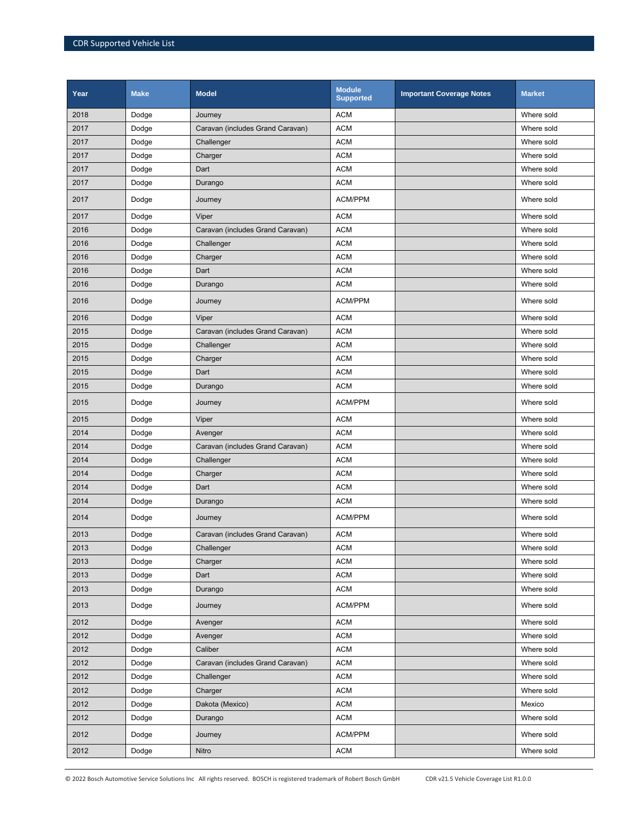| Year | <b>Make</b> | <b>Model</b>                     | <b>Module</b><br><b>Supported</b> | <b>Important Coverage Notes</b> | <b>Market</b> |
|------|-------------|----------------------------------|-----------------------------------|---------------------------------|---------------|
| 2018 | Dodge       | Journey                          | <b>ACM</b>                        |                                 | Where sold    |
| 2017 | Dodge       | Caravan (includes Grand Caravan) | <b>ACM</b>                        |                                 | Where sold    |
| 2017 | Dodge       | Challenger                       | <b>ACM</b>                        |                                 | Where sold    |
| 2017 | Dodge       | Charger                          | <b>ACM</b>                        |                                 | Where sold    |
| 2017 | Dodge       | Dart                             | <b>ACM</b>                        |                                 | Where sold    |
| 2017 | Dodge       | Durango                          | <b>ACM</b>                        |                                 | Where sold    |
| 2017 | Dodge       | Journey                          | ACM/PPM                           |                                 | Where sold    |
| 2017 | Dodge       | Viper                            | <b>ACM</b>                        |                                 | Where sold    |
| 2016 | Dodge       | Caravan (includes Grand Caravan) | <b>ACM</b>                        |                                 | Where sold    |
| 2016 | Dodge       | Challenger                       | <b>ACM</b>                        |                                 | Where sold    |
| 2016 | Dodge       | Charger                          | <b>ACM</b>                        |                                 | Where sold    |
| 2016 | Dodge       | Dart                             | <b>ACM</b>                        |                                 | Where sold    |
| 2016 | Dodge       | Durango                          | <b>ACM</b>                        |                                 | Where sold    |
| 2016 | Dodge       | Journey                          | <b>ACM/PPM</b>                    |                                 | Where sold    |
| 2016 | Dodge       | Viper                            | <b>ACM</b>                        |                                 | Where sold    |
| 2015 | Dodge       | Caravan (includes Grand Caravan) | <b>ACM</b>                        |                                 | Where sold    |
| 2015 | Dodge       | Challenger                       | <b>ACM</b>                        |                                 | Where sold    |
| 2015 | Dodge       | Charger                          | <b>ACM</b>                        |                                 | Where sold    |
| 2015 | Dodge       | Dart                             | <b>ACM</b>                        |                                 | Where sold    |
| 2015 | Dodge       | Durango                          | <b>ACM</b>                        |                                 | Where sold    |
| 2015 | Dodge       | Journey                          | ACM/PPM                           |                                 | Where sold    |
| 2015 | Dodge       | Viper                            | <b>ACM</b>                        |                                 | Where sold    |
| 2014 | Dodge       | Avenger                          | <b>ACM</b>                        |                                 | Where sold    |
| 2014 | Dodge       | Caravan (includes Grand Caravan) | <b>ACM</b>                        |                                 | Where sold    |
| 2014 | Dodge       | Challenger                       | <b>ACM</b>                        |                                 | Where sold    |
| 2014 | Dodge       | Charger                          | <b>ACM</b>                        |                                 | Where sold    |
| 2014 | Dodge       | Dart                             | <b>ACM</b>                        |                                 | Where sold    |
| 2014 | Dodge       | Durango                          | <b>ACM</b>                        |                                 | Where sold    |
| 2014 | Dodge       | Journey                          | <b>ACM/PPM</b>                    |                                 | Where sold    |
| 2013 | Dodge       | Caravan (includes Grand Caravan) | <b>ACM</b>                        |                                 | Where sold    |
| 2013 | Dodge       | Challenger                       | <b>ACM</b>                        |                                 | Where sold    |
| 2013 | Dodge       | Charger                          | <b>ACM</b>                        |                                 | Where sold    |
| 2013 | Dodge       | Dart                             | <b>ACM</b>                        |                                 | Where sold    |
| 2013 | Dodge       | Durango                          | <b>ACM</b>                        |                                 | Where sold    |
| 2013 | Dodge       | Journey                          | ACM/PPM                           |                                 | Where sold    |
| 2012 | Dodge       | Avenger                          | <b>ACM</b>                        |                                 | Where sold    |
| 2012 | Dodge       | Avenger                          | <b>ACM</b>                        |                                 | Where sold    |
| 2012 | Dodge       | Caliber                          | <b>ACM</b>                        |                                 | Where sold    |
| 2012 | Dodge       | Caravan (includes Grand Caravan) | <b>ACM</b>                        |                                 | Where sold    |
| 2012 | Dodge       | Challenger                       | <b>ACM</b>                        |                                 | Where sold    |
| 2012 | Dodge       | Charger                          | <b>ACM</b>                        |                                 | Where sold    |
| 2012 | Dodge       | Dakota (Mexico)                  | ACM                               |                                 | Mexico        |
| 2012 | Dodge       | Durango                          | <b>ACM</b>                        |                                 | Where sold    |
| 2012 | Dodge       | Journey                          | ACM/PPM                           |                                 | Where sold    |
| 2012 | Dodge       | Nitro                            | <b>ACM</b>                        |                                 | Where sold    |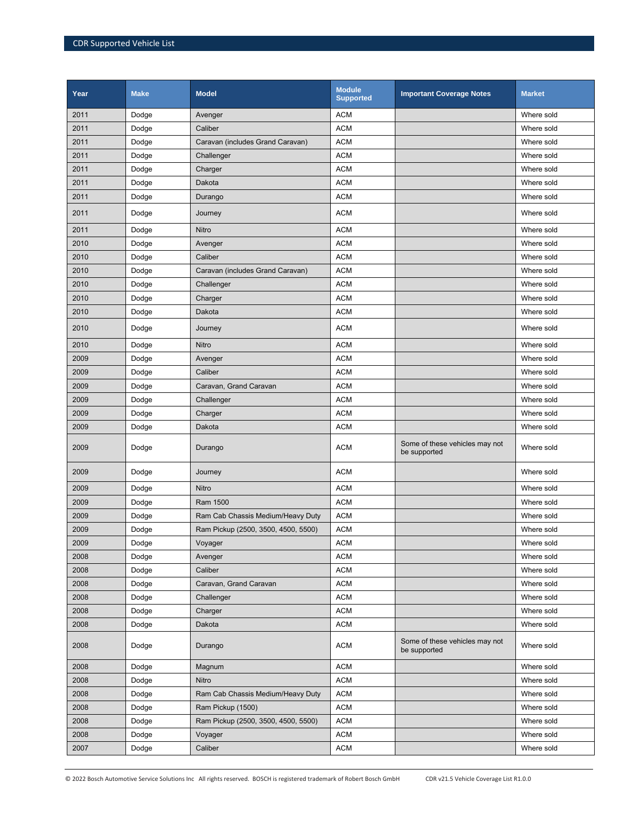| Year | <b>Make</b> | <b>Model</b>                        | <b>Module</b><br><b>Supported</b> | <b>Important Coverage Notes</b>                | <b>Market</b> |
|------|-------------|-------------------------------------|-----------------------------------|------------------------------------------------|---------------|
| 2011 | Dodge       | Avenger                             | <b>ACM</b>                        |                                                | Where sold    |
| 2011 | Dodge       | Caliber                             | <b>ACM</b>                        |                                                | Where sold    |
| 2011 | Dodge       | Caravan (includes Grand Caravan)    | <b>ACM</b>                        |                                                | Where sold    |
| 2011 | Dodge       | Challenger                          | <b>ACM</b>                        |                                                | Where sold    |
| 2011 | Dodge       | Charger                             | <b>ACM</b>                        |                                                | Where sold    |
| 2011 | Dodge       | Dakota                              | <b>ACM</b>                        |                                                | Where sold    |
| 2011 | Dodge       | Durango                             | <b>ACM</b>                        |                                                | Where sold    |
| 2011 | Dodge       | Journey                             | <b>ACM</b>                        |                                                | Where sold    |
| 2011 | Dodge       | Nitro                               | <b>ACM</b>                        |                                                | Where sold    |
| 2010 | Dodge       | Avenger                             | <b>ACM</b>                        |                                                | Where sold    |
| 2010 | Dodge       | Caliber                             | <b>ACM</b>                        |                                                | Where sold    |
| 2010 | Dodge       | Caravan (includes Grand Caravan)    | <b>ACM</b>                        |                                                | Where sold    |
| 2010 | Dodge       | Challenger                          | <b>ACM</b>                        |                                                | Where sold    |
| 2010 | Dodge       | Charger                             | <b>ACM</b>                        |                                                | Where sold    |
| 2010 | Dodge       | Dakota                              | <b>ACM</b>                        |                                                | Where sold    |
| 2010 | Dodge       | Journey                             | <b>ACM</b>                        |                                                | Where sold    |
| 2010 | Dodge       | Nitro                               | <b>ACM</b>                        |                                                | Where sold    |
| 2009 | Dodge       | Avenger                             | <b>ACM</b>                        |                                                | Where sold    |
| 2009 | Dodge       | Caliber                             | <b>ACM</b>                        |                                                | Where sold    |
| 2009 | Dodge       | Caravan, Grand Caravan              | <b>ACM</b>                        |                                                | Where sold    |
| 2009 | Dodge       | Challenger                          | <b>ACM</b>                        |                                                | Where sold    |
| 2009 | Dodge       | Charger                             | <b>ACM</b>                        |                                                | Where sold    |
| 2009 | Dodge       | Dakota                              | <b>ACM</b>                        |                                                | Where sold    |
| 2009 | Dodge       | Durango                             | <b>ACM</b>                        | Some of these vehicles may not<br>be supported | Where sold    |
| 2009 | Dodge       | Journey                             | <b>ACM</b>                        |                                                | Where sold    |
| 2009 | Dodge       | Nitro                               | <b>ACM</b>                        |                                                | Where sold    |
| 2009 | Dodge       | Ram 1500                            | <b>ACM</b>                        |                                                | Where sold    |
| 2009 | Dodge       | Ram Cab Chassis Medium/Heavy Duty   | <b>ACM</b>                        |                                                | Where sold    |
| 2009 | Dodge       | Ram Pickup (2500, 3500, 4500, 5500) | <b>ACM</b>                        |                                                | Where sold    |
| 2009 | Dodge       | Voyager                             | <b>ACM</b>                        |                                                | Where sold    |
| 2008 | Dodge       | Avenger                             | <b>ACM</b>                        |                                                | Where sold    |
| 2008 | Dodge       | Caliber                             | <b>ACM</b>                        |                                                | Where sold    |
| 2008 | Dodge       | Caravan, Grand Caravan              | <b>ACM</b>                        |                                                | Where sold    |
| 2008 | Dodge       | Challenger                          | <b>ACM</b>                        |                                                | Where sold    |
| 2008 | Dodge       | Charger                             | <b>ACM</b>                        |                                                | Where sold    |
| 2008 | Dodge       | Dakota                              | <b>ACM</b>                        |                                                | Where sold    |
| 2008 | Dodge       | Durango                             | <b>ACM</b>                        | Some of these vehicles may not<br>be supported | Where sold    |
| 2008 | Dodge       | Magnum                              | <b>ACM</b>                        |                                                | Where sold    |
| 2008 | Dodge       | Nitro                               | <b>ACM</b>                        |                                                | Where sold    |
| 2008 | Dodge       | Ram Cab Chassis Medium/Heavy Duty   | <b>ACM</b>                        |                                                | Where sold    |
| 2008 | Dodge       | Ram Pickup (1500)                   | <b>ACM</b>                        |                                                | Where sold    |
| 2008 | Dodge       | Ram Pickup (2500, 3500, 4500, 5500) | <b>ACM</b>                        |                                                | Where sold    |
| 2008 | Dodge       | Voyager                             | <b>ACM</b>                        |                                                | Where sold    |
| 2007 | Dodge       | Caliber                             | <b>ACM</b>                        |                                                | Where sold    |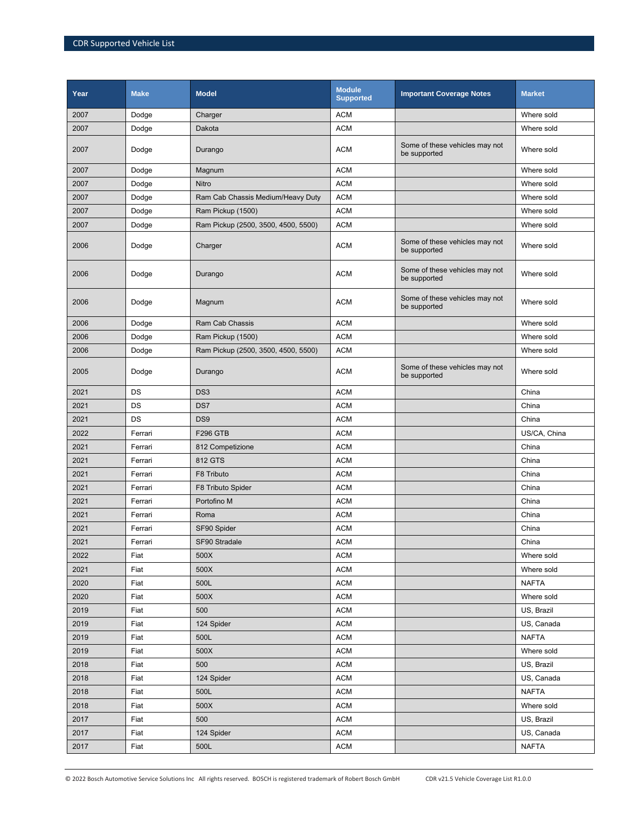| Year | <b>Make</b> | <b>Model</b>                        | <b>Module</b><br><b>Supported</b> | <b>Important Coverage Notes</b>                | <b>Market</b> |
|------|-------------|-------------------------------------|-----------------------------------|------------------------------------------------|---------------|
| 2007 | Dodge       | Charger                             | <b>ACM</b>                        |                                                | Where sold    |
| 2007 | Dodge       | Dakota                              | <b>ACM</b>                        |                                                | Where sold    |
| 2007 | Dodge       | Durango                             | <b>ACM</b>                        | Some of these vehicles may not<br>be supported | Where sold    |
| 2007 | Dodge       | Magnum                              | <b>ACM</b>                        |                                                | Where sold    |
| 2007 | Dodge       | Nitro                               | <b>ACM</b>                        |                                                | Where sold    |
| 2007 | Dodge       | Ram Cab Chassis Medium/Heavy Duty   | <b>ACM</b>                        |                                                | Where sold    |
| 2007 | Dodge       | Ram Pickup (1500)                   | <b>ACM</b>                        |                                                | Where sold    |
| 2007 | Dodge       | Ram Pickup (2500, 3500, 4500, 5500) | <b>ACM</b>                        |                                                | Where sold    |
| 2006 | Dodge       | Charger                             | <b>ACM</b>                        | Some of these vehicles may not<br>be supported | Where sold    |
| 2006 | Dodge       | Durango                             | <b>ACM</b>                        | Some of these vehicles may not<br>be supported | Where sold    |
| 2006 | Dodge       | Magnum                              | <b>ACM</b>                        | Some of these vehicles may not<br>be supported | Where sold    |
| 2006 | Dodge       | Ram Cab Chassis                     | <b>ACM</b>                        |                                                | Where sold    |
| 2006 | Dodge       | Ram Pickup (1500)                   | <b>ACM</b>                        |                                                | Where sold    |
| 2006 | Dodge       | Ram Pickup (2500, 3500, 4500, 5500) | <b>ACM</b>                        |                                                | Where sold    |
| 2005 | Dodge       | Durango                             | <b>ACM</b>                        | Some of these vehicles may not<br>be supported | Where sold    |
| 2021 | DS          | DS <sub>3</sub>                     | <b>ACM</b>                        |                                                | China         |
| 2021 | DS          | DS7                                 | <b>ACM</b>                        |                                                | China         |
| 2021 | DS          | DS <sub>9</sub>                     | <b>ACM</b>                        |                                                | China         |
| 2022 | Ferrari     | <b>F296 GTB</b>                     | <b>ACM</b>                        |                                                | US/CA, China  |
| 2021 | Ferrari     | 812 Competizione                    | <b>ACM</b>                        |                                                | China         |
| 2021 | Ferrari     | 812 GTS                             | <b>ACM</b>                        |                                                | China         |
| 2021 | Ferrari     | F8 Tributo                          | <b>ACM</b>                        |                                                | China         |
| 2021 | Ferrari     | F8 Tributo Spider                   | <b>ACM</b>                        |                                                | China         |
| 2021 | Ferrari     | Portofino M                         | <b>ACM</b>                        |                                                | China         |
| 2021 | Ferrari     | Roma                                | <b>ACM</b>                        |                                                | China         |
| 2021 | Ferrari     | SF90 Spider                         | <b>ACM</b>                        |                                                | China         |
| 2021 | Ferrari     | SF90 Stradale                       | <b>ACM</b>                        |                                                | China         |
| 2022 | Fiat        | 500X                                | <b>ACM</b>                        |                                                | Where sold    |
| 2021 | Fiat        | 500X                                | <b>ACM</b>                        |                                                | Where sold    |
| 2020 | Fiat        | 500L                                | <b>ACM</b>                        |                                                | <b>NAFTA</b>  |
| 2020 | Fiat        | 500X                                | <b>ACM</b>                        |                                                | Where sold    |
| 2019 | Fiat        | 500                                 | <b>ACM</b>                        |                                                | US, Brazil    |
| 2019 | Fiat        | 124 Spider                          | <b>ACM</b>                        |                                                | US, Canada    |
| 2019 | Fiat        | 500L                                | <b>ACM</b>                        |                                                | <b>NAFTA</b>  |
| 2019 | Fiat        | 500X                                | <b>ACM</b>                        |                                                | Where sold    |
| 2018 | Fiat        | 500                                 | <b>ACM</b>                        |                                                | US, Brazil    |
| 2018 | Fiat        | 124 Spider                          | <b>ACM</b>                        |                                                | US, Canada    |
| 2018 | Fiat        | 500L                                | <b>ACM</b>                        |                                                | <b>NAFTA</b>  |
| 2018 | Fiat        | 500X                                | <b>ACM</b>                        |                                                | Where sold    |
| 2017 | Fiat        | 500                                 | <b>ACM</b>                        |                                                | US, Brazil    |
| 2017 | Fiat        | 124 Spider                          | <b>ACM</b>                        |                                                | US, Canada    |
| 2017 | Fiat        | 500L                                | <b>ACM</b>                        |                                                | <b>NAFTA</b>  |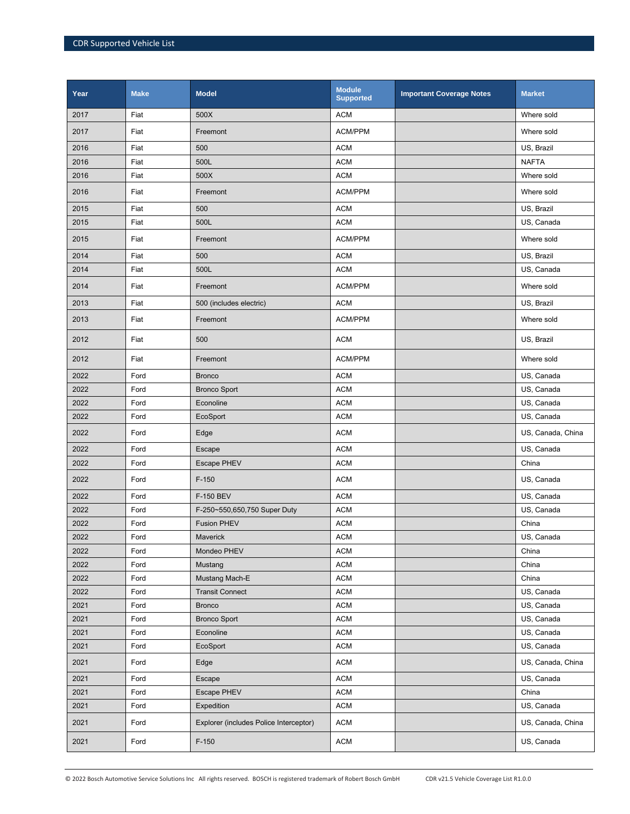| Year | <b>Make</b> | <b>Model</b>                           | <b>Module</b><br><b>Supported</b> | <b>Important Coverage Notes</b> | <b>Market</b>     |
|------|-------------|----------------------------------------|-----------------------------------|---------------------------------|-------------------|
| 2017 | Fiat        | 500X                                   | <b>ACM</b>                        |                                 | Where sold        |
| 2017 | Fiat        | Freemont                               | ACM/PPM                           |                                 | Where sold        |
| 2016 | Fiat        | 500                                    | <b>ACM</b>                        |                                 | US, Brazil        |
| 2016 | Fiat        | 500L                                   | <b>ACM</b>                        |                                 | <b>NAFTA</b>      |
| 2016 | Fiat        | 500X                                   | <b>ACM</b>                        |                                 | Where sold        |
| 2016 | Fiat        | Freemont                               | ACM/PPM                           |                                 | Where sold        |
| 2015 | Fiat        | 500                                    | <b>ACM</b>                        |                                 | US, Brazil        |
| 2015 | Fiat        | 500L                                   | <b>ACM</b>                        |                                 | US, Canada        |
| 2015 | Fiat        | Freemont                               | ACM/PPM                           |                                 | Where sold        |
| 2014 | Fiat        | 500                                    | <b>ACM</b>                        |                                 | US, Brazil        |
| 2014 | Fiat        | 500L                                   | <b>ACM</b>                        |                                 | US, Canada        |
| 2014 | Fiat        | Freemont                               | ACM/PPM                           |                                 | Where sold        |
| 2013 | Fiat        | 500 (includes electric)                | <b>ACM</b>                        |                                 | US, Brazil        |
| 2013 | Fiat        | Freemont                               | ACM/PPM                           |                                 | Where sold        |
| 2012 | Fiat        | 500                                    | <b>ACM</b>                        |                                 | US, Brazil        |
| 2012 | Fiat        | Freemont                               | <b>ACM/PPM</b>                    |                                 | Where sold        |
| 2022 | Ford        | <b>Bronco</b>                          | <b>ACM</b>                        |                                 | US, Canada        |
| 2022 | Ford        | <b>Bronco Sport</b>                    | <b>ACM</b>                        |                                 | US, Canada        |
| 2022 | Ford        | Econoline                              | <b>ACM</b>                        |                                 | US, Canada        |
| 2022 | Ford        | EcoSport                               | <b>ACM</b>                        |                                 | US, Canada        |
| 2022 | Ford        | Edge                                   | <b>ACM</b>                        |                                 | US, Canada, China |
| 2022 | Ford        | Escape                                 | <b>ACM</b>                        |                                 | US, Canada        |
| 2022 | Ford        | <b>Escape PHEV</b>                     | <b>ACM</b>                        |                                 | China             |
| 2022 | Ford        | $F-150$                                | <b>ACM</b>                        |                                 | US, Canada        |
| 2022 | Ford        | F-150 BEV                              | <b>ACM</b>                        |                                 | US, Canada        |
| 2022 | Ford        | F-250~550,650,750 Super Duty           | <b>ACM</b>                        |                                 | US, Canada        |
| 2022 | Ford        | <b>Fusion PHEV</b>                     | <b>ACM</b>                        |                                 | China             |
| 2022 | Ford        | Maverick                               | <b>ACM</b>                        |                                 | US, Canada        |
| 2022 | Ford        | Mondeo PHEV                            | <b>ACM</b>                        |                                 | China             |
| 2022 | Ford        | Mustang                                | <b>ACM</b>                        |                                 | China             |
| 2022 | Ford        | Mustang Mach-E                         | <b>ACM</b>                        |                                 | China             |
| 2022 | Ford        | <b>Transit Connect</b>                 | <b>ACM</b>                        |                                 | US, Canada        |
| 2021 | Ford        | <b>Bronco</b>                          | <b>ACM</b>                        |                                 | US, Canada        |
| 2021 | Ford        | <b>Bronco Sport</b>                    | <b>ACM</b>                        |                                 | US, Canada        |
| 2021 | Ford        | Econoline                              | <b>ACM</b>                        |                                 | US, Canada        |
| 2021 | Ford        | EcoSport                               | <b>ACM</b>                        |                                 | US, Canada        |
| 2021 | Ford        | Edge                                   | <b>ACM</b>                        |                                 | US, Canada, China |
| 2021 | Ford        | Escape                                 | <b>ACM</b>                        |                                 | US, Canada        |
| 2021 | Ford        | <b>Escape PHEV</b>                     | <b>ACM</b>                        |                                 | China             |
| 2021 | Ford        | Expedition                             | <b>ACM</b>                        |                                 | US, Canada        |
| 2021 | Ford        | Explorer (includes Police Interceptor) | <b>ACM</b>                        |                                 | US, Canada, China |
| 2021 | Ford        | $F-150$                                | <b>ACM</b>                        |                                 | US, Canada        |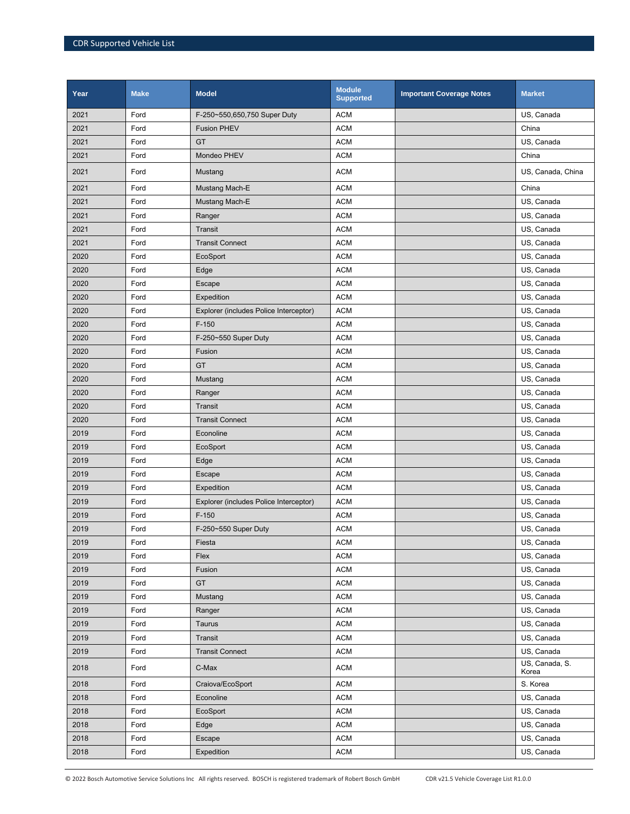| Year | <b>Make</b> | <b>Model</b>                           | <b>Module</b><br><b>Supported</b> | <b>Important Coverage Notes</b> | <b>Market</b>           |
|------|-------------|----------------------------------------|-----------------------------------|---------------------------------|-------------------------|
| 2021 | Ford        | F-250~550,650,750 Super Duty           | <b>ACM</b>                        |                                 | US, Canada              |
| 2021 | Ford        | <b>Fusion PHEV</b>                     | <b>ACM</b>                        |                                 | China                   |
| 2021 | Ford        | GT                                     | <b>ACM</b>                        |                                 | US, Canada              |
| 2021 | Ford        | Mondeo PHEV                            | <b>ACM</b>                        |                                 | China                   |
| 2021 | Ford        | Mustang                                | <b>ACM</b>                        |                                 | US, Canada, China       |
| 2021 | Ford        | Mustang Mach-E                         | <b>ACM</b>                        |                                 | China                   |
| 2021 | Ford        | Mustang Mach-E                         | <b>ACM</b>                        |                                 | US, Canada              |
| 2021 | Ford        | Ranger                                 | <b>ACM</b>                        |                                 | US, Canada              |
| 2021 | Ford        | Transit                                | <b>ACM</b>                        |                                 | US, Canada              |
| 2021 | Ford        | <b>Transit Connect</b>                 | <b>ACM</b>                        |                                 | US, Canada              |
| 2020 | Ford        | EcoSport                               | <b>ACM</b>                        |                                 | US, Canada              |
| 2020 | Ford        | Edge                                   | <b>ACM</b>                        |                                 | US, Canada              |
| 2020 | Ford        | Escape                                 | <b>ACM</b>                        |                                 | US, Canada              |
| 2020 | Ford        | Expedition                             | <b>ACM</b>                        |                                 | US, Canada              |
| 2020 | Ford        | Explorer (includes Police Interceptor) | <b>ACM</b>                        |                                 | US, Canada              |
| 2020 | Ford        | $F-150$                                | <b>ACM</b>                        |                                 | US, Canada              |
| 2020 | Ford        | F-250~550 Super Duty                   | <b>ACM</b>                        |                                 | US, Canada              |
| 2020 | Ford        | Fusion                                 | <b>ACM</b>                        |                                 | US, Canada              |
| 2020 | Ford        | GT                                     | <b>ACM</b>                        |                                 | US, Canada              |
| 2020 | Ford        | Mustang                                | <b>ACM</b>                        |                                 | US, Canada              |
| 2020 | Ford        | Ranger                                 | <b>ACM</b>                        |                                 | US, Canada              |
| 2020 | Ford        | Transit                                | <b>ACM</b>                        |                                 | US, Canada              |
| 2020 | Ford        | <b>Transit Connect</b>                 | <b>ACM</b>                        |                                 | US, Canada              |
| 2019 | Ford        | Econoline                              | <b>ACM</b>                        |                                 | US, Canada              |
| 2019 | Ford        | EcoSport                               | <b>ACM</b>                        |                                 | US, Canada              |
| 2019 | Ford        | Edge                                   | <b>ACM</b>                        |                                 | US, Canada              |
| 2019 | Ford        | Escape                                 | <b>ACM</b>                        |                                 | US, Canada              |
| 2019 | Ford        | Expedition                             | <b>ACM</b>                        |                                 | US, Canada              |
| 2019 | Ford        | Explorer (includes Police Interceptor) | <b>ACM</b>                        |                                 | US, Canada              |
| 2019 | Ford        | $F-150$                                | <b>ACM</b>                        |                                 | US, Canada              |
| 2019 | Ford        | F-250~550 Super Duty                   | <b>ACM</b>                        |                                 | US, Canada              |
| 2019 | Ford        | Fiesta                                 | ACM                               |                                 | US, Canada              |
| 2019 | Ford        | Flex                                   | <b>ACM</b>                        |                                 | US, Canada              |
| 2019 | Ford        | Fusion                                 | <b>ACM</b>                        |                                 | US, Canada              |
| 2019 | Ford        | <b>GT</b>                              | <b>ACM</b>                        |                                 | US, Canada              |
| 2019 | Ford        | Mustang                                | <b>ACM</b>                        |                                 | US, Canada              |
| 2019 | Ford        | Ranger                                 | <b>ACM</b>                        |                                 | US, Canada              |
| 2019 | Ford        | Taurus                                 | <b>ACM</b>                        |                                 | US, Canada              |
| 2019 | Ford        | Transit                                | <b>ACM</b>                        |                                 | US, Canada              |
| 2019 | Ford        | <b>Transit Connect</b>                 | <b>ACM</b>                        |                                 | US, Canada              |
| 2018 | Ford        | C-Max                                  | <b>ACM</b>                        |                                 | US, Canada, S.<br>Korea |
| 2018 | Ford        | Craiova/EcoSport                       | <b>ACM</b>                        |                                 | S. Korea                |
| 2018 | Ford        | Econoline                              | <b>ACM</b>                        |                                 | US, Canada              |
| 2018 | Ford        | EcoSport                               | <b>ACM</b>                        |                                 | US, Canada              |
| 2018 | Ford        | Edge                                   | <b>ACM</b>                        |                                 | US, Canada              |
| 2018 | Ford        | Escape                                 | <b>ACM</b>                        |                                 | US, Canada              |
| 2018 | Ford        | Expedition                             | <b>ACM</b>                        |                                 | US, Canada              |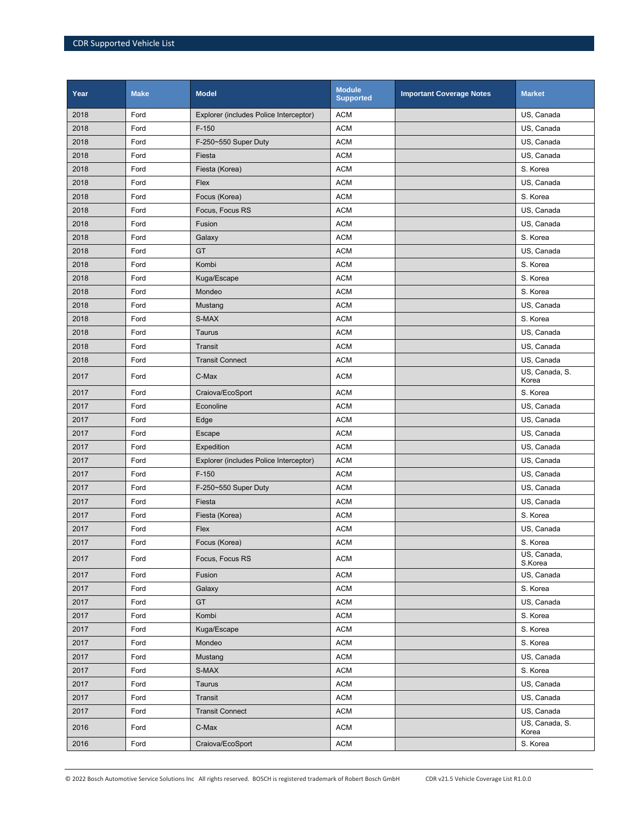| Year | <b>Make</b> | <b>Model</b>                           | <b>Module</b><br><b>Supported</b> | <b>Important Coverage Notes</b> | <b>Market</b>           |
|------|-------------|----------------------------------------|-----------------------------------|---------------------------------|-------------------------|
| 2018 | Ford        | Explorer (includes Police Interceptor) | <b>ACM</b>                        |                                 | US, Canada              |
| 2018 | Ford        | $F-150$                                | <b>ACM</b>                        |                                 | US, Canada              |
| 2018 | Ford        | F-250~550 Super Duty                   | <b>ACM</b>                        |                                 | US, Canada              |
| 2018 | Ford        | Fiesta                                 | <b>ACM</b>                        |                                 | US, Canada              |
| 2018 | Ford        | Fiesta (Korea)                         | <b>ACM</b>                        |                                 | S. Korea                |
| 2018 | Ford        | Flex                                   | <b>ACM</b>                        |                                 | US, Canada              |
| 2018 | Ford        | Focus (Korea)                          | <b>ACM</b>                        |                                 | S. Korea                |
| 2018 | Ford        | Focus, Focus RS                        | <b>ACM</b>                        |                                 | US, Canada              |
| 2018 | Ford        | Fusion                                 | <b>ACM</b>                        |                                 | US, Canada              |
| 2018 | Ford        | Galaxy                                 | <b>ACM</b>                        |                                 | S. Korea                |
| 2018 | Ford        | GT                                     | <b>ACM</b>                        |                                 | US, Canada              |
| 2018 | Ford        | Kombi                                  | <b>ACM</b>                        |                                 | S. Korea                |
| 2018 | Ford        | Kuga/Escape                            | <b>ACM</b>                        |                                 | S. Korea                |
| 2018 | Ford        | Mondeo                                 | <b>ACM</b>                        |                                 | S. Korea                |
| 2018 | Ford        | Mustang                                | <b>ACM</b>                        |                                 | US, Canada              |
| 2018 | Ford        | S-MAX                                  | <b>ACM</b>                        |                                 | S. Korea                |
| 2018 | Ford        | Taurus                                 | <b>ACM</b>                        |                                 | US, Canada              |
| 2018 | Ford        | <b>Transit</b>                         | <b>ACM</b>                        |                                 | US, Canada              |
| 2018 | Ford        | <b>Transit Connect</b>                 | <b>ACM</b>                        |                                 | US, Canada              |
| 2017 | Ford        | C-Max                                  | <b>ACM</b>                        |                                 | US, Canada, S.<br>Korea |
| 2017 | Ford        | Craiova/EcoSport                       | <b>ACM</b>                        |                                 | S. Korea                |
| 2017 | Ford        | Econoline                              | <b>ACM</b>                        |                                 | US, Canada              |
| 2017 | Ford        | Edge                                   | <b>ACM</b>                        |                                 | US, Canada              |
| 2017 | Ford        | Escape                                 | <b>ACM</b>                        |                                 | US, Canada              |
| 2017 | Ford        | Expedition                             | <b>ACM</b>                        |                                 | US, Canada              |
| 2017 | Ford        | Explorer (includes Police Interceptor) | <b>ACM</b>                        |                                 | US, Canada              |
| 2017 | Ford        | $F-150$                                | <b>ACM</b>                        |                                 | US, Canada              |
| 2017 | Ford        | F-250~550 Super Duty                   | <b>ACM</b>                        |                                 | US, Canada              |
| 2017 | Ford        | Fiesta                                 | <b>ACM</b>                        |                                 | US, Canada              |
| 2017 | Ford        | Fiesta (Korea)                         | <b>ACM</b>                        |                                 | S. Korea                |
| 2017 | Ford        | Flex                                   | <b>ACM</b>                        |                                 | US, Canada              |
| 2017 | Ford        | Focus (Korea)                          | <b>ACM</b>                        |                                 | S. Korea                |
| 2017 | Ford        | Focus, Focus RS                        | <b>ACM</b>                        |                                 | US, Canada,<br>S.Korea  |
| 2017 | Ford        | Fusion                                 | ACM                               |                                 | US, Canada              |
| 2017 | Ford        | Galaxy                                 | <b>ACM</b>                        |                                 | S. Korea                |
| 2017 | Ford        | <b>GT</b>                              | <b>ACM</b>                        |                                 | US, Canada              |
| 2017 | Ford        | Kombi                                  | <b>ACM</b>                        |                                 | S. Korea                |
| 2017 | Ford        | Kuga/Escape                            | <b>ACM</b>                        |                                 | S. Korea                |
| 2017 | Ford        | Mondeo                                 | ACM                               |                                 | S. Korea                |
| 2017 | Ford        | Mustang                                | <b>ACM</b>                        |                                 | US, Canada              |
| 2017 | Ford        | S-MAX                                  | <b>ACM</b>                        |                                 | S. Korea                |
| 2017 | Ford        | Taurus                                 | <b>ACM</b>                        |                                 | US, Canada              |
| 2017 | Ford        | Transit                                | <b>ACM</b>                        |                                 | US, Canada              |
| 2017 | Ford        | <b>Transit Connect</b>                 | <b>ACM</b>                        |                                 | US, Canada              |
| 2016 | Ford        | C-Max                                  | <b>ACM</b>                        |                                 | US, Canada, S.<br>Korea |
| 2016 | Ford        | Craiova/EcoSport                       | <b>ACM</b>                        |                                 | S. Korea                |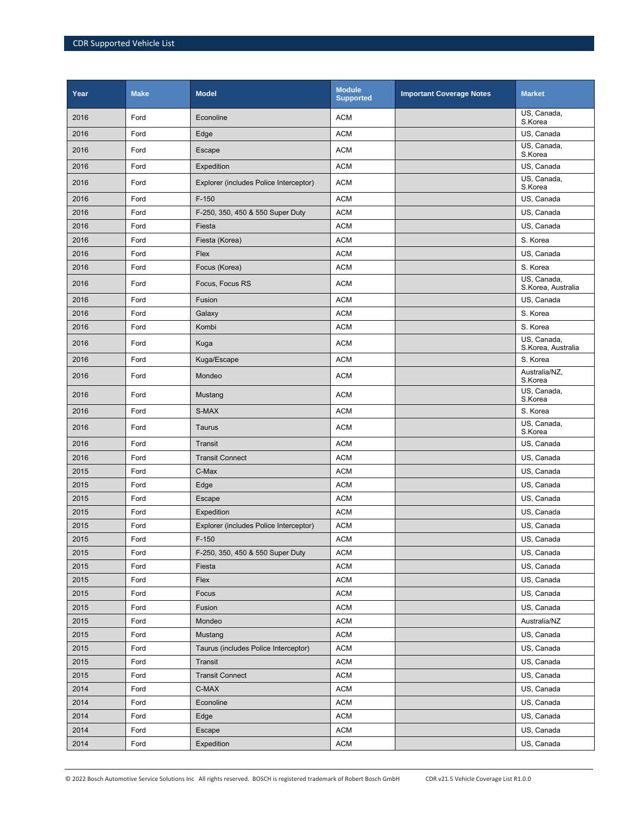| Year | <b>Make</b> | <b>Model</b>                           | <b>Module</b><br><b>Supported</b> | <b>Important Coverage Notes</b> | <b>Market</b>                     |
|------|-------------|----------------------------------------|-----------------------------------|---------------------------------|-----------------------------------|
| 2016 | Ford        | Econoline                              | <b>ACM</b>                        |                                 | US, Canada,<br>S.Korea            |
| 2016 | Ford        | Edge                                   | <b>ACM</b>                        |                                 | US, Canada                        |
| 2016 | Ford        | Escape                                 | <b>ACM</b>                        |                                 | US, Canada,<br>S.Korea            |
| 2016 | Ford        | Expedition                             | <b>ACM</b>                        |                                 | US, Canada                        |
| 2016 | Ford        | Explorer (includes Police Interceptor) | <b>ACM</b>                        |                                 | US, Canada,<br>S.Korea            |
| 2016 | Ford        | $F-150$                                | <b>ACM</b>                        |                                 | US, Canada                        |
| 2016 | Ford        | F-250, 350, 450 & 550 Super Duty       | <b>ACM</b>                        |                                 | US, Canada                        |
| 2016 | Ford        | Fiesta                                 | <b>ACM</b>                        |                                 | US, Canada                        |
| 2016 | Ford        | Fiesta (Korea)                         | <b>ACM</b>                        |                                 | S. Korea                          |
| 2016 | Ford        | Flex                                   | <b>ACM</b>                        |                                 | US, Canada                        |
| 2016 | Ford        | Focus (Korea)                          | <b>ACM</b>                        |                                 | S. Korea                          |
| 2016 | Ford        | Focus, Focus RS                        | <b>ACM</b>                        |                                 | US, Canada,<br>S.Korea, Australia |
| 2016 | Ford        | Fusion                                 | <b>ACM</b>                        |                                 | US, Canada                        |
| 2016 | Ford        | Galaxy                                 | <b>ACM</b>                        |                                 | S. Korea                          |
| 2016 | Ford        | Kombi                                  | <b>ACM</b>                        |                                 | S. Korea                          |
| 2016 | Ford        | Kuga                                   | <b>ACM</b>                        |                                 | US, Canada,<br>S.Korea, Australia |
| 2016 | Ford        | Kuga/Escape                            | <b>ACM</b>                        |                                 | S. Korea                          |
| 2016 | Ford        | Mondeo                                 | <b>ACM</b>                        |                                 | Australia/NZ,<br>S.Korea          |
| 2016 | Ford        | Mustang                                | <b>ACM</b>                        |                                 | US, Canada,<br>S.Korea            |
| 2016 | Ford        | S-MAX                                  | <b>ACM</b>                        |                                 | S. Korea                          |
| 2016 | Ford        | Taurus                                 | <b>ACM</b>                        |                                 | US, Canada,<br>S.Korea            |
| 2016 | Ford        | Transit                                | <b>ACM</b>                        |                                 | US, Canada                        |
| 2016 | Ford        | <b>Transit Connect</b>                 | <b>ACM</b>                        |                                 | US, Canada                        |
| 2015 | Ford        | C-Max                                  | <b>ACM</b>                        |                                 | US, Canada                        |
| 2015 | Ford        | Edge                                   | <b>ACM</b>                        |                                 | US, Canada                        |
| 2015 | Ford        | Escape                                 | <b>ACM</b>                        |                                 | US, Canada                        |
| 2015 | Ford        | Expedition                             | <b>ACM</b>                        |                                 | US, Canada                        |
| 2015 | Ford        | Explorer (includes Police Interceptor) | <b>ACM</b>                        |                                 | US, Canada                        |
| 2015 | Ford        | $F-150$                                | <b>ACM</b>                        |                                 | US, Canada                        |
| 2015 | Ford        | F-250, 350, 450 & 550 Super Duty       | <b>ACM</b>                        |                                 | US, Canada                        |
| 2015 | Ford        | Fiesta                                 | <b>ACM</b>                        |                                 | US, Canada                        |
| 2015 | Ford        | Flex                                   | <b>ACM</b>                        |                                 | US, Canada                        |
| 2015 | Ford        | Focus                                  | <b>ACM</b>                        |                                 | US, Canada                        |
| 2015 | Ford        | Fusion                                 | <b>ACM</b>                        |                                 | US, Canada                        |
| 2015 | Ford        | Mondeo                                 | <b>ACM</b>                        |                                 | Australia/NZ                      |
| 2015 | Ford        | Mustang                                | <b>ACM</b>                        |                                 | US, Canada                        |
| 2015 | Ford        | Taurus (includes Police Interceptor)   | <b>ACM</b>                        |                                 | US, Canada                        |
| 2015 | Ford        | Transit                                | <b>ACM</b>                        |                                 | US, Canada                        |
| 2015 | Ford        | <b>Transit Connect</b>                 | <b>ACM</b>                        |                                 | US, Canada                        |
| 2014 | Ford        | C-MAX                                  | <b>ACM</b>                        |                                 | US, Canada                        |
| 2014 | Ford        | Econoline                              | <b>ACM</b>                        |                                 | US, Canada                        |
| 2014 | Ford        | Edge                                   | <b>ACM</b>                        |                                 | US, Canada                        |
| 2014 | Ford        | Escape                                 | <b>ACM</b>                        |                                 | US, Canada                        |
| 2014 | Ford        | Expedition                             | <b>ACM</b>                        |                                 | US, Canada                        |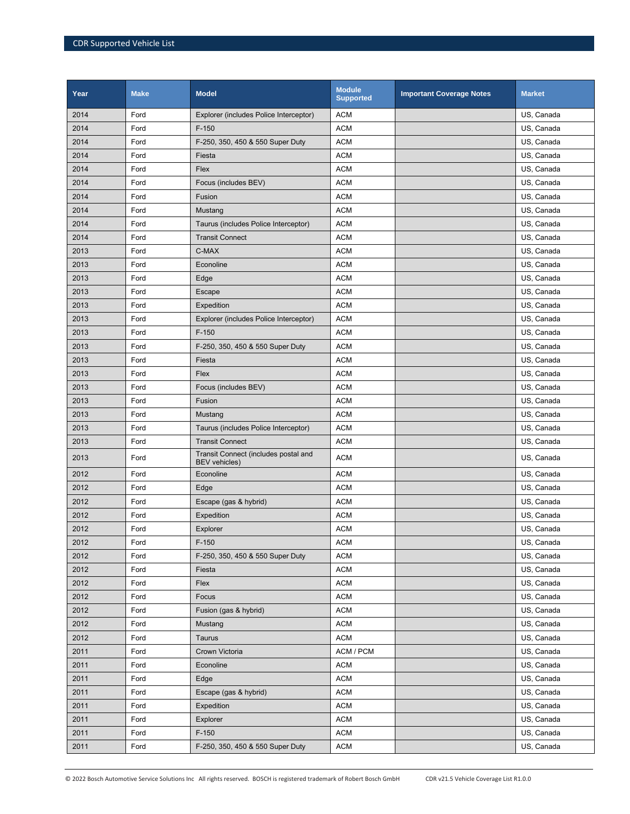| Year | <b>Make</b> | <b>Model</b>                                                 | <b>Module</b><br><b>Supported</b> | <b>Important Coverage Notes</b> | <b>Market</b> |
|------|-------------|--------------------------------------------------------------|-----------------------------------|---------------------------------|---------------|
| 2014 | Ford        | Explorer (includes Police Interceptor)                       | <b>ACM</b>                        |                                 | US, Canada    |
| 2014 | Ford        | $F-150$                                                      | <b>ACM</b>                        |                                 | US, Canada    |
| 2014 | Ford        | F-250, 350, 450 & 550 Super Duty                             | <b>ACM</b>                        |                                 | US, Canada    |
| 2014 | Ford        | Fiesta                                                       | <b>ACM</b>                        |                                 | US, Canada    |
| 2014 | Ford        | Flex                                                         | <b>ACM</b>                        |                                 | US, Canada    |
| 2014 | Ford        | Focus (includes BEV)                                         | <b>ACM</b>                        |                                 | US, Canada    |
| 2014 | Ford        | Fusion                                                       | <b>ACM</b>                        |                                 | US, Canada    |
| 2014 | Ford        | Mustang                                                      | <b>ACM</b>                        |                                 | US, Canada    |
| 2014 | Ford        | Taurus (includes Police Interceptor)                         | <b>ACM</b>                        |                                 | US, Canada    |
| 2014 | Ford        | <b>Transit Connect</b>                                       | <b>ACM</b>                        |                                 | US, Canada    |
| 2013 | Ford        | C-MAX                                                        | <b>ACM</b>                        |                                 | US, Canada    |
| 2013 | Ford        | Econoline                                                    | <b>ACM</b>                        |                                 | US, Canada    |
| 2013 | Ford        | Edge                                                         | <b>ACM</b>                        |                                 | US, Canada    |
| 2013 | Ford        | Escape                                                       | <b>ACM</b>                        |                                 | US, Canada    |
| 2013 | Ford        | Expedition                                                   | <b>ACM</b>                        |                                 | US, Canada    |
| 2013 | Ford        | Explorer (includes Police Interceptor)                       | <b>ACM</b>                        |                                 | US, Canada    |
| 2013 | Ford        | $F-150$                                                      | <b>ACM</b>                        |                                 | US, Canada    |
| 2013 | Ford        | F-250, 350, 450 & 550 Super Duty                             | <b>ACM</b>                        |                                 | US, Canada    |
| 2013 | Ford        | Fiesta                                                       | <b>ACM</b>                        |                                 | US, Canada    |
| 2013 | Ford        | Flex                                                         | <b>ACM</b>                        |                                 | US, Canada    |
| 2013 | Ford        | Focus (includes BEV)                                         | <b>ACM</b>                        |                                 | US, Canada    |
| 2013 | Ford        | Fusion                                                       | <b>ACM</b>                        |                                 | US, Canada    |
| 2013 | Ford        | Mustang                                                      | <b>ACM</b>                        |                                 | US, Canada    |
| 2013 | Ford        | Taurus (includes Police Interceptor)                         | <b>ACM</b>                        |                                 | US, Canada    |
| 2013 | Ford        | <b>Transit Connect</b>                                       | <b>ACM</b>                        |                                 | US, Canada    |
| 2013 | Ford        | Transit Connect (includes postal and<br><b>BEV</b> vehicles) | <b>ACM</b>                        |                                 | US, Canada    |
| 2012 | Ford        | Econoline                                                    | <b>ACM</b>                        |                                 | US, Canada    |
| 2012 | Ford        | Edge                                                         | <b>ACM</b>                        |                                 | US, Canada    |
| 2012 | Ford        | Escape (gas & hybrid)                                        | <b>ACM</b>                        |                                 | US, Canada    |
| 2012 | Ford        | Expedition                                                   | <b>ACM</b>                        |                                 | US, Canada    |
| 2012 | Ford        | Explorer                                                     | <b>ACM</b>                        |                                 | US, Canada    |
| 2012 | Ford        | $F-150$                                                      | <b>ACM</b>                        |                                 | US, Canada    |
| 2012 | Ford        | F-250, 350, 450 & 550 Super Duty                             | <b>ACM</b>                        |                                 | US, Canada    |
| 2012 | Ford        | Fiesta                                                       | <b>ACM</b>                        |                                 | US, Canada    |
| 2012 | Ford        | Flex                                                         | <b>ACM</b>                        |                                 | US, Canada    |
| 2012 | Ford        | Focus                                                        | <b>ACM</b>                        |                                 | US, Canada    |
| 2012 | Ford        | Fusion (gas & hybrid)                                        | <b>ACM</b>                        |                                 | US, Canada    |
| 2012 | Ford        | Mustang                                                      | ACM                               |                                 | US, Canada    |
| 2012 | Ford        | Taurus                                                       | <b>ACM</b>                        |                                 | US, Canada    |
| 2011 | Ford        | Crown Victoria                                               | ACM / PCM                         |                                 | US, Canada    |
| 2011 | Ford        | Econoline                                                    | <b>ACM</b>                        |                                 | US, Canada    |
| 2011 | Ford        | Edge                                                         | <b>ACM</b>                        |                                 | US, Canada    |
| 2011 | Ford        | Escape (gas & hybrid)                                        | <b>ACM</b>                        |                                 | US, Canada    |
| 2011 | Ford        | Expedition                                                   | <b>ACM</b>                        |                                 | US, Canada    |
| 2011 | Ford        | Explorer                                                     | <b>ACM</b>                        |                                 | US, Canada    |
| 2011 | Ford        | $F-150$                                                      | <b>ACM</b>                        |                                 | US, Canada    |
| 2011 | Ford        | F-250, 350, 450 & 550 Super Duty                             | ACM                               |                                 | US, Canada    |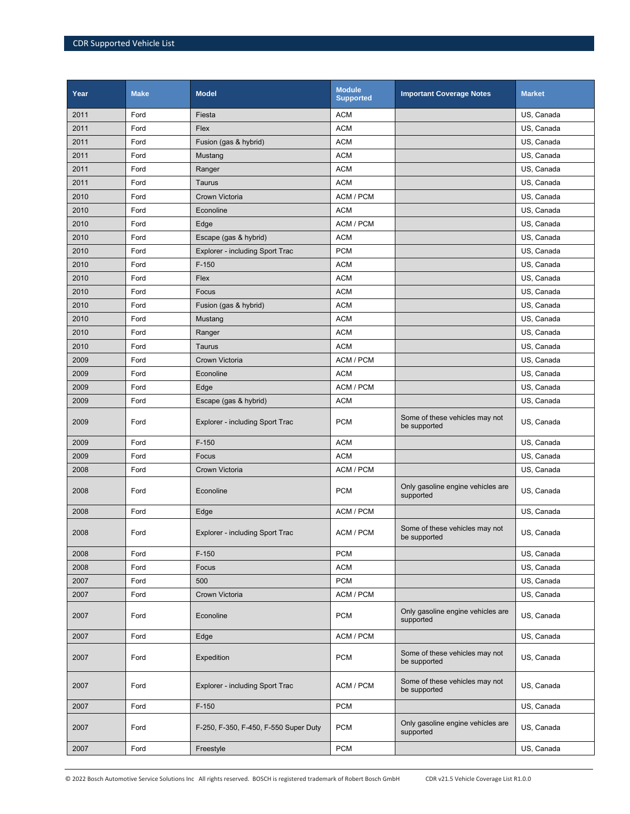| Year | <b>Make</b> | <b>Model</b>                          | <b>Module</b><br><b>Supported</b> | <b>Important Coverage Notes</b>                | <b>Market</b> |
|------|-------------|---------------------------------------|-----------------------------------|------------------------------------------------|---------------|
| 2011 | Ford        | Fiesta                                | <b>ACM</b>                        |                                                | US, Canada    |
| 2011 | Ford        | Flex                                  | <b>ACM</b>                        |                                                | US, Canada    |
| 2011 | Ford        | Fusion (gas & hybrid)                 | <b>ACM</b>                        |                                                | US, Canada    |
| 2011 | Ford        | Mustang                               | <b>ACM</b>                        |                                                | US, Canada    |
| 2011 | Ford        | Ranger                                | <b>ACM</b>                        |                                                | US, Canada    |
| 2011 | Ford        | Taurus                                | <b>ACM</b>                        |                                                | US, Canada    |
| 2010 | Ford        | Crown Victoria                        | ACM / PCM                         |                                                | US, Canada    |
| 2010 | Ford        | Econoline                             | <b>ACM</b>                        |                                                | US, Canada    |
| 2010 | Ford        | Edge                                  | ACM / PCM                         |                                                | US, Canada    |
| 2010 | Ford        | Escape (gas & hybrid)                 | <b>ACM</b>                        |                                                | US, Canada    |
| 2010 | Ford        | Explorer - including Sport Trac       | <b>PCM</b>                        |                                                | US, Canada    |
| 2010 | Ford        | $F-150$                               | <b>ACM</b>                        |                                                | US, Canada    |
| 2010 | Ford        | Flex                                  | <b>ACM</b>                        |                                                | US, Canada    |
| 2010 | Ford        | Focus                                 | <b>ACM</b>                        |                                                | US, Canada    |
| 2010 | Ford        | Fusion (gas & hybrid)                 | <b>ACM</b>                        |                                                | US, Canada    |
| 2010 | Ford        | Mustang                               | <b>ACM</b>                        |                                                | US, Canada    |
| 2010 | Ford        | Ranger                                | <b>ACM</b>                        |                                                | US, Canada    |
| 2010 | Ford        | Taurus                                | <b>ACM</b>                        |                                                | US, Canada    |
| 2009 | Ford        | Crown Victoria                        | ACM / PCM                         |                                                | US, Canada    |
| 2009 | Ford        | Econoline                             | <b>ACM</b>                        |                                                | US, Canada    |
| 2009 | Ford        | Edge                                  | ACM / PCM                         |                                                | US, Canada    |
| 2009 | Ford        | Escape (gas & hybrid)                 | <b>ACM</b>                        |                                                | US, Canada    |
| 2009 | Ford        | Explorer - including Sport Trac       | <b>PCM</b>                        | Some of these vehicles may not<br>be supported | US, Canada    |
| 2009 | Ford        | $F-150$                               | <b>ACM</b>                        |                                                | US, Canada    |
| 2009 | Ford        | Focus                                 | <b>ACM</b>                        |                                                | US, Canada    |
| 2008 | Ford        | Crown Victoria                        | ACM / PCM                         |                                                | US, Canada    |
| 2008 | Ford        | Econoline                             | <b>PCM</b>                        | Only gasoline engine vehicles are<br>supported | US, Canada    |
| 2008 | Ford        | Edge                                  | ACM / PCM                         |                                                | US, Canada    |
| 2008 | Ford        | Explorer - including Sport Trac       | ACM / PCM                         | Some of these vehicles may not<br>be supported | US. Canada    |
| 2008 | Ford        | $F-150$                               | <b>PCM</b>                        |                                                | US, Canada    |
| 2008 | Ford        | Focus                                 | <b>ACM</b>                        |                                                | US, Canada    |
| 2007 | Ford        | 500                                   | <b>PCM</b>                        |                                                | US, Canada    |
| 2007 | Ford        | Crown Victoria                        | ACM / PCM                         |                                                | US, Canada    |
| 2007 | Ford        | Econoline                             | <b>PCM</b>                        | Only gasoline engine vehicles are<br>supported | US, Canada    |
| 2007 | Ford        | Edge                                  | ACM / PCM                         |                                                | US, Canada    |
| 2007 | Ford        | Expedition                            | <b>PCM</b>                        | Some of these vehicles may not<br>be supported | US, Canada    |
| 2007 | Ford        | Explorer - including Sport Trac       | ACM / PCM                         | Some of these vehicles may not<br>be supported | US, Canada    |
| 2007 | Ford        | $F-150$                               | <b>PCM</b>                        |                                                | US, Canada    |
| 2007 | Ford        | F-250, F-350, F-450, F-550 Super Duty | <b>PCM</b>                        | Only gasoline engine vehicles are<br>supported | US, Canada    |
| 2007 | Ford        | Freestyle                             | <b>PCM</b>                        |                                                | US, Canada    |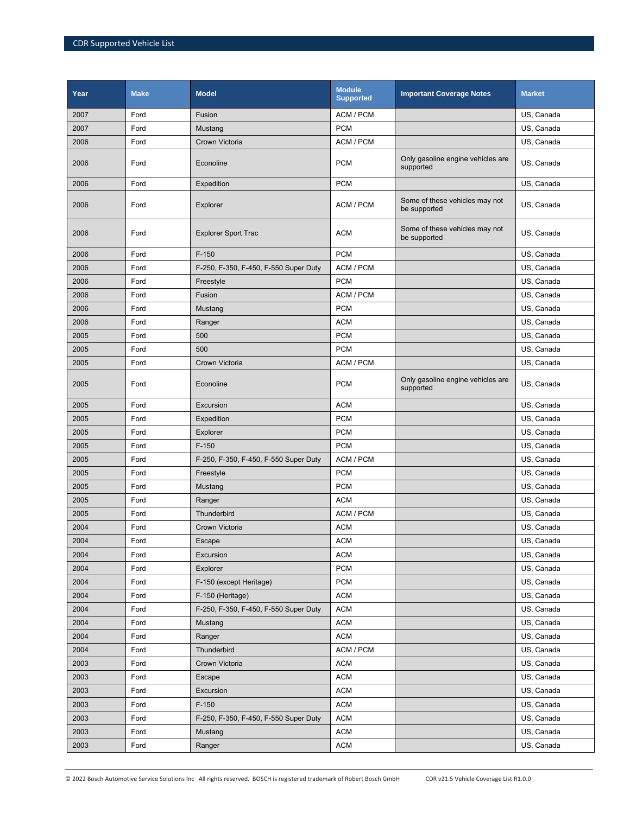| Year | <b>Make</b> | <b>Model</b>                          | <b>Module</b><br><b>Supported</b> | <b>Important Coverage Notes</b>                | <b>Market</b> |
|------|-------------|---------------------------------------|-----------------------------------|------------------------------------------------|---------------|
| 2007 | Ford        | Fusion                                | ACM / PCM                         |                                                | US, Canada    |
| 2007 | Ford        | Mustang                               | <b>PCM</b>                        |                                                | US, Canada    |
| 2006 | Ford        | Crown Victoria                        | ACM / PCM                         |                                                | US, Canada    |
| 2006 | Ford        | Econoline                             | <b>PCM</b>                        | Only gasoline engine vehicles are<br>supported | US, Canada    |
| 2006 | Ford        | Expedition                            | <b>PCM</b>                        |                                                | US, Canada    |
| 2006 | Ford        | Explorer                              | ACM / PCM                         | Some of these vehicles may not<br>be supported | US, Canada    |
| 2006 | Ford        | <b>Explorer Sport Trac</b>            | <b>ACM</b>                        | Some of these vehicles may not<br>be supported | US, Canada    |
| 2006 | Ford        | $F-150$                               | <b>PCM</b>                        |                                                | US, Canada    |
| 2006 | Ford        | F-250, F-350, F-450, F-550 Super Duty | ACM / PCM                         |                                                | US, Canada    |
| 2006 | Ford        | Freestyle                             | <b>PCM</b>                        |                                                | US, Canada    |
| 2006 | Ford        | Fusion                                | ACM / PCM                         |                                                | US, Canada    |
| 2006 | Ford        | Mustang                               | <b>PCM</b>                        |                                                | US, Canada    |
| 2006 | Ford        | Ranger                                | <b>ACM</b>                        |                                                | US, Canada    |
| 2005 | Ford        | 500                                   | <b>PCM</b>                        |                                                | US, Canada    |
| 2005 | Ford        | 500                                   | <b>PCM</b>                        |                                                | US, Canada    |
| 2005 | Ford        | Crown Victoria                        | ACM / PCM                         |                                                | US, Canada    |
| 2005 | Ford        | Econoline                             | <b>PCM</b>                        | Only gasoline engine vehicles are<br>supported | US, Canada    |
| 2005 | Ford        | Excursion                             | <b>ACM</b>                        |                                                | US, Canada    |
| 2005 | Ford        | Expedition                            | <b>PCM</b>                        |                                                | US, Canada    |
| 2005 | Ford        | Explorer                              | <b>PCM</b>                        |                                                | US, Canada    |
| 2005 | Ford        | $F-150$                               | <b>PCM</b>                        |                                                | US, Canada    |
| 2005 | Ford        | F-250, F-350, F-450, F-550 Super Duty | ACM / PCM                         |                                                | US, Canada    |
| 2005 | Ford        | Freestyle                             | <b>PCM</b>                        |                                                | US, Canada    |
| 2005 | Ford        | Mustang                               | <b>PCM</b>                        |                                                | US, Canada    |
| 2005 | Ford        | Ranger                                | <b>ACM</b>                        |                                                | US, Canada    |
| 2005 | Ford        | Thunderbird                           | ACM / PCM                         |                                                | US, Canada    |
| 2004 | Ford        | Crown Victoria                        | <b>ACM</b>                        |                                                | US, Canada    |
| 2004 | Ford        | Escape                                | $ACM$                             |                                                | US, Canada    |
| 2004 | Ford        | Excursion                             | <b>ACM</b>                        |                                                | US, Canada    |
| 2004 | Ford        | Explorer                              | <b>PCM</b>                        |                                                | US, Canada    |
| 2004 | Ford        | F-150 (except Heritage)               | <b>PCM</b>                        |                                                | US, Canada    |
| 2004 | Ford        | F-150 (Heritage)                      | <b>ACM</b>                        |                                                | US, Canada    |
| 2004 | Ford        | F-250, F-350, F-450, F-550 Super Duty | <b>ACM</b>                        |                                                | US, Canada    |
| 2004 | Ford        | Mustang                               | <b>ACM</b>                        |                                                | US, Canada    |
| 2004 | Ford        | Ranger                                | ACM                               |                                                | US, Canada    |
| 2004 | Ford        | Thunderbird                           | ACM / PCM                         |                                                | US, Canada    |
| 2003 | Ford        | Crown Victoria                        | <b>ACM</b>                        |                                                | US, Canada    |
| 2003 | Ford        | Escape                                | <b>ACM</b>                        |                                                | US, Canada    |
| 2003 | Ford        | Excursion                             | <b>ACM</b>                        |                                                | US, Canada    |
| 2003 | Ford        | $F-150$                               | <b>ACM</b>                        |                                                | US, Canada    |
| 2003 | Ford        | F-250, F-350, F-450, F-550 Super Duty | <b>ACM</b>                        |                                                | US, Canada    |
| 2003 | Ford        | Mustang                               | <b>ACM</b>                        |                                                | US, Canada    |
| 2003 | Ford        | Ranger                                | <b>ACM</b>                        |                                                | US, Canada    |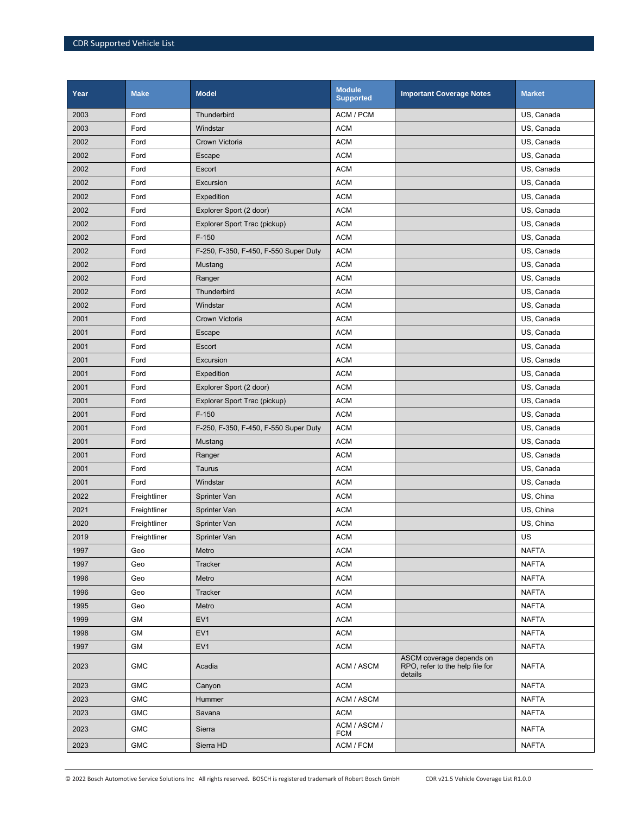| Year | <b>Make</b>  | <b>Model</b>                          | <b>Module</b><br><b>Supported</b> | <b>Important Coverage Notes</b>                                        | <b>Market</b> |
|------|--------------|---------------------------------------|-----------------------------------|------------------------------------------------------------------------|---------------|
| 2003 | Ford         | Thunderbird                           | ACM / PCM                         |                                                                        | US, Canada    |
| 2003 | Ford         | Windstar                              | <b>ACM</b>                        |                                                                        | US, Canada    |
| 2002 | Ford         | Crown Victoria                        | <b>ACM</b>                        |                                                                        | US, Canada    |
| 2002 | Ford         | Escape                                | <b>ACM</b>                        |                                                                        | US, Canada    |
| 2002 | Ford         | Escort                                | <b>ACM</b>                        |                                                                        | US, Canada    |
| 2002 | Ford         | Excursion                             | <b>ACM</b>                        |                                                                        | US, Canada    |
| 2002 | Ford         | Expedition                            | <b>ACM</b>                        |                                                                        | US, Canada    |
| 2002 | Ford         | Explorer Sport (2 door)               | <b>ACM</b>                        |                                                                        | US, Canada    |
| 2002 | Ford         | Explorer Sport Trac (pickup)          | <b>ACM</b>                        |                                                                        | US, Canada    |
| 2002 | Ford         | $F-150$                               | <b>ACM</b>                        |                                                                        | US, Canada    |
| 2002 | Ford         | F-250, F-350, F-450, F-550 Super Duty | <b>ACM</b>                        |                                                                        | US, Canada    |
| 2002 | Ford         | Mustang                               | <b>ACM</b>                        |                                                                        | US, Canada    |
| 2002 | Ford         | Ranger                                | <b>ACM</b>                        |                                                                        | US, Canada    |
| 2002 | Ford         | Thunderbird                           | <b>ACM</b>                        |                                                                        | US, Canada    |
| 2002 | Ford         | Windstar                              | <b>ACM</b>                        |                                                                        | US, Canada    |
| 2001 | Ford         | Crown Victoria                        | <b>ACM</b>                        |                                                                        | US, Canada    |
| 2001 | Ford         | Escape                                | <b>ACM</b>                        |                                                                        | US, Canada    |
| 2001 | Ford         | Escort                                | <b>ACM</b>                        |                                                                        | US, Canada    |
| 2001 | Ford         | Excursion                             | <b>ACM</b>                        |                                                                        | US, Canada    |
| 2001 | Ford         | Expedition                            | <b>ACM</b>                        |                                                                        | US, Canada    |
| 2001 | Ford         | Explorer Sport (2 door)               | <b>ACM</b>                        |                                                                        | US, Canada    |
| 2001 | Ford         | Explorer Sport Trac (pickup)          | <b>ACM</b>                        |                                                                        | US, Canada    |
| 2001 | Ford         | $F-150$                               | <b>ACM</b>                        |                                                                        | US, Canada    |
| 2001 | Ford         | F-250, F-350, F-450, F-550 Super Duty | <b>ACM</b>                        |                                                                        | US, Canada    |
| 2001 | Ford         | Mustang                               | <b>ACM</b>                        |                                                                        | US, Canada    |
| 2001 | Ford         | Ranger                                | <b>ACM</b>                        |                                                                        | US, Canada    |
| 2001 | Ford         | Taurus                                | <b>ACM</b>                        |                                                                        | US, Canada    |
| 2001 | Ford         | Windstar                              | <b>ACM</b>                        |                                                                        | US, Canada    |
| 2022 | Freightliner | Sprinter Van                          | <b>ACM</b>                        |                                                                        | US, China     |
| 2021 | Freightliner | Sprinter Van                          | <b>ACM</b>                        |                                                                        | US, China     |
| 2020 | Freightliner | Sprinter Van                          | <b>ACM</b>                        |                                                                        | US, China     |
| 2019 | Freightliner | Sprinter Van                          | <b>ACM</b>                        |                                                                        | US            |
| 1997 | Geo          | Metro                                 | <b>ACM</b>                        |                                                                        | <b>NAFTA</b>  |
| 1997 | Geo          | Tracker                               | <b>ACM</b>                        |                                                                        | <b>NAFTA</b>  |
| 1996 | Geo          | Metro                                 | <b>ACM</b>                        |                                                                        | <b>NAFTA</b>  |
| 1996 | Geo          | Tracker                               | <b>ACM</b>                        |                                                                        | <b>NAFTA</b>  |
| 1995 | Geo          | Metro                                 | <b>ACM</b>                        |                                                                        | <b>NAFTA</b>  |
| 1999 | GM           | EV <sub>1</sub>                       | <b>ACM</b>                        |                                                                        | <b>NAFTA</b>  |
| 1998 | GM           | EV <sub>1</sub>                       | <b>ACM</b>                        |                                                                        | <b>NAFTA</b>  |
| 1997 | <b>GM</b>    | EV <sub>1</sub>                       | <b>ACM</b>                        |                                                                        | <b>NAFTA</b>  |
| 2023 | <b>GMC</b>   | Acadia                                | ACM / ASCM                        | ASCM coverage depends on<br>RPO, refer to the help file for<br>details | <b>NAFTA</b>  |
| 2023 | <b>GMC</b>   | Canyon                                | <b>ACM</b>                        |                                                                        | <b>NAFTA</b>  |
| 2023 | <b>GMC</b>   | Hummer                                | ACM / ASCM                        |                                                                        | <b>NAFTA</b>  |
| 2023 | <b>GMC</b>   | Savana                                | <b>ACM</b>                        |                                                                        | <b>NAFTA</b>  |
| 2023 | <b>GMC</b>   | Sierra                                | ACM / ASCM /<br><b>FCM</b>        |                                                                        | <b>NAFTA</b>  |
| 2023 | <b>GMC</b>   | Sierra HD                             | ACM / FCM                         |                                                                        | <b>NAFTA</b>  |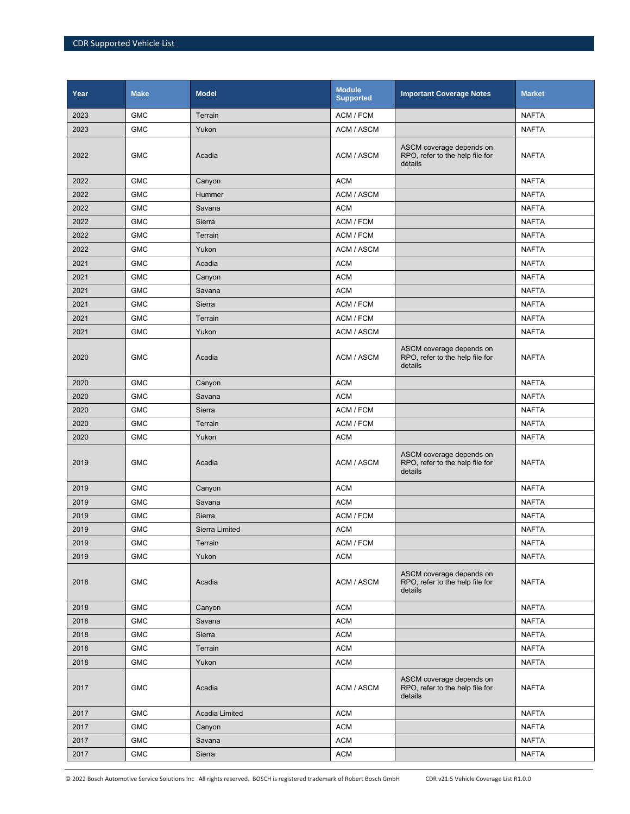| Year | <b>Make</b> | <b>Model</b>   | <b>Module</b><br><b>Supported</b> | <b>Important Coverage Notes</b>                                        | <b>Market</b> |
|------|-------------|----------------|-----------------------------------|------------------------------------------------------------------------|---------------|
| 2023 | <b>GMC</b>  | Terrain        | ACM / FCM                         |                                                                        | <b>NAFTA</b>  |
| 2023 | <b>GMC</b>  | Yukon          | ACM / ASCM                        |                                                                        | <b>NAFTA</b>  |
| 2022 | <b>GMC</b>  | Acadia         | ACM / ASCM                        | ASCM coverage depends on<br>RPO, refer to the help file for<br>details | <b>NAFTA</b>  |
| 2022 | <b>GMC</b>  | Canyon         | <b>ACM</b>                        |                                                                        | <b>NAFTA</b>  |
| 2022 | <b>GMC</b>  | Hummer         | <b>ACM / ASCM</b>                 |                                                                        | <b>NAFTA</b>  |
| 2022 | <b>GMC</b>  | Savana         | <b>ACM</b>                        |                                                                        | <b>NAFTA</b>  |
| 2022 | <b>GMC</b>  | Sierra         | ACM / FCM                         |                                                                        | <b>NAFTA</b>  |
| 2022 | <b>GMC</b>  | Terrain        | ACM / FCM                         |                                                                        | <b>NAFTA</b>  |
| 2022 | <b>GMC</b>  | Yukon          | ACM / ASCM                        |                                                                        | <b>NAFTA</b>  |
| 2021 | <b>GMC</b>  | Acadia         | <b>ACM</b>                        |                                                                        | <b>NAFTA</b>  |
| 2021 | <b>GMC</b>  | Canyon         | <b>ACM</b>                        |                                                                        | <b>NAFTA</b>  |
| 2021 | <b>GMC</b>  | Savana         | <b>ACM</b>                        |                                                                        | <b>NAFTA</b>  |
| 2021 | <b>GMC</b>  | Sierra         | ACM / FCM                         |                                                                        | <b>NAFTA</b>  |
| 2021 | <b>GMC</b>  | Terrain        | ACM / FCM                         |                                                                        | <b>NAFTA</b>  |
| 2021 | <b>GMC</b>  | Yukon          | ACM / ASCM                        |                                                                        | <b>NAFTA</b>  |
| 2020 | <b>GMC</b>  | Acadia         | ACM / ASCM                        | ASCM coverage depends on<br>RPO, refer to the help file for<br>details | <b>NAFTA</b>  |
| 2020 | <b>GMC</b>  | Canyon         | <b>ACM</b>                        |                                                                        | <b>NAFTA</b>  |
| 2020 | <b>GMC</b>  | Savana         | <b>ACM</b>                        |                                                                        | <b>NAFTA</b>  |
| 2020 | <b>GMC</b>  | Sierra         | ACM / FCM                         |                                                                        | <b>NAFTA</b>  |
| 2020 | <b>GMC</b>  | Terrain        | ACM / FCM                         |                                                                        | <b>NAFTA</b>  |
| 2020 | <b>GMC</b>  | Yukon          | <b>ACM</b>                        |                                                                        | <b>NAFTA</b>  |
| 2019 | <b>GMC</b>  | Acadia         | ACM / ASCM                        | ASCM coverage depends on<br>RPO, refer to the help file for<br>details | <b>NAFTA</b>  |
| 2019 | <b>GMC</b>  | Canyon         | <b>ACM</b>                        |                                                                        | <b>NAFTA</b>  |
| 2019 | <b>GMC</b>  | Savana         | <b>ACM</b>                        |                                                                        | <b>NAFTA</b>  |
| 2019 | <b>GMC</b>  | Sierra         | ACM / FCM                         |                                                                        | <b>NAFTA</b>  |
| 2019 | <b>GMC</b>  | Sierra Limited | <b>ACM</b>                        |                                                                        | <b>NAFTA</b>  |
| 2019 | ${\sf GMC}$ | Terrain        | ACM / FCM                         |                                                                        | <b>NAFTA</b>  |
| 2019 | <b>GMC</b>  | Yukon          | <b>ACM</b>                        |                                                                        | <b>NAFTA</b>  |
| 2018 | <b>GMC</b>  | Acadia         | <b>ACM / ASCM</b>                 | ASCM coverage depends on<br>RPO, refer to the help file for<br>details | <b>NAFTA</b>  |
| 2018 | <b>GMC</b>  | Canyon         | <b>ACM</b>                        |                                                                        | <b>NAFTA</b>  |
| 2018 | <b>GMC</b>  | Savana         | <b>ACM</b>                        |                                                                        | <b>NAFTA</b>  |
| 2018 | <b>GMC</b>  | Sierra         | <b>ACM</b>                        |                                                                        | <b>NAFTA</b>  |
| 2018 | <b>GMC</b>  | Terrain        | <b>ACM</b>                        |                                                                        | <b>NAFTA</b>  |
| 2018 | <b>GMC</b>  | Yukon          | <b>ACM</b>                        |                                                                        | <b>NAFTA</b>  |
| 2017 | <b>GMC</b>  | Acadia         | ACM / ASCM                        | ASCM coverage depends on<br>RPO, refer to the help file for<br>details | <b>NAFTA</b>  |
| 2017 | <b>GMC</b>  | Acadia Limited | <b>ACM</b>                        |                                                                        | <b>NAFTA</b>  |
| 2017 | <b>GMC</b>  | Canyon         | <b>ACM</b>                        |                                                                        | <b>NAFTA</b>  |
| 2017 | <b>GMC</b>  | Savana         | <b>ACM</b>                        |                                                                        | <b>NAFTA</b>  |
| 2017 | <b>GMC</b>  | Sierra         | <b>ACM</b>                        |                                                                        | <b>NAFTA</b>  |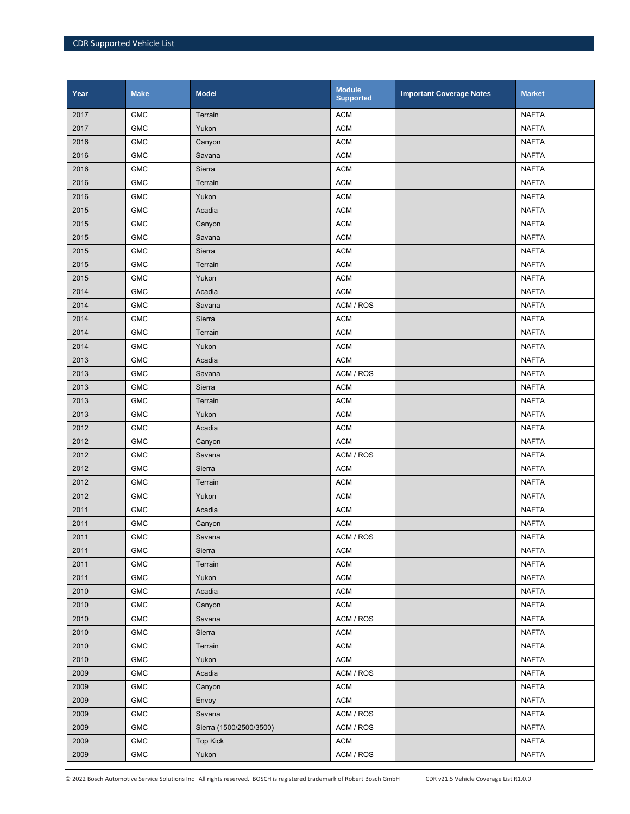| Year | <b>Make</b> | <b>Model</b>            | <b>Module</b><br><b>Supported</b> | <b>Important Coverage Notes</b> | <b>Market</b> |
|------|-------------|-------------------------|-----------------------------------|---------------------------------|---------------|
| 2017 | <b>GMC</b>  | Terrain                 | <b>ACM</b>                        |                                 | <b>NAFTA</b>  |
| 2017 | <b>GMC</b>  | Yukon                   | <b>ACM</b>                        |                                 | <b>NAFTA</b>  |
| 2016 | <b>GMC</b>  | Canyon                  | <b>ACM</b>                        |                                 | <b>NAFTA</b>  |
| 2016 | <b>GMC</b>  | Savana                  | <b>ACM</b>                        |                                 | <b>NAFTA</b>  |
| 2016 | <b>GMC</b>  | Sierra                  | <b>ACM</b>                        |                                 | <b>NAFTA</b>  |
| 2016 | <b>GMC</b>  | Terrain                 | <b>ACM</b>                        |                                 | <b>NAFTA</b>  |
| 2016 | <b>GMC</b>  | Yukon                   | <b>ACM</b>                        |                                 | <b>NAFTA</b>  |
| 2015 | <b>GMC</b>  | Acadia                  | <b>ACM</b>                        |                                 | <b>NAFTA</b>  |
| 2015 | <b>GMC</b>  | Canyon                  | <b>ACM</b>                        |                                 | <b>NAFTA</b>  |
| 2015 | <b>GMC</b>  | Savana                  | <b>ACM</b>                        |                                 | <b>NAFTA</b>  |
| 2015 | <b>GMC</b>  | Sierra                  | <b>ACM</b>                        |                                 | <b>NAFTA</b>  |
| 2015 | <b>GMC</b>  | Terrain                 | <b>ACM</b>                        |                                 | <b>NAFTA</b>  |
| 2015 | <b>GMC</b>  | Yukon                   | <b>ACM</b>                        |                                 | <b>NAFTA</b>  |
| 2014 | <b>GMC</b>  | Acadia                  | <b>ACM</b>                        |                                 | <b>NAFTA</b>  |
| 2014 | <b>GMC</b>  | Savana                  | ACM / ROS                         |                                 | <b>NAFTA</b>  |
| 2014 | <b>GMC</b>  | Sierra                  | <b>ACM</b>                        |                                 | <b>NAFTA</b>  |
| 2014 | <b>GMC</b>  | Terrain                 | <b>ACM</b>                        |                                 | <b>NAFTA</b>  |
| 2014 | <b>GMC</b>  | Yukon                   | <b>ACM</b>                        |                                 | <b>NAFTA</b>  |
| 2013 | <b>GMC</b>  | Acadia                  | <b>ACM</b>                        |                                 | <b>NAFTA</b>  |
| 2013 | <b>GMC</b>  | Savana                  | ACM / ROS                         |                                 | <b>NAFTA</b>  |
| 2013 | <b>GMC</b>  | Sierra                  | <b>ACM</b>                        |                                 | <b>NAFTA</b>  |
| 2013 | <b>GMC</b>  | Terrain                 | <b>ACM</b>                        |                                 | <b>NAFTA</b>  |
| 2013 | <b>GMC</b>  | Yukon                   | <b>ACM</b>                        |                                 | <b>NAFTA</b>  |
| 2012 | <b>GMC</b>  | Acadia                  | <b>ACM</b>                        |                                 | <b>NAFTA</b>  |
| 2012 | <b>GMC</b>  | Canyon                  | <b>ACM</b>                        |                                 | <b>NAFTA</b>  |
| 2012 | <b>GMC</b>  | Savana                  | ACM / ROS                         |                                 | <b>NAFTA</b>  |
| 2012 | <b>GMC</b>  | Sierra                  | <b>ACM</b>                        |                                 | <b>NAFTA</b>  |
| 2012 | <b>GMC</b>  | Terrain                 | <b>ACM</b>                        |                                 | <b>NAFTA</b>  |
| 2012 | <b>GMC</b>  | Yukon                   | <b>ACM</b>                        |                                 | <b>NAFTA</b>  |
| 2011 | <b>GMC</b>  | Acadia                  | <b>ACM</b>                        |                                 | <b>NAFTA</b>  |
| 2011 | <b>GMC</b>  | Canyon                  | <b>ACM</b>                        |                                 | <b>NAFTA</b>  |
| 2011 | <b>GMC</b>  | Savana                  | ACM / ROS                         |                                 | <b>NAFTA</b>  |
| 2011 | <b>GMC</b>  | Sierra                  | <b>ACM</b>                        |                                 | <b>NAFTA</b>  |
| 2011 | <b>GMC</b>  | Terrain                 | <b>ACM</b>                        |                                 | <b>NAFTA</b>  |
| 2011 | <b>GMC</b>  | Yukon                   | <b>ACM</b>                        |                                 | <b>NAFTA</b>  |
| 2010 | ${\sf GMC}$ | Acadia                  | <b>ACM</b>                        |                                 | <b>NAFTA</b>  |
| 2010 | ${\sf GMC}$ | Canyon                  | <b>ACM</b>                        |                                 | <b>NAFTA</b>  |
| 2010 | <b>GMC</b>  | Savana                  | ACM / ROS                         |                                 | <b>NAFTA</b>  |
| 2010 | <b>GMC</b>  | Sierra                  | <b>ACM</b>                        |                                 | <b>NAFTA</b>  |
| 2010 | <b>GMC</b>  | Terrain                 | <b>ACM</b>                        |                                 | <b>NAFTA</b>  |
| 2010 | <b>GMC</b>  | Yukon                   | <b>ACM</b>                        |                                 | <b>NAFTA</b>  |
| 2009 | ${\sf GMC}$ | Acadia                  | ACM / ROS                         |                                 | <b>NAFTA</b>  |
| 2009 | <b>GMC</b>  | Canyon                  | <b>ACM</b>                        |                                 | <b>NAFTA</b>  |
| 2009 | <b>GMC</b>  | Envoy                   | <b>ACM</b>                        |                                 | <b>NAFTA</b>  |
| 2009 | <b>GMC</b>  | Savana                  | ACM / ROS                         |                                 | <b>NAFTA</b>  |
| 2009 | <b>GMC</b>  | Sierra (1500/2500/3500) | ACM / ROS                         |                                 | <b>NAFTA</b>  |
| 2009 | <b>GMC</b>  | <b>Top Kick</b>         | <b>ACM</b>                        |                                 | <b>NAFTA</b>  |
| 2009 | <b>GMC</b>  | Yukon                   | ACM / ROS                         |                                 | <b>NAFTA</b>  |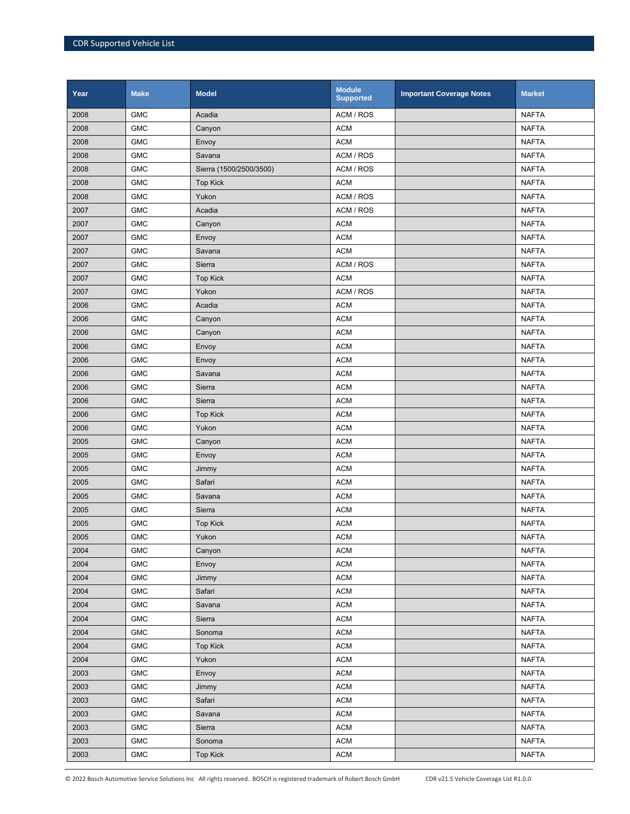| Year | <b>Make</b> | <b>Model</b>            | <b>Module</b><br><b>Supported</b> | <b>Important Coverage Notes</b> | <b>Market</b> |
|------|-------------|-------------------------|-----------------------------------|---------------------------------|---------------|
| 2008 | <b>GMC</b>  | Acadia                  | ACM / ROS                         |                                 | <b>NAFTA</b>  |
| 2008 | <b>GMC</b>  | Canyon                  | <b>ACM</b>                        |                                 | <b>NAFTA</b>  |
| 2008 | <b>GMC</b>  | Envoy                   | <b>ACM</b>                        |                                 | <b>NAFTA</b>  |
| 2008 | <b>GMC</b>  | Savana                  | ACM / ROS                         |                                 | <b>NAFTA</b>  |
| 2008 | <b>GMC</b>  | Sierra (1500/2500/3500) | ACM / ROS                         |                                 | <b>NAFTA</b>  |
| 2008 | <b>GMC</b>  | <b>Top Kick</b>         | <b>ACM</b>                        |                                 | <b>NAFTA</b>  |
| 2008 | <b>GMC</b>  | Yukon                   | ACM / ROS                         |                                 | <b>NAFTA</b>  |
| 2007 | <b>GMC</b>  | Acadia                  | ACM / ROS                         |                                 | <b>NAFTA</b>  |
| 2007 | <b>GMC</b>  | Canyon                  | <b>ACM</b>                        |                                 | <b>NAFTA</b>  |
| 2007 | <b>GMC</b>  | Envoy                   | <b>ACM</b>                        |                                 | <b>NAFTA</b>  |
| 2007 | <b>GMC</b>  | Savana                  | <b>ACM</b>                        |                                 | <b>NAFTA</b>  |
| 2007 | <b>GMC</b>  | Sierra                  | ACM / ROS                         |                                 | <b>NAFTA</b>  |
| 2007 | <b>GMC</b>  | <b>Top Kick</b>         | <b>ACM</b>                        |                                 | <b>NAFTA</b>  |
| 2007 | <b>GMC</b>  | Yukon                   | ACM / ROS                         |                                 | <b>NAFTA</b>  |
| 2006 | <b>GMC</b>  | Acadia                  | <b>ACM</b>                        |                                 | <b>NAFTA</b>  |
| 2006 | <b>GMC</b>  | Canyon                  | <b>ACM</b>                        |                                 | <b>NAFTA</b>  |
| 2006 | <b>GMC</b>  | Canyon                  | <b>ACM</b>                        |                                 | <b>NAFTA</b>  |
| 2006 | <b>GMC</b>  | Envoy                   | <b>ACM</b>                        |                                 | <b>NAFTA</b>  |
| 2006 | <b>GMC</b>  | Envoy                   | <b>ACM</b>                        |                                 | <b>NAFTA</b>  |
| 2006 | <b>GMC</b>  | Savana                  | <b>ACM</b>                        |                                 | <b>NAFTA</b>  |
| 2006 | <b>GMC</b>  | Sierra                  | <b>ACM</b>                        |                                 | <b>NAFTA</b>  |
| 2006 | <b>GMC</b>  | Sierra                  | <b>ACM</b>                        |                                 | <b>NAFTA</b>  |
| 2006 | <b>GMC</b>  | <b>Top Kick</b>         | <b>ACM</b>                        |                                 | <b>NAFTA</b>  |
| 2006 | <b>GMC</b>  | Yukon                   | <b>ACM</b>                        |                                 | <b>NAFTA</b>  |
| 2005 | <b>GMC</b>  | Canyon                  | <b>ACM</b>                        |                                 | <b>NAFTA</b>  |
| 2005 | <b>GMC</b>  | Envoy                   | <b>ACM</b>                        |                                 | <b>NAFTA</b>  |
| 2005 | <b>GMC</b>  | Jimmy                   | <b>ACM</b>                        |                                 | <b>NAFTA</b>  |
| 2005 | <b>GMC</b>  | Safari                  | <b>ACM</b>                        |                                 | <b>NAFTA</b>  |
| 2005 | <b>GMC</b>  | Savana                  | <b>ACM</b>                        |                                 | <b>NAFTA</b>  |
| 2005 | <b>GMC</b>  | Sierra                  | <b>ACM</b>                        |                                 | <b>NAFTA</b>  |
| 2005 | <b>GMC</b>  | <b>Top Kick</b>         | <b>ACM</b>                        |                                 | <b>NAFTA</b>  |
| 2005 | <b>GMC</b>  | Yukon                   | <b>ACM</b>                        |                                 | <b>NAFTA</b>  |
| 2004 | <b>GMC</b>  | Canyon                  | <b>ACM</b>                        |                                 | <b>NAFTA</b>  |
| 2004 | <b>GMC</b>  | Envoy                   | <b>ACM</b>                        |                                 | <b>NAFTA</b>  |
| 2004 | <b>GMC</b>  | Jimmy                   | <b>ACM</b>                        |                                 | <b>NAFTA</b>  |
| 2004 | ${\sf GMC}$ | Safari                  | <b>ACM</b>                        |                                 | <b>NAFTA</b>  |
| 2004 | ${\sf GMC}$ | Savana                  | <b>ACM</b>                        |                                 | <b>NAFTA</b>  |
| 2004 | <b>GMC</b>  | Sierra                  | <b>ACM</b>                        |                                 | <b>NAFTA</b>  |
| 2004 | <b>GMC</b>  | Sonoma                  | <b>ACM</b>                        |                                 | <b>NAFTA</b>  |
| 2004 | ${\sf GMC}$ | <b>Top Kick</b>         | <b>ACM</b>                        |                                 | <b>NAFTA</b>  |
| 2004 | <b>GMC</b>  | Yukon                   | <b>ACM</b>                        |                                 | <b>NAFTA</b>  |
| 2003 | ${\sf GMC}$ | Envoy                   | <b>ACM</b>                        |                                 | <b>NAFTA</b>  |
| 2003 | <b>GMC</b>  | Jimmy                   | <b>ACM</b>                        |                                 | <b>NAFTA</b>  |
| 2003 | <b>GMC</b>  | Safari                  | <b>ACM</b>                        |                                 | <b>NAFTA</b>  |
| 2003 | <b>GMC</b>  | Savana                  | <b>ACM</b>                        |                                 | <b>NAFTA</b>  |
| 2003 | <b>GMC</b>  | Sierra                  | <b>ACM</b>                        |                                 | <b>NAFTA</b>  |
| 2003 | <b>GMC</b>  | Sonoma                  | <b>ACM</b>                        |                                 | <b>NAFTA</b>  |
| 2003 | <b>GMC</b>  | <b>Top Kick</b>         | <b>ACM</b>                        |                                 | <b>NAFTA</b>  |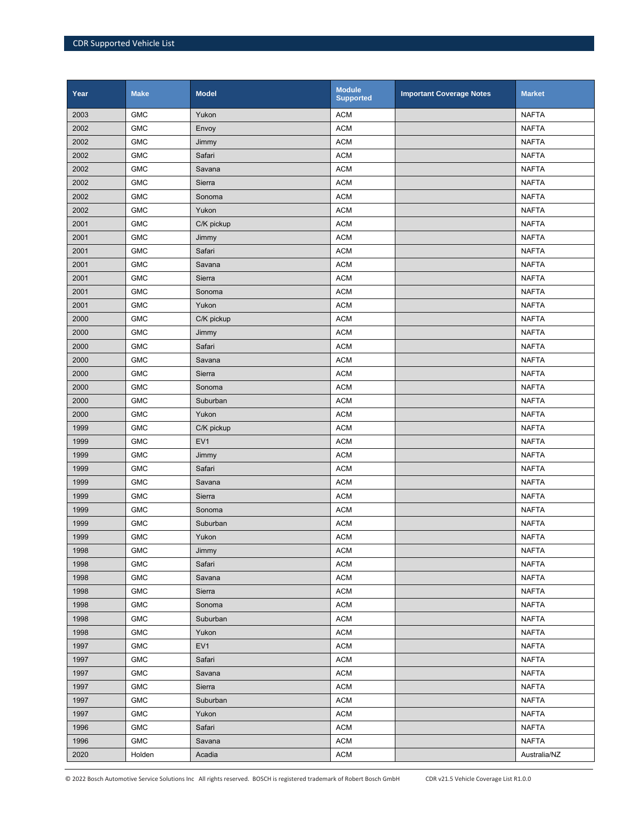| Year | <b>Make</b> | <b>Model</b>    | <b>Module</b><br><b>Supported</b> | <b>Important Coverage Notes</b> | <b>Market</b> |
|------|-------------|-----------------|-----------------------------------|---------------------------------|---------------|
| 2003 | <b>GMC</b>  | Yukon           | <b>ACM</b>                        |                                 | <b>NAFTA</b>  |
| 2002 | <b>GMC</b>  | Envoy           | <b>ACM</b>                        |                                 | <b>NAFTA</b>  |
| 2002 | <b>GMC</b>  | Jimmy           | <b>ACM</b>                        |                                 | <b>NAFTA</b>  |
| 2002 | <b>GMC</b>  | Safari          | <b>ACM</b>                        |                                 | <b>NAFTA</b>  |
| 2002 | <b>GMC</b>  | Savana          | <b>ACM</b>                        |                                 | <b>NAFTA</b>  |
| 2002 | <b>GMC</b>  | Sierra          | <b>ACM</b>                        |                                 | <b>NAFTA</b>  |
| 2002 | <b>GMC</b>  | Sonoma          | <b>ACM</b>                        |                                 | <b>NAFTA</b>  |
| 2002 | <b>GMC</b>  | Yukon           | <b>ACM</b>                        |                                 | <b>NAFTA</b>  |
| 2001 | <b>GMC</b>  | C/K pickup      | <b>ACM</b>                        |                                 | <b>NAFTA</b>  |
| 2001 | <b>GMC</b>  | Jimmy           | <b>ACM</b>                        |                                 | <b>NAFTA</b>  |
| 2001 | <b>GMC</b>  | Safari          | <b>ACM</b>                        |                                 | <b>NAFTA</b>  |
| 2001 | <b>GMC</b>  | Savana          | <b>ACM</b>                        |                                 | <b>NAFTA</b>  |
| 2001 | <b>GMC</b>  | Sierra          | <b>ACM</b>                        |                                 | <b>NAFTA</b>  |
| 2001 | <b>GMC</b>  | Sonoma          | <b>ACM</b>                        |                                 | <b>NAFTA</b>  |
| 2001 | <b>GMC</b>  | Yukon           | <b>ACM</b>                        |                                 | <b>NAFTA</b>  |
| 2000 | <b>GMC</b>  | C/K pickup      | <b>ACM</b>                        |                                 | <b>NAFTA</b>  |
| 2000 | <b>GMC</b>  | Jimmy           | <b>ACM</b>                        |                                 | <b>NAFTA</b>  |
| 2000 | <b>GMC</b>  | Safari          | <b>ACM</b>                        |                                 | <b>NAFTA</b>  |
| 2000 | <b>GMC</b>  | Savana          | <b>ACM</b>                        |                                 | <b>NAFTA</b>  |
| 2000 | <b>GMC</b>  | Sierra          | <b>ACM</b>                        |                                 | <b>NAFTA</b>  |
| 2000 | <b>GMC</b>  | Sonoma          | <b>ACM</b>                        |                                 | <b>NAFTA</b>  |
| 2000 | <b>GMC</b>  | Suburban        | <b>ACM</b>                        |                                 | <b>NAFTA</b>  |
| 2000 | <b>GMC</b>  | Yukon           | <b>ACM</b>                        |                                 | <b>NAFTA</b>  |
| 1999 | <b>GMC</b>  | C/K pickup      | <b>ACM</b>                        |                                 | <b>NAFTA</b>  |
| 1999 | <b>GMC</b>  | EV <sub>1</sub> | <b>ACM</b>                        |                                 | <b>NAFTA</b>  |
| 1999 | <b>GMC</b>  | Jimmy           | <b>ACM</b>                        |                                 | <b>NAFTA</b>  |
| 1999 | <b>GMC</b>  | Safari          | <b>ACM</b>                        |                                 | <b>NAFTA</b>  |
| 1999 | <b>GMC</b>  | Savana          | <b>ACM</b>                        |                                 | <b>NAFTA</b>  |
| 1999 | <b>GMC</b>  | Sierra          | <b>ACM</b>                        |                                 | <b>NAFTA</b>  |
| 1999 | <b>GMC</b>  | Sonoma          | <b>ACM</b>                        |                                 | <b>NAFTA</b>  |
| 1999 | <b>GMC</b>  | Suburban        | <b>ACM</b>                        |                                 | <b>NAFTA</b>  |
| 1999 | <b>GMC</b>  | Yukon           | <b>ACM</b>                        |                                 | <b>NAFTA</b>  |
| 1998 | <b>GMC</b>  | Jimmy           | <b>ACM</b>                        |                                 | <b>NAFTA</b>  |
| 1998 | <b>GMC</b>  | Safari          | <b>ACM</b>                        |                                 | <b>NAFTA</b>  |
| 1998 | <b>GMC</b>  | Savana          | <b>ACM</b>                        |                                 | <b>NAFTA</b>  |
| 1998 | <b>GMC</b>  | Sierra          | <b>ACM</b>                        |                                 | <b>NAFTA</b>  |
| 1998 | <b>GMC</b>  | Sonoma          | <b>ACM</b>                        |                                 | <b>NAFTA</b>  |
| 1998 | <b>GMC</b>  | Suburban        | <b>ACM</b>                        |                                 | <b>NAFTA</b>  |
| 1998 | <b>GMC</b>  | Yukon           | <b>ACM</b>                        |                                 | <b>NAFTA</b>  |
| 1997 | <b>GMC</b>  | EV <sub>1</sub> | <b>ACM</b>                        |                                 | <b>NAFTA</b>  |
| 1997 | <b>GMC</b>  | Safari          | <b>ACM</b>                        |                                 | <b>NAFTA</b>  |
| 1997 | <b>GMC</b>  | Savana          | <b>ACM</b>                        |                                 | <b>NAFTA</b>  |
| 1997 | <b>GMC</b>  | Sierra          | <b>ACM</b>                        |                                 | <b>NAFTA</b>  |
| 1997 | <b>GMC</b>  | Suburban        | <b>ACM</b>                        |                                 | <b>NAFTA</b>  |
| 1997 | <b>GMC</b>  | Yukon           | <b>ACM</b>                        |                                 | <b>NAFTA</b>  |
| 1996 | <b>GMC</b>  | Safari          | <b>ACM</b>                        |                                 | <b>NAFTA</b>  |
| 1996 | <b>GMC</b>  | Savana          | <b>ACM</b>                        |                                 | <b>NAFTA</b>  |
| 2020 | Holden      | Acadia          | <b>ACM</b>                        |                                 | Australia/NZ  |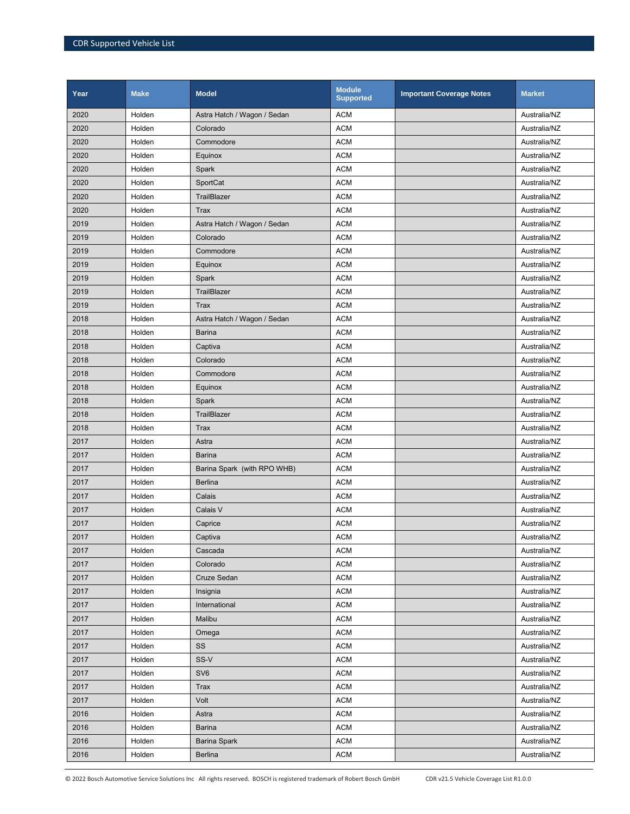| Year | <b>Make</b> | <b>Model</b>                | <b>Module</b><br><b>Supported</b> | <b>Important Coverage Notes</b> | <b>Market</b> |
|------|-------------|-----------------------------|-----------------------------------|---------------------------------|---------------|
| 2020 | Holden      | Astra Hatch / Wagon / Sedan | <b>ACM</b>                        |                                 | Australia/NZ  |
| 2020 | Holden      | Colorado                    | <b>ACM</b>                        |                                 | Australia/NZ  |
| 2020 | Holden      | Commodore                   | <b>ACM</b>                        |                                 | Australia/NZ  |
| 2020 | Holden      | Equinox                     | <b>ACM</b>                        |                                 | Australia/NZ  |
| 2020 | Holden      | Spark                       | <b>ACM</b>                        |                                 | Australia/NZ  |
| 2020 | Holden      | SportCat                    | <b>ACM</b>                        |                                 | Australia/NZ  |
| 2020 | Holden      | TrailBlazer                 | <b>ACM</b>                        |                                 | Australia/NZ  |
| 2020 | Holden      | <b>Trax</b>                 | <b>ACM</b>                        |                                 | Australia/NZ  |
| 2019 | Holden      | Astra Hatch / Wagon / Sedan | <b>ACM</b>                        |                                 | Australia/NZ  |
| 2019 | Holden      | Colorado                    | <b>ACM</b>                        |                                 | Australia/NZ  |
| 2019 | Holden      | Commodore                   | <b>ACM</b>                        |                                 | Australia/NZ  |
| 2019 | Holden      | Equinox                     | <b>ACM</b>                        |                                 | Australia/NZ  |
| 2019 | Holden      | Spark                       | <b>ACM</b>                        |                                 | Australia/NZ  |
| 2019 | Holden      | TrailBlazer                 | <b>ACM</b>                        |                                 | Australia/NZ  |
| 2019 | Holden      | <b>Trax</b>                 | <b>ACM</b>                        |                                 | Australia/NZ  |
| 2018 | Holden      | Astra Hatch / Wagon / Sedan | <b>ACM</b>                        |                                 | Australia/NZ  |
| 2018 | Holden      | Barina                      | <b>ACM</b>                        |                                 | Australia/NZ  |
| 2018 | Holden      | Captiva                     | <b>ACM</b>                        |                                 | Australia/NZ  |
| 2018 | Holden      | Colorado                    | <b>ACM</b>                        |                                 | Australia/NZ  |
| 2018 | Holden      | Commodore                   | <b>ACM</b>                        |                                 | Australia/NZ  |
| 2018 | Holden      | Equinox                     | <b>ACM</b>                        |                                 | Australia/NZ  |
| 2018 | Holden      | Spark                       | <b>ACM</b>                        |                                 | Australia/NZ  |
| 2018 | Holden      | TrailBlazer                 | <b>ACM</b>                        |                                 | Australia/NZ  |
| 2018 | Holden      | <b>Trax</b>                 | <b>ACM</b>                        |                                 | Australia/NZ  |
| 2017 | Holden      | Astra                       | <b>ACM</b>                        |                                 | Australia/NZ  |
| 2017 | Holden      | <b>Barina</b>               | <b>ACM</b>                        |                                 | Australia/NZ  |
| 2017 | Holden      | Barina Spark (with RPO WHB) | <b>ACM</b>                        |                                 | Australia/NZ  |
| 2017 | Holden      | <b>Berlina</b>              | <b>ACM</b>                        |                                 | Australia/NZ  |
| 2017 | Holden      | Calais                      | <b>ACM</b>                        |                                 | Australia/NZ  |
| 2017 | Holden      | Calais V                    | <b>ACM</b>                        |                                 | Australia/NZ  |
| 2017 | Holden      | Caprice                     | <b>ACM</b>                        |                                 | Australia/NZ  |
| 2017 | Holden      | Captiva                     | <b>ACM</b>                        |                                 | Australia/NZ  |
| 2017 | Holden      | Cascada                     | <b>ACM</b>                        |                                 | Australia/NZ  |
| 2017 | Holden      | Colorado                    | <b>ACM</b>                        |                                 | Australia/NZ  |
| 2017 | Holden      | Cruze Sedan                 | <b>ACM</b>                        |                                 | Australia/NZ  |
| 2017 | Holden      | Insignia                    | <b>ACM</b>                        |                                 | Australia/NZ  |
| 2017 | Holden      | International               | <b>ACM</b>                        |                                 | Australia/NZ  |
| 2017 | Holden      | Malibu                      | <b>ACM</b>                        |                                 | Australia/NZ  |
| 2017 | Holden      | Omega                       | <b>ACM</b>                        |                                 | Australia/NZ  |
| 2017 | Holden      | SS                          | <b>ACM</b>                        |                                 | Australia/NZ  |
| 2017 | Holden      | SS-V                        | <b>ACM</b>                        |                                 | Australia/NZ  |
| 2017 | Holden      | SV <sub>6</sub>             | <b>ACM</b>                        |                                 | Australia/NZ  |
| 2017 | Holden      | Trax                        | <b>ACM</b>                        |                                 | Australia/NZ  |
| 2017 | Holden      | Volt                        | <b>ACM</b>                        |                                 | Australia/NZ  |
| 2016 | Holden      | Astra                       | <b>ACM</b>                        |                                 | Australia/NZ  |
| 2016 | Holden      | Barina                      | <b>ACM</b>                        |                                 | Australia/NZ  |
| 2016 | Holden      | <b>Barina Spark</b>         | <b>ACM</b>                        |                                 | Australia/NZ  |
| 2016 | Holden      | Berlina                     | <b>ACM</b>                        |                                 | Australia/NZ  |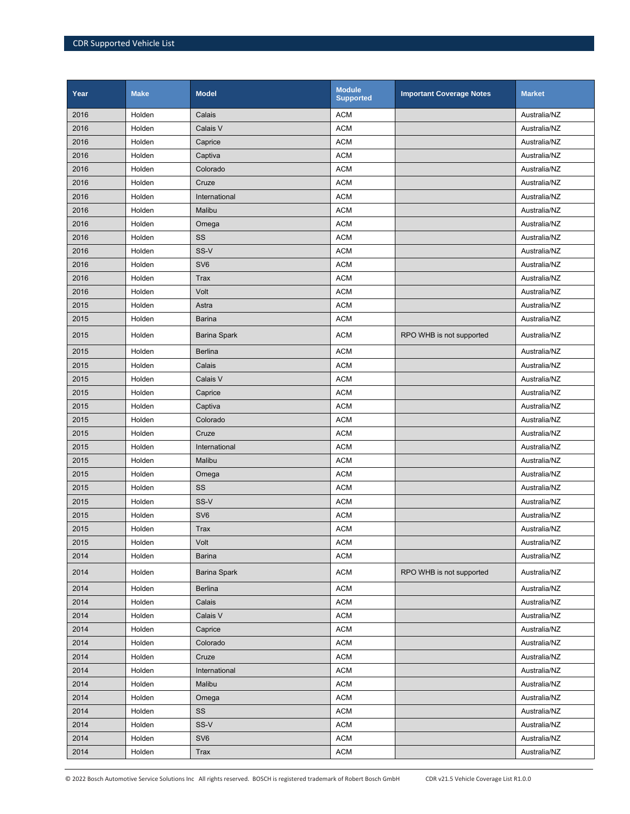| Year | <b>Make</b> | <b>Model</b>        | <b>Module</b><br><b>Supported</b> | <b>Important Coverage Notes</b> | <b>Market</b> |
|------|-------------|---------------------|-----------------------------------|---------------------------------|---------------|
| 2016 | Holden      | Calais              | <b>ACM</b>                        |                                 | Australia/NZ  |
| 2016 | Holden      | Calais V            | <b>ACM</b>                        |                                 | Australia/NZ  |
| 2016 | Holden      | Caprice             | <b>ACM</b>                        |                                 | Australia/NZ  |
| 2016 | Holden      | Captiva             | <b>ACM</b>                        |                                 | Australia/NZ  |
| 2016 | Holden      | Colorado            | <b>ACM</b>                        |                                 | Australia/NZ  |
| 2016 | Holden      | Cruze               | <b>ACM</b>                        |                                 | Australia/NZ  |
| 2016 | Holden      | International       | <b>ACM</b>                        |                                 | Australia/NZ  |
| 2016 | Holden      | Malibu              | <b>ACM</b>                        |                                 | Australia/NZ  |
| 2016 | Holden      | Omega               | <b>ACM</b>                        |                                 | Australia/NZ  |
| 2016 | Holden      | SS                  | <b>ACM</b>                        |                                 | Australia/NZ  |
| 2016 | Holden      | SS-V                | <b>ACM</b>                        |                                 | Australia/NZ  |
| 2016 | Holden      | SV <sub>6</sub>     | <b>ACM</b>                        |                                 | Australia/NZ  |
| 2016 | Holden      | <b>Trax</b>         | <b>ACM</b>                        |                                 | Australia/NZ  |
| 2016 | Holden      | Volt                | <b>ACM</b>                        |                                 | Australia/NZ  |
| 2015 | Holden      | Astra               | <b>ACM</b>                        |                                 | Australia/NZ  |
| 2015 | Holden      | <b>Barina</b>       | <b>ACM</b>                        |                                 | Australia/NZ  |
| 2015 | Holden      | <b>Barina Spark</b> | <b>ACM</b>                        | RPO WHB is not supported        | Australia/NZ  |
| 2015 | Holden      | Berlina             | <b>ACM</b>                        |                                 | Australia/NZ  |
| 2015 | Holden      | Calais              | <b>ACM</b>                        |                                 | Australia/NZ  |
| 2015 | Holden      | Calais V            | <b>ACM</b>                        |                                 | Australia/NZ  |
| 2015 | Holden      | Caprice             | <b>ACM</b>                        |                                 | Australia/NZ  |
| 2015 | Holden      | Captiva             | <b>ACM</b>                        |                                 | Australia/NZ  |
| 2015 | Holden      | Colorado            | <b>ACM</b>                        |                                 | Australia/NZ  |
| 2015 | Holden      | Cruze               | <b>ACM</b>                        |                                 | Australia/NZ  |
| 2015 | Holden      | International       | <b>ACM</b>                        |                                 | Australia/NZ  |
| 2015 | Holden      | Malibu              | <b>ACM</b>                        |                                 | Australia/NZ  |
| 2015 | Holden      | Omega               | <b>ACM</b>                        |                                 | Australia/NZ  |
| 2015 | Holden      | SS                  | <b>ACM</b>                        |                                 | Australia/NZ  |
| 2015 | Holden      | SS-V                | <b>ACM</b>                        |                                 | Australia/NZ  |
| 2015 | Holden      | SV <sub>6</sub>     | <b>ACM</b>                        |                                 | Australia/NZ  |
| 2015 | Holden      | <b>Trax</b>         | <b>ACM</b>                        |                                 | Australia/NZ  |
| 2015 | Holden      | Volt                | <b>ACM</b>                        |                                 | Australia/NZ  |
| 2014 | Holden      | Barina              | <b>ACM</b>                        |                                 | Australia/NZ  |
| 2014 | Holden      | <b>Barina Spark</b> | <b>ACM</b>                        | RPO WHB is not supported        | Australia/NZ  |
| 2014 | Holden      | <b>Berlina</b>      | <b>ACM</b>                        |                                 | Australia/NZ  |
| 2014 | Holden      | Calais              | <b>ACM</b>                        |                                 | Australia/NZ  |
| 2014 | Holden      | Calais V            | <b>ACM</b>                        |                                 | Australia/NZ  |
| 2014 | Holden      | Caprice             | <b>ACM</b>                        |                                 | Australia/NZ  |
| 2014 | Holden      | Colorado            | <b>ACM</b>                        |                                 | Australia/NZ  |
| 2014 | Holden      | Cruze               | <b>ACM</b>                        |                                 | Australia/NZ  |
| 2014 | Holden      | International       | <b>ACM</b>                        |                                 | Australia/NZ  |
| 2014 | Holden      | Malibu              | <b>ACM</b>                        |                                 | Australia/NZ  |
| 2014 | Holden      | Omega               | <b>ACM</b>                        |                                 | Australia/NZ  |
| 2014 | Holden      | SS                  | <b>ACM</b>                        |                                 | Australia/NZ  |
| 2014 | Holden      | SS-V                | <b>ACM</b>                        |                                 | Australia/NZ  |
| 2014 | Holden      | SV <sub>6</sub>     | <b>ACM</b>                        |                                 | Australia/NZ  |
| 2014 | Holden      | Trax                | <b>ACM</b>                        |                                 | Australia/NZ  |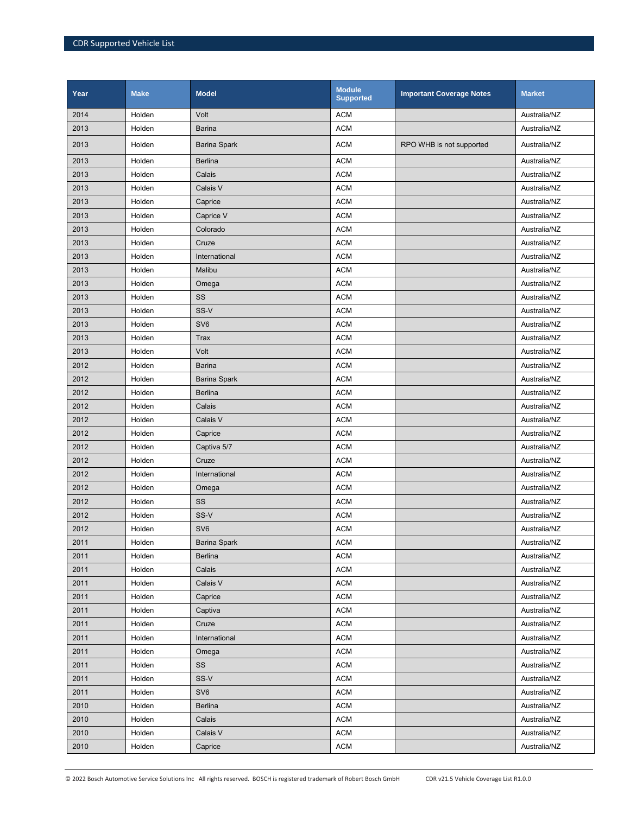| Year | <b>Make</b> | <b>Model</b>        | <b>Module</b><br><b>Supported</b> | <b>Important Coverage Notes</b> | <b>Market</b> |
|------|-------------|---------------------|-----------------------------------|---------------------------------|---------------|
| 2014 | Holden      | Volt                | <b>ACM</b>                        |                                 | Australia/NZ  |
| 2013 | Holden      | <b>Barina</b>       | <b>ACM</b>                        |                                 | Australia/NZ  |
| 2013 | Holden      | <b>Barina Spark</b> | <b>ACM</b>                        | RPO WHB is not supported        | Australia/NZ  |
| 2013 | Holden      | <b>Berlina</b>      | <b>ACM</b>                        |                                 | Australia/NZ  |
| 2013 | Holden      | Calais              | <b>ACM</b>                        |                                 | Australia/NZ  |
| 2013 | Holden      | Calais V            | <b>ACM</b>                        |                                 | Australia/NZ  |
| 2013 | Holden      | Caprice             | <b>ACM</b>                        |                                 | Australia/NZ  |
| 2013 | Holden      | Caprice V           | <b>ACM</b>                        |                                 | Australia/NZ  |
| 2013 | Holden      | Colorado            | <b>ACM</b>                        |                                 | Australia/NZ  |
| 2013 | Holden      | Cruze               | <b>ACM</b>                        |                                 | Australia/NZ  |
| 2013 | Holden      | International       | <b>ACM</b>                        |                                 | Australia/NZ  |
| 2013 | Holden      | Malibu              | <b>ACM</b>                        |                                 | Australia/NZ  |
| 2013 | Holden      | Omega               | <b>ACM</b>                        |                                 | Australia/NZ  |
| 2013 | Holden      | SS                  | <b>ACM</b>                        |                                 | Australia/NZ  |
| 2013 | Holden      | SS-V                | <b>ACM</b>                        |                                 | Australia/NZ  |
| 2013 | Holden      | SV <sub>6</sub>     | <b>ACM</b>                        |                                 | Australia/NZ  |
| 2013 | Holden      | Trax                | <b>ACM</b>                        |                                 | Australia/NZ  |
| 2013 | Holden      | Volt                | <b>ACM</b>                        |                                 | Australia/NZ  |
| 2012 | Holden      | <b>Barina</b>       | <b>ACM</b>                        |                                 | Australia/NZ  |
| 2012 | Holden      | <b>Barina Spark</b> | <b>ACM</b>                        |                                 | Australia/NZ  |
| 2012 | Holden      | <b>Berlina</b>      | <b>ACM</b>                        |                                 | Australia/NZ  |
| 2012 | Holden      | Calais              | <b>ACM</b>                        |                                 | Australia/NZ  |
| 2012 | Holden      | Calais V            | <b>ACM</b>                        |                                 | Australia/NZ  |
| 2012 | Holden      | Caprice             | <b>ACM</b>                        |                                 | Australia/NZ  |
| 2012 | Holden      | Captiva 5/7         | <b>ACM</b>                        |                                 | Australia/NZ  |
| 2012 | Holden      | Cruze               | <b>ACM</b>                        |                                 | Australia/NZ  |
| 2012 | Holden      | International       | <b>ACM</b>                        |                                 | Australia/NZ  |
| 2012 | Holden      | Omega               | <b>ACM</b>                        |                                 | Australia/NZ  |
| 2012 | Holden      | SS                  | <b>ACM</b>                        |                                 | Australia/NZ  |
| 2012 | Holden      | SS-V                | <b>ACM</b>                        |                                 | Australia/NZ  |
| 2012 | Holden      | SV <sub>6</sub>     | <b>ACM</b>                        |                                 | Australia/NZ  |
| 2011 | Holden      | Barina Spark        | ACM                               |                                 | Australia/NZ  |
| 2011 | Holden      | <b>Berlina</b>      | <b>ACM</b>                        |                                 | Australia/NZ  |
| 2011 | Holden      | Calais              | <b>ACM</b>                        |                                 | Australia/NZ  |
| 2011 | Holden      | Calais V            | <b>ACM</b>                        |                                 | Australia/NZ  |
| 2011 | Holden      | Caprice             | <b>ACM</b>                        |                                 | Australia/NZ  |
| 2011 | Holden      | Captiva             | ACM                               |                                 | Australia/NZ  |
| 2011 | Holden      | Cruze               | <b>ACM</b>                        |                                 | Australia/NZ  |
| 2011 | Holden      | International       | <b>ACM</b>                        |                                 | Australia/NZ  |
| 2011 | Holden      | Omega               | <b>ACM</b>                        |                                 | Australia/NZ  |
| 2011 | Holden      | SS                  | <b>ACM</b>                        |                                 | Australia/NZ  |
| 2011 | Holden      | SS-V                | ACM                               |                                 | Australia/NZ  |
| 2011 | Holden      | SV <sub>6</sub>     | <b>ACM</b>                        |                                 | Australia/NZ  |
| 2010 | Holden      | <b>Berlina</b>      | <b>ACM</b>                        |                                 | Australia/NZ  |
| 2010 | Holden      | Calais              | <b>ACM</b>                        |                                 | Australia/NZ  |
| 2010 | Holden      | Calais V            | <b>ACM</b>                        |                                 | Australia/NZ  |
| 2010 | Holden      | Caprice             | <b>ACM</b>                        |                                 | Australia/NZ  |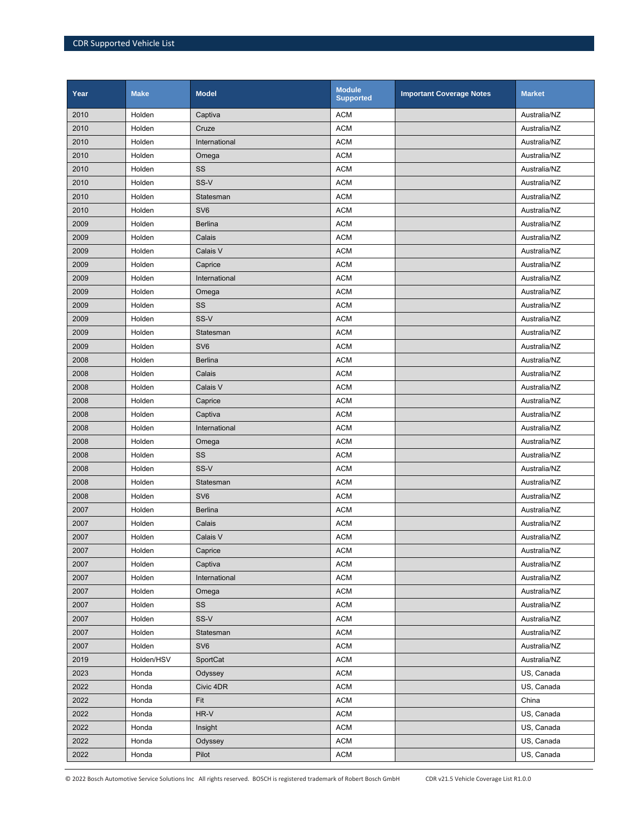| Year | <b>Make</b> | <b>Model</b>    | <b>Module</b><br><b>Supported</b> | <b>Important Coverage Notes</b> | <b>Market</b> |
|------|-------------|-----------------|-----------------------------------|---------------------------------|---------------|
| 2010 | Holden      | Captiva         | <b>ACM</b>                        |                                 | Australia/NZ  |
| 2010 | Holden      | Cruze           | <b>ACM</b>                        |                                 | Australia/NZ  |
| 2010 | Holden      | International   | <b>ACM</b>                        |                                 | Australia/NZ  |
| 2010 | Holden      | Omega           | <b>ACM</b>                        |                                 | Australia/NZ  |
| 2010 | Holden      | SS              | <b>ACM</b>                        |                                 | Australia/NZ  |
| 2010 | Holden      | SS-V            | <b>ACM</b>                        |                                 | Australia/NZ  |
| 2010 | Holden      | Statesman       | <b>ACM</b>                        |                                 | Australia/NZ  |
| 2010 | Holden      | SV <sub>6</sub> | <b>ACM</b>                        |                                 | Australia/NZ  |
| 2009 | Holden      | <b>Berlina</b>  | <b>ACM</b>                        |                                 | Australia/NZ  |
| 2009 | Holden      | Calais          | <b>ACM</b>                        |                                 | Australia/NZ  |
| 2009 | Holden      | Calais V        | <b>ACM</b>                        |                                 | Australia/NZ  |
| 2009 | Holden      | Caprice         | <b>ACM</b>                        |                                 | Australia/NZ  |
| 2009 | Holden      | International   | <b>ACM</b>                        |                                 | Australia/NZ  |
| 2009 | Holden      | Omega           | <b>ACM</b>                        |                                 | Australia/NZ  |
| 2009 | Holden      | SS              | <b>ACM</b>                        |                                 | Australia/NZ  |
| 2009 | Holden      | SS-V            | <b>ACM</b>                        |                                 | Australia/NZ  |
| 2009 | Holden      | Statesman       | <b>ACM</b>                        |                                 | Australia/NZ  |
| 2009 | Holden      | SV <sub>6</sub> | <b>ACM</b>                        |                                 | Australia/NZ  |
| 2008 | Holden      | <b>Berlina</b>  | <b>ACM</b>                        |                                 | Australia/NZ  |
| 2008 | Holden      | Calais          | <b>ACM</b>                        |                                 | Australia/NZ  |
| 2008 | Holden      | Calais V        | <b>ACM</b>                        |                                 | Australia/NZ  |
| 2008 | Holden      | Caprice         | <b>ACM</b>                        |                                 | Australia/NZ  |
| 2008 | Holden      | Captiva         | <b>ACM</b>                        |                                 | Australia/NZ  |
| 2008 | Holden      | International   | <b>ACM</b>                        |                                 | Australia/NZ  |
| 2008 | Holden      | Omega           | <b>ACM</b>                        |                                 | Australia/NZ  |
| 2008 | Holden      | SS              | <b>ACM</b>                        |                                 | Australia/NZ  |
| 2008 | Holden      | SS-V            | <b>ACM</b>                        |                                 | Australia/NZ  |
| 2008 | Holden      | Statesman       | <b>ACM</b>                        |                                 | Australia/NZ  |
| 2008 | Holden      | SV <sub>6</sub> | <b>ACM</b>                        |                                 | Australia/NZ  |
| 2007 | Holden      | <b>Berlina</b>  | <b>ACM</b>                        |                                 | Australia/NZ  |
| 2007 | Holden      | Calais          | <b>ACM</b>                        |                                 | Australia/NZ  |
| 2007 | Holden      | Calais V        | <b>ACM</b>                        |                                 | Australia/NZ  |
| 2007 | Holden      | Caprice         | <b>ACM</b>                        |                                 | Australia/NZ  |
| 2007 | Holden      | Captiva         | <b>ACM</b>                        |                                 | Australia/NZ  |
| 2007 | Holden      | International   | <b>ACM</b>                        |                                 | Australia/NZ  |
| 2007 | Holden      | Omega           | <b>ACM</b>                        |                                 | Australia/NZ  |
| 2007 | Holden      | SS              | <b>ACM</b>                        |                                 | Australia/NZ  |
| 2007 | Holden      | SS-V            | <b>ACM</b>                        |                                 | Australia/NZ  |
| 2007 | Holden      | Statesman       | <b>ACM</b>                        |                                 | Australia/NZ  |
| 2007 | Holden      | SV <sub>6</sub> | <b>ACM</b>                        |                                 | Australia/NZ  |
| 2019 | Holden/HSV  | SportCat        | <b>ACM</b>                        |                                 | Australia/NZ  |
| 2023 | Honda       | Odyssey         | <b>ACM</b>                        |                                 | US, Canada    |
| 2022 | Honda       | Civic 4DR       | <b>ACM</b>                        |                                 | US, Canada    |
| 2022 | Honda       | Fit             | <b>ACM</b>                        |                                 | China         |
| 2022 | Honda       | $HR-V$          | <b>ACM</b>                        |                                 | US, Canada    |
| 2022 | Honda       | Insight         | <b>ACM</b>                        |                                 | US, Canada    |
| 2022 | Honda       | Odyssey         | <b>ACM</b>                        |                                 | US, Canada    |
| 2022 | Honda       | Pilot           | <b>ACM</b>                        |                                 | US, Canada    |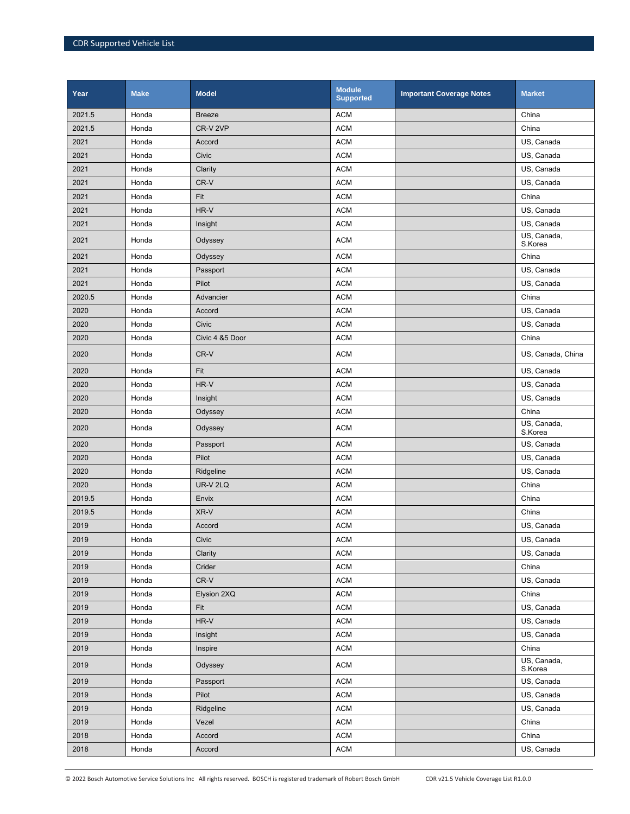| Year   | <b>Make</b> | <b>Model</b>    | <b>Module</b><br><b>Supported</b> | <b>Important Coverage Notes</b> | <b>Market</b>          |
|--------|-------------|-----------------|-----------------------------------|---------------------------------|------------------------|
| 2021.5 | Honda       | <b>Breeze</b>   | <b>ACM</b>                        |                                 | China                  |
| 2021.5 | Honda       | CR-V 2VP        | <b>ACM</b>                        |                                 | China                  |
| 2021   | Honda       | Accord          | <b>ACM</b>                        |                                 | US, Canada             |
| 2021   | Honda       | Civic           | <b>ACM</b>                        |                                 | US, Canada             |
| 2021   | Honda       | Clarity         | <b>ACM</b>                        |                                 | US, Canada             |
| 2021   | Honda       | CR-V            | <b>ACM</b>                        |                                 | US, Canada             |
| 2021   | Honda       | Fit             | <b>ACM</b>                        |                                 | China                  |
| 2021   | Honda       | HR-V            | <b>ACM</b>                        |                                 | US, Canada             |
| 2021   | Honda       | Insight         | <b>ACM</b>                        |                                 | US, Canada             |
| 2021   | Honda       | Odyssey         | <b>ACM</b>                        |                                 | US, Canada,<br>S.Korea |
| 2021   | Honda       | Odyssey         | <b>ACM</b>                        |                                 | China                  |
| 2021   | Honda       | Passport        | <b>ACM</b>                        |                                 | US, Canada             |
| 2021   | Honda       | Pilot           | <b>ACM</b>                        |                                 | US, Canada             |
| 2020.5 | Honda       | Advancier       | <b>ACM</b>                        |                                 | China                  |
| 2020   | Honda       | Accord          | <b>ACM</b>                        |                                 | US, Canada             |
| 2020   | Honda       | Civic           | <b>ACM</b>                        |                                 | US, Canada             |
| 2020   | Honda       | Civic 4 &5 Door | <b>ACM</b>                        |                                 | China                  |
| 2020   | Honda       | CR-V            | <b>ACM</b>                        |                                 | US, Canada, China      |
| 2020   | Honda       | Fit             | <b>ACM</b>                        |                                 | US, Canada             |
| 2020   | Honda       | HR-V            | <b>ACM</b>                        |                                 | US, Canada             |
| 2020   | Honda       | Insight         | <b>ACM</b>                        |                                 | US, Canada             |
| 2020   | Honda       | Odyssey         | <b>ACM</b>                        |                                 | China                  |
| 2020   | Honda       | Odyssey         | <b>ACM</b>                        |                                 | US, Canada,<br>S.Korea |
| 2020   | Honda       | Passport        | <b>ACM</b>                        |                                 | US, Canada             |
| 2020   | Honda       | Pilot           | <b>ACM</b>                        |                                 | US, Canada             |
| 2020   | Honda       | Ridgeline       | <b>ACM</b>                        |                                 | US, Canada             |
| 2020   | Honda       | UR-V 2LQ        | <b>ACM</b>                        |                                 | China                  |
| 2019.5 | Honda       | Envix           | <b>ACM</b>                        |                                 | China                  |
| 2019.5 | Honda       | XR-V            | <b>ACM</b>                        |                                 | China                  |
| 2019   | Honda       | Accord          | <b>ACM</b>                        |                                 | US, Canada             |
| 2019   | Honda       | Civic           | <b>ACM</b>                        |                                 | US, Canada             |
| 2019   | Honda       | Clarity         | <b>ACM</b>                        |                                 | US, Canada             |
| 2019   | Honda       | Crider          | $\sf ACM$                         |                                 | China                  |
| 2019   | Honda       | CR-V            | <b>ACM</b>                        |                                 | US, Canada             |
| 2019   | Honda       | Elysion 2XQ     | <b>ACM</b>                        |                                 | China                  |
| 2019   | Honda       | Fit             | <b>ACM</b>                        |                                 | US, Canada             |
| 2019   | Honda       | $HR-V$          | <b>ACM</b>                        |                                 | US, Canada             |
| 2019   | Honda       | Insight         | <b>ACM</b>                        |                                 | US, Canada             |
| 2019   | Honda       | Inspire         | <b>ACM</b>                        |                                 | China                  |
| 2019   | Honda       | Odyssey         | <b>ACM</b>                        |                                 | US, Canada,<br>S.Korea |
| 2019   | Honda       | Passport        | ACM                               |                                 | US, Canada             |
| 2019   | Honda       | Pilot           | <b>ACM</b>                        |                                 | US, Canada             |
| 2019   | Honda       | Ridgeline       | $\sf ACM$                         |                                 | US, Canada             |
| 2019   | Honda       | Vezel           | <b>ACM</b>                        |                                 | China                  |
| 2018   | Honda       | Accord          | <b>ACM</b>                        |                                 | China                  |
| 2018   | Honda       | Accord          | <b>ACM</b>                        |                                 | US, Canada             |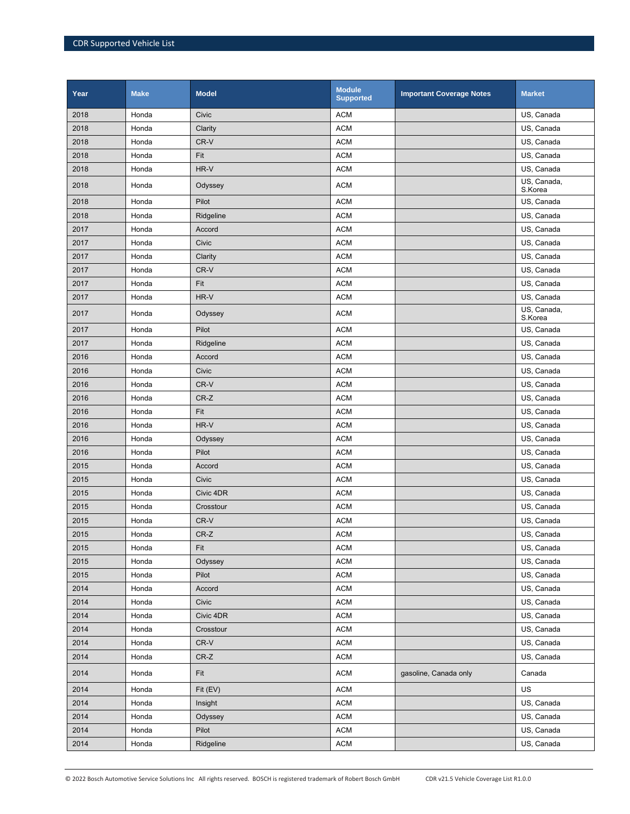| Year | <b>Make</b> | <b>Model</b> | <b>Module</b><br><b>Supported</b> | <b>Important Coverage Notes</b> | <b>Market</b>          |
|------|-------------|--------------|-----------------------------------|---------------------------------|------------------------|
| 2018 | Honda       | Civic        | <b>ACM</b>                        |                                 | US, Canada             |
| 2018 | Honda       | Clarity      | <b>ACM</b>                        |                                 | US, Canada             |
| 2018 | Honda       | CR-V         | <b>ACM</b>                        |                                 | US, Canada             |
| 2018 | Honda       | Fit          | <b>ACM</b>                        |                                 | US, Canada             |
| 2018 | Honda       | HR-V         | <b>ACM</b>                        |                                 | US, Canada             |
| 2018 | Honda       | Odyssey      | <b>ACM</b>                        |                                 | US, Canada,<br>S.Korea |
| 2018 | Honda       | Pilot        | <b>ACM</b>                        |                                 | US, Canada             |
| 2018 | Honda       | Ridgeline    | <b>ACM</b>                        |                                 | US, Canada             |
| 2017 | Honda       | Accord       | <b>ACM</b>                        |                                 | US, Canada             |
| 2017 | Honda       | Civic        | <b>ACM</b>                        |                                 | US, Canada             |
| 2017 | Honda       | Clarity      | <b>ACM</b>                        |                                 | US, Canada             |
| 2017 | Honda       | CR-V         | <b>ACM</b>                        |                                 | US, Canada             |
| 2017 | Honda       | Fit          | <b>ACM</b>                        |                                 | US, Canada             |
| 2017 | Honda       | HR-V         | <b>ACM</b>                        |                                 | US, Canada             |
| 2017 | Honda       | Odyssey      | <b>ACM</b>                        |                                 | US, Canada,<br>S.Korea |
| 2017 | Honda       | Pilot        | <b>ACM</b>                        |                                 | US, Canada             |
| 2017 | Honda       | Ridgeline    | <b>ACM</b>                        |                                 | US, Canada             |
| 2016 | Honda       | Accord       | <b>ACM</b>                        |                                 | US, Canada             |
| 2016 | Honda       | Civic        | <b>ACM</b>                        |                                 | US, Canada             |
| 2016 | Honda       | CR-V         | <b>ACM</b>                        |                                 | US, Canada             |
| 2016 | Honda       | $CR-Z$       | <b>ACM</b>                        |                                 | US, Canada             |
| 2016 | Honda       | Fit          | <b>ACM</b>                        |                                 | US, Canada             |
| 2016 | Honda       | HR-V         | <b>ACM</b>                        |                                 | US, Canada             |
| 2016 | Honda       | Odyssey      | <b>ACM</b>                        |                                 | US, Canada             |
| 2016 | Honda       | Pilot        | <b>ACM</b>                        |                                 | US, Canada             |
| 2015 | Honda       | Accord       | <b>ACM</b>                        |                                 | US, Canada             |
| 2015 | Honda       | Civic        | <b>ACM</b>                        |                                 | US, Canada             |
| 2015 | Honda       | Civic 4DR    | <b>ACM</b>                        |                                 | US, Canada             |
| 2015 | Honda       | Crosstour    | <b>ACM</b>                        |                                 | US, Canada             |
| 2015 | Honda       | CR-V         | <b>ACM</b>                        |                                 | US, Canada             |
| 2015 | Honda       | CR-Z         | <b>ACM</b>                        |                                 | US, Canada             |
| 2015 | Honda       | Fit          | <b>ACM</b>                        |                                 | US, Canada             |
| 2015 | Honda       | Odyssey      | <b>ACM</b>                        |                                 | US, Canada             |
| 2015 | Honda       | Pilot        | <b>ACM</b>                        |                                 | US, Canada             |
| 2014 | Honda       | Accord       | <b>ACM</b>                        |                                 | US, Canada             |
| 2014 | Honda       | Civic        | <b>ACM</b>                        |                                 | US, Canada             |
| 2014 | Honda       | Civic 4DR    | <b>ACM</b>                        |                                 | US, Canada             |
| 2014 | Honda       | Crosstour    | <b>ACM</b>                        |                                 | US, Canada             |
| 2014 | Honda       | CR-V         | <b>ACM</b>                        |                                 | US, Canada             |
| 2014 | Honda       | $CR-Z$       | <b>ACM</b>                        |                                 | US, Canada             |
| 2014 | Honda       | Fit          | ACM                               | gasoline, Canada only           | Canada                 |
| 2014 | Honda       | Fit (EV)     | <b>ACM</b>                        |                                 | US                     |
| 2014 | Honda       | Insight      | <b>ACM</b>                        |                                 | US, Canada             |
| 2014 | Honda       | Odyssey      | <b>ACM</b>                        |                                 | US, Canada             |
| 2014 | Honda       | Pilot        | ACM                               |                                 | US, Canada             |
| 2014 | Honda       | Ridgeline    | <b>ACM</b>                        |                                 | US, Canada             |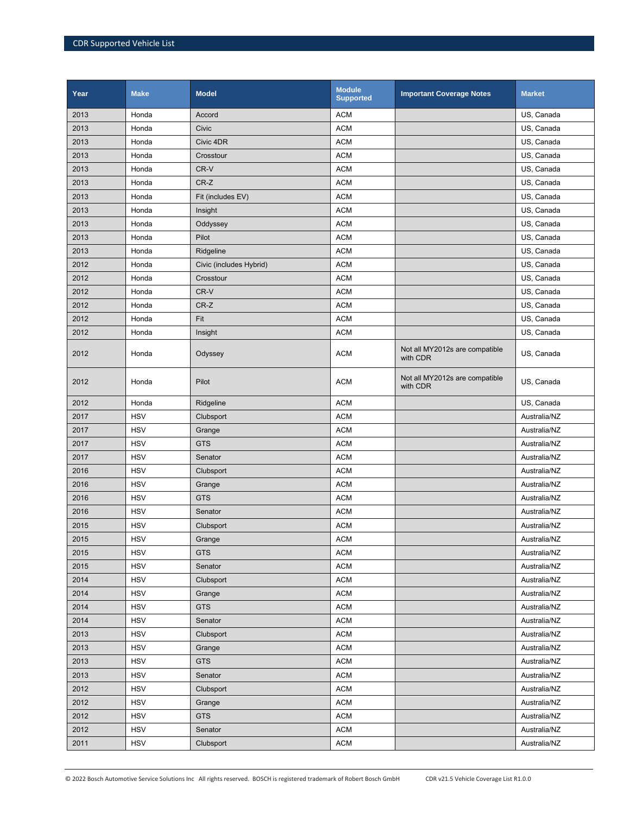| Year | <b>Make</b> | <b>Model</b>            | <b>Module</b><br><b>Supported</b> | <b>Important Coverage Notes</b>            | <b>Market</b> |
|------|-------------|-------------------------|-----------------------------------|--------------------------------------------|---------------|
| 2013 | Honda       | Accord                  | <b>ACM</b>                        |                                            | US, Canada    |
| 2013 | Honda       | Civic                   | <b>ACM</b>                        |                                            | US, Canada    |
| 2013 | Honda       | Civic 4DR               | <b>ACM</b>                        |                                            | US, Canada    |
| 2013 | Honda       | Crosstour               | <b>ACM</b>                        |                                            | US, Canada    |
| 2013 | Honda       | CR-V                    | <b>ACM</b>                        |                                            | US, Canada    |
| 2013 | Honda       | $CR-Z$                  | <b>ACM</b>                        |                                            | US, Canada    |
| 2013 | Honda       | Fit (includes EV)       | <b>ACM</b>                        |                                            | US, Canada    |
| 2013 | Honda       | Insight                 | <b>ACM</b>                        |                                            | US, Canada    |
| 2013 | Honda       | Oddyssey                | <b>ACM</b>                        |                                            | US, Canada    |
| 2013 | Honda       | Pilot                   | <b>ACM</b>                        |                                            | US, Canada    |
| 2013 | Honda       | Ridgeline               | <b>ACM</b>                        |                                            | US, Canada    |
| 2012 | Honda       | Civic (includes Hybrid) | <b>ACM</b>                        |                                            | US, Canada    |
| 2012 | Honda       | Crosstour               | <b>ACM</b>                        |                                            | US, Canada    |
| 2012 | Honda       | CR-V                    | <b>ACM</b>                        |                                            | US, Canada    |
| 2012 | Honda       | $CR-Z$                  | <b>ACM</b>                        |                                            | US, Canada    |
| 2012 | Honda       | Fit                     | <b>ACM</b>                        |                                            | US, Canada    |
| 2012 | Honda       | Insight                 | <b>ACM</b>                        |                                            | US, Canada    |
| 2012 | Honda       | Odyssey                 | <b>ACM</b>                        | Not all MY2012s are compatible<br>with CDR | US, Canada    |
| 2012 | Honda       | Pilot                   | <b>ACM</b>                        | Not all MY2012s are compatible<br>with CDR | US, Canada    |
| 2012 | Honda       | Ridgeline               | <b>ACM</b>                        |                                            | US, Canada    |
| 2017 | <b>HSV</b>  | Clubsport               | <b>ACM</b>                        |                                            | Australia/NZ  |
| 2017 | <b>HSV</b>  | Grange                  | <b>ACM</b>                        |                                            | Australia/NZ  |
| 2017 | <b>HSV</b>  | <b>GTS</b>              | <b>ACM</b>                        |                                            | Australia/NZ  |
| 2017 | <b>HSV</b>  | Senator                 | <b>ACM</b>                        |                                            | Australia/NZ  |
| 2016 | <b>HSV</b>  | Clubsport               | <b>ACM</b>                        |                                            | Australia/NZ  |
| 2016 | <b>HSV</b>  | Grange                  | <b>ACM</b>                        |                                            | Australia/NZ  |
| 2016 | <b>HSV</b>  | <b>GTS</b>              | <b>ACM</b>                        |                                            | Australia/NZ  |
| 2016 | <b>HSV</b>  | Senator                 | <b>ACM</b>                        |                                            | Australia/NZ  |
| 2015 | <b>HSV</b>  | Clubsport               | <b>ACM</b>                        |                                            | Australia/NZ  |
| 2015 | <b>HSV</b>  | Grange                  | <b>ACM</b>                        |                                            | Australia/NZ  |
| 2015 | <b>HSV</b>  | <b>GTS</b>              | <b>ACM</b>                        |                                            | Australia/NZ  |
| 2015 | <b>HSV</b>  | Senator                 | <b>ACM</b>                        |                                            | Australia/NZ  |
| 2014 | <b>HSV</b>  | Clubsport               | $\mathsf{ACM}$                    |                                            | Australia/NZ  |
| 2014 | <b>HSV</b>  | Grange                  | <b>ACM</b>                        |                                            | Australia/NZ  |
| 2014 | <b>HSV</b>  | <b>GTS</b>              | <b>ACM</b>                        |                                            | Australia/NZ  |
| 2014 | <b>HSV</b>  | Senator                 | <b>ACM</b>                        |                                            | Australia/NZ  |
| 2013 | <b>HSV</b>  | Clubsport               | <b>ACM</b>                        |                                            | Australia/NZ  |
| 2013 | <b>HSV</b>  | Grange                  | <b>ACM</b>                        |                                            | Australia/NZ  |
| 2013 | <b>HSV</b>  | <b>GTS</b>              | $\mathsf{ACM}$                    |                                            | Australia/NZ  |
| 2013 | <b>HSV</b>  | Senator                 | <b>ACM</b>                        |                                            | Australia/NZ  |
| 2012 | HSV         | Clubsport               | <b>ACM</b>                        |                                            | Australia/NZ  |
| 2012 | <b>HSV</b>  | Grange                  | <b>ACM</b>                        |                                            | Australia/NZ  |
| 2012 | <b>HSV</b>  | <b>GTS</b>              | <b>ACM</b>                        |                                            | Australia/NZ  |
| 2012 | <b>HSV</b>  | Senator                 | <b>ACM</b>                        |                                            | Australia/NZ  |
| 2011 | <b>HSV</b>  | Clubsport               | <b>ACM</b>                        |                                            | Australia/NZ  |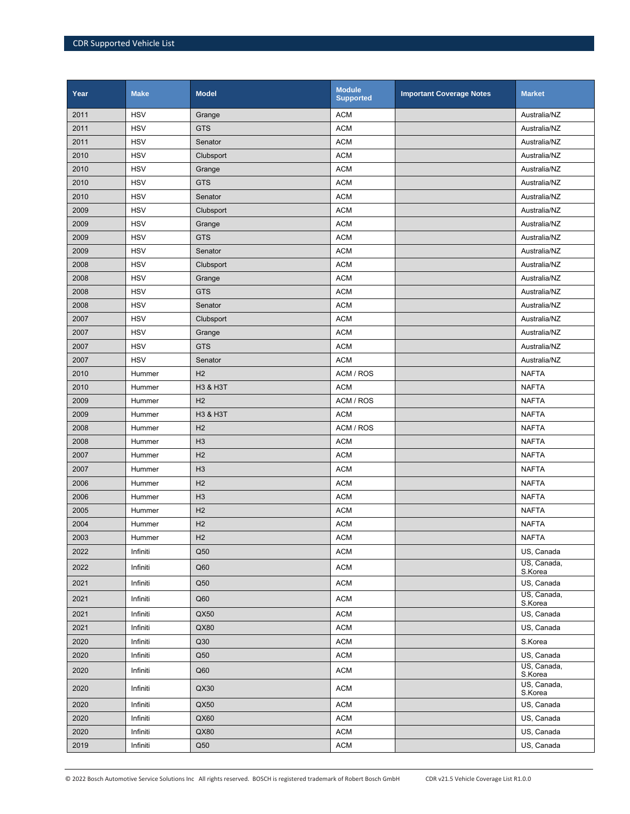| Year | <b>Make</b> | <b>Model</b>   | <b>Module</b><br><b>Supported</b> | <b>Important Coverage Notes</b> | <b>Market</b>          |
|------|-------------|----------------|-----------------------------------|---------------------------------|------------------------|
| 2011 | <b>HSV</b>  | Grange         | <b>ACM</b>                        |                                 | Australia/NZ           |
| 2011 | <b>HSV</b>  | <b>GTS</b>     | <b>ACM</b>                        |                                 | Australia/NZ           |
| 2011 | <b>HSV</b>  | Senator        | <b>ACM</b>                        |                                 | Australia/NZ           |
| 2010 | <b>HSV</b>  | Clubsport      | <b>ACM</b>                        |                                 | Australia/NZ           |
| 2010 | <b>HSV</b>  | Grange         | <b>ACM</b>                        |                                 | Australia/NZ           |
| 2010 | <b>HSV</b>  | <b>GTS</b>     | <b>ACM</b>                        |                                 | Australia/NZ           |
| 2010 | <b>HSV</b>  | Senator        | <b>ACM</b>                        |                                 | Australia/NZ           |
| 2009 | <b>HSV</b>  | Clubsport      | <b>ACM</b>                        |                                 | Australia/NZ           |
| 2009 | <b>HSV</b>  | Grange         | <b>ACM</b>                        |                                 | Australia/NZ           |
| 2009 | <b>HSV</b>  | <b>GTS</b>     | <b>ACM</b>                        |                                 | Australia/NZ           |
| 2009 | <b>HSV</b>  | Senator        | <b>ACM</b>                        |                                 | Australia/NZ           |
| 2008 | <b>HSV</b>  | Clubsport      | <b>ACM</b>                        |                                 | Australia/NZ           |
| 2008 | <b>HSV</b>  | Grange         | <b>ACM</b>                        |                                 | Australia/NZ           |
| 2008 | <b>HSV</b>  | <b>GTS</b>     | <b>ACM</b>                        |                                 | Australia/NZ           |
| 2008 | <b>HSV</b>  | Senator        | <b>ACM</b>                        |                                 | Australia/NZ           |
| 2007 | <b>HSV</b>  | Clubsport      | <b>ACM</b>                        |                                 | Australia/NZ           |
| 2007 | <b>HSV</b>  | Grange         | <b>ACM</b>                        |                                 | Australia/NZ           |
| 2007 | <b>HSV</b>  | <b>GTS</b>     | <b>ACM</b>                        |                                 | Australia/NZ           |
| 2007 | <b>HSV</b>  | Senator        | <b>ACM</b>                        |                                 | Australia/NZ           |
| 2010 | Hummer      | H <sub>2</sub> | ACM / ROS                         |                                 | <b>NAFTA</b>           |
| 2010 | Hummer      | H3 & H3T       | <b>ACM</b>                        |                                 | <b>NAFTA</b>           |
| 2009 | Hummer      | H <sub>2</sub> | ACM / ROS                         |                                 | <b>NAFTA</b>           |
| 2009 | Hummer      | H3 & H3T       | <b>ACM</b>                        |                                 | <b>NAFTA</b>           |
| 2008 | Hummer      | H <sub>2</sub> | ACM / ROS                         |                                 | <b>NAFTA</b>           |
| 2008 | Hummer      | H <sub>3</sub> | <b>ACM</b>                        |                                 | <b>NAFTA</b>           |
| 2007 | Hummer      | H <sub>2</sub> | <b>ACM</b>                        |                                 | <b>NAFTA</b>           |
| 2007 | Hummer      | H <sub>3</sub> | <b>ACM</b>                        |                                 | <b>NAFTA</b>           |
| 2006 | Hummer      | H <sub>2</sub> | <b>ACM</b>                        |                                 | <b>NAFTA</b>           |
| 2006 | Hummer      | H <sub>3</sub> | <b>ACM</b>                        |                                 | <b>NAFTA</b>           |
| 2005 | Hummer      | H <sub>2</sub> | <b>ACM</b>                        |                                 | <b>NAFTA</b>           |
| 2004 | Hummer      | H <sub>2</sub> | <b>ACM</b>                        |                                 | <b>NAFTA</b>           |
| 2003 | Hummer      | H <sub>2</sub> | <b>ACM</b>                        |                                 | <b>NAFTA</b>           |
| 2022 | Infiniti    | Q50            | <b>ACM</b>                        |                                 | US, Canada             |
| 2022 | Infiniti    | Q60            | <b>ACM</b>                        |                                 | US, Canada,<br>S.Korea |
| 2021 | Infiniti    | Q50            | <b>ACM</b>                        |                                 | US, Canada             |
| 2021 | Infiniti    | Q60            | <b>ACM</b>                        |                                 | US, Canada,<br>S.Korea |
| 2021 | Infiniti    | QX50           | <b>ACM</b>                        |                                 | US, Canada             |
| 2021 | Infiniti    | QX80           | <b>ACM</b>                        |                                 | US, Canada             |
| 2020 | Infiniti    | Q30            | <b>ACM</b>                        |                                 | S.Korea                |
| 2020 | Infiniti    | Q50            | <b>ACM</b>                        |                                 | US, Canada             |
| 2020 | Infiniti    | Q60            | <b>ACM</b>                        |                                 | US, Canada,<br>S.Korea |
| 2020 | Infiniti    | QX30           | <b>ACM</b>                        |                                 | US, Canada,<br>S.Korea |
| 2020 | Infiniti    | QX50           | <b>ACM</b>                        |                                 | US, Canada             |
| 2020 | Infiniti    | QX60           | <b>ACM</b>                        |                                 | US, Canada             |
| 2020 | Infiniti    | QX80           | <b>ACM</b>                        |                                 | US, Canada             |
| 2019 | Infiniti    | Q50            | <b>ACM</b>                        |                                 | US, Canada             |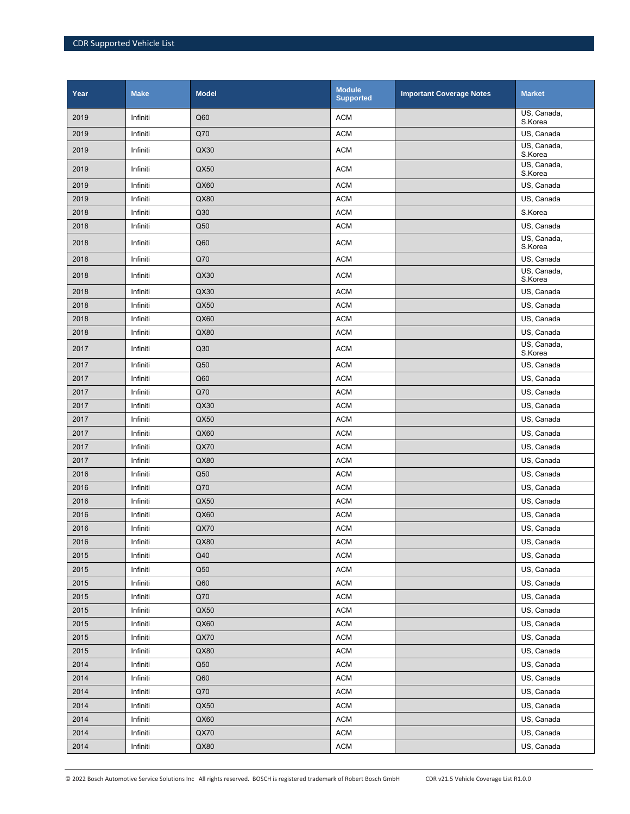| Year | <b>Make</b> | <b>Model</b> | <b>Module</b><br><b>Supported</b> | <b>Important Coverage Notes</b> | <b>Market</b>                        |
|------|-------------|--------------|-----------------------------------|---------------------------------|--------------------------------------|
| 2019 | Infiniti    | Q60          | <b>ACM</b>                        |                                 | US, Canada,<br>S.Korea               |
| 2019 | Infiniti    | Q70          | <b>ACM</b>                        |                                 | US, Canada                           |
| 2019 | Infiniti    | QX30         | <b>ACM</b>                        |                                 | US, Canada,<br>S.Korea               |
| 2019 | Infiniti    | QX50         | <b>ACM</b>                        |                                 | $\overline{US}$ , Canada,<br>S.Korea |
| 2019 | Infiniti    | QX60         | <b>ACM</b>                        |                                 | US, Canada                           |
| 2019 | Infiniti    | QX80         | <b>ACM</b>                        |                                 | US, Canada                           |
| 2018 | Infiniti    | Q30          | <b>ACM</b>                        |                                 | S.Korea                              |
| 2018 | Infiniti    | Q50          | <b>ACM</b>                        |                                 | US, Canada                           |
| 2018 | Infiniti    | Q60          | <b>ACM</b>                        |                                 | US, Canada,<br>S.Korea               |
| 2018 | Infiniti    | Q70          | <b>ACM</b>                        |                                 | US, Canada                           |
| 2018 | Infiniti    | QX30         | <b>ACM</b>                        |                                 | US, Canada,<br>S.Korea               |
| 2018 | Infiniti    | QX30         | <b>ACM</b>                        |                                 | US, Canada                           |
| 2018 | Infiniti    | QX50         | <b>ACM</b>                        |                                 | US, Canada                           |
| 2018 | Infiniti    | QX60         | <b>ACM</b>                        |                                 | US, Canada                           |
| 2018 | Infiniti    | QX80         | <b>ACM</b>                        |                                 | US, Canada                           |
| 2017 | Infiniti    | Q30          | <b>ACM</b>                        |                                 | US, Canada,<br>S.Korea               |
| 2017 | Infiniti    | Q50          | <b>ACM</b>                        |                                 | US, Canada                           |
| 2017 | Infiniti    | Q60          | <b>ACM</b>                        |                                 | US, Canada                           |
| 2017 | Infiniti    | Q70          | <b>ACM</b>                        |                                 | US, Canada                           |
| 2017 | Infiniti    | QX30         | <b>ACM</b>                        |                                 | US, Canada                           |
| 2017 | Infiniti    | QX50         | <b>ACM</b>                        |                                 | US, Canada                           |
| 2017 | Infiniti    | QX60         | <b>ACM</b>                        |                                 | US, Canada                           |
| 2017 | Infiniti    | QX70         | <b>ACM</b>                        |                                 | US, Canada                           |
| 2017 | Infiniti    | QX80         | <b>ACM</b>                        |                                 | US, Canada                           |
| 2016 | Infiniti    | Q50          | <b>ACM</b>                        |                                 | US, Canada                           |
| 2016 | Infiniti    | Q70          | <b>ACM</b>                        |                                 | US, Canada                           |
| 2016 | Infiniti    | QX50         | <b>ACM</b>                        |                                 | US, Canada                           |
| 2016 | Infiniti    | QX60         | <b>ACM</b>                        |                                 | US, Canada                           |
| 2016 | Infiniti    | <b>QX70</b>  | <b>ACM</b>                        |                                 | US, Canada                           |
| 2016 | Infiniti    | QX80         | <b>ACM</b>                        |                                 | US, Canada                           |
| 2015 | Infiniti    | Q40          | <b>ACM</b>                        |                                 | US, Canada                           |
| 2015 | Infiniti    | Q50          | <b>ACM</b>                        |                                 | US, Canada                           |
| 2015 | Infiniti    | Q60          | <b>ACM</b>                        |                                 | US, Canada                           |
| 2015 | Infiniti    | Q70          | <b>ACM</b>                        |                                 | US, Canada                           |
| 2015 | Infiniti    | QX50         | <b>ACM</b>                        |                                 | US, Canada                           |
| 2015 | Infiniti    | QX60         | <b>ACM</b>                        |                                 | US, Canada                           |
| 2015 | Infiniti    | QX70         | <b>ACM</b>                        |                                 | US, Canada                           |
| 2015 | Infiniti    | QX80         | <b>ACM</b>                        |                                 | US, Canada                           |
| 2014 | Infiniti    | Q50          | <b>ACM</b>                        |                                 | US, Canada                           |
| 2014 | Infiniti    | Q60          | <b>ACM</b>                        |                                 | US, Canada                           |
| 2014 | Infiniti    | Q70          | <b>ACM</b>                        |                                 | US, Canada                           |
| 2014 | Infiniti    | QX50         | <b>ACM</b>                        |                                 | US, Canada                           |
| 2014 | Infiniti    | QX60         | <b>ACM</b>                        |                                 | US, Canada                           |
| 2014 | Infiniti    | QX70         | <b>ACM</b>                        |                                 | US, Canada                           |
| 2014 | Infiniti    | QX80         | <b>ACM</b>                        |                                 | US, Canada                           |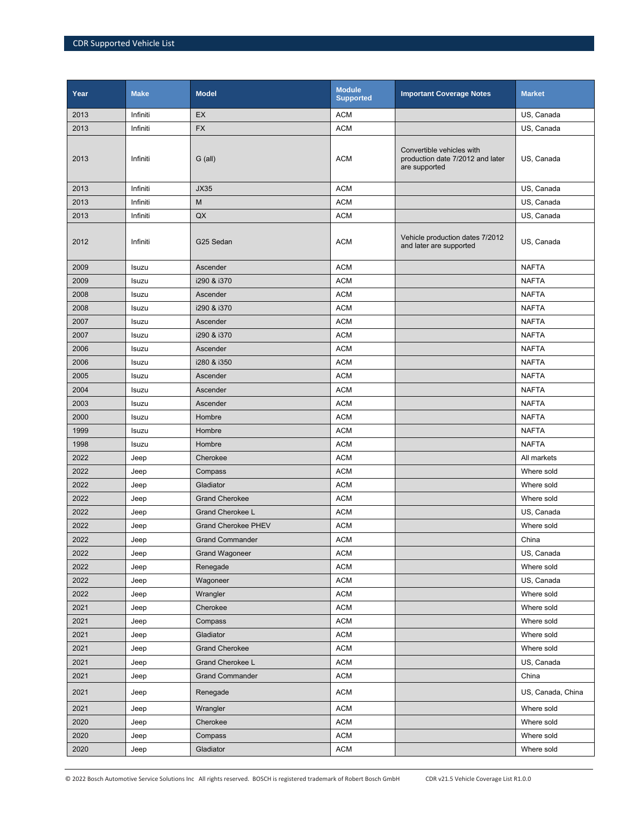| Year | <b>Make</b> | <b>Model</b>               | <b>Module</b><br><b>Supported</b> | <b>Important Coverage Notes</b>                                                | <b>Market</b>     |
|------|-------------|----------------------------|-----------------------------------|--------------------------------------------------------------------------------|-------------------|
| 2013 | Infiniti    | EX                         | <b>ACM</b>                        |                                                                                | US, Canada        |
| 2013 | Infiniti    | <b>FX</b>                  | <b>ACM</b>                        |                                                                                | US, Canada        |
| 2013 | Infiniti    | G (all)                    | <b>ACM</b>                        | Convertible vehicles with<br>production date 7/2012 and later<br>are supported | US, Canada        |
| 2013 | Infiniti    | <b>JX35</b>                | <b>ACM</b>                        |                                                                                | US, Canada        |
| 2013 | Infiniti    | M                          | <b>ACM</b>                        |                                                                                | US, Canada        |
| 2013 | Infiniti    | QX                         | <b>ACM</b>                        |                                                                                | US, Canada        |
| 2012 | Infiniti    | G25 Sedan                  | <b>ACM</b>                        | Vehicle production dates 7/2012<br>and later are supported                     | US, Canada        |
| 2009 | Isuzu       | Ascender                   | <b>ACM</b>                        |                                                                                | <b>NAFTA</b>      |
| 2009 | Isuzu       | i290 & i370                | <b>ACM</b>                        |                                                                                | <b>NAFTA</b>      |
| 2008 | Isuzu       | Ascender                   | <b>ACM</b>                        |                                                                                | <b>NAFTA</b>      |
| 2008 | Isuzu       | i290 & i370                | <b>ACM</b>                        |                                                                                | <b>NAFTA</b>      |
| 2007 | Isuzu       | Ascender                   | <b>ACM</b>                        |                                                                                | <b>NAFTA</b>      |
| 2007 | Isuzu       | i290 & i370                | <b>ACM</b>                        |                                                                                | <b>NAFTA</b>      |
| 2006 | Isuzu       | Ascender                   | <b>ACM</b>                        |                                                                                | <b>NAFTA</b>      |
| 2006 | Isuzu       | i280 & i350                | <b>ACM</b>                        |                                                                                | <b>NAFTA</b>      |
| 2005 | Isuzu       | Ascender                   | <b>ACM</b>                        |                                                                                | <b>NAFTA</b>      |
| 2004 | Isuzu       | Ascender                   | <b>ACM</b>                        |                                                                                | <b>NAFTA</b>      |
| 2003 | Isuzu       | Ascender                   | <b>ACM</b>                        |                                                                                | <b>NAFTA</b>      |
| 2000 | Isuzu       | Hombre                     | <b>ACM</b>                        |                                                                                | <b>NAFTA</b>      |
| 1999 | Isuzu       | Hombre                     | <b>ACM</b>                        |                                                                                | <b>NAFTA</b>      |
| 1998 | Isuzu       | Hombre                     | <b>ACM</b>                        |                                                                                | <b>NAFTA</b>      |
| 2022 | Jeep        | Cherokee                   | <b>ACM</b>                        |                                                                                | All markets       |
| 2022 | Jeep        | Compass                    | <b>ACM</b>                        |                                                                                | Where sold        |
| 2022 | Jeep        | Gladiator                  | <b>ACM</b>                        |                                                                                | Where sold        |
| 2022 | Jeep        | <b>Grand Cherokee</b>      | <b>ACM</b>                        |                                                                                | Where sold        |
| 2022 | Jeep        | <b>Grand Cherokee L</b>    | <b>ACM</b>                        |                                                                                | US, Canada        |
| 2022 | Jeep        | <b>Grand Cherokee PHEV</b> | <b>ACM</b>                        |                                                                                | Where sold        |
| 2022 | Jeep        | <b>Grand Commander</b>     | <b>ACM</b>                        |                                                                                | China             |
| 2022 | Jeep        | <b>Grand Wagoneer</b>      | <b>ACM</b>                        |                                                                                | US, Canada        |
| 2022 | Jeep        | Renegade                   | $\mathsf{ACM}$                    |                                                                                | Where sold        |
| 2022 | Jeep        | Wagoneer                   | <b>ACM</b>                        |                                                                                | US, Canada        |
| 2022 | Jeep        | Wrangler                   | <b>ACM</b>                        |                                                                                | Where sold        |
| 2021 | Jeep        | Cherokee                   | <b>ACM</b>                        |                                                                                | Where sold        |
| 2021 | Jeep        | Compass                    | <b>ACM</b>                        |                                                                                | Where sold        |
| 2021 | Jeep        | Gladiator                  | $\mathsf{ACM}$                    |                                                                                | Where sold        |
| 2021 | Jeep        | <b>Grand Cherokee</b>      | <b>ACM</b>                        |                                                                                | Where sold        |
| 2021 | Jeep        | Grand Cherokee L           | <b>ACM</b>                        |                                                                                | US, Canada        |
| 2021 | Jeep        | <b>Grand Commander</b>     | <b>ACM</b>                        |                                                                                | China             |
| 2021 | Jeep        | Renegade                   | <b>ACM</b>                        |                                                                                | US, Canada, China |
| 2021 | Jeep        | Wrangler                   | $\mathsf{ACM}$                    |                                                                                | Where sold        |
| 2020 | Jeep        | Cherokee                   | <b>ACM</b>                        |                                                                                | Where sold        |
| 2020 | Jeep        | Compass                    | <b>ACM</b>                        |                                                                                | Where sold        |
| 2020 | Jeep        | Gladiator                  | $\mathsf{ACM}$                    |                                                                                | Where sold        |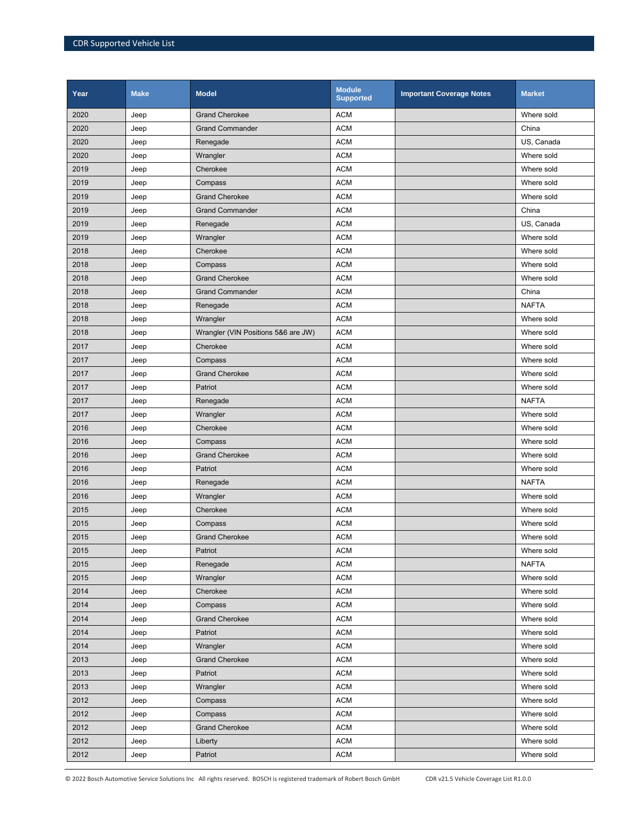| Year | <b>Make</b> | <b>Model</b>                        | <b>Module</b><br><b>Supported</b> | <b>Important Coverage Notes</b> | <b>Market</b> |
|------|-------------|-------------------------------------|-----------------------------------|---------------------------------|---------------|
| 2020 | Jeep        | <b>Grand Cherokee</b>               | <b>ACM</b>                        |                                 | Where sold    |
| 2020 | Jeep        | <b>Grand Commander</b>              | <b>ACM</b>                        |                                 | China         |
| 2020 | Jeep        | Renegade                            | <b>ACM</b>                        |                                 | US. Canada    |
| 2020 | Jeep        | Wrangler                            | <b>ACM</b>                        |                                 | Where sold    |
| 2019 | Jeep        | Cherokee                            | <b>ACM</b>                        |                                 | Where sold    |
| 2019 | Jeep        | Compass                             | <b>ACM</b>                        |                                 | Where sold    |
| 2019 | Jeep        | <b>Grand Cherokee</b>               | <b>ACM</b>                        |                                 | Where sold    |
| 2019 | Jeep        | <b>Grand Commander</b>              | <b>ACM</b>                        |                                 | China         |
| 2019 | Jeep        | Renegade                            | <b>ACM</b>                        |                                 | US, Canada    |
| 2019 | Jeep        | Wrangler                            | <b>ACM</b>                        |                                 | Where sold    |
| 2018 | Jeep        | Cherokee                            | <b>ACM</b>                        |                                 | Where sold    |
| 2018 | Jeep        | Compass                             | <b>ACM</b>                        |                                 | Where sold    |
| 2018 | Jeep        | <b>Grand Cherokee</b>               | <b>ACM</b>                        |                                 | Where sold    |
| 2018 | Jeep        | <b>Grand Commander</b>              | <b>ACM</b>                        |                                 | China         |
| 2018 | Jeep        | Renegade                            | <b>ACM</b>                        |                                 | <b>NAFTA</b>  |
| 2018 | Jeep        | Wrangler                            | <b>ACM</b>                        |                                 | Where sold    |
| 2018 | Jeep        | Wrangler (VIN Positions 5&6 are JW) | <b>ACM</b>                        |                                 | Where sold    |
| 2017 | Jeep        | Cherokee                            | <b>ACM</b>                        |                                 | Where sold    |
| 2017 | Jeep        | Compass                             | <b>ACM</b>                        |                                 | Where sold    |
| 2017 | Jeep        | <b>Grand Cherokee</b>               | <b>ACM</b>                        |                                 | Where sold    |
| 2017 | Jeep        | Patriot                             | <b>ACM</b>                        |                                 | Where sold    |
| 2017 | Jeep        | Renegade                            | <b>ACM</b>                        |                                 | <b>NAFTA</b>  |
| 2017 | Jeep        | Wrangler                            | <b>ACM</b>                        |                                 | Where sold    |
| 2016 | Jeep        | Cherokee                            | <b>ACM</b>                        |                                 | Where sold    |
| 2016 | Jeep        | Compass                             | <b>ACM</b>                        |                                 | Where sold    |
| 2016 | Jeep        | <b>Grand Cherokee</b>               | <b>ACM</b>                        |                                 | Where sold    |
| 2016 | Jeep        | Patriot                             | <b>ACM</b>                        |                                 | Where sold    |
| 2016 | Jeep        | Renegade                            | <b>ACM</b>                        |                                 | <b>NAFTA</b>  |
| 2016 | Jeep        | Wrangler                            | <b>ACM</b>                        |                                 | Where sold    |
| 2015 | Jeep        | Cherokee                            | <b>ACM</b>                        |                                 | Where sold    |
| 2015 | Jeep        | Compass                             | <b>ACM</b>                        |                                 | Where sold    |
| 2015 | Jeep        | <b>Grand Cherokee</b>               | <b>ACM</b>                        |                                 | Where sold    |
| 2015 | Jeep        | Patriot                             | <b>ACM</b>                        |                                 | Where sold    |
| 2015 | Jeep        | Renegade                            | <b>ACM</b>                        |                                 | <b>NAFTA</b>  |
| 2015 | Jeep        | Wrangler                            | <b>ACM</b>                        |                                 | Where sold    |
| 2014 | Jeep        | Cherokee                            | <b>ACM</b>                        |                                 | Where sold    |
| 2014 | Jeep        | Compass                             | <b>ACM</b>                        |                                 | Where sold    |
| 2014 | Jeep        | <b>Grand Cherokee</b>               | <b>ACM</b>                        |                                 | Where sold    |
| 2014 | Jeep        | Patriot                             | <b>ACM</b>                        |                                 | Where sold    |
| 2014 | Jeep        | Wrangler                            | <b>ACM</b>                        |                                 | Where sold    |
| 2013 | Jeep        | <b>Grand Cherokee</b>               | <b>ACM</b>                        |                                 | Where sold    |
| 2013 | Jeep        | Patriot                             | <b>ACM</b>                        |                                 | Where sold    |
| 2013 | Jeep        | Wrangler                            | <b>ACM</b>                        |                                 | Where sold    |
| 2012 | Jeep        | Compass                             | <b>ACM</b>                        |                                 | Where sold    |
| 2012 | Jeep        | Compass                             | <b>ACM</b>                        |                                 | Where sold    |
| 2012 | Jeep        | <b>Grand Cherokee</b>               | <b>ACM</b>                        |                                 | Where sold    |
| 2012 | Jeep        | Liberty                             | <b>ACM</b>                        |                                 | Where sold    |
| 2012 | Jeep        | Patriot                             | <b>ACM</b>                        |                                 | Where sold    |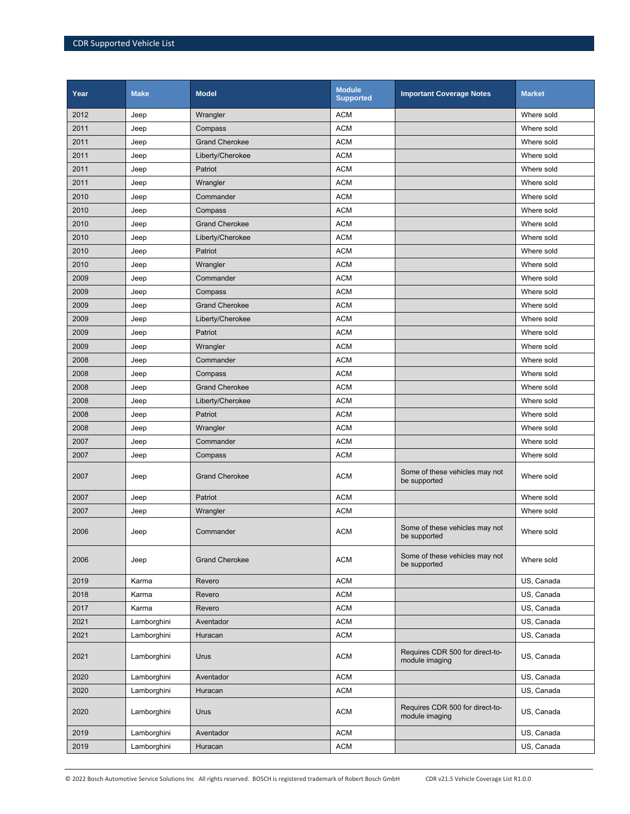| Year | <b>Make</b> | <b>Model</b>          | <b>Module</b><br><b>Supported</b> | <b>Important Coverage Notes</b>                   | <b>Market</b> |
|------|-------------|-----------------------|-----------------------------------|---------------------------------------------------|---------------|
| 2012 | Jeep        | Wrangler              | <b>ACM</b>                        |                                                   | Where sold    |
| 2011 | Jeep        | Compass               | <b>ACM</b>                        |                                                   | Where sold    |
| 2011 | Jeep        | <b>Grand Cherokee</b> | <b>ACM</b>                        |                                                   | Where sold    |
| 2011 | Jeep        | Liberty/Cherokee      | <b>ACM</b>                        |                                                   | Where sold    |
| 2011 | Jeep        | Patriot               | <b>ACM</b>                        |                                                   | Where sold    |
| 2011 | Jeep        | Wrangler              | <b>ACM</b>                        |                                                   | Where sold    |
| 2010 | Jeep        | Commander             | <b>ACM</b>                        |                                                   | Where sold    |
| 2010 | Jeep        | Compass               | <b>ACM</b>                        |                                                   | Where sold    |
| 2010 | Jeep        | <b>Grand Cherokee</b> | <b>ACM</b>                        |                                                   | Where sold    |
| 2010 | Jeep        | Liberty/Cherokee      | <b>ACM</b>                        |                                                   | Where sold    |
| 2010 | Jeep        | Patriot               | <b>ACM</b>                        |                                                   | Where sold    |
| 2010 | Jeep        | Wrangler              | <b>ACM</b>                        |                                                   | Where sold    |
| 2009 | Jeep        | Commander             | <b>ACM</b>                        |                                                   | Where sold    |
| 2009 | Jeep        | Compass               | <b>ACM</b>                        |                                                   | Where sold    |
| 2009 | Jeep        | <b>Grand Cherokee</b> | <b>ACM</b>                        |                                                   | Where sold    |
| 2009 | Jeep        | Liberty/Cherokee      | <b>ACM</b>                        |                                                   | Where sold    |
| 2009 | Jeep        | Patriot               | <b>ACM</b>                        |                                                   | Where sold    |
| 2009 | Jeep        | Wrangler              | <b>ACM</b>                        |                                                   | Where sold    |
| 2008 | Jeep        | Commander             | <b>ACM</b>                        |                                                   | Where sold    |
| 2008 | Jeep        | Compass               | <b>ACM</b>                        |                                                   | Where sold    |
| 2008 | Jeep        | <b>Grand Cherokee</b> | <b>ACM</b>                        |                                                   | Where sold    |
| 2008 | Jeep        | Liberty/Cherokee      | <b>ACM</b>                        |                                                   | Where sold    |
| 2008 | Jeep        | Patriot               | <b>ACM</b>                        |                                                   | Where sold    |
| 2008 | Jeep        | Wrangler              | <b>ACM</b>                        |                                                   | Where sold    |
| 2007 | Jeep        | Commander             | <b>ACM</b>                        |                                                   | Where sold    |
| 2007 | Jeep        | Compass               | <b>ACM</b>                        |                                                   | Where sold    |
| 2007 | Jeep        | <b>Grand Cherokee</b> | <b>ACM</b>                        | Some of these vehicles may not<br>be supported    | Where sold    |
| 2007 | Jeep        | Patriot               | <b>ACM</b>                        |                                                   | Where sold    |
| 2007 | Jeep        | Wrangler              | <b>ACM</b>                        |                                                   | Where sold    |
| 2006 | Jeep        | Commander             | <b>ACM</b>                        | Some of these vehicles may not<br>be supported    | Where sold    |
| 2006 | Jeep        | <b>Grand Cherokee</b> | <b>ACM</b>                        | Some of these vehicles may not<br>be supported    | Where sold    |
| 2019 | Karma       | Revero                | <b>ACM</b>                        |                                                   | US, Canada    |
| 2018 | Karma       | Revero                | <b>ACM</b>                        |                                                   | US, Canada    |
| 2017 | Karma       | Revero                | <b>ACM</b>                        |                                                   | US, Canada    |
| 2021 | Lamborghini | Aventador             | <b>ACM</b>                        |                                                   | US, Canada    |
| 2021 | Lamborghini | Huracan               | <b>ACM</b>                        |                                                   | US, Canada    |
| 2021 | Lamborghini | Urus                  | <b>ACM</b>                        | Requires CDR 500 for direct-to-<br>module imaging | US, Canada    |
| 2020 | Lamborghini | Aventador             | <b>ACM</b>                        |                                                   | US, Canada    |
| 2020 | Lamborghini | Huracan               | <b>ACM</b>                        |                                                   | US, Canada    |
| 2020 | Lamborghini | Urus                  | <b>ACM</b>                        | Requires CDR 500 for direct-to-<br>module imaging | US, Canada    |
| 2019 | Lamborghini | Aventador             | <b>ACM</b>                        |                                                   | US, Canada    |
| 2019 | Lamborghini | Huracan               | <b>ACM</b>                        |                                                   | US, Canada    |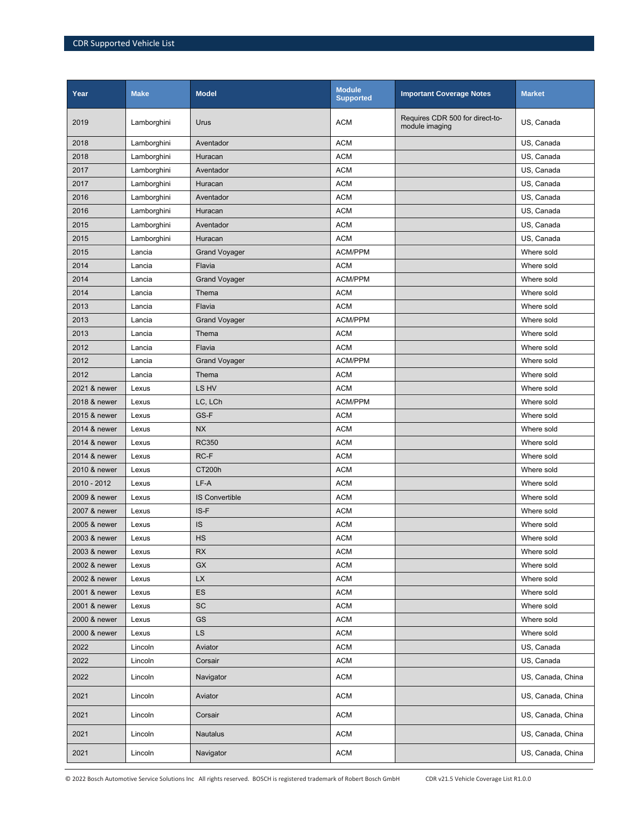| Year         | <b>Make</b> | <b>Model</b>           | <b>Module</b><br><b>Supported</b> | <b>Important Coverage Notes</b>                   | <b>Market</b>     |
|--------------|-------------|------------------------|-----------------------------------|---------------------------------------------------|-------------------|
| 2019         | Lamborghini | Urus                   | <b>ACM</b>                        | Requires CDR 500 for direct-to-<br>module imaging | US, Canada        |
| 2018         | Lamborghini | Aventador              | <b>ACM</b>                        |                                                   | US, Canada        |
| 2018         | Lamborghini | Huracan                | <b>ACM</b>                        |                                                   | US, Canada        |
| 2017         | Lamborghini | Aventador              | <b>ACM</b>                        |                                                   | US, Canada        |
| 2017         | Lamborghini | Huracan                | <b>ACM</b>                        |                                                   | US, Canada        |
| 2016         | Lamborghini | Aventador              | <b>ACM</b>                        |                                                   | US, Canada        |
| 2016         | Lamborghini | Huracan                | <b>ACM</b>                        |                                                   | US, Canada        |
| 2015         | Lamborghini | Aventador              | <b>ACM</b>                        |                                                   | US, Canada        |
| 2015         | Lamborghini | Huracan                | <b>ACM</b>                        |                                                   | US, Canada        |
| 2015         | Lancia      | <b>Grand Voyager</b>   | <b>ACM/PPM</b>                    |                                                   | Where sold        |
| 2014         | Lancia      | Flavia                 | <b>ACM</b>                        |                                                   | Where sold        |
| 2014         | Lancia      | <b>Grand Voyager</b>   | <b>ACM/PPM</b>                    |                                                   | Where sold        |
| 2014         | Lancia      | Thema                  | <b>ACM</b>                        |                                                   | Where sold        |
| 2013         | Lancia      | Flavia                 | <b>ACM</b>                        |                                                   | Where sold        |
| 2013         | Lancia      | <b>Grand Voyager</b>   | <b>ACM/PPM</b>                    |                                                   | Where sold        |
| 2013         | Lancia      | Thema                  | <b>ACM</b>                        |                                                   | Where sold        |
| 2012         | Lancia      | Flavia                 | <b>ACM</b>                        |                                                   | Where sold        |
| 2012         | Lancia      | <b>Grand Voyager</b>   | <b>ACM/PPM</b>                    |                                                   | Where sold        |
| 2012         | Lancia      | Thema                  | <b>ACM</b>                        |                                                   | Where sold        |
| 2021 & newer | Lexus       | LS HV                  | <b>ACM</b>                        |                                                   | Where sold        |
| 2018 & newer | Lexus       | LC, LCh                | ACM/PPM                           |                                                   | Where sold        |
| 2015 & newer | Lexus       | GS-F                   | <b>ACM</b>                        |                                                   | Where sold        |
| 2014 & newer | Lexus       | <b>NX</b>              | <b>ACM</b>                        |                                                   | Where sold        |
| 2014 & newer | Lexus       | <b>RC350</b>           | <b>ACM</b>                        |                                                   | Where sold        |
| 2014 & newer | Lexus       | RC-F                   | <b>ACM</b>                        |                                                   | Where sold        |
| 2010 & newer | Lexus       | CT200h                 | <b>ACM</b>                        |                                                   | Where sold        |
| 2010 - 2012  | Lexus       | LF-A                   | <b>ACM</b>                        |                                                   | Where sold        |
| 2009 & newer | Lexus       | <b>IS Convertible</b>  | <b>ACM</b>                        |                                                   | Where sold        |
| 2007 & newer | Lexus       | IS-F                   | <b>ACM</b>                        |                                                   | Where sold        |
| 2005 & newer | Lexus       | <b>IS</b>              | <b>ACM</b>                        |                                                   | Where sold        |
| 2003 & newer | Lexus       | HS                     | <b>ACM</b>                        |                                                   | Where sold        |
| 2003 & newer | Lexus       | <b>RX</b>              | <b>ACM</b>                        |                                                   | Where sold        |
| 2002 & newer | Lexus       | <b>GX</b>              | <b>ACM</b>                        |                                                   | Where sold        |
| 2002 & newer | Lexus       | $\mathsf{L}\mathsf{X}$ | <b>ACM</b>                        |                                                   | Where sold        |
| 2001 & newer | Lexus       | ES                     | <b>ACM</b>                        |                                                   | Where sold        |
| 2001 & newer | Lexus       | SC                     | <b>ACM</b>                        |                                                   | Where sold        |
| 2000 & newer | Lexus       | GS                     | <b>ACM</b>                        |                                                   | Where sold        |
| 2000 & newer | Lexus       | LS                     | <b>ACM</b>                        |                                                   | Where sold        |
| 2022         | Lincoln     | Aviator                | <b>ACM</b>                        |                                                   | US, Canada        |
| 2022         | Lincoln     | Corsair                | <b>ACM</b>                        |                                                   | US, Canada        |
| 2022         | Lincoln     | Navigator              | <b>ACM</b>                        |                                                   | US, Canada, China |
| 2021         | Lincoln     | Aviator                | <b>ACM</b>                        |                                                   | US, Canada, China |
| 2021         | Lincoln     | Corsair                | <b>ACM</b>                        |                                                   | US, Canada, China |
| 2021         | Lincoln     | <b>Nautalus</b>        | <b>ACM</b>                        |                                                   | US, Canada, China |
| 2021         | Lincoln     | Navigator              | <b>ACM</b>                        |                                                   | US, Canada, China |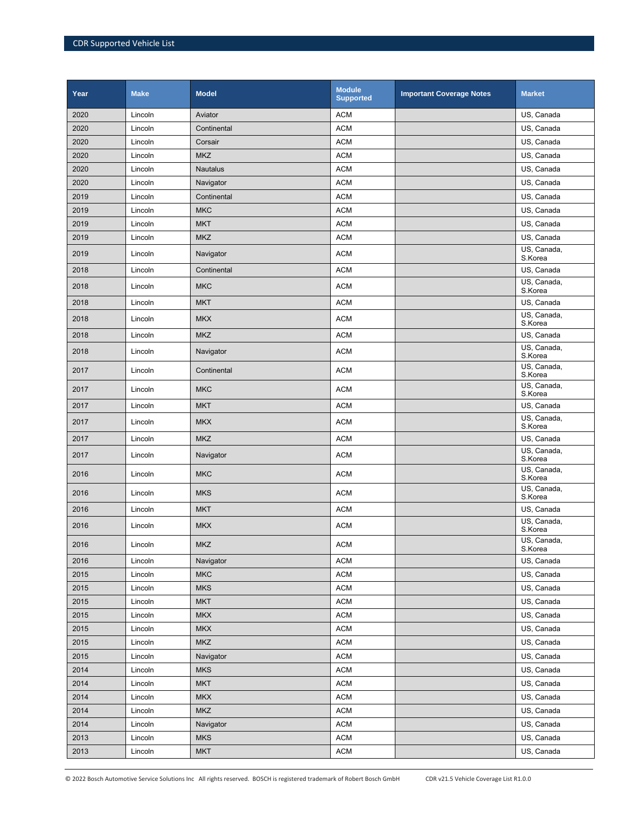| Year | <b>Make</b> | <b>Model</b>    | <b>Module</b><br><b>Supported</b> | <b>Important Coverage Notes</b> | <b>Market</b>          |
|------|-------------|-----------------|-----------------------------------|---------------------------------|------------------------|
| 2020 | Lincoln     | Aviator         | <b>ACM</b>                        |                                 | US, Canada             |
| 2020 | Lincoln     | Continental     | <b>ACM</b>                        |                                 | US, Canada             |
| 2020 | Lincoln     | Corsair         | <b>ACM</b>                        |                                 | US, Canada             |
| 2020 | Lincoln     | <b>MKZ</b>      | <b>ACM</b>                        |                                 | US. Canada             |
| 2020 | Lincoln     | <b>Nautalus</b> | <b>ACM</b>                        |                                 | US, Canada             |
| 2020 | Lincoln     | Navigator       | <b>ACM</b>                        |                                 | US, Canada             |
| 2019 | Lincoln     | Continental     | <b>ACM</b>                        |                                 | US, Canada             |
| 2019 | Lincoln     | <b>MKC</b>      | <b>ACM</b>                        |                                 | US, Canada             |
| 2019 | Lincoln     | <b>MKT</b>      | <b>ACM</b>                        |                                 | US, Canada             |
| 2019 | Lincoln     | <b>MKZ</b>      | <b>ACM</b>                        |                                 | US, Canada             |
| 2019 | Lincoln     | Navigator       | <b>ACM</b>                        |                                 | US, Canada,<br>S.Korea |
| 2018 | Lincoln     | Continental     | <b>ACM</b>                        |                                 | US, Canada             |
| 2018 | Lincoln     | <b>MKC</b>      | <b>ACM</b>                        |                                 | US, Canada,<br>S.Korea |
| 2018 | Lincoln     | <b>MKT</b>      | <b>ACM</b>                        |                                 | US, Canada             |
| 2018 | Lincoln     | <b>MKX</b>      | <b>ACM</b>                        |                                 | US, Canada,<br>S.Korea |
| 2018 | Lincoln     | <b>MKZ</b>      | <b>ACM</b>                        |                                 | US, Canada             |
| 2018 | Lincoln     | Navigator       | <b>ACM</b>                        |                                 | US, Canada,<br>S.Korea |
| 2017 | Lincoln     | Continental     | <b>ACM</b>                        |                                 | US, Canada,<br>S.Korea |
| 2017 | Lincoln     | <b>MKC</b>      | <b>ACM</b>                        |                                 | US, Canada,<br>S.Korea |
| 2017 | Lincoln     | <b>MKT</b>      | <b>ACM</b>                        |                                 | US, Canada             |
| 2017 | Lincoln     | <b>MKX</b>      | <b>ACM</b>                        |                                 | US, Canada,<br>S.Korea |
| 2017 | Lincoln     | <b>MKZ</b>      | <b>ACM</b>                        |                                 | US, Canada             |
| 2017 | Lincoln     | Navigator       | <b>ACM</b>                        |                                 | US, Canada,<br>S.Korea |
| 2016 | Lincoln     | <b>MKC</b>      | <b>ACM</b>                        |                                 | US, Canada,<br>S.Korea |
| 2016 | Lincoln     | <b>MKS</b>      | <b>ACM</b>                        |                                 | US, Canada,<br>S.Korea |
| 2016 | Lincoln     | <b>MKT</b>      | <b>ACM</b>                        |                                 | US, Canada             |
| 2016 | Lincoln     | <b>MKX</b>      | <b>ACM</b>                        |                                 | US, Canada,<br>S.Korea |
| 2016 | Lincoln     | <b>MKZ</b>      | $\mathsf{ACM}$                    |                                 | US, Canada,<br>S.Korea |
| 2016 | Lincoln     | Navigator       | <b>ACM</b>                        |                                 | US, Canada             |
| 2015 | Lincoln     | <b>MKC</b>      | <b>ACM</b>                        |                                 | US, Canada             |
| 2015 | Lincoln     | <b>MKS</b>      | <b>ACM</b>                        |                                 | US, Canada             |
| 2015 | Lincoln     | <b>MKT</b>      | <b>ACM</b>                        |                                 | US, Canada             |
| 2015 | Lincoln     | <b>MKX</b>      | <b>ACM</b>                        |                                 | US, Canada             |
| 2015 | Lincoln     | <b>MKX</b>      | <b>ACM</b>                        |                                 | US, Canada             |
| 2015 | Lincoln     | <b>MKZ</b>      | <b>ACM</b>                        |                                 | US, Canada             |
| 2015 | Lincoln     | Navigator       | <b>ACM</b>                        |                                 | US, Canada             |
| 2014 | Lincoln     | <b>MKS</b>      | <b>ACM</b>                        |                                 | US, Canada             |
| 2014 | Lincoln     | <b>MKT</b>      | <b>ACM</b>                        |                                 | US, Canada             |
| 2014 | Lincoln     | <b>MKX</b>      | <b>ACM</b>                        |                                 | US, Canada             |
| 2014 | Lincoln     | <b>MKZ</b>      | <b>ACM</b>                        |                                 | US, Canada             |
| 2014 | Lincoln     | Navigator       | <b>ACM</b>                        |                                 | US, Canada             |
| 2013 | Lincoln     | <b>MKS</b>      | <b>ACM</b>                        |                                 | US, Canada             |
| 2013 | Lincoln     | <b>MKT</b>      | <b>ACM</b>                        |                                 | US, Canada             |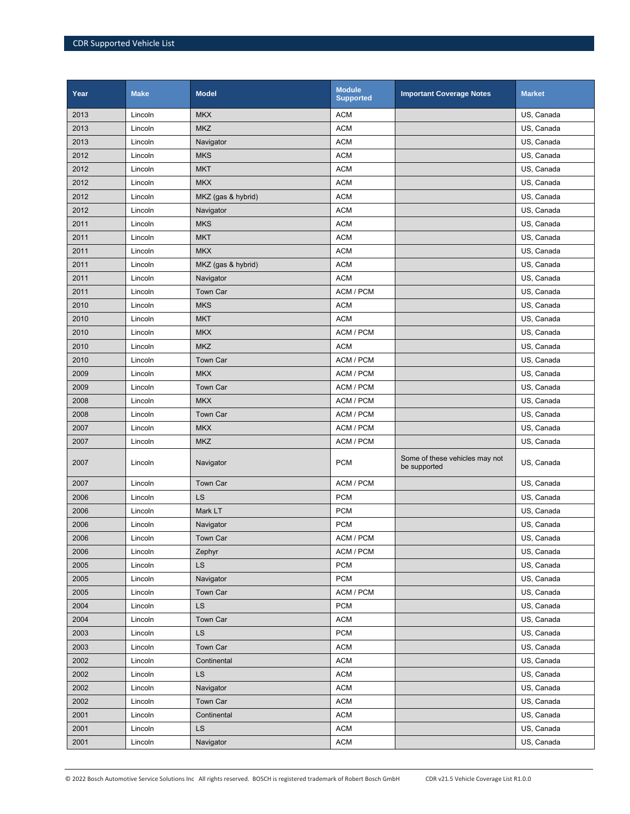| Year | <b>Make</b> | <b>Model</b>       | <b>Module</b><br><b>Supported</b> | <b>Important Coverage Notes</b>                | <b>Market</b> |
|------|-------------|--------------------|-----------------------------------|------------------------------------------------|---------------|
| 2013 | Lincoln     | <b>MKX</b>         | <b>ACM</b>                        |                                                | US, Canada    |
| 2013 | Lincoln     | <b>MKZ</b>         | <b>ACM</b>                        |                                                | US, Canada    |
| 2013 | Lincoln     | Navigator          | <b>ACM</b>                        |                                                | US, Canada    |
| 2012 | Lincoln     | <b>MKS</b>         | <b>ACM</b>                        |                                                | US, Canada    |
| 2012 | Lincoln     | <b>MKT</b>         | <b>ACM</b>                        |                                                | US, Canada    |
| 2012 | Lincoln     | <b>MKX</b>         | <b>ACM</b>                        |                                                | US, Canada    |
| 2012 | Lincoln     | MKZ (gas & hybrid) | <b>ACM</b>                        |                                                | US, Canada    |
| 2012 | Lincoln     | Navigator          | <b>ACM</b>                        |                                                | US, Canada    |
| 2011 | Lincoln     | <b>MKS</b>         | <b>ACM</b>                        |                                                | US, Canada    |
| 2011 | Lincoln     | <b>MKT</b>         | <b>ACM</b>                        |                                                | US, Canada    |
| 2011 | Lincoln     | <b>MKX</b>         | <b>ACM</b>                        |                                                | US, Canada    |
| 2011 | Lincoln     | MKZ (gas & hybrid) | <b>ACM</b>                        |                                                | US, Canada    |
| 2011 | Lincoln     | Navigator          | <b>ACM</b>                        |                                                | US, Canada    |
| 2011 | Lincoln     | Town Car           | ACM / PCM                         |                                                | US, Canada    |
| 2010 | Lincoln     | <b>MKS</b>         | <b>ACM</b>                        |                                                | US, Canada    |
| 2010 | Lincoln     | <b>MKT</b>         | <b>ACM</b>                        |                                                | US, Canada    |
| 2010 | Lincoln     | <b>MKX</b>         | ACM / PCM                         |                                                | US, Canada    |
| 2010 | Lincoln     | <b>MKZ</b>         | <b>ACM</b>                        |                                                | US, Canada    |
| 2010 | Lincoln     | Town Car           | ACM / PCM                         |                                                | US, Canada    |
| 2009 | Lincoln     | <b>MKX</b>         | ACM / PCM                         |                                                | US, Canada    |
| 2009 | Lincoln     | Town Car           | ACM / PCM                         |                                                | US, Canada    |
| 2008 | Lincoln     | <b>MKX</b>         | ACM / PCM                         |                                                | US, Canada    |
| 2008 | Lincoln     | Town Car           | ACM / PCM                         |                                                | US, Canada    |
| 2007 | Lincoln     | <b>MKX</b>         | ACM / PCM                         |                                                | US, Canada    |
| 2007 | Lincoln     | <b>MKZ</b>         | ACM / PCM                         |                                                | US, Canada    |
| 2007 | Lincoln     | Navigator          | <b>PCM</b>                        | Some of these vehicles may not<br>be supported | US, Canada    |
| 2007 | Lincoln     | Town Car           | ACM / PCM                         |                                                | US, Canada    |
| 2006 | Lincoln     | LS                 | <b>PCM</b>                        |                                                | US, Canada    |
| 2006 | Lincoln     | Mark LT            | <b>PCM</b>                        |                                                | US, Canada    |
| 2006 | Lincoln     | Navigator          | <b>PCM</b>                        |                                                | US, Canada    |
| 2006 | Lincoln     | Town Car           | ACM / PCM                         |                                                | US, Canada    |
| 2006 | Lincoln     | Zephyr             | ACM / PCM                         |                                                | US, Canada    |
| 2005 | Lincoln     | LS                 | <b>PCM</b>                        |                                                | US, Canada    |
| 2005 | Lincoln     | Navigator          | <b>PCM</b>                        |                                                | US, Canada    |
| 2005 | Lincoln     | Town Car           | ACM / PCM                         |                                                | US, Canada    |
| 2004 | Lincoln     | LS                 | <b>PCM</b>                        |                                                | US, Canada    |
| 2004 | Lincoln     | Town Car           | <b>ACM</b>                        |                                                | US, Canada    |
| 2003 | Lincoln     | LS                 | <b>PCM</b>                        |                                                | US, Canada    |
| 2003 | Lincoln     | Town Car           | <b>ACM</b>                        |                                                | US, Canada    |
| 2002 | Lincoln     | Continental        | <b>ACM</b>                        |                                                | US, Canada    |
| 2002 | Lincoln     | LS                 | <b>ACM</b>                        |                                                | US, Canada    |
| 2002 | Lincoln     | Navigator          | <b>ACM</b>                        |                                                | US, Canada    |
| 2002 | Lincoln     | Town Car           | <b>ACM</b>                        |                                                | US, Canada    |
| 2001 | Lincoln     | Continental        | <b>ACM</b>                        |                                                | US, Canada    |
| 2001 | Lincoln     | <b>LS</b>          | <b>ACM</b>                        |                                                | US, Canada    |
| 2001 | Lincoln     | Navigator          | <b>ACM</b>                        |                                                | US, Canada    |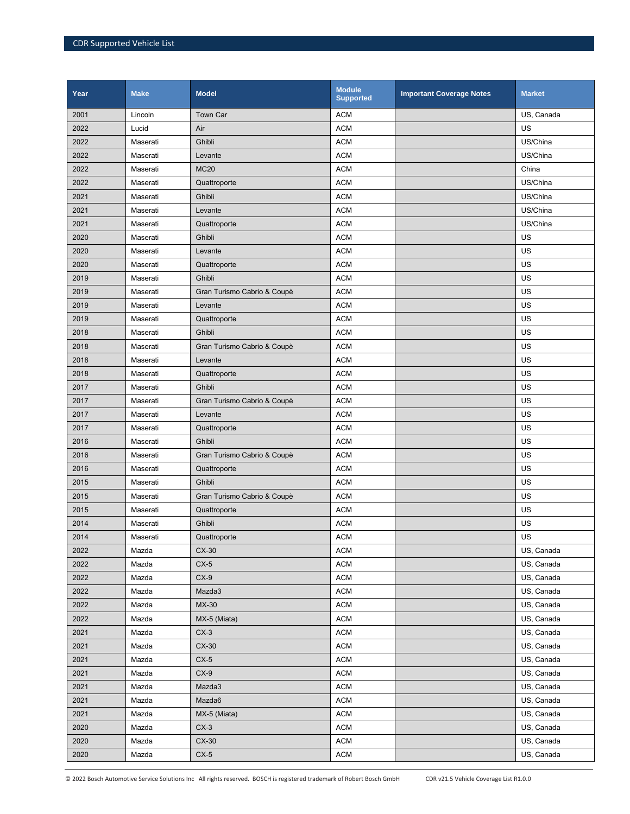| Year | <b>Make</b> | <b>Model</b>                | <b>Module</b><br><b>Supported</b> | <b>Important Coverage Notes</b> | <b>Market</b> |
|------|-------------|-----------------------------|-----------------------------------|---------------------------------|---------------|
| 2001 | Lincoln     | <b>Town Car</b>             | <b>ACM</b>                        |                                 | US, Canada    |
| 2022 | Lucid       | Air                         | <b>ACM</b>                        |                                 | US            |
| 2022 | Maserati    | Ghibli                      | <b>ACM</b>                        |                                 | US/China      |
| 2022 | Maserati    | Levante                     | <b>ACM</b>                        |                                 | US/China      |
| 2022 | Maserati    | <b>MC20</b>                 | <b>ACM</b>                        |                                 | China         |
| 2022 | Maserati    | Quattroporte                | <b>ACM</b>                        |                                 | US/China      |
| 2021 | Maserati    | Ghibli                      | <b>ACM</b>                        |                                 | US/China      |
| 2021 | Maserati    | Levante                     | <b>ACM</b>                        |                                 | US/China      |
| 2021 | Maserati    | Quattroporte                | <b>ACM</b>                        |                                 | US/China      |
| 2020 | Maserati    | Ghibli                      | <b>ACM</b>                        |                                 | US            |
| 2020 | Maserati    | Levante                     | <b>ACM</b>                        |                                 | US            |
| 2020 | Maserati    | Quattroporte                | <b>ACM</b>                        |                                 | US            |
| 2019 | Maserati    | Ghibli                      | <b>ACM</b>                        |                                 | US            |
| 2019 | Maserati    | Gran Turismo Cabrio & Coupè | <b>ACM</b>                        |                                 | US            |
| 2019 | Maserati    | Levante                     | <b>ACM</b>                        |                                 | US            |
| 2019 | Maserati    | Quattroporte                | <b>ACM</b>                        |                                 | US            |
| 2018 | Maserati    | Ghibli                      | <b>ACM</b>                        |                                 | US            |
| 2018 | Maserati    | Gran Turismo Cabrio & Coupè | <b>ACM</b>                        |                                 | US            |
| 2018 | Maserati    | Levante                     | <b>ACM</b>                        |                                 | US            |
| 2018 | Maserati    | Quattroporte                | <b>ACM</b>                        |                                 | US            |
| 2017 | Maserati    | Ghibli                      | <b>ACM</b>                        |                                 | US            |
| 2017 | Maserati    | Gran Turismo Cabrio & Coupè | <b>ACM</b>                        |                                 | US            |
| 2017 | Maserati    | Levante                     | <b>ACM</b>                        |                                 | US            |
| 2017 | Maserati    | Quattroporte                | <b>ACM</b>                        |                                 | US            |
| 2016 | Maserati    | Ghibli                      | <b>ACM</b>                        |                                 | US            |
| 2016 | Maserati    | Gran Turismo Cabrio & Coupè | <b>ACM</b>                        |                                 | US            |
| 2016 | Maserati    | Quattroporte                | <b>ACM</b>                        |                                 | US            |
| 2015 | Maserati    | Ghibli                      | <b>ACM</b>                        |                                 | US            |
| 2015 | Maserati    | Gran Turismo Cabrio & Coupè | <b>ACM</b>                        |                                 | US            |
| 2015 | Maserati    | Quattroporte                | <b>ACM</b>                        |                                 | US            |
| 2014 | Maserati    | Ghibli                      | <b>ACM</b>                        |                                 | US            |
| 2014 | Maserati    | Quattroporte                | <b>ACM</b>                        |                                 | US            |
| 2022 | Mazda       | CX-30                       | <b>ACM</b>                        |                                 | US, Canada    |
| 2022 | Mazda       | $CX-5$                      | <b>ACM</b>                        |                                 | US, Canada    |
| 2022 | Mazda       | $CX-9$                      | <b>ACM</b>                        |                                 | US, Canada    |
| 2022 | Mazda       | Mazda3                      | <b>ACM</b>                        |                                 | US, Canada    |
| 2022 | Mazda       | MX-30                       | <b>ACM</b>                        |                                 | US, Canada    |
| 2022 | Mazda       | MX-5 (Miata)                | <b>ACM</b>                        |                                 | US, Canada    |
| 2021 | Mazda       | $CX-3$                      | <b>ACM</b>                        |                                 | US, Canada    |
| 2021 | Mazda       | $CX-30$                     | <b>ACM</b>                        |                                 | US, Canada    |
| 2021 | Mazda       | $CX-5$                      | <b>ACM</b>                        |                                 | US, Canada    |
| 2021 | Mazda       | $CX-9$                      | <b>ACM</b>                        |                                 | US, Canada    |
| 2021 | Mazda       | Mazda3                      | <b>ACM</b>                        |                                 | US, Canada    |
| 2021 | Mazda       | Mazda6                      | <b>ACM</b>                        |                                 | US, Canada    |
| 2021 | Mazda       | MX-5 (Miata)                | <b>ACM</b>                        |                                 | US, Canada    |
| 2020 | Mazda       | $CX-3$                      | <b>ACM</b>                        |                                 | US, Canada    |
| 2020 | Mazda       | $CX-30$                     | <b>ACM</b>                        |                                 | US, Canada    |
| 2020 | Mazda       | $CX-5$                      | <b>ACM</b>                        |                                 | US, Canada    |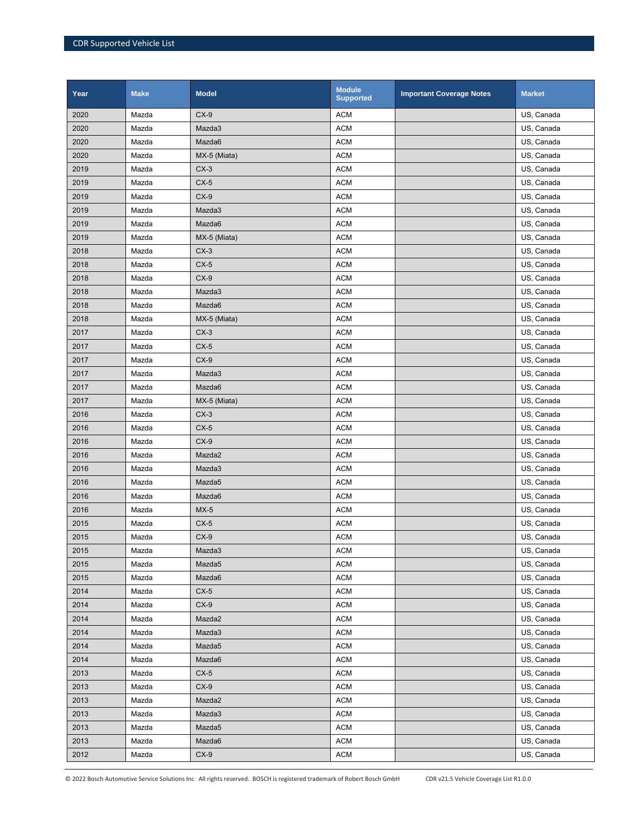| Year | <b>Make</b> | <b>Model</b> | <b>Module</b><br><b>Supported</b> | <b>Important Coverage Notes</b> | <b>Market</b> |
|------|-------------|--------------|-----------------------------------|---------------------------------|---------------|
| 2020 | Mazda       | $CX-9$       | <b>ACM</b>                        |                                 | US, Canada    |
| 2020 | Mazda       | Mazda3       | <b>ACM</b>                        |                                 | US, Canada    |
| 2020 | Mazda       | Mazda6       | <b>ACM</b>                        |                                 | US, Canada    |
| 2020 | Mazda       | MX-5 (Miata) | <b>ACM</b>                        |                                 | US, Canada    |
| 2019 | Mazda       | $CX-3$       | <b>ACM</b>                        |                                 | US, Canada    |
| 2019 | Mazda       | $CX-5$       | <b>ACM</b>                        |                                 | US, Canada    |
| 2019 | Mazda       | $CX-9$       | <b>ACM</b>                        |                                 | US, Canada    |
| 2019 | Mazda       | Mazda3       | <b>ACM</b>                        |                                 | US, Canada    |
| 2019 | Mazda       | Mazda6       | <b>ACM</b>                        |                                 | US, Canada    |
| 2019 | Mazda       | MX-5 (Miata) | <b>ACM</b>                        |                                 | US, Canada    |
| 2018 | Mazda       | $CX-3$       | <b>ACM</b>                        |                                 | US, Canada    |
| 2018 | Mazda       | $CX-5$       | <b>ACM</b>                        |                                 | US, Canada    |
| 2018 | Mazda       | $CX-9$       | <b>ACM</b>                        |                                 | US, Canada    |
| 2018 | Mazda       | Mazda3       | <b>ACM</b>                        |                                 | US, Canada    |
| 2018 | Mazda       | Mazda6       | <b>ACM</b>                        |                                 | US, Canada    |
| 2018 | Mazda       | MX-5 (Miata) | <b>ACM</b>                        |                                 | US, Canada    |
| 2017 | Mazda       | $CX-3$       | <b>ACM</b>                        |                                 | US, Canada    |
| 2017 | Mazda       | $CX-5$       | <b>ACM</b>                        |                                 | US, Canada    |
| 2017 | Mazda       | $CX-9$       | <b>ACM</b>                        |                                 | US, Canada    |
| 2017 | Mazda       | Mazda3       | <b>ACM</b>                        |                                 | US, Canada    |
| 2017 | Mazda       | Mazda6       | <b>ACM</b>                        |                                 | US, Canada    |
| 2017 | Mazda       | MX-5 (Miata) | <b>ACM</b>                        |                                 | US, Canada    |
| 2016 | Mazda       | $CX-3$       | <b>ACM</b>                        |                                 | US, Canada    |
| 2016 | Mazda       | $CX-5$       | <b>ACM</b>                        |                                 | US, Canada    |
| 2016 | Mazda       | $CX-9$       | <b>ACM</b>                        |                                 | US, Canada    |
| 2016 | Mazda       | Mazda2       | <b>ACM</b>                        |                                 | US, Canada    |
| 2016 | Mazda       | Mazda3       | <b>ACM</b>                        |                                 | US, Canada    |
| 2016 | Mazda       | Mazda5       | <b>ACM</b>                        |                                 | US, Canada    |
| 2016 | Mazda       | Mazda6       | <b>ACM</b>                        |                                 | US, Canada    |
| 2016 | Mazda       | $MX-5$       | <b>ACM</b>                        |                                 | US, Canada    |
| 2015 | Mazda       | $CX-5$       | <b>ACM</b>                        |                                 | US, Canada    |
| 2015 | Mazda       | $CX-9$       | <b>ACM</b>                        |                                 | US, Canada    |
| 2015 | Mazda       | Mazda3       | <b>ACM</b>                        |                                 | US, Canada    |
| 2015 | Mazda       | Mazda5       | <b>ACM</b>                        |                                 | US, Canada    |
| 2015 | Mazda       | Mazda6       | <b>ACM</b>                        |                                 | US, Canada    |
| 2014 | Mazda       | $CX-5$       | <b>ACM</b>                        |                                 | US, Canada    |
| 2014 | Mazda       | $CX-9$       | <b>ACM</b>                        |                                 | US, Canada    |
| 2014 | Mazda       | Mazda2       | <b>ACM</b>                        |                                 | US, Canada    |
| 2014 | Mazda       | Mazda3       | <b>ACM</b>                        |                                 | US, Canada    |
| 2014 | Mazda       | Mazda5       | <b>ACM</b>                        |                                 | US, Canada    |
| 2014 | Mazda       | Mazda6       | <b>ACM</b>                        |                                 | US, Canada    |
| 2013 | Mazda       | $CX-5$       | <b>ACM</b>                        |                                 | US, Canada    |
| 2013 | Mazda       | $CX-9$       | <b>ACM</b>                        |                                 | US, Canada    |
| 2013 | Mazda       | Mazda2       | <b>ACM</b>                        |                                 | US, Canada    |
| 2013 | Mazda       | Mazda3       | <b>ACM</b>                        |                                 | US, Canada    |
| 2013 | Mazda       | Mazda5       | <b>ACM</b>                        |                                 | US, Canada    |
| 2013 | Mazda       | Mazda6       | <b>ACM</b>                        |                                 | US, Canada    |
| 2012 | Mazda       | $CX-9$       | <b>ACM</b>                        |                                 | US, Canada    |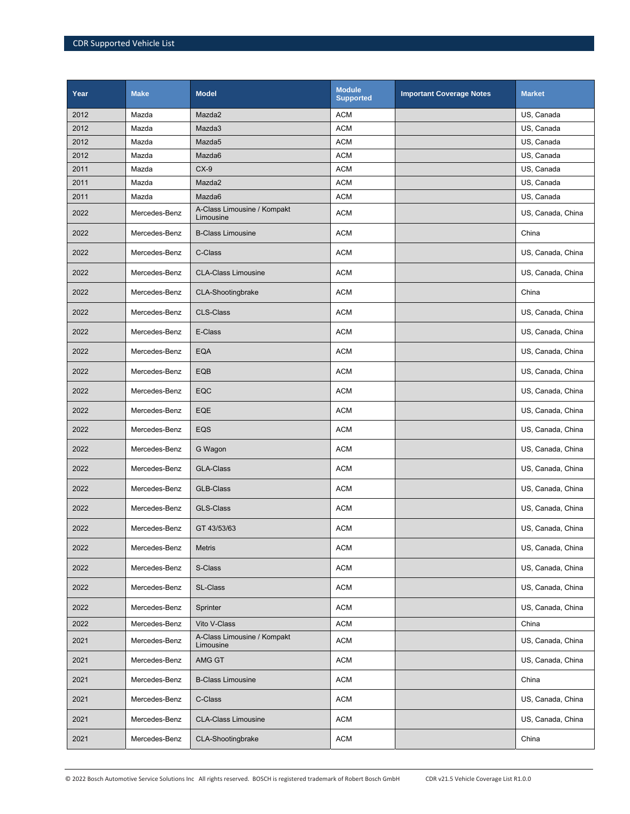| Year | <b>Make</b>   | <b>Model</b>                             | <b>Module</b><br><b>Supported</b> | <b>Important Coverage Notes</b> | <b>Market</b>     |
|------|---------------|------------------------------------------|-----------------------------------|---------------------------------|-------------------|
| 2012 | Mazda         | Mazda2                                   | <b>ACM</b>                        |                                 | US. Canada        |
| 2012 | Mazda         | Mazda3                                   | <b>ACM</b>                        |                                 | US, Canada        |
| 2012 | Mazda         | Mazda5                                   | <b>ACM</b>                        |                                 | US, Canada        |
| 2012 | Mazda         | Mazda6                                   | <b>ACM</b>                        |                                 | US, Canada        |
| 2011 | Mazda         | $CX-9$                                   | <b>ACM</b>                        |                                 | US, Canada        |
| 2011 | Mazda         | Mazda2                                   | <b>ACM</b>                        |                                 | US, Canada        |
| 2011 | Mazda         | Mazda6                                   | <b>ACM</b>                        |                                 | US, Canada        |
| 2022 | Mercedes-Benz | A-Class Limousine / Kompakt<br>Limousine | <b>ACM</b>                        |                                 | US, Canada, China |
| 2022 | Mercedes-Benz | <b>B-Class Limousine</b>                 | <b>ACM</b>                        |                                 | China             |
| 2022 | Mercedes-Benz | C-Class                                  | <b>ACM</b>                        |                                 | US, Canada, China |
| 2022 | Mercedes-Benz | <b>CLA-Class Limousine</b>               | <b>ACM</b>                        |                                 | US, Canada, China |
| 2022 | Mercedes-Benz | <b>CLA-Shootingbrake</b>                 | <b>ACM</b>                        |                                 | China             |
| 2022 | Mercedes-Benz | <b>CLS-Class</b>                         | <b>ACM</b>                        |                                 | US, Canada, China |
| 2022 | Mercedes-Benz | E-Class                                  | <b>ACM</b>                        |                                 | US, Canada, China |
| 2022 | Mercedes-Benz | <b>EQA</b>                               | <b>ACM</b>                        |                                 | US, Canada, China |
| 2022 | Mercedes-Benz | EQB                                      | <b>ACM</b>                        |                                 | US, Canada, China |
| 2022 | Mercedes-Benz | EQC                                      | <b>ACM</b>                        |                                 | US, Canada, China |
| 2022 | Mercedes-Benz | EQE                                      | <b>ACM</b>                        |                                 | US, Canada, China |
| 2022 | Mercedes-Benz | EQS                                      | <b>ACM</b>                        |                                 | US, Canada, China |
| 2022 | Mercedes-Benz | G Wagon                                  | <b>ACM</b>                        |                                 | US, Canada, China |
| 2022 | Mercedes-Benz | <b>GLA-Class</b>                         | <b>ACM</b>                        |                                 | US, Canada, China |
| 2022 | Mercedes-Benz | <b>GLB-Class</b>                         | <b>ACM</b>                        |                                 | US, Canada, China |
| 2022 | Mercedes-Benz | <b>GLS-Class</b>                         | <b>ACM</b>                        |                                 | US, Canada, China |
| 2022 | Mercedes-Benz | GT 43/53/63                              | <b>ACM</b>                        |                                 | US, Canada, China |
| 2022 | Mercedes-Benz | Metris                                   | <b>ACM</b>                        |                                 | US, Canada, China |
| 2022 | Mercedes-Benz | S-Class                                  | <b>ACM</b>                        |                                 | US, Canada, China |
| 2022 | Mercedes-Benz | SL-Class                                 | <b>ACM</b>                        |                                 | US, Canada, China |
| 2022 | Mercedes-Benz | Sprinter                                 | <b>ACM</b>                        |                                 | US, Canada, China |
| 2022 | Mercedes-Benz | Vito V-Class                             | <b>ACM</b>                        |                                 | China             |
| 2021 | Mercedes-Benz | A-Class Limousine / Kompakt<br>Limousine | <b>ACM</b>                        |                                 | US, Canada, China |
| 2021 | Mercedes-Benz | AMG GT                                   | <b>ACM</b>                        |                                 | US, Canada, China |
| 2021 | Mercedes-Benz | <b>B-Class Limousine</b>                 | <b>ACM</b>                        |                                 | China             |
| 2021 | Mercedes-Benz | C-Class                                  | <b>ACM</b>                        |                                 | US, Canada, China |
| 2021 | Mercedes-Benz | <b>CLA-Class Limousine</b>               | <b>ACM</b>                        |                                 | US, Canada, China |
| 2021 | Mercedes-Benz | CLA-Shootingbrake                        | <b>ACM</b>                        |                                 | China             |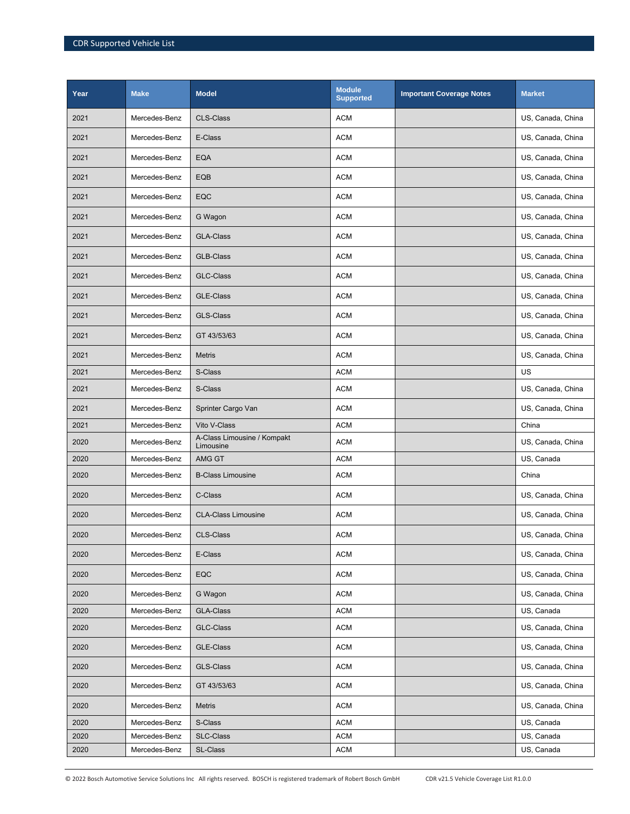| Year | <b>Make</b>   | <b>Model</b>                             | <b>Module</b><br><b>Supported</b> | <b>Important Coverage Notes</b> | <b>Market</b>     |
|------|---------------|------------------------------------------|-----------------------------------|---------------------------------|-------------------|
| 2021 | Mercedes-Benz | <b>CLS-Class</b>                         | <b>ACM</b>                        |                                 | US, Canada, China |
| 2021 | Mercedes-Benz | E-Class                                  | <b>ACM</b>                        |                                 | US, Canada, China |
| 2021 | Mercedes-Benz | <b>EQA</b>                               | ACM                               |                                 | US, Canada, China |
| 2021 | Mercedes-Benz | EQB                                      | <b>ACM</b>                        |                                 | US, Canada, China |
| 2021 | Mercedes-Benz | EQC                                      | <b>ACM</b>                        |                                 | US, Canada, China |
| 2021 | Mercedes-Benz | G Wagon                                  | ACM                               |                                 | US, Canada, China |
| 2021 | Mercedes-Benz | <b>GLA-Class</b>                         | <b>ACM</b>                        |                                 | US, Canada, China |
| 2021 | Mercedes-Benz | GLB-Class                                | ACM                               |                                 | US, Canada, China |
|      |               |                                          |                                   |                                 |                   |
| 2021 | Mercedes-Benz | <b>GLC-Class</b>                         | ACM                               |                                 | US, Canada, China |
| 2021 | Mercedes-Benz | GLE-Class                                | <b>ACM</b>                        |                                 | US, Canada, China |
| 2021 | Mercedes-Benz | <b>GLS-Class</b>                         | <b>ACM</b>                        |                                 | US, Canada, China |
| 2021 | Mercedes-Benz | GT 43/53/63                              | ACM                               |                                 | US, Canada, China |
| 2021 | Mercedes-Benz | <b>Metris</b>                            | <b>ACM</b>                        |                                 | US, Canada, China |
| 2021 | Mercedes-Benz | S-Class                                  | <b>ACM</b>                        |                                 | US                |
| 2021 | Mercedes-Benz | S-Class                                  | <b>ACM</b>                        |                                 | US, Canada, China |
| 2021 | Mercedes-Benz | Sprinter Cargo Van                       | <b>ACM</b>                        |                                 | US, Canada, China |
| 2021 | Mercedes-Benz | Vito V-Class                             | <b>ACM</b>                        |                                 | China             |
| 2020 | Mercedes-Benz | A-Class Limousine / Kompakt<br>Limousine | <b>ACM</b>                        |                                 | US, Canada, China |
| 2020 | Mercedes-Benz | AMG GT                                   | <b>ACM</b>                        |                                 | US, Canada        |
| 2020 | Mercedes-Benz | <b>B-Class Limousine</b>                 | ACM                               |                                 | China             |
| 2020 | Mercedes-Benz | C-Class                                  | ACM                               |                                 | US, Canada, China |
| 2020 | Mercedes-Benz | <b>CLA-Class Limousine</b>               | <b>ACM</b>                        |                                 | US, Canada, China |
| 2020 | Mercedes-Benz | <b>CLS-Class</b>                         | <b>ACM</b>                        |                                 | US, Canada, China |
| 2020 | Mercedes-Benz | E-Class                                  | <b>ACM</b>                        |                                 | US, Canada, China |
| 2020 | Mercedes-Benz | EQC                                      | ACM                               |                                 | US, Canada, China |
| 2020 | Mercedes-Benz | G Wagon                                  | ACM                               |                                 | US, Canada, China |
| 2020 | Mercedes-Benz | GLA-Class                                | ACM                               |                                 | US, Canada        |
| 2020 | Mercedes-Benz | <b>GLC-Class</b>                         | ACM                               |                                 | US, Canada, China |
| 2020 | Mercedes-Benz | <b>GLE-Class</b>                         | ACM                               |                                 | US, Canada, China |
| 2020 | Mercedes-Benz | GLS-Class                                | ACM                               |                                 | US, Canada, China |
| 2020 | Mercedes-Benz | GT 43/53/63                              | ACM                               |                                 | US, Canada, China |
| 2020 | Mercedes-Benz | Metris                                   | ACM                               |                                 | US, Canada, China |
| 2020 | Mercedes-Benz | S-Class                                  | <b>ACM</b>                        |                                 | US, Canada        |
| 2020 | Mercedes-Benz | SLC-Class                                | <b>ACM</b>                        |                                 | US, Canada        |
| 2020 | Mercedes-Benz | SL-Class                                 | <b>ACM</b>                        |                                 | US, Canada        |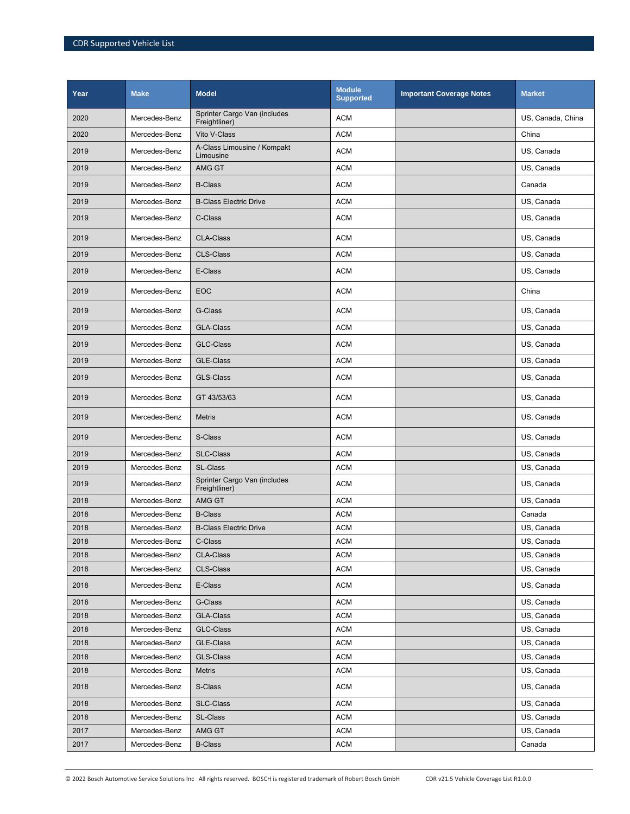| Year | <b>Make</b>   | <b>Model</b>                                  | <b>Module</b><br><b>Supported</b> | <b>Important Coverage Notes</b> | <b>Market</b>     |
|------|---------------|-----------------------------------------------|-----------------------------------|---------------------------------|-------------------|
| 2020 | Mercedes-Benz | Sprinter Cargo Van (includes<br>Freightliner) | <b>ACM</b>                        |                                 | US, Canada, China |
| 2020 | Mercedes-Benz | Vito V-Class                                  | <b>ACM</b>                        |                                 | China             |
| 2019 | Mercedes-Benz | A-Class Limousine / Kompakt<br>Limousine      | <b>ACM</b>                        |                                 | US, Canada        |
| 2019 | Mercedes-Benz | AMG GT                                        | <b>ACM</b>                        |                                 | US, Canada        |
| 2019 | Mercedes-Benz | <b>B-Class</b>                                | <b>ACM</b>                        |                                 | Canada            |
| 2019 | Mercedes-Benz | <b>B-Class Electric Drive</b>                 | <b>ACM</b>                        |                                 | US, Canada        |
| 2019 | Mercedes-Benz | C-Class                                       | <b>ACM</b>                        |                                 | US, Canada        |
| 2019 | Mercedes-Benz | <b>CLA-Class</b>                              | <b>ACM</b>                        |                                 | US, Canada        |
| 2019 | Mercedes-Benz | <b>CLS-Class</b>                              | <b>ACM</b>                        |                                 | US, Canada        |
| 2019 | Mercedes-Benz | E-Class                                       | <b>ACM</b>                        |                                 | US, Canada        |
| 2019 | Mercedes-Benz | <b>EOC</b>                                    | <b>ACM</b>                        |                                 | China             |
| 2019 | Mercedes-Benz | G-Class                                       | <b>ACM</b>                        |                                 | US, Canada        |
| 2019 | Mercedes-Benz | <b>GLA-Class</b>                              | <b>ACM</b>                        |                                 | US. Canada        |
| 2019 | Mercedes-Benz | <b>GLC-Class</b>                              | <b>ACM</b>                        |                                 | US, Canada        |
| 2019 | Mercedes-Benz | <b>GLE-Class</b>                              | <b>ACM</b>                        |                                 | US, Canada        |
| 2019 | Mercedes-Benz | <b>GLS-Class</b>                              | <b>ACM</b>                        |                                 | US, Canada        |
| 2019 | Mercedes-Benz | GT 43/53/63                                   | <b>ACM</b>                        |                                 | US, Canada        |
| 2019 | Mercedes-Benz | <b>Metris</b>                                 | <b>ACM</b>                        |                                 | US, Canada        |
| 2019 | Mercedes-Benz | S-Class                                       | <b>ACM</b>                        |                                 | US, Canada        |
| 2019 | Mercedes-Benz | SLC-Class                                     | <b>ACM</b>                        |                                 | US, Canada        |
| 2019 | Mercedes-Benz | SL-Class                                      | <b>ACM</b>                        |                                 | US, Canada        |
| 2019 | Mercedes-Benz | Sprinter Cargo Van (includes<br>Freightliner) | <b>ACM</b>                        |                                 | US, Canada        |
| 2018 | Mercedes-Benz | AMG GT                                        | <b>ACM</b>                        |                                 | US, Canada        |
| 2018 | Mercedes-Benz | <b>B-Class</b>                                | <b>ACM</b>                        |                                 | Canada            |
| 2018 | Mercedes-Benz | <b>B-Class Electric Drive</b>                 | <b>ACM</b>                        |                                 | US, Canada        |
| 2018 | Mercedes-Benz | C-Class                                       | ACM                               |                                 | US, Canada        |
| 2018 | Mercedes-Benz | <b>CLA-Class</b>                              | <b>ACM</b>                        |                                 | US, Canada        |
| 2018 | Mercedes-Benz | CLS-Class                                     | <b>ACM</b>                        |                                 | US, Canada        |
| 2018 | Mercedes-Benz | E-Class                                       | <b>ACM</b>                        |                                 | US, Canada        |
| 2018 | Mercedes-Benz | G-Class                                       | <b>ACM</b>                        |                                 | US, Canada        |
| 2018 | Mercedes-Benz | GLA-Class                                     | ACM                               |                                 | US, Canada        |
| 2018 | Mercedes-Benz | GLC-Class                                     | ACM                               |                                 | US, Canada        |
| 2018 | Mercedes-Benz | GLE-Class                                     | <b>ACM</b>                        |                                 | US, Canada        |
| 2018 | Mercedes-Benz | GLS-Class                                     | <b>ACM</b>                        |                                 | US, Canada        |
| 2018 | Mercedes-Benz | <b>Metris</b>                                 | ACM                               |                                 | US, Canada        |
| 2018 | Mercedes-Benz | S-Class                                       | <b>ACM</b>                        |                                 | US, Canada        |
| 2018 | Mercedes-Benz | SLC-Class                                     | ACM                               |                                 | US, Canada        |
| 2018 | Mercedes-Benz | SL-Class                                      | <b>ACM</b>                        |                                 | US, Canada        |
| 2017 | Mercedes-Benz | AMG GT                                        | ACM                               |                                 | US, Canada        |
| 2017 | Mercedes-Benz | <b>B-Class</b>                                | <b>ACM</b>                        |                                 | Canada            |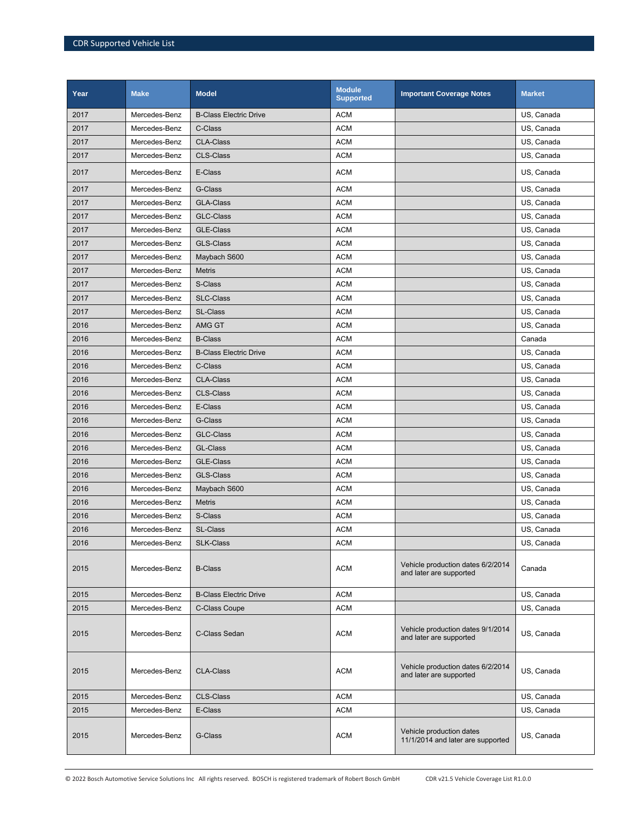| Year | <b>Make</b>   | <b>Model</b>                  | <b>Module</b><br>Supported | <b>Important Coverage Notes</b>                               | <b>Market</b> |
|------|---------------|-------------------------------|----------------------------|---------------------------------------------------------------|---------------|
| 2017 | Mercedes-Benz | <b>B-Class Electric Drive</b> | <b>ACM</b>                 |                                                               | US, Canada    |
| 2017 | Mercedes-Benz | C-Class                       | <b>ACM</b>                 |                                                               | US, Canada    |
| 2017 | Mercedes-Benz | <b>CLA-Class</b>              | <b>ACM</b>                 |                                                               | US, Canada    |
| 2017 | Mercedes-Benz | <b>CLS-Class</b>              | <b>ACM</b>                 |                                                               | US, Canada    |
| 2017 | Mercedes-Benz | E-Class                       | <b>ACM</b>                 |                                                               | US, Canada    |
| 2017 | Mercedes-Benz | G-Class                       | <b>ACM</b>                 |                                                               | US, Canada    |
| 2017 | Mercedes-Benz | <b>GLA-Class</b>              | <b>ACM</b>                 |                                                               | US, Canada    |
| 2017 | Mercedes-Benz | <b>GLC-Class</b>              | <b>ACM</b>                 |                                                               | US, Canada    |
| 2017 | Mercedes-Benz | <b>GLE-Class</b>              | <b>ACM</b>                 |                                                               | US, Canada    |
| 2017 | Mercedes-Benz | <b>GLS-Class</b>              | <b>ACM</b>                 |                                                               | US, Canada    |
| 2017 | Mercedes-Benz | Maybach S600                  | <b>ACM</b>                 |                                                               | US, Canada    |
| 2017 | Mercedes-Benz | <b>Metris</b>                 | <b>ACM</b>                 |                                                               | US, Canada    |
| 2017 | Mercedes-Benz | S-Class                       | <b>ACM</b>                 |                                                               | US, Canada    |
| 2017 | Mercedes-Benz | <b>SLC-Class</b>              | <b>ACM</b>                 |                                                               | US, Canada    |
| 2017 | Mercedes-Benz | <b>SL-Class</b>               | <b>ACM</b>                 |                                                               | US, Canada    |
| 2016 | Mercedes-Benz | AMG GT                        | <b>ACM</b>                 |                                                               | US, Canada    |
| 2016 | Mercedes-Benz | <b>B-Class</b>                | <b>ACM</b>                 |                                                               | Canada        |
| 2016 | Mercedes-Benz | <b>B-Class Electric Drive</b> | <b>ACM</b>                 |                                                               | US, Canada    |
| 2016 | Mercedes-Benz | C-Class                       | <b>ACM</b>                 |                                                               | US, Canada    |
| 2016 | Mercedes-Benz | <b>CLA-Class</b>              | <b>ACM</b>                 |                                                               | US, Canada    |
| 2016 | Mercedes-Benz | <b>CLS-Class</b>              | <b>ACM</b>                 |                                                               | US, Canada    |
| 2016 | Mercedes-Benz | E-Class                       | ACM                        |                                                               | US, Canada    |
| 2016 | Mercedes-Benz | G-Class                       | <b>ACM</b>                 |                                                               | US, Canada    |
| 2016 | Mercedes-Benz | <b>GLC-Class</b>              | <b>ACM</b>                 |                                                               | US, Canada    |
| 2016 | Mercedes-Benz | <b>GL-Class</b>               | <b>ACM</b>                 |                                                               | US, Canada    |
| 2016 | Mercedes-Benz | <b>GLE-Class</b>              | <b>ACM</b>                 |                                                               | US, Canada    |
| 2016 | Mercedes-Benz | <b>GLS-Class</b>              | <b>ACM</b>                 |                                                               | US, Canada    |
| 2016 | Mercedes-Benz | Maybach S600                  | <b>ACM</b>                 |                                                               | US, Canada    |
| 2016 | Mercedes-Benz | <b>Metris</b>                 | <b>ACM</b>                 |                                                               | US, Canada    |
| 2016 | Mercedes-Benz | S-Class                       | <b>ACM</b>                 |                                                               | US, Canada    |
| 2016 | Mercedes-Benz | <b>SL-Class</b>               | <b>ACM</b>                 |                                                               | US, Canada    |
| 2016 | Mercedes-Benz | <b>SLK-Class</b>              | <b>ACM</b>                 |                                                               | US, Canada    |
| 2015 | Mercedes-Benz | <b>B-Class</b>                | <b>ACM</b>                 | Vehicle production dates 6/2/2014<br>and later are supported  | Canada        |
| 2015 | Mercedes-Benz | <b>B-Class Electric Drive</b> | <b>ACM</b>                 |                                                               | US, Canada    |
| 2015 | Mercedes-Benz | C-Class Coupe                 | ACM                        |                                                               | US, Canada    |
| 2015 | Mercedes-Benz | C-Class Sedan                 | <b>ACM</b>                 | Vehicle production dates 9/1/2014<br>and later are supported  | US, Canada    |
| 2015 | Mercedes-Benz | <b>CLA-Class</b>              | <b>ACM</b>                 | Vehicle production dates 6/2/2014<br>and later are supported  | US, Canada    |
| 2015 | Mercedes-Benz | <b>CLS-Class</b>              | <b>ACM</b>                 |                                                               | US, Canada    |
| 2015 | Mercedes-Benz | E-Class                       | <b>ACM</b>                 |                                                               | US, Canada    |
| 2015 | Mercedes-Benz | G-Class                       | <b>ACM</b>                 | Vehicle production dates<br>11/1/2014 and later are supported | US, Canada    |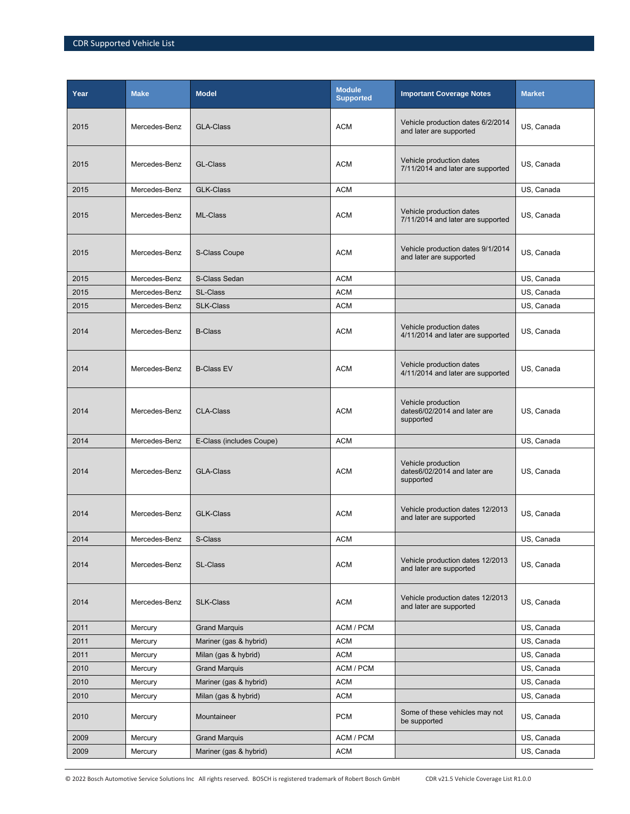| Year | <b>Make</b>   | <b>Model</b>             | <b>Module</b><br><b>Supported</b> | <b>Important Coverage Notes</b>                                 | <b>Market</b> |
|------|---------------|--------------------------|-----------------------------------|-----------------------------------------------------------------|---------------|
| 2015 | Mercedes-Benz | <b>GLA-Class</b>         | ACM                               | Vehicle production dates 6/2/2014<br>and later are supported    | US, Canada    |
| 2015 | Mercedes-Benz | GL-Class                 | <b>ACM</b>                        | Vehicle production dates<br>7/11/2014 and later are supported   | US, Canada    |
| 2015 | Mercedes-Benz | <b>GLK-Class</b>         | <b>ACM</b>                        |                                                                 | US, Canada    |
| 2015 | Mercedes-Benz | ML-Class                 | <b>ACM</b>                        | Vehicle production dates<br>7/11/2014 and later are supported   | US, Canada    |
| 2015 | Mercedes-Benz | S-Class Coupe            | <b>ACM</b>                        | Vehicle production dates 9/1/2014<br>and later are supported    | US, Canada    |
| 2015 | Mercedes-Benz | S-Class Sedan            | <b>ACM</b>                        |                                                                 | US, Canada    |
| 2015 | Mercedes-Benz | SL-Class                 | <b>ACM</b>                        |                                                                 | US, Canada    |
| 2015 | Mercedes-Benz | <b>SLK-Class</b>         | <b>ACM</b>                        |                                                                 | US, Canada    |
| 2014 | Mercedes-Benz | <b>B-Class</b>           | <b>ACM</b>                        | Vehicle production dates<br>4/11/2014 and later are supported   | US, Canada    |
| 2014 | Mercedes-Benz | <b>B-Class EV</b>        | <b>ACM</b>                        | Vehicle production dates<br>4/11/2014 and later are supported   | US, Canada    |
| 2014 | Mercedes-Benz | <b>CLA-Class</b>         | <b>ACM</b>                        | Vehicle production<br>dates6/02/2014 and later are<br>supported | US, Canada    |
| 2014 | Mercedes-Benz | E-Class (includes Coupe) | <b>ACM</b>                        |                                                                 | US, Canada    |
| 2014 | Mercedes-Benz | <b>GLA-Class</b>         | <b>ACM</b>                        | Vehicle production<br>dates6/02/2014 and later are<br>supported | US, Canada    |
| 2014 | Mercedes-Benz | <b>GLK-Class</b>         | <b>ACM</b>                        | Vehicle production dates 12/2013<br>and later are supported     | US, Canada    |
| 2014 | Mercedes-Benz | S-Class                  | <b>ACM</b>                        |                                                                 | US, Canada    |
| 2014 | Mercedes-Benz | SL-Class                 | <b>ACM</b>                        | Vehicle production dates 12/2013<br>and later are supported     | US, Canada    |
| 2014 | Mercedes-Benz | <b>SLK-Class</b>         | <b>ACM</b>                        | Vehicle production dates 12/2013<br>and later are supported     | US, Canada    |
| 2011 | Mercury       | <b>Grand Marquis</b>     | ACM / PCM                         |                                                                 | US, Canada    |
| 2011 | Mercury       | Mariner (gas & hybrid)   | <b>ACM</b>                        |                                                                 | US, Canada    |
| 2011 | Mercury       | Milan (gas & hybrid)     | ACM                               |                                                                 | US, Canada    |
| 2010 | Mercury       | <b>Grand Marquis</b>     | ACM / PCM                         |                                                                 | US, Canada    |
| 2010 | Mercury       | Mariner (gas & hybrid)   | <b>ACM</b>                        |                                                                 | US, Canada    |
| 2010 | Mercury       | Milan (gas & hybrid)     | <b>ACM</b>                        |                                                                 | US, Canada    |
| 2010 | Mercury       | Mountaineer              | <b>PCM</b>                        | Some of these vehicles may not<br>be supported                  | US, Canada    |
| 2009 | Mercury       | <b>Grand Marquis</b>     | ACM / PCM                         |                                                                 | US, Canada    |
| 2009 | Mercury       | Mariner (gas & hybrid)   | <b>ACM</b>                        |                                                                 | US, Canada    |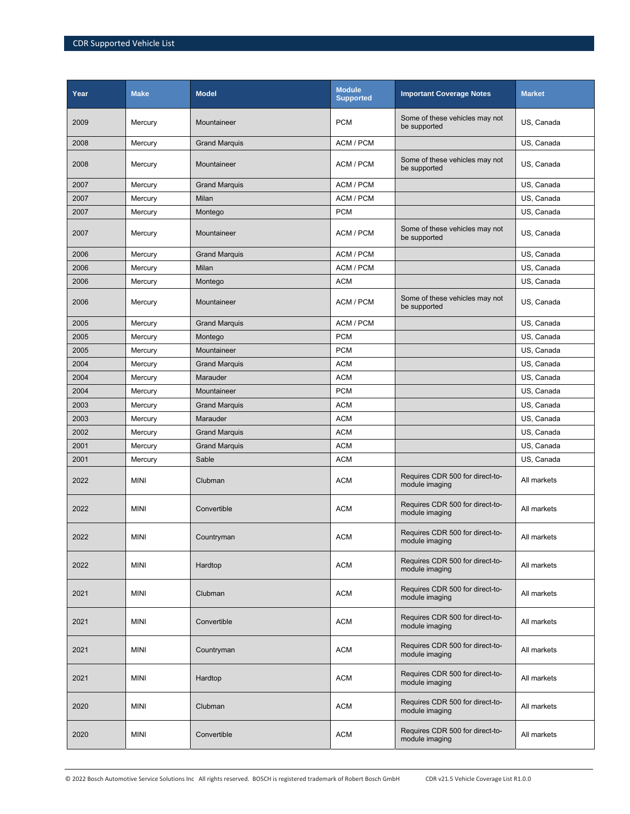| Year | <b>Make</b> | <b>Model</b>         | <b>Module</b><br><b>Supported</b> | <b>Important Coverage Notes</b>                   | <b>Market</b> |
|------|-------------|----------------------|-----------------------------------|---------------------------------------------------|---------------|
| 2009 | Mercury     | Mountaineer          | <b>PCM</b>                        | Some of these vehicles may not<br>be supported    | US, Canada    |
| 2008 | Mercury     | <b>Grand Marquis</b> | ACM / PCM                         |                                                   | US, Canada    |
| 2008 | Mercury     | Mountaineer          | ACM / PCM                         | Some of these vehicles may not<br>be supported    | US, Canada    |
| 2007 | Mercury     | <b>Grand Marquis</b> | ACM / PCM                         |                                                   | US, Canada    |
| 2007 | Mercury     | Milan                | ACM / PCM                         |                                                   | US. Canada    |
| 2007 | Mercury     | Montego              | <b>PCM</b>                        |                                                   | US, Canada    |
| 2007 | Mercury     | Mountaineer          | ACM / PCM                         | Some of these vehicles may not<br>be supported    | US, Canada    |
| 2006 | Mercury     | <b>Grand Marquis</b> | ACM / PCM                         |                                                   | US, Canada    |
| 2006 | Mercury     | Milan                | ACM / PCM                         |                                                   | US, Canada    |
| 2006 | Mercury     | Montego              | <b>ACM</b>                        |                                                   | US, Canada    |
| 2006 | Mercury     | Mountaineer          | ACM / PCM                         | Some of these vehicles may not<br>be supported    | US, Canada    |
| 2005 | Mercury     | <b>Grand Marquis</b> | ACM / PCM                         |                                                   | US, Canada    |
| 2005 | Mercury     | Montego              | <b>PCM</b>                        |                                                   | US, Canada    |
| 2005 | Mercury     | Mountaineer          | <b>PCM</b>                        |                                                   | US, Canada    |
| 2004 | Mercury     | <b>Grand Marquis</b> | <b>ACM</b>                        |                                                   | US, Canada    |
| 2004 | Mercury     | Marauder             | <b>ACM</b>                        |                                                   | US, Canada    |
| 2004 | Mercury     | Mountaineer          | <b>PCM</b>                        |                                                   | US, Canada    |
| 2003 | Mercury     | <b>Grand Marquis</b> | <b>ACM</b>                        |                                                   | US, Canada    |
| 2003 | Mercury     | Marauder             | <b>ACM</b>                        |                                                   | US, Canada    |
| 2002 | Mercury     | <b>Grand Marquis</b> | <b>ACM</b>                        |                                                   | US, Canada    |
| 2001 | Mercury     | <b>Grand Marquis</b> | <b>ACM</b>                        |                                                   | US, Canada    |
| 2001 | Mercury     | Sable                | <b>ACM</b>                        |                                                   | US, Canada    |
| 2022 | <b>MINI</b> | Clubman              | <b>ACM</b>                        | Requires CDR 500 for direct-to-<br>module imaging | All markets   |
| 2022 | <b>MINI</b> | Convertible          | <b>ACM</b>                        | Requires CDR 500 for direct-to-<br>module imaging | All markets   |
| 2022 | <b>MINI</b> | Countryman           | <b>ACM</b>                        | Requires CDR 500 for direct-to-<br>module imaging | All markets   |
| 2022 | <b>MINI</b> | Hardtop              | <b>ACM</b>                        | Requires CDR 500 for direct-to-<br>module imaging | All markets   |
| 2021 | <b>MINI</b> | Clubman              | <b>ACM</b>                        | Requires CDR 500 for direct-to-<br>module imaging | All markets   |
| 2021 | <b>MINI</b> | Convertible          | <b>ACM</b>                        | Requires CDR 500 for direct-to-<br>module imaging | All markets   |
| 2021 | <b>MINI</b> | Countryman           | <b>ACM</b>                        | Requires CDR 500 for direct-to-<br>module imaging | All markets   |
| 2021 | <b>MINI</b> | Hardtop              | <b>ACM</b>                        | Requires CDR 500 for direct-to-<br>module imaging | All markets   |
| 2020 | <b>MINI</b> | Clubman              | <b>ACM</b>                        | Requires CDR 500 for direct-to-<br>module imaging | All markets   |
| 2020 | MINI        | Convertible          | <b>ACM</b>                        | Requires CDR 500 for direct-to-<br>module imaging | All markets   |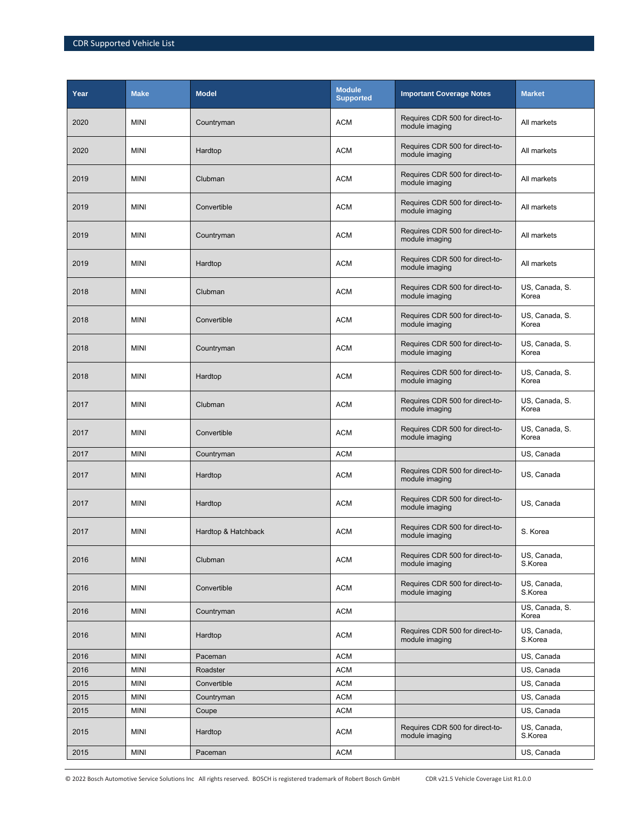| Year | <b>Make</b> | <b>Model</b>        | <b>Module</b><br><b>Supported</b> | <b>Important Coverage Notes</b>                   | <b>Market</b>           |
|------|-------------|---------------------|-----------------------------------|---------------------------------------------------|-------------------------|
| 2020 | <b>MINI</b> | Countryman          | <b>ACM</b>                        | Requires CDR 500 for direct-to-<br>module imaging | All markets             |
| 2020 | <b>MINI</b> | Hardtop             | <b>ACM</b>                        | Requires CDR 500 for direct-to-<br>module imaging | All markets             |
| 2019 | <b>MINI</b> | Clubman             | <b>ACM</b>                        | Requires CDR 500 for direct-to-<br>module imaging | All markets             |
| 2019 | <b>MINI</b> | Convertible         | <b>ACM</b>                        | Requires CDR 500 for direct-to-<br>module imaging | All markets             |
| 2019 | <b>MINI</b> | Countryman          | <b>ACM</b>                        | Requires CDR 500 for direct-to-<br>module imaging | All markets             |
| 2019 | <b>MINI</b> | Hardtop             | <b>ACM</b>                        | Requires CDR 500 for direct-to-<br>module imaging | All markets             |
| 2018 | <b>MINI</b> | Clubman             | <b>ACM</b>                        | Requires CDR 500 for direct-to-<br>module imaging | US, Canada, S.<br>Korea |
| 2018 | <b>MINI</b> | Convertible         | <b>ACM</b>                        | Requires CDR 500 for direct-to-<br>module imaging | US, Canada, S.<br>Korea |
| 2018 | <b>MINI</b> | Countryman          | <b>ACM</b>                        | Requires CDR 500 for direct-to-<br>module imaging | US, Canada, S.<br>Korea |
| 2018 | <b>MINI</b> | Hardtop             | <b>ACM</b>                        | Requires CDR 500 for direct-to-<br>module imaging | US, Canada, S.<br>Korea |
| 2017 | <b>MINI</b> | Clubman             | <b>ACM</b>                        | Requires CDR 500 for direct-to-<br>module imaging | US, Canada, S.<br>Korea |
| 2017 | <b>MINI</b> | Convertible         | <b>ACM</b>                        | Requires CDR 500 for direct-to-<br>module imaging | US, Canada, S.<br>Korea |
| 2017 | <b>MINI</b> | Countryman          | <b>ACM</b>                        |                                                   | US, Canada              |
| 2017 | <b>MINI</b> | Hardtop             | <b>ACM</b>                        | Requires CDR 500 for direct-to-<br>module imaging | US, Canada              |
| 2017 | <b>MINI</b> | Hardtop             | <b>ACM</b>                        | Requires CDR 500 for direct-to-<br>module imaging | US, Canada              |
| 2017 | <b>MINI</b> | Hardtop & Hatchback | <b>ACM</b>                        | Requires CDR 500 for direct-to-<br>module imaging | S. Korea                |
| 2016 | <b>MINI</b> | Clubman             | <b>ACM</b>                        | Requires CDR 500 for direct-to-<br>module imaging | US, Canada,<br>S.Korea  |
| 2016 | <b>MINI</b> | Convertible         | <b>ACM</b>                        | Requires CDR 500 for direct-to-<br>module imaging | US, Canada,<br>S.Korea  |
| 2016 | <b>MINI</b> | Countryman          | <b>ACM</b>                        |                                                   | US, Canada, S.<br>Korea |
| 2016 | <b>MINI</b> | Hardtop             | <b>ACM</b>                        | Requires CDR 500 for direct-to-<br>module imaging | US, Canada,<br>S.Korea  |
| 2016 | <b>MINI</b> | Paceman             | <b>ACM</b>                        |                                                   | US, Canada              |
| 2016 | <b>MINI</b> | Roadster            | <b>ACM</b>                        |                                                   | US, Canada              |
| 2015 | <b>MINI</b> | Convertible         | <b>ACM</b>                        |                                                   | US, Canada              |
| 2015 | <b>MINI</b> | Countryman          | <b>ACM</b>                        |                                                   | US, Canada              |
| 2015 | <b>MINI</b> | Coupe               | <b>ACM</b>                        |                                                   | US, Canada              |
| 2015 | <b>MINI</b> | Hardtop             | <b>ACM</b>                        | Requires CDR 500 for direct-to-<br>module imaging | US, Canada,<br>S.Korea  |
| 2015 | <b>MINI</b> | Paceman             | <b>ACM</b>                        |                                                   | US, Canada              |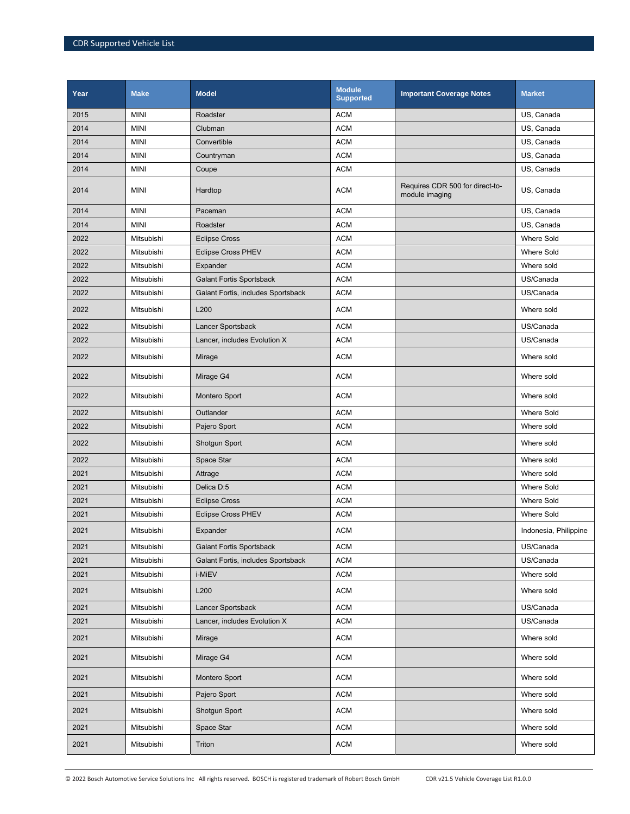| Year | <b>Make</b> | <b>Model</b>                       | <b>Module</b><br><b>Supported</b> | <b>Important Coverage Notes</b>                   | <b>Market</b>         |
|------|-------------|------------------------------------|-----------------------------------|---------------------------------------------------|-----------------------|
| 2015 | <b>MINI</b> | Roadster                           | <b>ACM</b>                        |                                                   | US, Canada            |
| 2014 | <b>MINI</b> | Clubman                            | <b>ACM</b>                        |                                                   | US, Canada            |
| 2014 | <b>MINI</b> | Convertible                        | <b>ACM</b>                        |                                                   | US, Canada            |
| 2014 | <b>MINI</b> | Countryman                         | <b>ACM</b>                        |                                                   | US, Canada            |
| 2014 | <b>MINI</b> | Coupe                              | <b>ACM</b>                        |                                                   | US, Canada            |
| 2014 | <b>MINI</b> | Hardtop                            | <b>ACM</b>                        | Requires CDR 500 for direct-to-<br>module imaging | US, Canada            |
| 2014 | <b>MINI</b> | Paceman                            | <b>ACM</b>                        |                                                   | US, Canada            |
| 2014 | <b>MINI</b> | Roadster                           | <b>ACM</b>                        |                                                   | US, Canada            |
| 2022 | Mitsubishi  | <b>Eclipse Cross</b>               | <b>ACM</b>                        |                                                   | <b>Where Sold</b>     |
| 2022 | Mitsubishi  | <b>Eclipse Cross PHEV</b>          | <b>ACM</b>                        |                                                   | <b>Where Sold</b>     |
| 2022 | Mitsubishi  | Expander                           | <b>ACM</b>                        |                                                   | Where sold            |
| 2022 | Mitsubishi  | <b>Galant Fortis Sportsback</b>    | <b>ACM</b>                        |                                                   | US/Canada             |
| 2022 | Mitsubishi  | Galant Fortis, includes Sportsback | <b>ACM</b>                        |                                                   | US/Canada             |
| 2022 | Mitsubishi  | L200                               | <b>ACM</b>                        |                                                   | Where sold            |
| 2022 | Mitsubishi  | Lancer Sportsback                  | <b>ACM</b>                        |                                                   | US/Canada             |
| 2022 | Mitsubishi  | Lancer, includes Evolution X       | <b>ACM</b>                        |                                                   | US/Canada             |
| 2022 | Mitsubishi  | Mirage                             | <b>ACM</b>                        |                                                   | Where sold            |
| 2022 | Mitsubishi  | Mirage G4                          | <b>ACM</b>                        |                                                   | Where sold            |
| 2022 | Mitsubishi  | Montero Sport                      | <b>ACM</b>                        |                                                   | Where sold            |
| 2022 | Mitsubishi  | Outlander                          | <b>ACM</b>                        |                                                   | <b>Where Sold</b>     |
| 2022 | Mitsubishi  | Pajero Sport                       | <b>ACM</b>                        |                                                   | Where sold            |
| 2022 | Mitsubishi  | Shotgun Sport                      | <b>ACM</b>                        |                                                   | Where sold            |
| 2022 | Mitsubishi  | Space Star                         | <b>ACM</b>                        |                                                   | Where sold            |
| 2021 | Mitsubishi  | Attrage                            | <b>ACM</b>                        |                                                   | Where sold            |
| 2021 | Mitsubishi  | Delica D:5                         | <b>ACM</b>                        |                                                   | <b>Where Sold</b>     |
| 2021 | Mitsubishi  | <b>Eclipse Cross</b>               | <b>ACM</b>                        |                                                   | Where Sold            |
| 2021 | Mitsubishi  | <b>Eclipse Cross PHEV</b>          | <b>ACM</b>                        |                                                   | <b>Where Sold</b>     |
| 2021 | Mitsubishi  | Expander                           | <b>ACM</b>                        |                                                   | Indonesia, Philippine |
| 2021 | Mitsubishi  | <b>Galant Fortis Sportsback</b>    | <b>ACM</b>                        |                                                   | US/Canada             |
| 2021 | Mitsubishi  | Galant Fortis, includes Sportsback | <b>ACM</b>                        |                                                   | US/Canada             |
| 2021 | Mitsubishi  | i-MiEV                             | ACM                               |                                                   | Where sold            |
| 2021 | Mitsubishi  | L200                               | <b>ACM</b>                        |                                                   | Where sold            |
| 2021 | Mitsubishi  | Lancer Sportsback                  | <b>ACM</b>                        |                                                   | US/Canada             |
| 2021 | Mitsubishi  | Lancer, includes Evolution X       | <b>ACM</b>                        |                                                   | US/Canada             |
| 2021 | Mitsubishi  | Mirage                             | <b>ACM</b>                        |                                                   | Where sold            |
| 2021 | Mitsubishi  | Mirage G4                          | <b>ACM</b>                        |                                                   | Where sold            |
| 2021 | Mitsubishi  | Montero Sport                      | <b>ACM</b>                        |                                                   | Where sold            |
| 2021 | Mitsubishi  | Pajero Sport                       | <b>ACM</b>                        |                                                   | Where sold            |
| 2021 | Mitsubishi  | Shotgun Sport                      | ACM                               |                                                   | Where sold            |
| 2021 | Mitsubishi  | Space Star                         | <b>ACM</b>                        |                                                   | Where sold            |
| 2021 | Mitsubishi  | Triton                             | <b>ACM</b>                        |                                                   | Where sold            |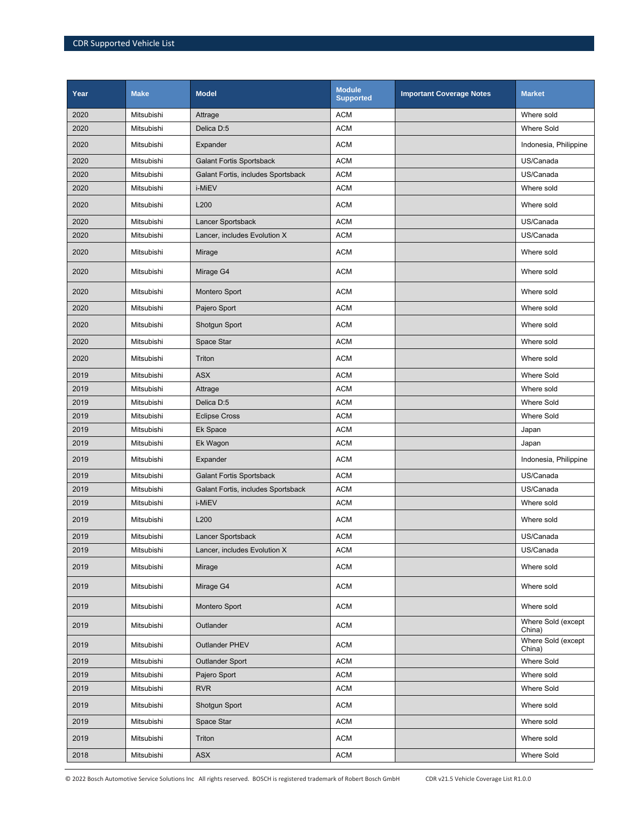| Year | <b>Make</b> | <b>Model</b>                       | <b>Module</b><br><b>Supported</b> | <b>Important Coverage Notes</b> | <b>Market</b>                |
|------|-------------|------------------------------------|-----------------------------------|---------------------------------|------------------------------|
| 2020 | Mitsubishi  | Attrage                            | <b>ACM</b>                        |                                 | Where sold                   |
| 2020 | Mitsubishi  | Delica D:5                         | <b>ACM</b>                        |                                 | <b>Where Sold</b>            |
| 2020 | Mitsubishi  | Expander                           | <b>ACM</b>                        |                                 | Indonesia, Philippine        |
| 2020 | Mitsubishi  | <b>Galant Fortis Sportsback</b>    | <b>ACM</b>                        |                                 | US/Canada                    |
| 2020 | Mitsubishi  | Galant Fortis, includes Sportsback | <b>ACM</b>                        |                                 | US/Canada                    |
| 2020 | Mitsubishi  | i-MiEV                             | <b>ACM</b>                        |                                 | Where sold                   |
| 2020 | Mitsubishi  | L200                               | <b>ACM</b>                        |                                 | Where sold                   |
| 2020 | Mitsubishi  | Lancer Sportsback                  | <b>ACM</b>                        |                                 | US/Canada                    |
| 2020 | Mitsubishi  | Lancer, includes Evolution X       | <b>ACM</b>                        |                                 | US/Canada                    |
| 2020 | Mitsubishi  | Mirage                             | <b>ACM</b>                        |                                 | Where sold                   |
| 2020 | Mitsubishi  | Mirage G4                          | <b>ACM</b>                        |                                 | Where sold                   |
| 2020 | Mitsubishi  | Montero Sport                      | <b>ACM</b>                        |                                 | Where sold                   |
| 2020 | Mitsubishi  | Pajero Sport                       | <b>ACM</b>                        |                                 | Where sold                   |
| 2020 | Mitsubishi  | Shotgun Sport                      | <b>ACM</b>                        |                                 | Where sold                   |
| 2020 | Mitsubishi  | Space Star                         | <b>ACM</b>                        |                                 | Where sold                   |
| 2020 | Mitsubishi  | Triton                             | <b>ACM</b>                        |                                 | Where sold                   |
| 2019 | Mitsubishi  | <b>ASX</b>                         | <b>ACM</b>                        |                                 | <b>Where Sold</b>            |
| 2019 | Mitsubishi  | Attrage                            | <b>ACM</b>                        |                                 | Where sold                   |
| 2019 | Mitsubishi  | Delica D:5                         | <b>ACM</b>                        |                                 | <b>Where Sold</b>            |
| 2019 | Mitsubishi  | <b>Eclipse Cross</b>               | <b>ACM</b>                        |                                 | <b>Where Sold</b>            |
| 2019 | Mitsubishi  | Ek Space                           | <b>ACM</b>                        |                                 | Japan                        |
| 2019 | Mitsubishi  | Ek Wagon                           | <b>ACM</b>                        |                                 | Japan                        |
| 2019 | Mitsubishi  | Expander                           | <b>ACM</b>                        |                                 | Indonesia, Philippine        |
| 2019 | Mitsubishi  | <b>Galant Fortis Sportsback</b>    | <b>ACM</b>                        |                                 | US/Canada                    |
| 2019 | Mitsubishi  | Galant Fortis, includes Sportsback | <b>ACM</b>                        |                                 | US/Canada                    |
| 2019 | Mitsubishi  | i-MiEV                             | <b>ACM</b>                        |                                 | Where sold                   |
| 2019 | Mitsubishi  | L200                               | <b>ACM</b>                        |                                 | Where sold                   |
| 2019 | Mitsubishi  | <b>Lancer Sportsback</b>           | <b>ACM</b>                        |                                 | US/Canada                    |
| 2019 | Mitsubishi  | Lancer, includes Evolution X       | <b>ACM</b>                        |                                 | US/Canada                    |
| 2019 | Mitsubishi  | Mirage                             | <b>ACM</b>                        |                                 | Where sold                   |
| 2019 | Mitsubishi  | Mirage G4                          | ACM                               |                                 | Where sold                   |
| 2019 | Mitsubishi  | Montero Sport                      | <b>ACM</b>                        |                                 | Where sold                   |
| 2019 | Mitsubishi  | Outlander                          | <b>ACM</b>                        |                                 | Where Sold (except<br>China) |
| 2019 | Mitsubishi  | Outlander PHEV                     | <b>ACM</b>                        |                                 | Where Sold (except<br>China) |
| 2019 | Mitsubishi  | <b>Outlander Sport</b>             | <b>ACM</b>                        |                                 | Where Sold                   |
| 2019 | Mitsubishi  | Pajero Sport                       | <b>ACM</b>                        |                                 | Where sold                   |
| 2019 | Mitsubishi  | <b>RVR</b>                         | <b>ACM</b>                        |                                 | Where Sold                   |
| 2019 | Mitsubishi  | Shotgun Sport                      | <b>ACM</b>                        |                                 | Where sold                   |
| 2019 | Mitsubishi  | Space Star                         | <b>ACM</b>                        |                                 | Where sold                   |
| 2019 | Mitsubishi  | Triton                             | <b>ACM</b>                        |                                 | Where sold                   |
| 2018 | Mitsubishi  | ASX                                | <b>ACM</b>                        |                                 | Where Sold                   |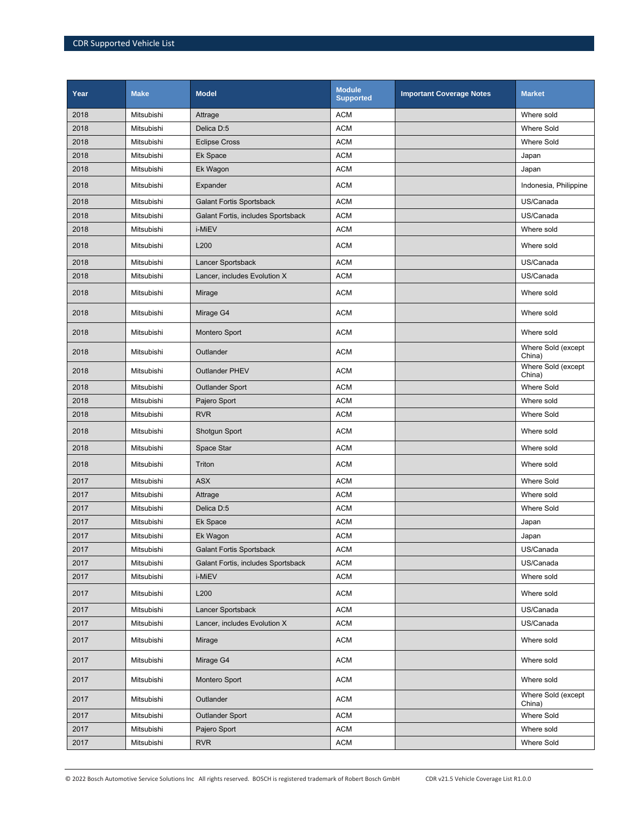| Year | <b>Make</b> | <b>Model</b>                       | <b>Module</b><br><b>Supported</b> | <b>Important Coverage Notes</b> | <b>Market</b>                |
|------|-------------|------------------------------------|-----------------------------------|---------------------------------|------------------------------|
| 2018 | Mitsubishi  | Attrage                            | <b>ACM</b>                        |                                 | Where sold                   |
| 2018 | Mitsubishi  | Delica D:5                         | <b>ACM</b>                        |                                 | <b>Where Sold</b>            |
| 2018 | Mitsubishi  | <b>Eclipse Cross</b>               | <b>ACM</b>                        |                                 | <b>Where Sold</b>            |
| 2018 | Mitsubishi  | Ek Space                           | <b>ACM</b>                        |                                 | Japan                        |
| 2018 | Mitsubishi  | Ek Wagon                           | <b>ACM</b>                        |                                 | Japan                        |
| 2018 | Mitsubishi  | Expander                           | <b>ACM</b>                        |                                 | Indonesia, Philippine        |
| 2018 | Mitsubishi  | <b>Galant Fortis Sportsback</b>    | <b>ACM</b>                        |                                 | US/Canada                    |
| 2018 | Mitsubishi  | Galant Fortis, includes Sportsback | <b>ACM</b>                        |                                 | US/Canada                    |
| 2018 | Mitsubishi  | i-MiEV                             | <b>ACM</b>                        |                                 | Where sold                   |
| 2018 | Mitsubishi  | L200                               | <b>ACM</b>                        |                                 | Where sold                   |
| 2018 | Mitsubishi  | Lancer Sportsback                  | <b>ACM</b>                        |                                 | US/Canada                    |
| 2018 | Mitsubishi  | Lancer, includes Evolution X       | <b>ACM</b>                        |                                 | US/Canada                    |
| 2018 | Mitsubishi  | Mirage                             | <b>ACM</b>                        |                                 | Where sold                   |
| 2018 | Mitsubishi  | Mirage G4                          | <b>ACM</b>                        |                                 | Where sold                   |
| 2018 | Mitsubishi  | Montero Sport                      | <b>ACM</b>                        |                                 | Where sold                   |
| 2018 | Mitsubishi  | Outlander                          | <b>ACM</b>                        |                                 | Where Sold (except<br>China) |
| 2018 | Mitsubishi  | <b>Outlander PHEV</b>              | <b>ACM</b>                        |                                 | Where Sold (except<br>China) |
| 2018 | Mitsubishi  | <b>Outlander Sport</b>             | <b>ACM</b>                        |                                 | <b>Where Sold</b>            |
| 2018 | Mitsubishi  | Pajero Sport                       | <b>ACM</b>                        |                                 | Where sold                   |
| 2018 | Mitsubishi  | <b>RVR</b>                         | <b>ACM</b>                        |                                 | <b>Where Sold</b>            |
| 2018 | Mitsubishi  | Shotgun Sport                      | <b>ACM</b>                        |                                 | Where sold                   |
| 2018 | Mitsubishi  | Space Star                         | <b>ACM</b>                        |                                 | Where sold                   |
| 2018 | Mitsubishi  | Triton                             | <b>ACM</b>                        |                                 | Where sold                   |
| 2017 | Mitsubishi  | <b>ASX</b>                         | <b>ACM</b>                        |                                 | <b>Where Sold</b>            |
| 2017 | Mitsubishi  | Attrage                            | <b>ACM</b>                        |                                 | Where sold                   |
| 2017 | Mitsubishi  | Delica D:5                         | <b>ACM</b>                        |                                 | <b>Where Sold</b>            |
| 2017 | Mitsubishi  | Ek Space                           | <b>ACM</b>                        |                                 | Japan                        |
| 2017 | Mitsubishi  | Ek Wagon                           | <b>ACM</b>                        |                                 | Japan                        |
| 2017 | Mitsubishi  | <b>Galant Fortis Sportsback</b>    | <b>ACM</b>                        |                                 | US/Canada                    |
| 2017 | Mitsubishi  | Galant Fortis, includes Sportsback | <b>ACM</b>                        |                                 | US/Canada                    |
| 2017 | Mitsubishi  | i-MiEV                             | <b>ACM</b>                        |                                 | Where sold                   |
| 2017 | Mitsubishi  | L200                               | <b>ACM</b>                        |                                 | Where sold                   |
| 2017 | Mitsubishi  | Lancer Sportsback                  | <b>ACM</b>                        |                                 | US/Canada                    |
| 2017 | Mitsubishi  | Lancer, includes Evolution X       | ACM                               |                                 | US/Canada                    |
| 2017 | Mitsubishi  | Mirage                             | <b>ACM</b>                        |                                 | Where sold                   |
| 2017 | Mitsubishi  | Mirage G4                          | <b>ACM</b>                        |                                 | Where sold                   |
| 2017 | Mitsubishi  | Montero Sport                      | <b>ACM</b>                        |                                 | Where sold                   |
| 2017 | Mitsubishi  | Outlander                          | <b>ACM</b>                        |                                 | Where Sold (except<br>China) |
| 2017 | Mitsubishi  | <b>Outlander Sport</b>             | <b>ACM</b>                        |                                 | Where Sold                   |
| 2017 | Mitsubishi  | Pajero Sport                       | <b>ACM</b>                        |                                 | Where sold                   |
| 2017 | Mitsubishi  | <b>RVR</b>                         | <b>ACM</b>                        |                                 | Where Sold                   |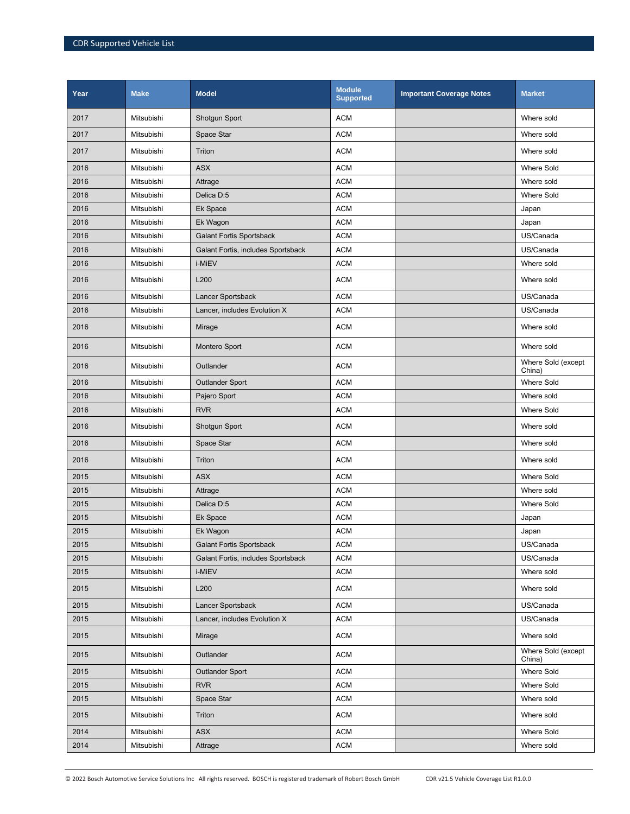| Year | <b>Make</b> | <b>Model</b>                       | <b>Module</b><br><b>Supported</b> | <b>Important Coverage Notes</b> | <b>Market</b>                |
|------|-------------|------------------------------------|-----------------------------------|---------------------------------|------------------------------|
| 2017 | Mitsubishi  | Shotgun Sport                      | <b>ACM</b>                        |                                 | Where sold                   |
| 2017 | Mitsubishi  | Space Star                         | <b>ACM</b>                        |                                 | Where sold                   |
| 2017 | Mitsubishi  | Triton                             | <b>ACM</b>                        |                                 | Where sold                   |
| 2016 | Mitsubishi  | <b>ASX</b>                         | <b>ACM</b>                        |                                 | <b>Where Sold</b>            |
| 2016 | Mitsubishi  | Attrage                            | <b>ACM</b>                        |                                 | Where sold                   |
| 2016 | Mitsubishi  | Delica D:5                         | <b>ACM</b>                        |                                 | <b>Where Sold</b>            |
| 2016 | Mitsubishi  | Ek Space                           | <b>ACM</b>                        |                                 | Japan                        |
| 2016 | Mitsubishi  | Ek Wagon                           | <b>ACM</b>                        |                                 | Japan                        |
| 2016 | Mitsubishi  | <b>Galant Fortis Sportsback</b>    | <b>ACM</b>                        |                                 | US/Canada                    |
| 2016 | Mitsubishi  | Galant Fortis, includes Sportsback | <b>ACM</b>                        |                                 | US/Canada                    |
| 2016 | Mitsubishi  | i-MiEV                             | <b>ACM</b>                        |                                 | Where sold                   |
| 2016 | Mitsubishi  | L200                               | <b>ACM</b>                        |                                 | Where sold                   |
| 2016 | Mitsubishi  | Lancer Sportsback                  | <b>ACM</b>                        |                                 | US/Canada                    |
| 2016 | Mitsubishi  | Lancer, includes Evolution X       | <b>ACM</b>                        |                                 | US/Canada                    |
| 2016 | Mitsubishi  | Mirage                             | <b>ACM</b>                        |                                 | Where sold                   |
| 2016 | Mitsubishi  | Montero Sport                      | <b>ACM</b>                        |                                 | Where sold                   |
| 2016 | Mitsubishi  | Outlander                          | <b>ACM</b>                        |                                 | Where Sold (except<br>China) |
| 2016 | Mitsubishi  | <b>Outlander Sport</b>             | <b>ACM</b>                        |                                 | <b>Where Sold</b>            |
| 2016 | Mitsubishi  | Pajero Sport                       | <b>ACM</b>                        |                                 | Where sold                   |
| 2016 | Mitsubishi  | <b>RVR</b>                         | <b>ACM</b>                        |                                 | <b>Where Sold</b>            |
| 2016 | Mitsubishi  | Shotgun Sport                      | <b>ACM</b>                        |                                 | Where sold                   |
| 2016 | Mitsubishi  | Space Star                         | <b>ACM</b>                        |                                 | Where sold                   |
| 2016 | Mitsubishi  | Triton                             | <b>ACM</b>                        |                                 | Where sold                   |
| 2015 | Mitsubishi  | <b>ASX</b>                         | <b>ACM</b>                        |                                 | <b>Where Sold</b>            |
| 2015 | Mitsubishi  | Attrage                            | <b>ACM</b>                        |                                 | Where sold                   |
| 2015 | Mitsubishi  | Delica D:5                         | <b>ACM</b>                        |                                 | <b>Where Sold</b>            |
| 2015 | Mitsubishi  | Ek Space                           | <b>ACM</b>                        |                                 | Japan                        |
| 2015 | Mitsubishi  | Ek Wagon                           | <b>ACM</b>                        |                                 | Japan                        |
| 2015 | Mitsubishi  | <b>Galant Fortis Sportsback</b>    | <b>ACM</b>                        |                                 | US/Canada                    |
| 2015 | Mitsubishi  | Galant Fortis, includes Sportsback | <b>ACM</b>                        |                                 | US/Canada                    |
| 2015 | Mitsubishi  | i-MiEV                             | <b>ACM</b>                        |                                 | Where sold                   |
| 2015 | Mitsubishi  | L200                               | <b>ACM</b>                        |                                 | Where sold                   |
| 2015 | Mitsubishi  | Lancer Sportsback                  | <b>ACM</b>                        |                                 | US/Canada                    |
| 2015 | Mitsubishi  | Lancer, includes Evolution X       | <b>ACM</b>                        |                                 | US/Canada                    |
| 2015 | Mitsubishi  | Mirage                             | ACM                               |                                 | Where sold                   |
| 2015 | Mitsubishi  | Outlander                          | ACM                               |                                 | Where Sold (except<br>China) |
| 2015 | Mitsubishi  | <b>Outlander Sport</b>             | <b>ACM</b>                        |                                 | Where Sold                   |
| 2015 | Mitsubishi  | <b>RVR</b>                         | <b>ACM</b>                        |                                 | Where Sold                   |
| 2015 | Mitsubishi  | Space Star                         | <b>ACM</b>                        |                                 | Where sold                   |
| 2015 | Mitsubishi  | Triton                             | <b>ACM</b>                        |                                 | Where sold                   |
| 2014 | Mitsubishi  | <b>ASX</b>                         | <b>ACM</b>                        |                                 | Where Sold                   |
| 2014 | Mitsubishi  | Attrage                            | <b>ACM</b>                        |                                 | Where sold                   |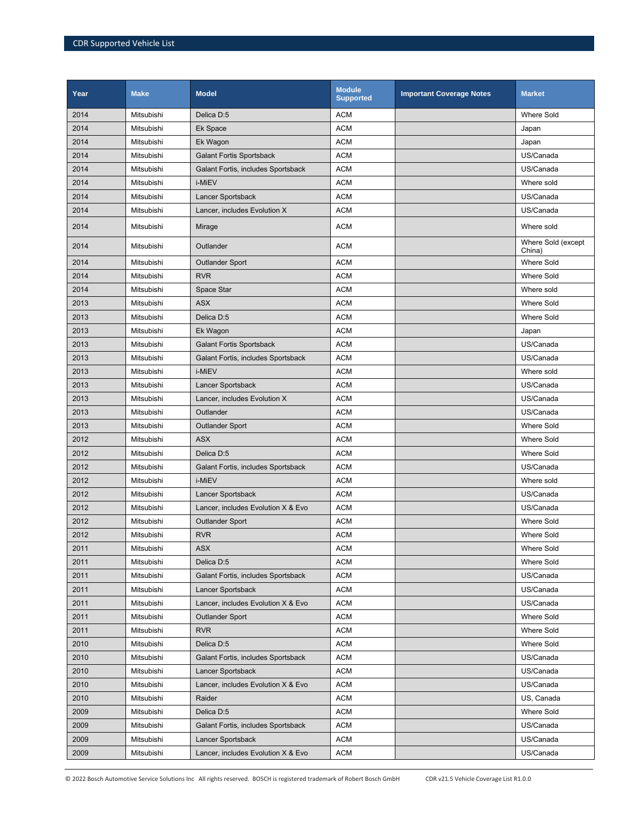| Year | <b>Make</b> | <b>Model</b>                       | <b>Module</b><br><b>Supported</b> | <b>Important Coverage Notes</b> | <b>Market</b>                |
|------|-------------|------------------------------------|-----------------------------------|---------------------------------|------------------------------|
| 2014 | Mitsubishi  | Delica D:5                         | <b>ACM</b>                        |                                 | <b>Where Sold</b>            |
| 2014 | Mitsubishi  | Ek Space                           | <b>ACM</b>                        |                                 | Japan                        |
| 2014 | Mitsubishi  | Ek Wagon                           | <b>ACM</b>                        |                                 | Japan                        |
| 2014 | Mitsubishi  | <b>Galant Fortis Sportsback</b>    | <b>ACM</b>                        |                                 | US/Canada                    |
| 2014 | Mitsubishi  | Galant Fortis, includes Sportsback | <b>ACM</b>                        |                                 | US/Canada                    |
| 2014 | Mitsubishi  | i-MiEV                             | <b>ACM</b>                        |                                 | Where sold                   |
| 2014 | Mitsubishi  | Lancer Sportsback                  | <b>ACM</b>                        |                                 | US/Canada                    |
| 2014 | Mitsubishi  | Lancer, includes Evolution X       | <b>ACM</b>                        |                                 | US/Canada                    |
| 2014 | Mitsubishi  | Mirage                             | <b>ACM</b>                        |                                 | Where sold                   |
| 2014 | Mitsubishi  | Outlander                          | <b>ACM</b>                        |                                 | Where Sold (except<br>China) |
| 2014 | Mitsubishi  | <b>Outlander Sport</b>             | <b>ACM</b>                        |                                 | <b>Where Sold</b>            |
| 2014 | Mitsubishi  | <b>RVR</b>                         | <b>ACM</b>                        |                                 | <b>Where Sold</b>            |
| 2014 | Mitsubishi  | Space Star                         | <b>ACM</b>                        |                                 | Where sold                   |
| 2013 | Mitsubishi  | <b>ASX</b>                         | <b>ACM</b>                        |                                 | <b>Where Sold</b>            |
| 2013 | Mitsubishi  | Delica D:5                         | <b>ACM</b>                        |                                 | <b>Where Sold</b>            |
| 2013 | Mitsubishi  | Ek Wagon                           | <b>ACM</b>                        |                                 | Japan                        |
| 2013 | Mitsubishi  | <b>Galant Fortis Sportsback</b>    | <b>ACM</b>                        |                                 | US/Canada                    |
| 2013 | Mitsubishi  | Galant Fortis, includes Sportsback | <b>ACM</b>                        |                                 | US/Canada                    |
| 2013 | Mitsubishi  | i-MiEV                             | <b>ACM</b>                        |                                 | Where sold                   |
| 2013 | Mitsubishi  | Lancer Sportsback                  | <b>ACM</b>                        |                                 | US/Canada                    |
| 2013 | Mitsubishi  | Lancer, includes Evolution X       | <b>ACM</b>                        |                                 | US/Canada                    |
| 2013 | Mitsubishi  | Outlander                          | <b>ACM</b>                        |                                 | US/Canada                    |
| 2013 | Mitsubishi  | <b>Outlander Sport</b>             | <b>ACM</b>                        |                                 | <b>Where Sold</b>            |
| 2012 | Mitsubishi  | <b>ASX</b>                         | <b>ACM</b>                        |                                 | <b>Where Sold</b>            |
| 2012 | Mitsubishi  | Delica D:5                         | <b>ACM</b>                        |                                 | <b>Where Sold</b>            |
| 2012 | Mitsubishi  | Galant Fortis, includes Sportsback | <b>ACM</b>                        |                                 | US/Canada                    |
| 2012 | Mitsubishi  | i-MiEV                             | <b>ACM</b>                        |                                 | Where sold                   |
| 2012 | Mitsubishi  | Lancer Sportsback                  | <b>ACM</b>                        |                                 | US/Canada                    |
| 2012 | Mitsubishi  | Lancer, includes Evolution X & Evo | <b>ACM</b>                        |                                 | US/Canada                    |
| 2012 | Mitsubishi  | <b>Outlander Sport</b>             | <b>ACM</b>                        |                                 | <b>Where Sold</b>            |
| 2012 | Mitsubishi  | <b>RVR</b>                         | <b>ACM</b>                        |                                 | <b>Where Sold</b>            |
| 2011 | Mitsubishi  | <b>ASX</b>                         | <b>ACM</b>                        |                                 | <b>Where Sold</b>            |
| 2011 | Mitsubishi  | Delica D:5                         | <b>ACM</b>                        |                                 | Where Sold                   |
| 2011 | Mitsubishi  | Galant Fortis, includes Sportsback | <b>ACM</b>                        |                                 | US/Canada                    |
| 2011 | Mitsubishi  | Lancer Sportsback                  | <b>ACM</b>                        |                                 | US/Canada                    |
| 2011 | Mitsubishi  | Lancer, includes Evolution X & Evo | <b>ACM</b>                        |                                 | US/Canada                    |
| 2011 | Mitsubishi  | <b>Outlander Sport</b>             | ACM                               |                                 | Where Sold                   |
| 2011 | Mitsubishi  | <b>RVR</b>                         | <b>ACM</b>                        |                                 | Where Sold                   |
| 2010 | Mitsubishi  | Delica D:5                         | <b>ACM</b>                        |                                 | Where Sold                   |
| 2010 | Mitsubishi  | Galant Fortis, includes Sportsback | <b>ACM</b>                        |                                 | US/Canada                    |
| 2010 | Mitsubishi  | Lancer Sportsback                  | <b>ACM</b>                        |                                 | US/Canada                    |
| 2010 | Mitsubishi  | Lancer, includes Evolution X & Evo | ACM                               |                                 | US/Canada                    |
| 2010 | Mitsubishi  | Raider                             | <b>ACM</b>                        |                                 | US, Canada                   |
| 2009 | Mitsubishi  | Delica D:5                         | <b>ACM</b>                        |                                 | Where Sold                   |
| 2009 | Mitsubishi  | Galant Fortis, includes Sportsback | <b>ACM</b>                        |                                 | US/Canada                    |
| 2009 | Mitsubishi  | Lancer Sportsback                  | <b>ACM</b>                        |                                 | US/Canada                    |
| 2009 | Mitsubishi  | Lancer, includes Evolution X & Evo | ACM                               |                                 | US/Canada                    |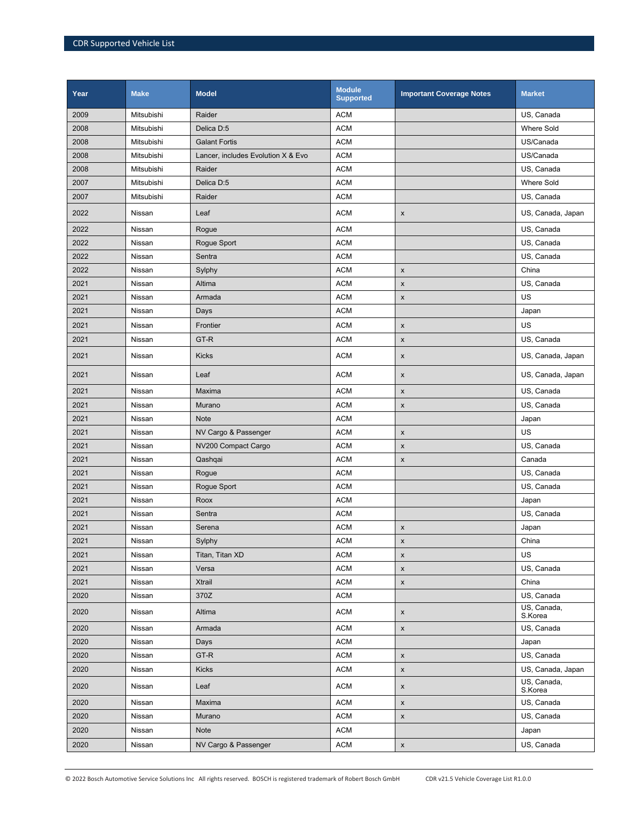| Year | <b>Make</b> | <b>Model</b>                       | <b>Module</b><br><b>Supported</b> | <b>Important Coverage Notes</b> | <b>Market</b>          |
|------|-------------|------------------------------------|-----------------------------------|---------------------------------|------------------------|
| 2009 | Mitsubishi  | Raider                             | <b>ACM</b>                        |                                 | US, Canada             |
| 2008 | Mitsubishi  | Delica D:5                         | <b>ACM</b>                        |                                 | <b>Where Sold</b>      |
| 2008 | Mitsubishi  | <b>Galant Fortis</b>               | <b>ACM</b>                        |                                 | US/Canada              |
| 2008 | Mitsubishi  | Lancer, includes Evolution X & Evo | <b>ACM</b>                        |                                 | US/Canada              |
| 2008 | Mitsubishi  | Raider                             | <b>ACM</b>                        |                                 | US, Canada             |
| 2007 | Mitsubishi  | Delica D:5                         | <b>ACM</b>                        |                                 | Where Sold             |
| 2007 | Mitsubishi  | Raider                             | <b>ACM</b>                        |                                 | US, Canada             |
| 2022 | Nissan      | Leaf                               | <b>ACM</b>                        | $\pmb{\mathsf{x}}$              | US, Canada, Japan      |
| 2022 | Nissan      | Rogue                              | <b>ACM</b>                        |                                 | US, Canada             |
| 2022 | Nissan      | Rogue Sport                        | <b>ACM</b>                        |                                 | US, Canada             |
| 2022 | Nissan      | Sentra                             | <b>ACM</b>                        |                                 | US, Canada             |
| 2022 | Nissan      | Sylphy                             | <b>ACM</b>                        | $\pmb{\mathsf{x}}$              | China                  |
| 2021 | Nissan      | Altima                             | <b>ACM</b>                        | $\pmb{\mathsf{x}}$              | US, Canada             |
| 2021 | Nissan      | Armada                             | <b>ACM</b>                        | $\pmb{\mathsf{x}}$              | US                     |
| 2021 | Nissan      | Days                               | <b>ACM</b>                        |                                 | Japan                  |
| 2021 | Nissan      | Frontier                           | <b>ACM</b>                        | $\pmb{\mathsf{x}}$              | US                     |
| 2021 | Nissan      | GT-R                               | <b>ACM</b>                        | $\pmb{\mathsf{x}}$              | US, Canada             |
| 2021 | Nissan      | <b>Kicks</b>                       | <b>ACM</b>                        | X                               | US, Canada, Japan      |
| 2021 | Nissan      | Leaf                               | <b>ACM</b>                        | X                               | US, Canada, Japan      |
| 2021 | Nissan      | Maxima                             | <b>ACM</b>                        | X                               | US, Canada             |
| 2021 | Nissan      | Murano                             | <b>ACM</b>                        | $\pmb{\times}$                  | US, Canada             |
| 2021 | Nissan      | <b>Note</b>                        | <b>ACM</b>                        |                                 | Japan                  |
| 2021 | Nissan      | NV Cargo & Passenger               | <b>ACM</b>                        | $\pmb{\mathsf{x}}$              | US                     |
| 2021 | Nissan      | NV200 Compact Cargo                | <b>ACM</b>                        | $\pmb{\mathsf{x}}$              | US, Canada             |
| 2021 | Nissan      | Qashqai                            | <b>ACM</b>                        | X                               | Canada                 |
| 2021 | Nissan      | Rogue                              | <b>ACM</b>                        |                                 | US, Canada             |
| 2021 | Nissan      | Rogue Sport                        | <b>ACM</b>                        |                                 | US, Canada             |
| 2021 | Nissan      | Roox                               | <b>ACM</b>                        |                                 | Japan                  |
| 2021 | Nissan      | Sentra                             | <b>ACM</b>                        |                                 | US, Canada             |
| 2021 | Nissan      | Serena                             | <b>ACM</b>                        | $\pmb{\mathsf{x}}$              | Japan                  |
| 2021 | Nissan      | Sylphy                             | <b>ACM</b>                        | x                               | China                  |
| 2021 | Nissan      | Titan, Titan XD                    | <b>ACM</b>                        | $\pmb{\mathsf{x}}$              | US                     |
| 2021 | Nissan      | Versa                              | <b>ACM</b>                        | $\pmb{\mathsf{x}}$              | US, Canada             |
| 2021 | Nissan      | Xtrail                             | <b>ACM</b>                        | $\pmb{\mathsf{x}}$              | China                  |
| 2020 | Nissan      | 370Z                               | <b>ACM</b>                        |                                 | US, Canada             |
| 2020 | Nissan      | Altima                             | <b>ACM</b>                        | $\pmb{\mathsf{x}}$              | US, Canada,<br>S.Korea |
| 2020 | Nissan      | Armada                             | <b>ACM</b>                        | $\pmb{\mathsf{x}}$              | US, Canada             |
| 2020 | Nissan      | Days                               | <b>ACM</b>                        |                                 | Japan                  |
| 2020 | Nissan      | GT-R                               | <b>ACM</b>                        | $\pmb{\mathsf{x}}$              | US, Canada             |
| 2020 | Nissan      | <b>Kicks</b>                       | <b>ACM</b>                        | $\pmb{\mathsf{x}}$              | US, Canada, Japan      |
| 2020 | Nissan      | Leaf                               | <b>ACM</b>                        | $\pmb{\mathsf{x}}$              | US, Canada,<br>S.Korea |
| 2020 | Nissan      | Maxima                             | <b>ACM</b>                        | $\pmb{\mathsf{x}}$              | US, Canada             |
| 2020 | Nissan      | Murano                             | <b>ACM</b>                        | $\pmb{\mathsf{x}}$              | US, Canada             |
| 2020 | Nissan      | Note                               | <b>ACM</b>                        |                                 | Japan                  |
| 2020 | Nissan      | NV Cargo & Passenger               | <b>ACM</b>                        | $\pmb{\mathsf{X}}$              | US, Canada             |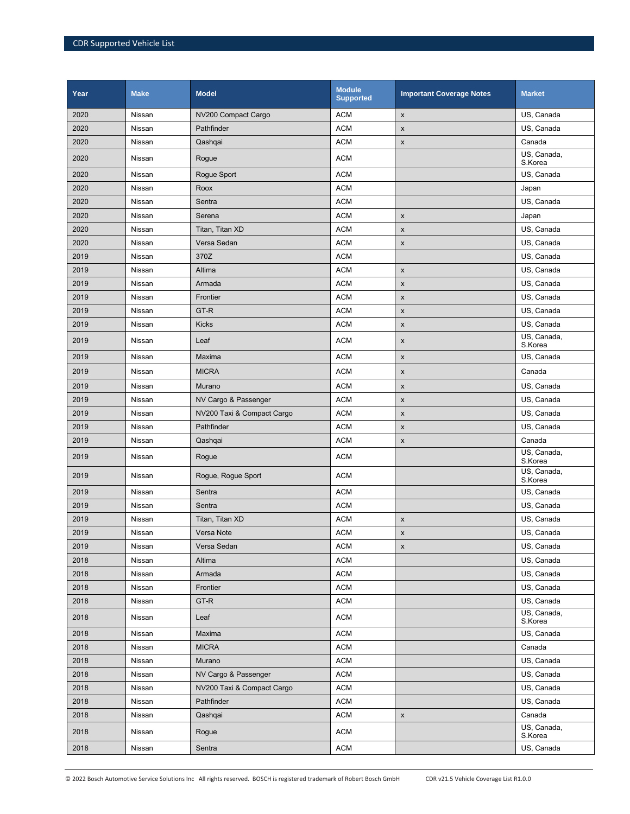| Year | <b>Make</b> | <b>Model</b>               | <b>Module</b><br><b>Supported</b> | <b>Important Coverage Notes</b> | <b>Market</b>          |
|------|-------------|----------------------------|-----------------------------------|---------------------------------|------------------------|
| 2020 | Nissan      | NV200 Compact Cargo        | <b>ACM</b>                        | $\pmb{\mathsf{x}}$              | US, Canada             |
| 2020 | Nissan      | Pathfinder                 | <b>ACM</b>                        | $\pmb{\mathsf{x}}$              | US, Canada             |
| 2020 | Nissan      | Qashqai                    | <b>ACM</b>                        | $\pmb{\mathsf{x}}$              | Canada                 |
| 2020 | Nissan      | Rogue                      | <b>ACM</b>                        |                                 | US, Canada,<br>S.Korea |
| 2020 | Nissan      | Rogue Sport                | <b>ACM</b>                        |                                 | US, Canada             |
| 2020 | Nissan      | Roox                       | <b>ACM</b>                        |                                 | Japan                  |
| 2020 | Nissan      | Sentra                     | <b>ACM</b>                        |                                 | US, Canada             |
| 2020 | Nissan      | Serena                     | <b>ACM</b>                        | X                               | Japan                  |
| 2020 | Nissan      | Titan, Titan XD            | <b>ACM</b>                        | $\pmb{\times}$                  | US, Canada             |
| 2020 | Nissan      | Versa Sedan                | <b>ACM</b>                        | X                               | US, Canada             |
| 2019 | Nissan      | 370Z                       | <b>ACM</b>                        |                                 | US, Canada             |
| 2019 | Nissan      | Altima                     | <b>ACM</b>                        | $\pmb{\mathsf{x}}$              | US, Canada             |
| 2019 | Nissan      | Armada                     | <b>ACM</b>                        | $\pmb{\mathsf{x}}$              | US, Canada             |
| 2019 | Nissan      | Frontier                   | <b>ACM</b>                        | $\pmb{\mathsf{x}}$              | US, Canada             |
| 2019 | Nissan      | GT-R                       | <b>ACM</b>                        | $\pmb{\mathsf{x}}$              | US, Canada             |
| 2019 | Nissan      | <b>Kicks</b>               | <b>ACM</b>                        | $\pmb{\mathsf{x}}$              | US, Canada             |
| 2019 | Nissan      | Leaf                       | <b>ACM</b>                        | X                               | US, Canada,<br>S.Korea |
| 2019 | Nissan      | Maxima                     | <b>ACM</b>                        | $\pmb{\times}$                  | US, Canada             |
| 2019 | Nissan      | <b>MICRA</b>               | <b>ACM</b>                        | X                               | Canada                 |
| 2019 | Nissan      | Murano                     | <b>ACM</b>                        | $\pmb{\mathsf{x}}$              | US, Canada             |
| 2019 | Nissan      | NV Cargo & Passenger       | <b>ACM</b>                        | $\pmb{\mathsf{x}}$              | US, Canada             |
| 2019 | Nissan      | NV200 Taxi & Compact Cargo | <b>ACM</b>                        | $\pmb{\mathsf{x}}$              | US, Canada             |
| 2019 | Nissan      | Pathfinder                 | <b>ACM</b>                        | X                               | US, Canada             |
| 2019 | Nissan      | Qashqai                    | <b>ACM</b>                        | $\pmb{\mathsf{x}}$              | Canada                 |
| 2019 | Nissan      | Rogue                      | <b>ACM</b>                        |                                 | US, Canada,<br>S.Korea |
| 2019 | Nissan      | Rogue, Rogue Sport         | <b>ACM</b>                        |                                 | US, Canada,<br>S.Korea |
| 2019 | Nissan      | Sentra                     | <b>ACM</b>                        |                                 | US, Canada             |
| 2019 | Nissan      | Sentra                     | <b>ACM</b>                        |                                 | US, Canada             |
| 2019 | Nissan      | Titan, Titan XD            | <b>ACM</b>                        | X                               | US. Canada             |
| 2019 | Nissan      | Versa Note                 | <b>ACM</b>                        | $\pmb{\mathsf{x}}$              | US, Canada             |
| 2019 | Nissan      | Versa Sedan                | <b>ACM</b>                        | $\pmb{\mathsf{x}}$              | US, Canada             |
| 2018 | Nissan      | Altima                     | <b>ACM</b>                        |                                 | US, Canada             |
| 2018 | Nissan      | Armada                     | <b>ACM</b>                        |                                 | US, Canada             |
| 2018 | Nissan      | Frontier                   | <b>ACM</b>                        |                                 | US, Canada             |
| 2018 | Nissan      | GT-R                       | <b>ACM</b>                        |                                 | US, Canada             |
| 2018 | Nissan      | Leaf                       | <b>ACM</b>                        |                                 | US, Canada,<br>S.Korea |
| 2018 | Nissan      | Maxima                     | <b>ACM</b>                        |                                 | US, Canada             |
| 2018 | Nissan      | <b>MICRA</b>               | <b>ACM</b>                        |                                 | Canada                 |
| 2018 | Nissan      | Murano                     | <b>ACM</b>                        |                                 | US, Canada             |
| 2018 | Nissan      | NV Cargo & Passenger       | <b>ACM</b>                        |                                 | US, Canada             |
| 2018 | Nissan      | NV200 Taxi & Compact Cargo | <b>ACM</b>                        |                                 | US, Canada             |
| 2018 | Nissan      | Pathfinder                 | <b>ACM</b>                        |                                 | US, Canada             |
| 2018 | Nissan      | Qashqai                    | <b>ACM</b>                        | $\pmb{\mathsf{x}}$              | Canada                 |
| 2018 | Nissan      | Rogue                      | <b>ACM</b>                        |                                 | US, Canada,<br>S.Korea |
| 2018 | Nissan      | Sentra                     | <b>ACM</b>                        |                                 | US, Canada             |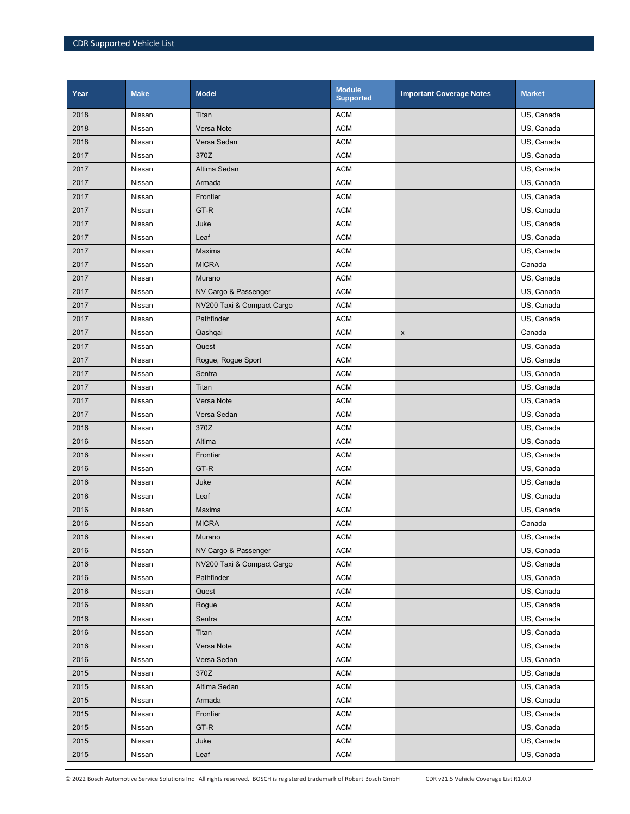| Year | <b>Make</b> | <b>Model</b>               | <b>Module</b><br><b>Supported</b> | <b>Important Coverage Notes</b> | <b>Market</b> |
|------|-------------|----------------------------|-----------------------------------|---------------------------------|---------------|
| 2018 | Nissan      | Titan                      | <b>ACM</b>                        |                                 | US, Canada    |
| 2018 | Nissan      | Versa Note                 | <b>ACM</b>                        |                                 | US, Canada    |
| 2018 | Nissan      | Versa Sedan                | <b>ACM</b>                        |                                 | US, Canada    |
| 2017 | Nissan      | 370Z                       | <b>ACM</b>                        |                                 | US, Canada    |
| 2017 | Nissan      | Altima Sedan               | <b>ACM</b>                        |                                 | US, Canada    |
| 2017 | Nissan      | Armada                     | <b>ACM</b>                        |                                 | US. Canada    |
| 2017 | Nissan      | Frontier                   | <b>ACM</b>                        |                                 | US, Canada    |
| 2017 | Nissan      | GT-R                       | <b>ACM</b>                        |                                 | US, Canada    |
| 2017 | Nissan      | Juke                       | <b>ACM</b>                        |                                 | US, Canada    |
| 2017 | Nissan      | Leaf                       | <b>ACM</b>                        |                                 | US, Canada    |
| 2017 | Nissan      | Maxima                     | <b>ACM</b>                        |                                 | US, Canada    |
| 2017 | Nissan      | <b>MICRA</b>               | <b>ACM</b>                        |                                 | Canada        |
| 2017 | Nissan      | Murano                     | <b>ACM</b>                        |                                 | US, Canada    |
| 2017 | Nissan      | NV Cargo & Passenger       | <b>ACM</b>                        |                                 | US, Canada    |
| 2017 | Nissan      | NV200 Taxi & Compact Cargo | <b>ACM</b>                        |                                 | US, Canada    |
| 2017 | Nissan      | Pathfinder                 | <b>ACM</b>                        |                                 | US, Canada    |
| 2017 | Nissan      | Qashqai                    | <b>ACM</b>                        | $\pmb{\mathsf{X}}$              | Canada        |
| 2017 | Nissan      | Quest                      | <b>ACM</b>                        |                                 | US, Canada    |
| 2017 | Nissan      | Rogue, Rogue Sport         | <b>ACM</b>                        |                                 | US, Canada    |
| 2017 | Nissan      | Sentra                     | <b>ACM</b>                        |                                 | US, Canada    |
| 2017 | Nissan      | Titan                      | <b>ACM</b>                        |                                 | US, Canada    |
| 2017 | Nissan      | Versa Note                 | <b>ACM</b>                        |                                 | US, Canada    |
| 2017 | Nissan      | Versa Sedan                | <b>ACM</b>                        |                                 | US, Canada    |
| 2016 | Nissan      | 370Z                       | <b>ACM</b>                        |                                 | US, Canada    |
| 2016 | Nissan      | Altima                     | <b>ACM</b>                        |                                 | US, Canada    |
| 2016 | Nissan      | Frontier                   | <b>ACM</b>                        |                                 | US, Canada    |
| 2016 | Nissan      | GT-R                       | <b>ACM</b>                        |                                 | US, Canada    |
| 2016 | Nissan      | Juke                       | <b>ACM</b>                        |                                 | US, Canada    |
| 2016 | Nissan      | Leaf                       | <b>ACM</b>                        |                                 | US, Canada    |
| 2016 | Nissan      | Maxima                     | <b>ACM</b>                        |                                 | US, Canada    |
| 2016 | Nissan      | <b>MICRA</b>               | <b>ACM</b>                        |                                 | Canada        |
| 2016 | Nissan      | Murano                     | <b>ACM</b>                        |                                 | US, Canada    |
| 2016 | Nissan      | NV Cargo & Passenger       | <b>ACM</b>                        |                                 | US, Canada    |
| 2016 | Nissan      | NV200 Taxi & Compact Cargo | <b>ACM</b>                        |                                 | US, Canada    |
| 2016 | Nissan      | Pathfinder                 | <b>ACM</b>                        |                                 | US, Canada    |
| 2016 | Nissan      | Quest                      | <b>ACM</b>                        |                                 | US, Canada    |
| 2016 | Nissan      | Roque                      | ACM                               |                                 | US, Canada    |
| 2016 | Nissan      | Sentra                     | <b>ACM</b>                        |                                 | US, Canada    |
| 2016 | Nissan      | Titan                      | <b>ACM</b>                        |                                 | US, Canada    |
| 2016 | Nissan      | Versa Note                 | <b>ACM</b>                        |                                 | US, Canada    |
| 2016 | Nissan      | Versa Sedan                | <b>ACM</b>                        |                                 | US, Canada    |
| 2015 | Nissan      | 370Z                       | ACM                               |                                 | US, Canada    |
| 2015 | Nissan      | Altima Sedan               | <b>ACM</b>                        |                                 | US, Canada    |
| 2015 | Nissan      | Armada                     | <b>ACM</b>                        |                                 | US, Canada    |
| 2015 | Nissan      | Frontier                   | <b>ACM</b>                        |                                 | US, Canada    |
| 2015 | Nissan      | GT-R                       | <b>ACM</b>                        |                                 | US, Canada    |
| 2015 | Nissan      | Juke                       | <b>ACM</b>                        |                                 | US, Canada    |
| 2015 | Nissan      | Leaf                       | <b>ACM</b>                        |                                 | US, Canada    |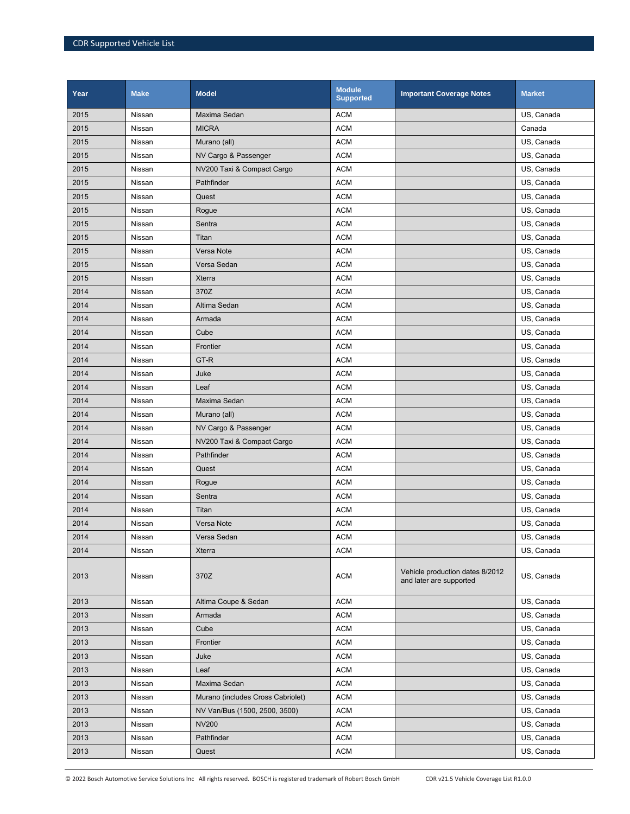| Year | <b>Make</b> | <b>Model</b>                      | <b>Module</b><br><b>Supported</b> | <b>Important Coverage Notes</b>                            | <b>Market</b> |
|------|-------------|-----------------------------------|-----------------------------------|------------------------------------------------------------|---------------|
| 2015 | Nissan      | Maxima Sedan                      | <b>ACM</b>                        |                                                            | US, Canada    |
| 2015 | Nissan      | <b>MICRA</b>                      | <b>ACM</b>                        |                                                            | Canada        |
| 2015 | Nissan      | Murano (all)                      | <b>ACM</b>                        |                                                            | US, Canada    |
| 2015 | Nissan      | NV Cargo & Passenger              | <b>ACM</b>                        |                                                            | US, Canada    |
| 2015 | Nissan      | NV200 Taxi & Compact Cargo        | <b>ACM</b>                        |                                                            | US, Canada    |
| 2015 | Nissan      | Pathfinder                        | <b>ACM</b>                        |                                                            | US, Canada    |
| 2015 | Nissan      | Quest                             | <b>ACM</b>                        |                                                            | US, Canada    |
| 2015 | Nissan      | Rogue                             | <b>ACM</b>                        |                                                            | US, Canada    |
| 2015 | Nissan      | Sentra                            | <b>ACM</b>                        |                                                            | US, Canada    |
| 2015 | Nissan      | Titan                             | <b>ACM</b>                        |                                                            | US, Canada    |
| 2015 | Nissan      | Versa Note                        | <b>ACM</b>                        |                                                            | US, Canada    |
| 2015 | Nissan      | Versa Sedan                       | <b>ACM</b>                        |                                                            | US, Canada    |
| 2015 | Nissan      | Xterra                            | <b>ACM</b>                        |                                                            | US, Canada    |
| 2014 | Nissan      | 370Z                              | <b>ACM</b>                        |                                                            | US, Canada    |
| 2014 | Nissan      | Altima Sedan                      | <b>ACM</b>                        |                                                            | US, Canada    |
| 2014 | Nissan      | Armada                            | <b>ACM</b>                        |                                                            | US, Canada    |
| 2014 | Nissan      | Cube                              | <b>ACM</b>                        |                                                            | US, Canada    |
| 2014 | Nissan      | Frontier                          | <b>ACM</b>                        |                                                            | US, Canada    |
| 2014 | Nissan      | GT-R                              | <b>ACM</b>                        |                                                            | US, Canada    |
| 2014 | Nissan      | Juke                              | <b>ACM</b>                        |                                                            | US, Canada    |
| 2014 | Nissan      | Leaf                              | <b>ACM</b>                        |                                                            | US, Canada    |
| 2014 | Nissan      | Maxima Sedan                      | <b>ACM</b>                        |                                                            | US, Canada    |
| 2014 | Nissan      | Murano (all)                      | <b>ACM</b>                        |                                                            | US, Canada    |
| 2014 | Nissan      | NV Cargo & Passenger              | <b>ACM</b>                        |                                                            | US, Canada    |
| 2014 | Nissan      | NV200 Taxi & Compact Cargo        | <b>ACM</b>                        |                                                            | US, Canada    |
| 2014 | Nissan      | Pathfinder                        | <b>ACM</b>                        |                                                            | US, Canada    |
| 2014 | Nissan      | Quest                             | <b>ACM</b>                        |                                                            | US, Canada    |
| 2014 | Nissan      | Rogue                             | <b>ACM</b>                        |                                                            | US, Canada    |
| 2014 | Nissan      | Sentra                            | <b>ACM</b>                        |                                                            | US, Canada    |
| 2014 | Nissan      | Titan                             | <b>ACM</b>                        |                                                            | US, Canada    |
| 2014 | Nissan      | Versa Note                        | <b>ACM</b>                        |                                                            | US, Canada    |
| 2014 | Nissan      | Versa Sedan                       | <b>ACM</b>                        |                                                            | US, Canada    |
| 2014 | Nissan      | <b>Xterra</b>                     | <b>ACM</b>                        |                                                            | US, Canada    |
| 2013 | Nissan      | 370Z                              | <b>ACM</b>                        | Vehicle production dates 8/2012<br>and later are supported | US, Canada    |
| 2013 | Nissan      | Altima Coupe & Sedan              | <b>ACM</b>                        |                                                            | US, Canada    |
| 2013 | Nissan      | Armada                            | <b>ACM</b>                        |                                                            | US, Canada    |
| 2013 | Nissan      | Cube                              | <b>ACM</b>                        |                                                            | US, Canada    |
| 2013 | Nissan      | Frontier                          | <b>ACM</b>                        |                                                            | US, Canada    |
| 2013 | Nissan      | Juke                              | <b>ACM</b>                        |                                                            | US, Canada    |
| 2013 | Nissan      | Leaf                              | <b>ACM</b>                        |                                                            | US, Canada    |
| 2013 | Nissan      | Maxima Sedan                      | <b>ACM</b>                        |                                                            | US, Canada    |
| 2013 | Nissan      | Murano (includes Cross Cabriolet) | <b>ACM</b>                        |                                                            | US, Canada    |
| 2013 | Nissan      | NV Van/Bus (1500, 2500, 3500)     | <b>ACM</b>                        |                                                            | US, Canada    |
| 2013 | Nissan      | <b>NV200</b>                      | <b>ACM</b>                        |                                                            | US, Canada    |
| 2013 | Nissan      | Pathfinder                        | <b>ACM</b>                        |                                                            | US, Canada    |
| 2013 | Nissan      | Quest                             | <b>ACM</b>                        |                                                            | US, Canada    |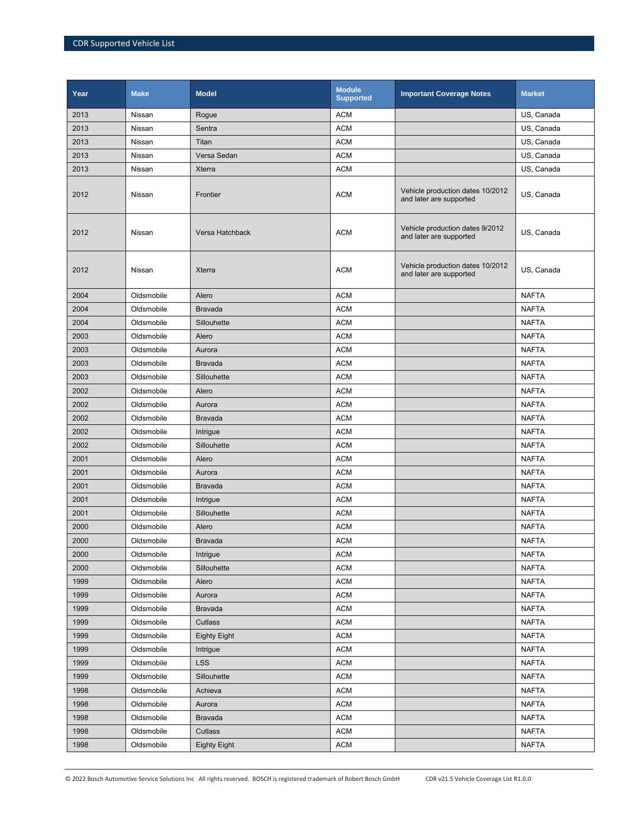| Year | <b>Make</b> | <b>Model</b>        | <b>Module</b><br><b>Supported</b> | <b>Important Coverage Notes</b>                             | <b>Market</b> |
|------|-------------|---------------------|-----------------------------------|-------------------------------------------------------------|---------------|
| 2013 | Nissan      | Rogue               | <b>ACM</b>                        |                                                             | US, Canada    |
| 2013 | Nissan      | Sentra              | <b>ACM</b>                        |                                                             | US, Canada    |
| 2013 | Nissan      | Titan               | <b>ACM</b>                        |                                                             | US, Canada    |
| 2013 | Nissan      | Versa Sedan         | <b>ACM</b>                        |                                                             | US, Canada    |
| 2013 | Nissan      | Xterra              | <b>ACM</b>                        |                                                             | US, Canada    |
| 2012 | Nissan      | Frontier            | <b>ACM</b>                        | Vehicle production dates 10/2012<br>and later are supported | US, Canada    |
| 2012 | Nissan      | Versa Hatchback     | <b>ACM</b>                        | Vehicle production dates 9/2012<br>and later are supported  | US, Canada    |
| 2012 | Nissan      | Xterra              | <b>ACM</b>                        | Vehicle production dates 10/2012<br>and later are supported | US, Canada    |
| 2004 | Oldsmobile  | Alero               | <b>ACM</b>                        |                                                             | <b>NAFTA</b>  |
| 2004 | Oldsmobile  | <b>Bravada</b>      | <b>ACM</b>                        |                                                             | <b>NAFTA</b>  |
| 2004 | Oldsmobile  | Sillouhette         | <b>ACM</b>                        |                                                             | <b>NAFTA</b>  |
| 2003 | Oldsmobile  | Alero               | <b>ACM</b>                        |                                                             | <b>NAFTA</b>  |
| 2003 | Oldsmobile  | Aurora              | <b>ACM</b>                        |                                                             | <b>NAFTA</b>  |
| 2003 | Oldsmobile  | <b>Bravada</b>      | <b>ACM</b>                        |                                                             | <b>NAFTA</b>  |
| 2003 | Oldsmobile  | Sillouhette         | <b>ACM</b>                        |                                                             | <b>NAFTA</b>  |
| 2002 | Oldsmobile  | Alero               | <b>ACM</b>                        |                                                             | <b>NAFTA</b>  |
| 2002 | Oldsmobile  | Aurora              | <b>ACM</b>                        |                                                             | <b>NAFTA</b>  |
| 2002 | Oldsmobile  | <b>Bravada</b>      | <b>ACM</b>                        |                                                             | <b>NAFTA</b>  |
| 2002 | Oldsmobile  | Intrigue            | <b>ACM</b>                        |                                                             | <b>NAFTA</b>  |
| 2002 | Oldsmobile  | Sillouhette         | <b>ACM</b>                        |                                                             | <b>NAFTA</b>  |
| 2001 | Oldsmobile  | Alero               | <b>ACM</b>                        |                                                             | <b>NAFTA</b>  |
| 2001 | Oldsmobile  | Aurora              | <b>ACM</b>                        |                                                             | <b>NAFTA</b>  |
| 2001 | Oldsmobile  | <b>Bravada</b>      | <b>ACM</b>                        |                                                             | <b>NAFTA</b>  |
| 2001 | Oldsmobile  | Intrigue            | <b>ACM</b>                        |                                                             | <b>NAFTA</b>  |
| 2001 | Oldsmobile  | Sillouhette         | <b>ACM</b>                        |                                                             | <b>NAFTA</b>  |
| 2000 | Oldsmobile  | Alero               | <b>ACM</b>                        |                                                             | <b>NAFTA</b>  |
| 2000 | Oldsmobile  | Bravada             | <b>ACM</b>                        |                                                             | <b>NAFTA</b>  |
| 2000 | Oldsmobile  | Intrigue            | <b>ACM</b>                        |                                                             | <b>NAFTA</b>  |
| 2000 | Oldsmobile  | Sillouhette         | <b>ACM</b>                        |                                                             | <b>NAFTA</b>  |
| 1999 | Oldsmobile  | Alero               | <b>ACM</b>                        |                                                             | <b>NAFTA</b>  |
| 1999 | Oldsmobile  | Aurora              | <b>ACM</b>                        |                                                             | <b>NAFTA</b>  |
| 1999 | Oldsmobile  | <b>Bravada</b>      | <b>ACM</b>                        |                                                             | <b>NAFTA</b>  |
| 1999 | Oldsmobile  | Cutlass             | <b>ACM</b>                        |                                                             | <b>NAFTA</b>  |
| 1999 | Oldsmobile  | <b>Eighty Eight</b> | <b>ACM</b>                        |                                                             | <b>NAFTA</b>  |
| 1999 | Oldsmobile  | Intrigue            | <b>ACM</b>                        |                                                             | <b>NAFTA</b>  |
| 1999 | Oldsmobile  | <b>LSS</b>          | <b>ACM</b>                        |                                                             | <b>NAFTA</b>  |
| 1999 | Oldsmobile  | Sillouhette         | <b>ACM</b>                        |                                                             | <b>NAFTA</b>  |
| 1998 | Oldsmobile  | Achieva             | <b>ACM</b>                        |                                                             | <b>NAFTA</b>  |
| 1998 | Oldsmobile  | Aurora              | <b>ACM</b>                        |                                                             | <b>NAFTA</b>  |
| 1998 | Oldsmobile  | <b>Bravada</b>      | <b>ACM</b>                        |                                                             | <b>NAFTA</b>  |
| 1998 | Oldsmobile  | Cutlass             | <b>ACM</b>                        |                                                             | <b>NAFTA</b>  |
| 1998 | Oldsmobile  | <b>Eighty Eight</b> | <b>ACM</b>                        |                                                             | <b>NAFTA</b>  |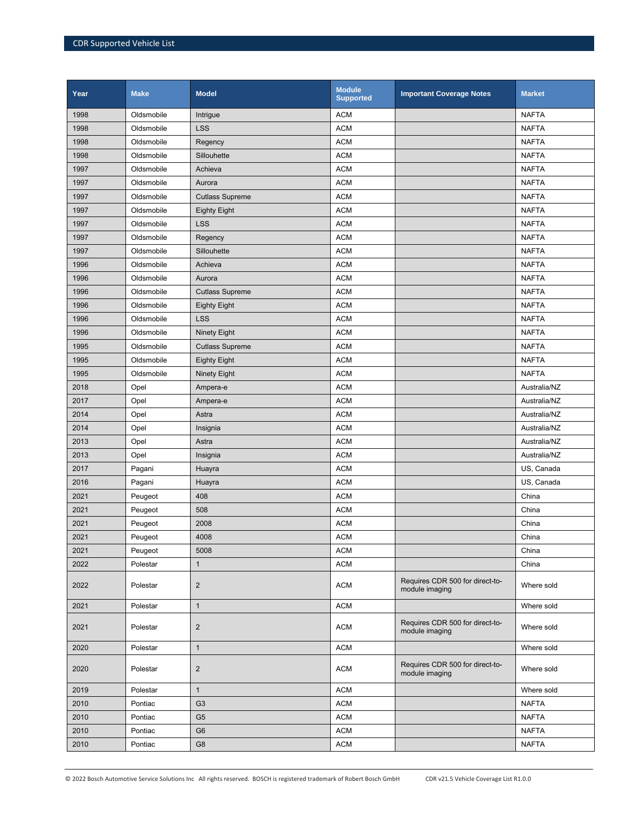| Year | <b>Make</b> | <b>Model</b>           | <b>Module</b><br><b>Supported</b> | <b>Important Coverage Notes</b>                   | <b>Market</b> |
|------|-------------|------------------------|-----------------------------------|---------------------------------------------------|---------------|
| 1998 | Oldsmobile  | Intrigue               | <b>ACM</b>                        |                                                   | <b>NAFTA</b>  |
| 1998 | Oldsmobile  | <b>LSS</b>             | <b>ACM</b>                        |                                                   | <b>NAFTA</b>  |
| 1998 | Oldsmobile  | Regency                | <b>ACM</b>                        |                                                   | <b>NAFTA</b>  |
| 1998 | Oldsmobile  | Sillouhette            | <b>ACM</b>                        |                                                   | <b>NAFTA</b>  |
| 1997 | Oldsmobile  | Achieva                | <b>ACM</b>                        |                                                   | <b>NAFTA</b>  |
| 1997 | Oldsmobile  | Aurora                 | <b>ACM</b>                        |                                                   | <b>NAFTA</b>  |
| 1997 | Oldsmobile  | <b>Cutlass Supreme</b> | <b>ACM</b>                        |                                                   | <b>NAFTA</b>  |
| 1997 | Oldsmobile  | <b>Eighty Eight</b>    | <b>ACM</b>                        |                                                   | <b>NAFTA</b>  |
| 1997 | Oldsmobile  | <b>LSS</b>             | <b>ACM</b>                        |                                                   | <b>NAFTA</b>  |
| 1997 | Oldsmobile  | Regency                | <b>ACM</b>                        |                                                   | <b>NAFTA</b>  |
| 1997 | Oldsmobile  | Sillouhette            | <b>ACM</b>                        |                                                   | <b>NAFTA</b>  |
| 1996 | Oldsmobile  | Achieva                | <b>ACM</b>                        |                                                   | <b>NAFTA</b>  |
| 1996 | Oldsmobile  | Aurora                 | <b>ACM</b>                        |                                                   | <b>NAFTA</b>  |
| 1996 | Oldsmobile  | <b>Cutlass Supreme</b> | <b>ACM</b>                        |                                                   | <b>NAFTA</b>  |
| 1996 | Oldsmobile  | <b>Eighty Eight</b>    | <b>ACM</b>                        |                                                   | <b>NAFTA</b>  |
| 1996 | Oldsmobile  | <b>LSS</b>             | <b>ACM</b>                        |                                                   | <b>NAFTA</b>  |
| 1996 | Oldsmobile  | <b>Ninety Eight</b>    | <b>ACM</b>                        |                                                   | <b>NAFTA</b>  |
| 1995 | Oldsmobile  | <b>Cutlass Supreme</b> | <b>ACM</b>                        |                                                   | <b>NAFTA</b>  |
| 1995 | Oldsmobile  | <b>Eighty Eight</b>    | <b>ACM</b>                        |                                                   | <b>NAFTA</b>  |
| 1995 | Oldsmobile  | <b>Ninety Eight</b>    | <b>ACM</b>                        |                                                   | <b>NAFTA</b>  |
| 2018 | Opel        | Ampera-e               | <b>ACM</b>                        |                                                   | Australia/NZ  |
| 2017 | Opel        | Ampera-e               | <b>ACM</b>                        |                                                   | Australia/NZ  |
| 2014 | Opel        | Astra                  | <b>ACM</b>                        |                                                   | Australia/NZ  |
| 2014 | Opel        | Insignia               | <b>ACM</b>                        |                                                   | Australia/NZ  |
| 2013 | Opel        | Astra                  | <b>ACM</b>                        |                                                   | Australia/NZ  |
| 2013 | Opel        | Insignia               | <b>ACM</b>                        |                                                   | Australia/NZ  |
| 2017 | Pagani      | Huayra                 | <b>ACM</b>                        |                                                   | US, Canada    |
| 2016 | Pagani      | Huayra                 | <b>ACM</b>                        |                                                   | US, Canada    |
| 2021 | Peugeot     | 408                    | <b>ACM</b>                        |                                                   | China         |
| 2021 | Peugeot     | 508                    | <b>ACM</b>                        |                                                   | China         |
| 2021 | Peugeot     | 2008                   | <b>ACM</b>                        |                                                   | China         |
| 2021 | Peugeot     | 4008                   | <b>ACM</b>                        |                                                   | China         |
| 2021 | Peugeot     | 5008                   | <b>ACM</b>                        |                                                   | China         |
| 2022 | Polestar    | $\mathbf{1}$           | <b>ACM</b>                        |                                                   | China         |
| 2022 | Polestar    | $\overline{2}$         | <b>ACM</b>                        | Requires CDR 500 for direct-to-<br>module imaging | Where sold    |
| 2021 | Polestar    | $\mathbf{1}$           | <b>ACM</b>                        |                                                   | Where sold    |
| 2021 | Polestar    | $\overline{2}$         | <b>ACM</b>                        | Requires CDR 500 for direct-to-<br>module imaging | Where sold    |
| 2020 | Polestar    | $\mathbf 1$            | <b>ACM</b>                        |                                                   | Where sold    |
| 2020 | Polestar    | 2                      | <b>ACM</b>                        | Requires CDR 500 for direct-to-<br>module imaging | Where sold    |
| 2019 | Polestar    | $\mathbf{1}$           | <b>ACM</b>                        |                                                   | Where sold    |
| 2010 | Pontiac     | G <sub>3</sub>         | <b>ACM</b>                        |                                                   | <b>NAFTA</b>  |
| 2010 | Pontiac     | G <sub>5</sub>         | <b>ACM</b>                        |                                                   | <b>NAFTA</b>  |
| 2010 | Pontiac     | G <sub>6</sub>         | <b>ACM</b>                        |                                                   | <b>NAFTA</b>  |
| 2010 | Pontiac     | G <sub>8</sub>         | <b>ACM</b>                        |                                                   | <b>NAFTA</b>  |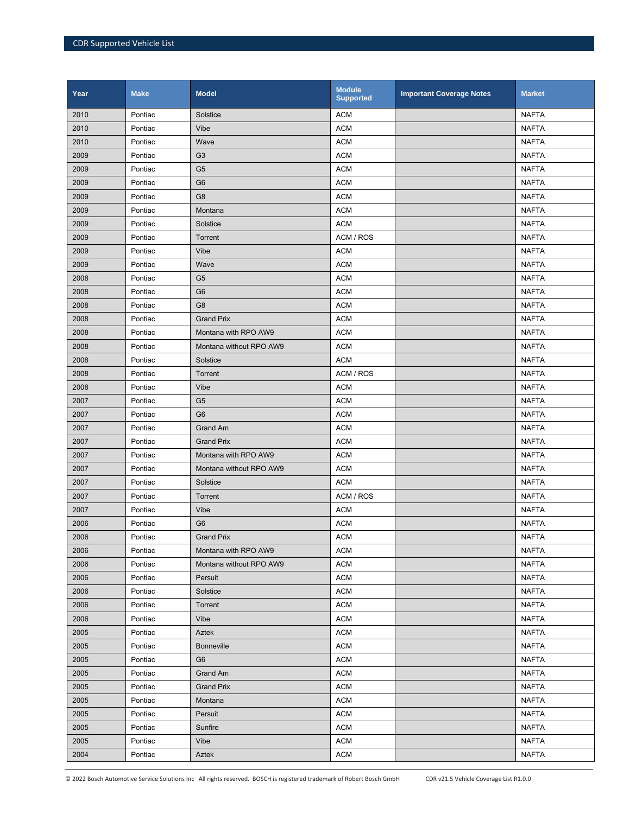| Year | <b>Make</b> | <b>Model</b>            | <b>Module</b><br><b>Supported</b> | <b>Important Coverage Notes</b> | <b>Market</b> |
|------|-------------|-------------------------|-----------------------------------|---------------------------------|---------------|
| 2010 | Pontiac     | Solstice                | <b>ACM</b>                        |                                 | <b>NAFTA</b>  |
| 2010 | Pontiac     | Vibe                    | <b>ACM</b>                        |                                 | <b>NAFTA</b>  |
| 2010 | Pontiac     | Wave                    | <b>ACM</b>                        |                                 | <b>NAFTA</b>  |
| 2009 | Pontiac     | G <sub>3</sub>          | <b>ACM</b>                        |                                 | <b>NAFTA</b>  |
| 2009 | Pontiac     | G <sub>5</sub>          | <b>ACM</b>                        |                                 | <b>NAFTA</b>  |
| 2009 | Pontiac     | G <sub>6</sub>          | <b>ACM</b>                        |                                 | <b>NAFTA</b>  |
| 2009 | Pontiac     | G <sub>8</sub>          | <b>ACM</b>                        |                                 | <b>NAFTA</b>  |
| 2009 | Pontiac     | Montana                 | <b>ACM</b>                        |                                 | <b>NAFTA</b>  |
| 2009 | Pontiac     | Solstice                | <b>ACM</b>                        |                                 | <b>NAFTA</b>  |
| 2009 | Pontiac     | Torrent                 | ACM / ROS                         |                                 | <b>NAFTA</b>  |
| 2009 | Pontiac     | Vibe                    | <b>ACM</b>                        |                                 | <b>NAFTA</b>  |
| 2009 | Pontiac     | Wave                    | <b>ACM</b>                        |                                 | <b>NAFTA</b>  |
| 2008 | Pontiac     | G <sub>5</sub>          | <b>ACM</b>                        |                                 | <b>NAFTA</b>  |
| 2008 | Pontiac     | G <sub>6</sub>          | <b>ACM</b>                        |                                 | <b>NAFTA</b>  |
| 2008 | Pontiac     | G <sub>8</sub>          | <b>ACM</b>                        |                                 | <b>NAFTA</b>  |
| 2008 | Pontiac     | <b>Grand Prix</b>       | <b>ACM</b>                        |                                 | <b>NAFTA</b>  |
| 2008 | Pontiac     | Montana with RPO AW9    | <b>ACM</b>                        |                                 | <b>NAFTA</b>  |
| 2008 | Pontiac     | Montana without RPO AW9 | <b>ACM</b>                        |                                 | <b>NAFTA</b>  |
| 2008 | Pontiac     | Solstice                | <b>ACM</b>                        |                                 | <b>NAFTA</b>  |
| 2008 | Pontiac     | Torrent                 | ACM / ROS                         |                                 | <b>NAFTA</b>  |
| 2008 | Pontiac     | Vibe                    | <b>ACM</b>                        |                                 | <b>NAFTA</b>  |
| 2007 | Pontiac     | G <sub>5</sub>          | <b>ACM</b>                        |                                 | <b>NAFTA</b>  |
| 2007 | Pontiac     | G <sub>6</sub>          | <b>ACM</b>                        |                                 | <b>NAFTA</b>  |
| 2007 | Pontiac     | <b>Grand Am</b>         | <b>ACM</b>                        |                                 | <b>NAFTA</b>  |
| 2007 | Pontiac     | <b>Grand Prix</b>       | <b>ACM</b>                        |                                 | <b>NAFTA</b>  |
| 2007 | Pontiac     | Montana with RPO AW9    | <b>ACM</b>                        |                                 | <b>NAFTA</b>  |
| 2007 | Pontiac     | Montana without RPO AW9 | <b>ACM</b>                        |                                 | <b>NAFTA</b>  |
| 2007 | Pontiac     | Solstice                | <b>ACM</b>                        |                                 | <b>NAFTA</b>  |
| 2007 | Pontiac     | Torrent                 | ACM / ROS                         |                                 | <b>NAFTA</b>  |
| 2007 | Pontiac     | Vibe                    | <b>ACM</b>                        |                                 | <b>NAFTA</b>  |
| 2006 | Pontiac     | G <sub>6</sub>          | <b>ACM</b>                        |                                 | <b>NAFTA</b>  |
| 2006 | Pontiac     | <b>Grand Prix</b>       | <b>ACM</b>                        |                                 | <b>NAFTA</b>  |
| 2006 | Pontiac     | Montana with RPO AW9    | <b>ACM</b>                        |                                 | <b>NAFTA</b>  |
| 2006 | Pontiac     | Montana without RPO AW9 | <b>ACM</b>                        |                                 | <b>NAFTA</b>  |
| 2006 | Pontiac     | Persuit                 | <b>ACM</b>                        |                                 | <b>NAFTA</b>  |
| 2006 | Pontiac     | Solstice                | <b>ACM</b>                        |                                 | <b>NAFTA</b>  |
| 2006 | Pontiac     | Torrent                 | <b>ACM</b>                        |                                 | <b>NAFTA</b>  |
| 2006 | Pontiac     | Vibe                    | <b>ACM</b>                        |                                 | <b>NAFTA</b>  |
| 2005 | Pontiac     | Aztek                   | <b>ACM</b>                        |                                 | <b>NAFTA</b>  |
| 2005 | Pontiac     | <b>Bonneville</b>       | <b>ACM</b>                        |                                 | <b>NAFTA</b>  |
| 2005 | Pontiac     | G <sub>6</sub>          | <b>ACM</b>                        |                                 | <b>NAFTA</b>  |
| 2005 | Pontiac     | Grand Am                | <b>ACM</b>                        |                                 | <b>NAFTA</b>  |
| 2005 | Pontiac     | <b>Grand Prix</b>       | <b>ACM</b>                        |                                 | <b>NAFTA</b>  |
| 2005 | Pontiac     | Montana                 | <b>ACM</b>                        |                                 | <b>NAFTA</b>  |
| 2005 | Pontiac     | Persuit                 | <b>ACM</b>                        |                                 | <b>NAFTA</b>  |
| 2005 | Pontiac     | Sunfire                 | <b>ACM</b>                        |                                 | <b>NAFTA</b>  |
| 2005 | Pontiac     | Vibe                    | <b>ACM</b>                        |                                 | <b>NAFTA</b>  |
| 2004 | Pontiac     | Aztek                   | <b>ACM</b>                        |                                 | <b>NAFTA</b>  |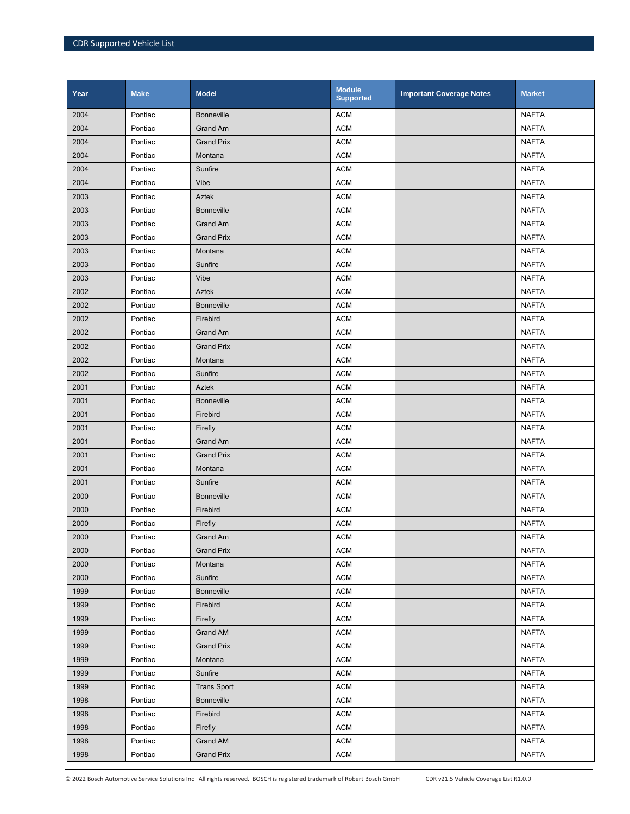| Year | <b>Make</b> | <b>Model</b>       | <b>Module</b><br><b>Supported</b> | <b>Important Coverage Notes</b> | <b>Market</b> |
|------|-------------|--------------------|-----------------------------------|---------------------------------|---------------|
| 2004 | Pontiac     | <b>Bonneville</b>  | <b>ACM</b>                        |                                 | <b>NAFTA</b>  |
| 2004 | Pontiac     | <b>Grand Am</b>    | <b>ACM</b>                        |                                 | <b>NAFTA</b>  |
| 2004 | Pontiac     | <b>Grand Prix</b>  | <b>ACM</b>                        |                                 | <b>NAFTA</b>  |
| 2004 | Pontiac     | Montana            | <b>ACM</b>                        |                                 | <b>NAFTA</b>  |
| 2004 | Pontiac     | Sunfire            | <b>ACM</b>                        |                                 | <b>NAFTA</b>  |
| 2004 | Pontiac     | Vibe               | <b>ACM</b>                        |                                 | <b>NAFTA</b>  |
| 2003 | Pontiac     | <b>Aztek</b>       | <b>ACM</b>                        |                                 | <b>NAFTA</b>  |
| 2003 | Pontiac     | <b>Bonneville</b>  | <b>ACM</b>                        |                                 | <b>NAFTA</b>  |
| 2003 | Pontiac     | <b>Grand Am</b>    | <b>ACM</b>                        |                                 | <b>NAFTA</b>  |
| 2003 | Pontiac     | <b>Grand Prix</b>  | <b>ACM</b>                        |                                 | <b>NAFTA</b>  |
| 2003 | Pontiac     | Montana            | <b>ACM</b>                        |                                 | <b>NAFTA</b>  |
| 2003 | Pontiac     | Sunfire            | <b>ACM</b>                        |                                 | <b>NAFTA</b>  |
| 2003 | Pontiac     | Vibe               | <b>ACM</b>                        |                                 | <b>NAFTA</b>  |
| 2002 | Pontiac     | Aztek              | <b>ACM</b>                        |                                 | <b>NAFTA</b>  |
| 2002 | Pontiac     | <b>Bonneville</b>  | <b>ACM</b>                        |                                 | <b>NAFTA</b>  |
| 2002 | Pontiac     | Firebird           | <b>ACM</b>                        |                                 | <b>NAFTA</b>  |
| 2002 | Pontiac     | <b>Grand Am</b>    | <b>ACM</b>                        |                                 | <b>NAFTA</b>  |
| 2002 | Pontiac     | <b>Grand Prix</b>  | <b>ACM</b>                        |                                 | <b>NAFTA</b>  |
| 2002 | Pontiac     | Montana            | <b>ACM</b>                        |                                 | <b>NAFTA</b>  |
| 2002 | Pontiac     | Sunfire            | <b>ACM</b>                        |                                 | <b>NAFTA</b>  |
| 2001 | Pontiac     | <b>Aztek</b>       | <b>ACM</b>                        |                                 | <b>NAFTA</b>  |
| 2001 | Pontiac     | <b>Bonneville</b>  | <b>ACM</b>                        |                                 | <b>NAFTA</b>  |
| 2001 | Pontiac     | Firebird           | <b>ACM</b>                        |                                 | <b>NAFTA</b>  |
| 2001 | Pontiac     | Firefly            | <b>ACM</b>                        |                                 | <b>NAFTA</b>  |
| 2001 | Pontiac     | <b>Grand Am</b>    | <b>ACM</b>                        |                                 | <b>NAFTA</b>  |
| 2001 | Pontiac     | <b>Grand Prix</b>  | <b>ACM</b>                        |                                 | <b>NAFTA</b>  |
| 2001 | Pontiac     | Montana            | <b>ACM</b>                        |                                 | <b>NAFTA</b>  |
| 2001 | Pontiac     | Sunfire            | <b>ACM</b>                        |                                 | <b>NAFTA</b>  |
| 2000 | Pontiac     | <b>Bonneville</b>  | <b>ACM</b>                        |                                 | <b>NAFTA</b>  |
| 2000 | Pontiac     | Firebird           | <b>ACM</b>                        |                                 | <b>NAFTA</b>  |
| 2000 | Pontiac     | Firefly            | <b>ACM</b>                        |                                 | <b>NAFTA</b>  |
| 2000 | Pontiac     | Grand Am           | <b>ACM</b>                        |                                 | <b>NAFTA</b>  |
| 2000 | Pontiac     | <b>Grand Prix</b>  | <b>ACM</b>                        |                                 | <b>NAFTA</b>  |
| 2000 | Pontiac     | Montana            | <b>ACM</b>                        |                                 | <b>NAFTA</b>  |
| 2000 | Pontiac     | Sunfire            | <b>ACM</b>                        |                                 | <b>NAFTA</b>  |
| 1999 | Pontiac     | <b>Bonneville</b>  | <b>ACM</b>                        |                                 | <b>NAFTA</b>  |
| 1999 | Pontiac     | Firebird           | <b>ACM</b>                        |                                 | <b>NAFTA</b>  |
| 1999 | Pontiac     | Firefly            | <b>ACM</b>                        |                                 | <b>NAFTA</b>  |
| 1999 | Pontiac     | Grand AM           | <b>ACM</b>                        |                                 | <b>NAFTA</b>  |
| 1999 | Pontiac     | <b>Grand Prix</b>  | <b>ACM</b>                        |                                 | <b>NAFTA</b>  |
| 1999 | Pontiac     | Montana            | <b>ACM</b>                        |                                 | <b>NAFTA</b>  |
| 1999 | Pontiac     | Sunfire            | <b>ACM</b>                        |                                 | <b>NAFTA</b>  |
| 1999 | Pontiac     | <b>Trans Sport</b> | <b>ACM</b>                        |                                 | <b>NAFTA</b>  |
| 1998 | Pontiac     | <b>Bonneville</b>  | <b>ACM</b>                        |                                 | <b>NAFTA</b>  |
| 1998 | Pontiac     | Firebird           | <b>ACM</b>                        |                                 | <b>NAFTA</b>  |
| 1998 | Pontiac     | Firefly            | <b>ACM</b>                        |                                 | <b>NAFTA</b>  |
| 1998 | Pontiac     | Grand AM           | <b>ACM</b>                        |                                 | <b>NAFTA</b>  |
| 1998 | Pontiac     | <b>Grand Prix</b>  | <b>ACM</b>                        |                                 | <b>NAFTA</b>  |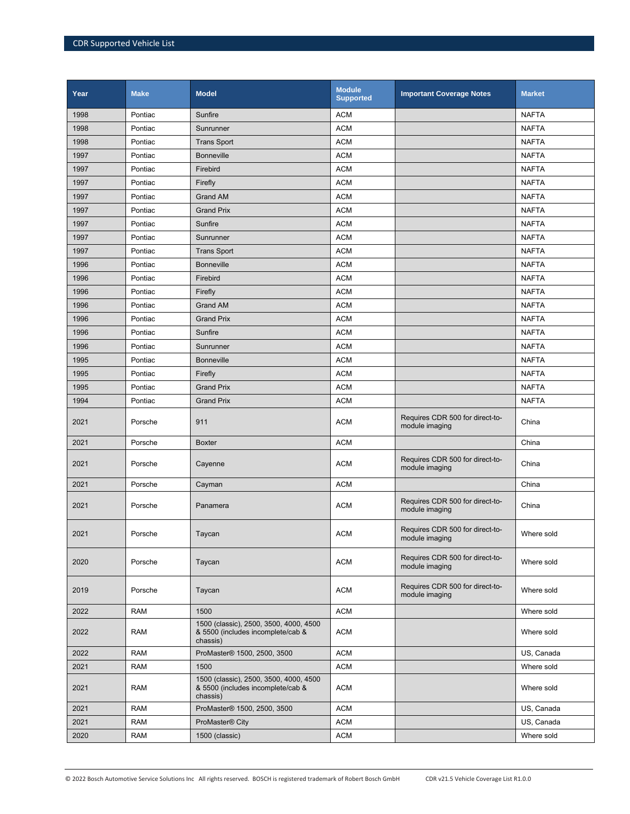| Year | <b>Make</b> | <b>Model</b>                                                                            | <b>Module</b><br><b>Supported</b> | <b>Important Coverage Notes</b>                   | <b>Market</b> |
|------|-------------|-----------------------------------------------------------------------------------------|-----------------------------------|---------------------------------------------------|---------------|
| 1998 | Pontiac     | Sunfire                                                                                 | <b>ACM</b>                        |                                                   | <b>NAFTA</b>  |
| 1998 | Pontiac     | Sunrunner                                                                               | <b>ACM</b>                        |                                                   | <b>NAFTA</b>  |
| 1998 | Pontiac     | <b>Trans Sport</b>                                                                      | <b>ACM</b>                        |                                                   | <b>NAFTA</b>  |
| 1997 | Pontiac     | <b>Bonneville</b>                                                                       | <b>ACM</b>                        |                                                   | <b>NAFTA</b>  |
| 1997 | Pontiac     | Firebird                                                                                | <b>ACM</b>                        |                                                   | <b>NAFTA</b>  |
| 1997 | Pontiac     | Firefly                                                                                 | <b>ACM</b>                        |                                                   | <b>NAFTA</b>  |
| 1997 | Pontiac     | <b>Grand AM</b>                                                                         | <b>ACM</b>                        |                                                   | <b>NAFTA</b>  |
| 1997 | Pontiac     | <b>Grand Prix</b>                                                                       | <b>ACM</b>                        |                                                   | <b>NAFTA</b>  |
| 1997 | Pontiac     | Sunfire                                                                                 | <b>ACM</b>                        |                                                   | <b>NAFTA</b>  |
| 1997 | Pontiac     | Sunrunner                                                                               | <b>ACM</b>                        |                                                   | <b>NAFTA</b>  |
| 1997 | Pontiac     | <b>Trans Sport</b>                                                                      | <b>ACM</b>                        |                                                   | <b>NAFTA</b>  |
| 1996 | Pontiac     | <b>Bonneville</b>                                                                       | <b>ACM</b>                        |                                                   | <b>NAFTA</b>  |
| 1996 | Pontiac     | Firebird                                                                                | <b>ACM</b>                        |                                                   | <b>NAFTA</b>  |
| 1996 | Pontiac     | Firefly                                                                                 | <b>ACM</b>                        |                                                   | <b>NAFTA</b>  |
| 1996 | Pontiac     | <b>Grand AM</b>                                                                         | <b>ACM</b>                        |                                                   | <b>NAFTA</b>  |
| 1996 | Pontiac     | <b>Grand Prix</b>                                                                       | <b>ACM</b>                        |                                                   | <b>NAFTA</b>  |
| 1996 | Pontiac     | Sunfire                                                                                 | <b>ACM</b>                        |                                                   | <b>NAFTA</b>  |
| 1996 | Pontiac     | Sunrunner                                                                               | <b>ACM</b>                        |                                                   | <b>NAFTA</b>  |
| 1995 | Pontiac     | <b>Bonneville</b>                                                                       | <b>ACM</b>                        |                                                   | <b>NAFTA</b>  |
| 1995 | Pontiac     | Firefly                                                                                 | <b>ACM</b>                        |                                                   | <b>NAFTA</b>  |
| 1995 | Pontiac     | <b>Grand Prix</b>                                                                       | <b>ACM</b>                        |                                                   | <b>NAFTA</b>  |
| 1994 | Pontiac     | <b>Grand Prix</b>                                                                       | <b>ACM</b>                        |                                                   | <b>NAFTA</b>  |
| 2021 | Porsche     | 911                                                                                     | <b>ACM</b>                        | Requires CDR 500 for direct-to-<br>module imaging | China         |
| 2021 | Porsche     | <b>Boxter</b>                                                                           | <b>ACM</b>                        |                                                   | China         |
| 2021 | Porsche     | Cayenne                                                                                 | <b>ACM</b>                        | Requires CDR 500 for direct-to-<br>module imaging | China         |
| 2021 | Porsche     | Cayman                                                                                  | <b>ACM</b>                        |                                                   | China         |
| 2021 | Porsche     | Panamera                                                                                | <b>ACM</b>                        | Requires CDR 500 for direct-to-<br>module imaging | China         |
| 2021 | Porsche     | Taycan                                                                                  | <b>ACM</b>                        | Requires CDR 500 for direct-to-<br>module imaging | Where sold    |
| 2020 | Porsche     | Taycan                                                                                  | <b>ACM</b>                        | Requires CDR 500 for direct-to-<br>module imaging | Where sold    |
| 2019 | Porsche     | Taycan                                                                                  | <b>ACM</b>                        | Requires CDR 500 for direct-to-<br>module imaging | Where sold    |
| 2022 | RAM         | 1500                                                                                    | <b>ACM</b>                        |                                                   | Where sold    |
| 2022 | <b>RAM</b>  | 1500 (classic), 2500, 3500, 4000, 4500<br>& 5500 (includes incomplete/cab &<br>chassis) | <b>ACM</b>                        |                                                   | Where sold    |
| 2022 | <b>RAM</b>  | ProMaster® 1500, 2500, 3500                                                             | <b>ACM</b>                        |                                                   | US, Canada    |
| 2021 | RAM         | 1500                                                                                    | ACM                               |                                                   | Where sold    |
| 2021 | <b>RAM</b>  | 1500 (classic), 2500, 3500, 4000, 4500<br>& 5500 (includes incomplete/cab &<br>chassis) | <b>ACM</b>                        |                                                   | Where sold    |
| 2021 | <b>RAM</b>  | ProMaster® 1500, 2500, 3500                                                             | <b>ACM</b>                        |                                                   | US, Canada    |
| 2021 | RAM         | ProMaster <sup>®</sup> City                                                             | ACM                               |                                                   | US, Canada    |
| 2020 | <b>RAM</b>  | 1500 (classic)                                                                          | <b>ACM</b>                        |                                                   | Where sold    |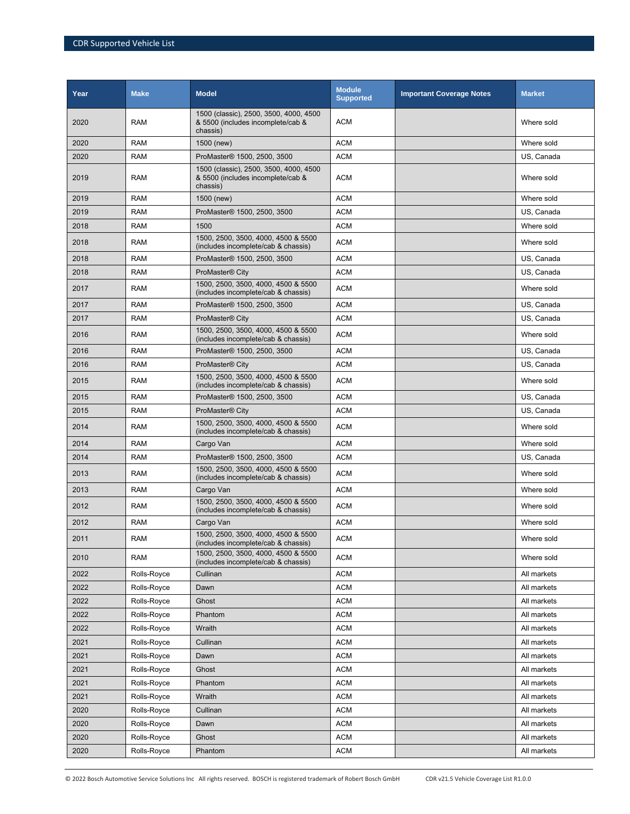| Year | <b>Make</b> | <b>Model</b>                                                                            | <b>Module</b><br><b>Supported</b> | <b>Important Coverage Notes</b> | <b>Market</b> |
|------|-------------|-----------------------------------------------------------------------------------------|-----------------------------------|---------------------------------|---------------|
| 2020 | RAM         | 1500 (classic), 2500, 3500, 4000, 4500<br>& 5500 (includes incomplete/cab &<br>chassis) | <b>ACM</b>                        |                                 | Where sold    |
| 2020 | <b>RAM</b>  | 1500 (new)                                                                              | <b>ACM</b>                        |                                 | Where sold    |
| 2020 | <b>RAM</b>  | ProMaster® 1500, 2500, 3500                                                             | <b>ACM</b>                        |                                 | US, Canada    |
| 2019 | <b>RAM</b>  | 1500 (classic), 2500, 3500, 4000, 4500<br>& 5500 (includes incomplete/cab &<br>chassis) | <b>ACM</b>                        |                                 | Where sold    |
| 2019 | <b>RAM</b>  | 1500 (new)                                                                              | <b>ACM</b>                        |                                 | Where sold    |
| 2019 | <b>RAM</b>  | ProMaster <sup>®</sup> 1500, 2500, 3500                                                 | <b>ACM</b>                        |                                 | US, Canada    |
| 2018 | <b>RAM</b>  | 1500                                                                                    | <b>ACM</b>                        |                                 | Where sold    |
| 2018 | <b>RAM</b>  | 1500, 2500, 3500, 4000, 4500 & 5500<br>(includes incomplete/cab & chassis)              | <b>ACM</b>                        |                                 | Where sold    |
| 2018 | <b>RAM</b>  | ProMaster <sup>®</sup> 1500, 2500, 3500                                                 | <b>ACM</b>                        |                                 | US, Canada    |
| 2018 | <b>RAM</b>  | ProMaster <sup>®</sup> City                                                             | <b>ACM</b>                        |                                 | US, Canada    |
| 2017 | RAM         | 1500, 2500, 3500, 4000, 4500 & 5500<br>(includes incomplete/cab & chassis)              | <b>ACM</b>                        |                                 | Where sold    |
| 2017 | <b>RAM</b>  | ProMaster® 1500, 2500, 3500                                                             | <b>ACM</b>                        |                                 | US, Canada    |
| 2017 | <b>RAM</b>  | ProMaster <sup>®</sup> City                                                             | <b>ACM</b>                        |                                 | US. Canada    |
| 2016 | <b>RAM</b>  | 1500, 2500, 3500, 4000, 4500 & 5500<br>(includes incomplete/cab & chassis)              | <b>ACM</b>                        |                                 | Where sold    |
| 2016 | <b>RAM</b>  | ProMaster® 1500, 2500, 3500                                                             | <b>ACM</b>                        |                                 | US, Canada    |
| 2016 | <b>RAM</b>  | ProMaster <sup>®</sup> City                                                             | <b>ACM</b>                        |                                 | US, Canada    |
| 2015 | <b>RAM</b>  | 1500, 2500, 3500, 4000, 4500 & 5500<br>(includes incomplete/cab & chassis)              | <b>ACM</b>                        |                                 | Where sold    |
| 2015 | <b>RAM</b>  | ProMaster <sup>®</sup> 1500, 2500, 3500                                                 | <b>ACM</b>                        |                                 | US, Canada    |
| 2015 | <b>RAM</b>  | ProMaster <sup>®</sup> City                                                             | <b>ACM</b>                        |                                 | US, Canada    |
| 2014 | <b>RAM</b>  | 1500, 2500, 3500, 4000, 4500 & 5500<br>(includes incomplete/cab & chassis)              | <b>ACM</b>                        |                                 | Where sold    |
| 2014 | <b>RAM</b>  | Cargo Van                                                                               | <b>ACM</b>                        |                                 | Where sold    |
| 2014 | <b>RAM</b>  | ProMaster <sup>®</sup> 1500, 2500, 3500                                                 | <b>ACM</b>                        |                                 | US, Canada    |
| 2013 | RAM         | 1500, 2500, 3500, 4000, 4500 & 5500<br>(includes incomplete/cab & chassis)              | <b>ACM</b>                        |                                 | Where sold    |
| 2013 | <b>RAM</b>  | Cargo Van                                                                               | <b>ACM</b>                        |                                 | Where sold    |
| 2012 | RAM         | 1500, 2500, 3500, 4000, 4500 & 5500<br>(includes incomplete/cab & chassis)              | <b>ACM</b>                        |                                 | Where sold    |
| 2012 | <b>RAM</b>  | Cargo Van                                                                               | <b>ACM</b>                        |                                 | Where sold    |
| 2011 | RAM         | 1500, 2500, 3500, 4000, 4500 & 5500<br>(includes incomplete/cab & chassis)              | ACM                               |                                 | Where sold    |
| 2010 | <b>RAM</b>  | 1500, 2500, 3500, 4000, 4500 & 5500<br>(includes incomplete/cab & chassis)              | <b>ACM</b>                        |                                 | Where sold    |
| 2022 | Rolls-Royce | Cullinan                                                                                | <b>ACM</b>                        |                                 | All markets   |
| 2022 | Rolls-Royce | Dawn                                                                                    | <b>ACM</b>                        |                                 | All markets   |
| 2022 | Rolls-Royce | Ghost                                                                                   | <b>ACM</b>                        |                                 | All markets   |
| 2022 | Rolls-Royce | Phantom                                                                                 | <b>ACM</b>                        |                                 | All markets   |
| 2022 | Rolls-Royce | Wraith                                                                                  | <b>ACM</b>                        |                                 | All markets   |
| 2021 | Rolls-Royce | Cullinan                                                                                | <b>ACM</b>                        |                                 | All markets   |
| 2021 | Rolls-Royce | Dawn                                                                                    | <b>ACM</b>                        |                                 | All markets   |
| 2021 | Rolls-Royce | Ghost                                                                                   | <b>ACM</b>                        |                                 | All markets   |
| 2021 | Rolls-Royce | Phantom                                                                                 | <b>ACM</b>                        |                                 | All markets   |
| 2021 | Rolls-Royce | Wraith                                                                                  | <b>ACM</b>                        |                                 | All markets   |
| 2020 | Rolls-Royce | Cullinan                                                                                | <b>ACM</b>                        |                                 | All markets   |
| 2020 | Rolls-Royce | Dawn                                                                                    | <b>ACM</b>                        |                                 | All markets   |
| 2020 | Rolls-Royce | Ghost                                                                                   | <b>ACM</b>                        |                                 | All markets   |
| 2020 | Rolls-Royce | Phantom                                                                                 | <b>ACM</b>                        |                                 | All markets   |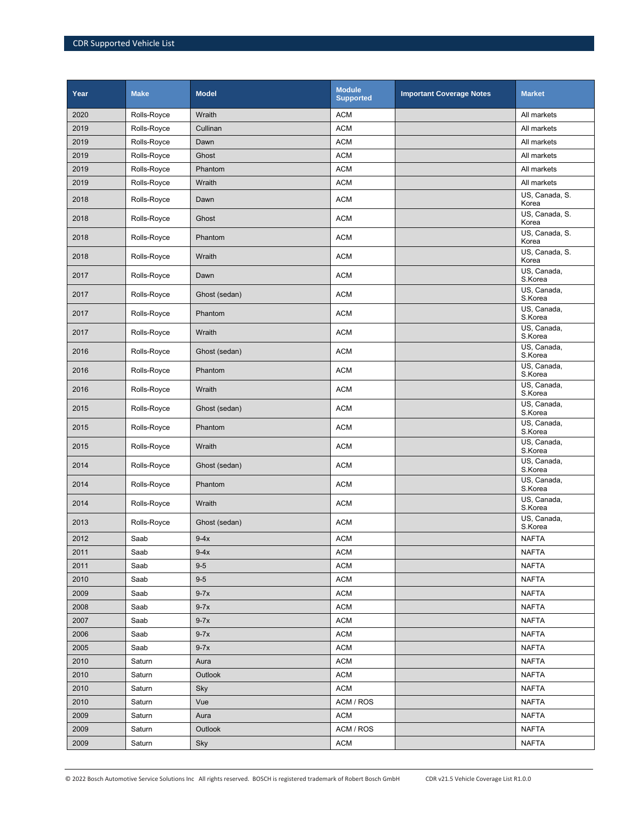| Year | <b>Make</b> | <b>Model</b>  | <b>Module</b><br><b>Supported</b> | <b>Important Coverage Notes</b> | <b>Market</b>           |
|------|-------------|---------------|-----------------------------------|---------------------------------|-------------------------|
| 2020 | Rolls-Royce | Wraith        | <b>ACM</b>                        |                                 | All markets             |
| 2019 | Rolls-Royce | Cullinan      | <b>ACM</b>                        |                                 | All markets             |
| 2019 | Rolls-Royce | Dawn          | <b>ACM</b>                        |                                 | All markets             |
| 2019 | Rolls-Royce | Ghost         | <b>ACM</b>                        |                                 | All markets             |
| 2019 | Rolls-Royce | Phantom       | <b>ACM</b>                        |                                 | All markets             |
| 2019 | Rolls-Royce | Wraith        | <b>ACM</b>                        |                                 | All markets             |
| 2018 | Rolls-Royce | Dawn          | <b>ACM</b>                        |                                 | US, Canada, S.<br>Korea |
| 2018 | Rolls-Royce | Ghost         | <b>ACM</b>                        |                                 | US, Canada, S.<br>Korea |
| 2018 | Rolls-Royce | Phantom       | <b>ACM</b>                        |                                 | US, Canada, S.<br>Korea |
| 2018 | Rolls-Royce | Wraith        | <b>ACM</b>                        |                                 | US, Canada, S.<br>Korea |
| 2017 | Rolls-Royce | Dawn          | <b>ACM</b>                        |                                 | US, Canada,<br>S.Korea  |
| 2017 | Rolls-Royce | Ghost (sedan) | <b>ACM</b>                        |                                 | US, Canada,<br>S.Korea  |
| 2017 | Rolls-Royce | Phantom       | <b>ACM</b>                        |                                 | US, Canada,<br>S.Korea  |
| 2017 | Rolls-Royce | Wraith        | <b>ACM</b>                        |                                 | US, Canada,<br>S.Korea  |
| 2016 | Rolls-Royce | Ghost (sedan) | <b>ACM</b>                        |                                 | US, Canada,<br>S.Korea  |
| 2016 | Rolls-Royce | Phantom       | <b>ACM</b>                        |                                 | US, Canada,<br>S.Korea  |
| 2016 | Rolls-Royce | Wraith        | <b>ACM</b>                        |                                 | US, Canada,<br>S.Korea  |
| 2015 | Rolls-Royce | Ghost (sedan) | <b>ACM</b>                        |                                 | US, Canada,<br>S.Korea  |
| 2015 | Rolls-Royce | Phantom       | <b>ACM</b>                        |                                 | US, Canada,<br>S.Korea  |
| 2015 | Rolls-Royce | Wraith        | <b>ACM</b>                        |                                 | US, Canada,<br>S.Korea  |
| 2014 | Rolls-Royce | Ghost (sedan) | <b>ACM</b>                        |                                 | US, Canada,<br>S.Korea  |
| 2014 | Rolls-Royce | Phantom       | <b>ACM</b>                        |                                 | US, Canada,<br>S.Korea  |
| 2014 | Rolls-Royce | Wraith        | <b>ACM</b>                        |                                 | US, Canada,<br>S.Korea  |
| 2013 | Rolls-Royce | Ghost (sedan) | <b>ACM</b>                        |                                 | US, Canada,<br>S.Korea  |
| 2012 | Saab        | $9-4x$        | <b>ACM</b>                        |                                 | <b>NAFTA</b>            |
| 2011 | Saab        | $9-4x$        | <b>ACM</b>                        |                                 | <b>NAFTA</b>            |
| 2011 | Saab        | $9-5$         | <b>ACM</b>                        |                                 | <b>NAFTA</b>            |
| 2010 | Saab        | $9-5$         | <b>ACM</b>                        |                                 | <b>NAFTA</b>            |
| 2009 | Saab        | $9-7x$        | <b>ACM</b>                        |                                 | <b>NAFTA</b>            |
| 2008 | Saab        | $9-7x$        | <b>ACM</b>                        |                                 | <b>NAFTA</b>            |
| 2007 | Saab        | $9-7x$        | <b>ACM</b>                        |                                 | <b>NAFTA</b>            |
| 2006 | Saab        | $9-7x$        | <b>ACM</b>                        |                                 | <b>NAFTA</b>            |
| 2005 | Saab        | $9-7x$        | <b>ACM</b>                        |                                 | <b>NAFTA</b>            |
| 2010 | Saturn      | Aura          | <b>ACM</b>                        |                                 | <b>NAFTA</b>            |
| 2010 | Saturn      | Outlook       | <b>ACM</b>                        |                                 | <b>NAFTA</b>            |
| 2010 | Saturn      | Sky           | <b>ACM</b>                        |                                 | <b>NAFTA</b>            |
| 2010 | Saturn      | Vue           | ACM / ROS                         |                                 | <b>NAFTA</b>            |
| 2009 | Saturn      | Aura          | ACM                               |                                 | <b>NAFTA</b>            |
| 2009 | Saturn      | Outlook       | ACM / ROS                         |                                 | <b>NAFTA</b>            |
| 2009 | Saturn      | Sky           | <b>ACM</b>                        |                                 | <b>NAFTA</b>            |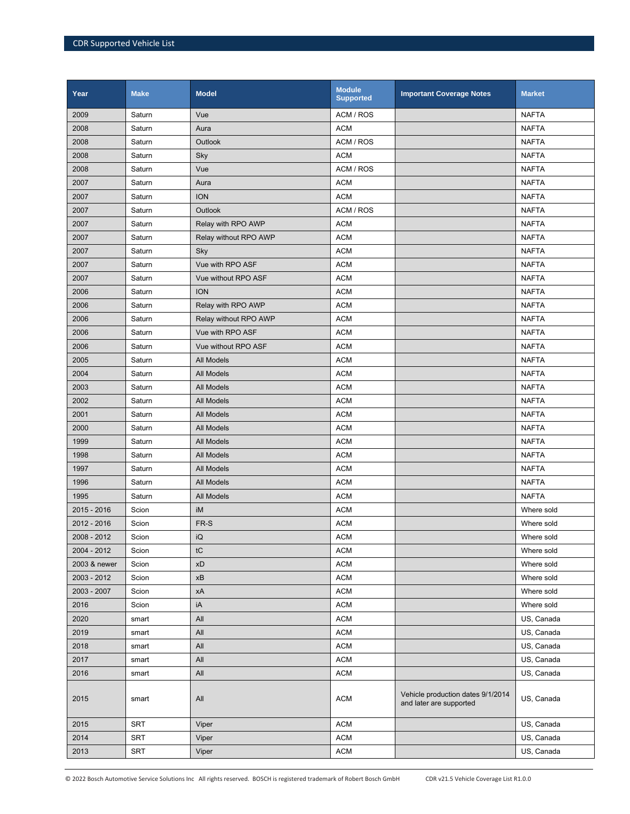| Year         | <b>Make</b> | <b>Model</b>          | <b>Module</b><br><b>Supported</b> | <b>Important Coverage Notes</b>                              | <b>Market</b> |
|--------------|-------------|-----------------------|-----------------------------------|--------------------------------------------------------------|---------------|
| 2009         | Saturn      | Vue                   | ACM / ROS                         |                                                              | <b>NAFTA</b>  |
| 2008         | Saturn      | Aura                  | <b>ACM</b>                        |                                                              | <b>NAFTA</b>  |
| 2008         | Saturn      | <b>Outlook</b>        | ACM / ROS                         |                                                              | <b>NAFTA</b>  |
| 2008         | Saturn      | Sky                   | <b>ACM</b>                        |                                                              | <b>NAFTA</b>  |
| 2008         | Saturn      | Vue                   | ACM / ROS                         |                                                              | <b>NAFTA</b>  |
| 2007         | Saturn      | Aura                  | <b>ACM</b>                        |                                                              | <b>NAFTA</b>  |
| 2007         | Saturn      | <b>ION</b>            | <b>ACM</b>                        |                                                              | <b>NAFTA</b>  |
| 2007         | Saturn      | <b>Outlook</b>        | ACM / ROS                         |                                                              | <b>NAFTA</b>  |
| 2007         | Saturn      | Relay with RPO AWP    | <b>ACM</b>                        |                                                              | <b>NAFTA</b>  |
| 2007         | Saturn      | Relay without RPO AWP | <b>ACM</b>                        |                                                              | <b>NAFTA</b>  |
| 2007         | Saturn      | Sky                   | <b>ACM</b>                        |                                                              | <b>NAFTA</b>  |
| 2007         | Saturn      | Vue with RPO ASF      | <b>ACM</b>                        |                                                              | <b>NAFTA</b>  |
| 2007         | Saturn      | Vue without RPO ASF   | <b>ACM</b>                        |                                                              | <b>NAFTA</b>  |
| 2006         | Saturn      | <b>ION</b>            | <b>ACM</b>                        |                                                              | <b>NAFTA</b>  |
| 2006         | Saturn      | Relay with RPO AWP    | <b>ACM</b>                        |                                                              | <b>NAFTA</b>  |
| 2006         | Saturn      | Relay without RPO AWP | <b>ACM</b>                        |                                                              | <b>NAFTA</b>  |
| 2006         | Saturn      | Vue with RPO ASF      | <b>ACM</b>                        |                                                              | <b>NAFTA</b>  |
| 2006         | Saturn      | Vue without RPO ASF   | <b>ACM</b>                        |                                                              | <b>NAFTA</b>  |
| 2005         | Saturn      | All Models            | <b>ACM</b>                        |                                                              | <b>NAFTA</b>  |
| 2004         | Saturn      | All Models            | <b>ACM</b>                        |                                                              | <b>NAFTA</b>  |
| 2003         | Saturn      | <b>All Models</b>     | <b>ACM</b>                        |                                                              | <b>NAFTA</b>  |
| 2002         | Saturn      | All Models            | <b>ACM</b>                        |                                                              | <b>NAFTA</b>  |
| 2001         | Saturn      | All Models            | <b>ACM</b>                        |                                                              | <b>NAFTA</b>  |
| 2000         | Saturn      | All Models            | <b>ACM</b>                        |                                                              | <b>NAFTA</b>  |
| 1999         | Saturn      | All Models            | <b>ACM</b>                        |                                                              | <b>NAFTA</b>  |
| 1998         | Saturn      | All Models            | <b>ACM</b>                        |                                                              | <b>NAFTA</b>  |
| 1997         | Saturn      | All Models            | <b>ACM</b>                        |                                                              | <b>NAFTA</b>  |
| 1996         | Saturn      | <b>All Models</b>     | <b>ACM</b>                        |                                                              | <b>NAFTA</b>  |
| 1995         | Saturn      | All Models            | <b>ACM</b>                        |                                                              | <b>NAFTA</b>  |
| 2015 - 2016  | Scion       | iM                    | <b>ACM</b>                        |                                                              | Where sold    |
| 2012 - 2016  | Scion       | FR-S                  | <b>ACM</b>                        |                                                              | Where sold    |
| 2008 - 2012  | Scion       | iQ                    | <b>ACM</b>                        |                                                              | Where sold    |
| 2004 - 2012  | Scion       | tC                    | <b>ACM</b>                        |                                                              | Where sold    |
| 2003 & newer | Scion       | xD                    | <b>ACM</b>                        |                                                              | Where sold    |
| 2003 - 2012  | Scion       | xB                    | <b>ACM</b>                        |                                                              | Where sold    |
| 2003 - 2007  | Scion       | xA                    | <b>ACM</b>                        |                                                              | Where sold    |
| 2016         | Scion       | iA                    | <b>ACM</b>                        |                                                              | Where sold    |
| 2020         | smart       | All                   | <b>ACM</b>                        |                                                              | US, Canada    |
| 2019         | smart       | All                   | <b>ACM</b>                        |                                                              | US, Canada    |
| 2018         | smart       | All                   | <b>ACM</b>                        |                                                              | US, Canada    |
| 2017         | smart       | All                   | <b>ACM</b>                        |                                                              | US, Canada    |
| 2016         | smart       | All                   | <b>ACM</b>                        |                                                              | US, Canada    |
| 2015         | smart       | All                   | <b>ACM</b>                        | Vehicle production dates 9/1/2014<br>and later are supported | US, Canada    |
| 2015         | <b>SRT</b>  | Viper                 | <b>ACM</b>                        |                                                              | US, Canada    |
| 2014         | <b>SRT</b>  | Viper                 | <b>ACM</b>                        |                                                              | US, Canada    |
| 2013         | <b>SRT</b>  | Viper                 | <b>ACM</b>                        |                                                              | US, Canada    |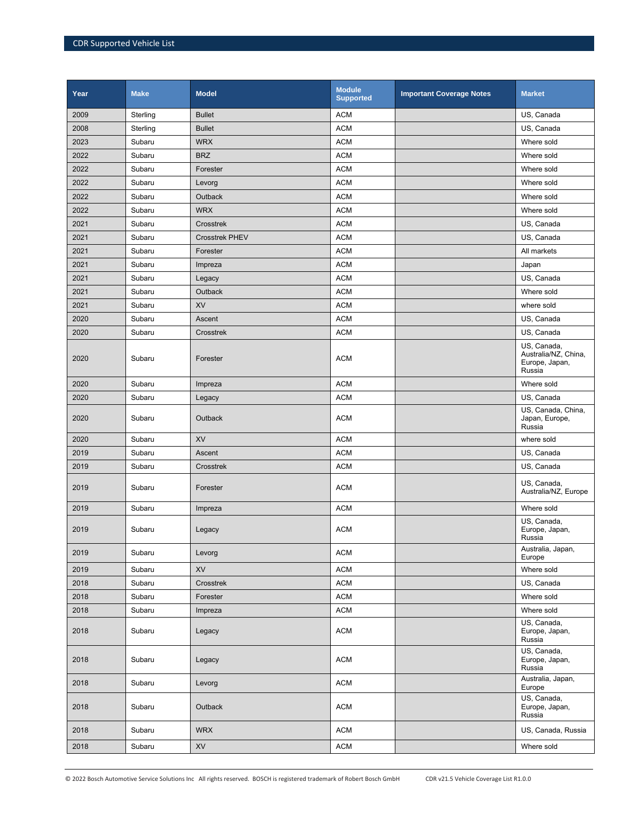| Year | <b>Make</b> | <b>Model</b>          | <b>Module</b><br><b>Supported</b> | <b>Important Coverage Notes</b> | <b>Market</b>                                                   |
|------|-------------|-----------------------|-----------------------------------|---------------------------------|-----------------------------------------------------------------|
| 2009 | Sterling    | <b>Bullet</b>         | <b>ACM</b>                        |                                 | US, Canada                                                      |
| 2008 | Sterling    | <b>Bullet</b>         | <b>ACM</b>                        |                                 | US, Canada                                                      |
| 2023 | Subaru      | <b>WRX</b>            | <b>ACM</b>                        |                                 | Where sold                                                      |
| 2022 | Subaru      | <b>BRZ</b>            | <b>ACM</b>                        |                                 | Where sold                                                      |
| 2022 | Subaru      | Forester              | <b>ACM</b>                        |                                 | Where sold                                                      |
| 2022 | Subaru      | Levorg                | <b>ACM</b>                        |                                 | Where sold                                                      |
| 2022 | Subaru      | Outback               | <b>ACM</b>                        |                                 | Where sold                                                      |
| 2022 | Subaru      | <b>WRX</b>            | <b>ACM</b>                        |                                 | Where sold                                                      |
| 2021 | Subaru      | Crosstrek             | <b>ACM</b>                        |                                 | US, Canada                                                      |
| 2021 | Subaru      | <b>Crosstrek PHEV</b> | <b>ACM</b>                        |                                 | US, Canada                                                      |
| 2021 | Subaru      | Forester              | <b>ACM</b>                        |                                 | All markets                                                     |
| 2021 | Subaru      | Impreza               | <b>ACM</b>                        |                                 | Japan                                                           |
| 2021 | Subaru      | Legacy                | <b>ACM</b>                        |                                 | US, Canada                                                      |
| 2021 | Subaru      | Outback               | <b>ACM</b>                        |                                 | Where sold                                                      |
| 2021 | Subaru      | <b>XV</b>             | <b>ACM</b>                        |                                 | where sold                                                      |
| 2020 | Subaru      | Ascent                | <b>ACM</b>                        |                                 | US, Canada                                                      |
| 2020 | Subaru      | Crosstrek             | <b>ACM</b>                        |                                 | US, Canada                                                      |
| 2020 | Subaru      | Forester              | <b>ACM</b>                        |                                 | US, Canada,<br>Australia/NZ, China,<br>Europe, Japan,<br>Russia |
| 2020 | Subaru      | Impreza               | <b>ACM</b>                        |                                 | Where sold                                                      |
| 2020 | Subaru      | Legacy                | <b>ACM</b>                        |                                 | US, Canada                                                      |
| 2020 | Subaru      | Outback               | <b>ACM</b>                        |                                 | US, Canada, China,<br>Japan, Europe,<br>Russia                  |
| 2020 | Subaru      | <b>XV</b>             | <b>ACM</b>                        |                                 | where sold                                                      |
| 2019 | Subaru      | Ascent                | <b>ACM</b>                        |                                 | US, Canada                                                      |
| 2019 | Subaru      | Crosstrek             | <b>ACM</b>                        |                                 | US, Canada                                                      |
| 2019 | Subaru      | Forester              | <b>ACM</b>                        |                                 | US, Canada,<br>Australia/NZ, Europe                             |
| 2019 | Subaru      | Impreza               | <b>ACM</b>                        |                                 | Where sold                                                      |
| 2019 | Subaru      | Legacy                | <b>ACM</b>                        |                                 | US, Canada,<br>Europe, Japan,<br>Russia                         |
| 2019 | Subaru      | Levorg                | <b>ACM</b>                        |                                 | Australia, Japan,<br>Europe                                     |
| 2019 | Subaru      | XV                    | <b>ACM</b>                        |                                 | Where sold                                                      |
| 2018 | Subaru      | Crosstrek             | <b>ACM</b>                        |                                 | US, Canada                                                      |
| 2018 | Subaru      | Forester              | <b>ACM</b>                        |                                 | Where sold                                                      |
| 2018 | Subaru      | Impreza               | <b>ACM</b>                        |                                 | Where sold                                                      |
| 2018 | Subaru      | Legacy                | <b>ACM</b>                        |                                 | US, Canada,<br>Europe, Japan,<br>Russia                         |
| 2018 | Subaru      | Legacy                | <b>ACM</b>                        |                                 | US, Canada,<br>Europe, Japan,<br>Russia                         |
| 2018 | Subaru      | Levorg                | <b>ACM</b>                        |                                 | Australia, Japan,<br>Europe                                     |
| 2018 | Subaru      | Outback               | <b>ACM</b>                        |                                 | US, Canada,<br>Europe, Japan,<br>Russia                         |
| 2018 | Subaru      | <b>WRX</b>            | <b>ACM</b>                        |                                 | US, Canada, Russia                                              |
| 2018 | Subaru      | <b>XV</b>             | <b>ACM</b>                        |                                 | Where sold                                                      |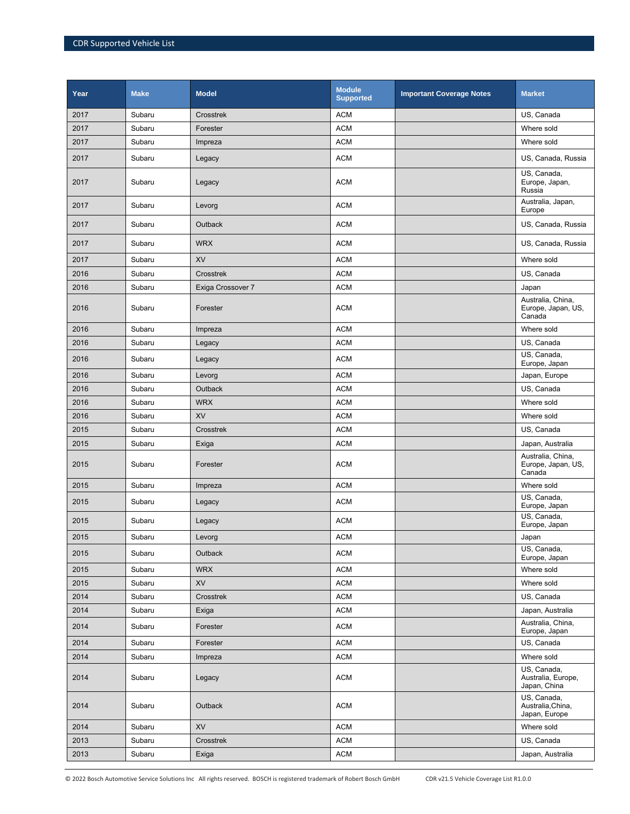| Year | <b>Make</b> | <b>Model</b>      | <b>Module</b><br><b>Supported</b> | <b>Important Coverage Notes</b> | <b>Market</b>                                     |
|------|-------------|-------------------|-----------------------------------|---------------------------------|---------------------------------------------------|
| 2017 | Subaru      | Crosstrek         | <b>ACM</b>                        |                                 | US, Canada                                        |
| 2017 | Subaru      | Forester          | <b>ACM</b>                        |                                 | Where sold                                        |
| 2017 | Subaru      | Impreza           | <b>ACM</b>                        |                                 | Where sold                                        |
| 2017 | Subaru      | Legacy            | <b>ACM</b>                        |                                 | US, Canada, Russia                                |
| 2017 | Subaru      | Legacy            | <b>ACM</b>                        |                                 | US, Canada,<br>Europe, Japan,<br>Russia           |
| 2017 | Subaru      | Levorg            | <b>ACM</b>                        |                                 | Australia, Japan,<br>Europe                       |
| 2017 | Subaru      | Outback           | <b>ACM</b>                        |                                 | US, Canada, Russia                                |
| 2017 | Subaru      | <b>WRX</b>        | <b>ACM</b>                        |                                 | US, Canada, Russia                                |
| 2017 | Subaru      | XV                | <b>ACM</b>                        |                                 | Where sold                                        |
| 2016 | Subaru      | Crosstrek         | <b>ACM</b>                        |                                 | US, Canada                                        |
| 2016 | Subaru      | Exiga Crossover 7 | <b>ACM</b>                        |                                 | Japan                                             |
| 2016 | Subaru      | Forester          | <b>ACM</b>                        |                                 | Australia, China,<br>Europe, Japan, US,<br>Canada |
| 2016 | Subaru      | Impreza           | <b>ACM</b>                        |                                 | Where sold                                        |
| 2016 | Subaru      | Legacy            | <b>ACM</b>                        |                                 | US, Canada                                        |
| 2016 | Subaru      | Legacy            | <b>ACM</b>                        |                                 | US, Canada,<br>Europe, Japan                      |
| 2016 | Subaru      | Levorg            | <b>ACM</b>                        |                                 | Japan, Europe                                     |
| 2016 | Subaru      | <b>Outback</b>    | <b>ACM</b>                        |                                 | US, Canada                                        |
| 2016 | Subaru      | <b>WRX</b>        | <b>ACM</b>                        |                                 | Where sold                                        |
| 2016 | Subaru      | <b>XV</b>         | <b>ACM</b>                        |                                 | Where sold                                        |
| 2015 | Subaru      | Crosstrek         | <b>ACM</b>                        |                                 | US, Canada                                        |
| 2015 | Subaru      | Exiga             | <b>ACM</b>                        |                                 | Japan, Australia                                  |
| 2015 | Subaru      | Forester          | <b>ACM</b>                        |                                 | Australia, China,<br>Europe, Japan, US,<br>Canada |
| 2015 | Subaru      | Impreza           | <b>ACM</b>                        |                                 | Where sold                                        |
| 2015 | Subaru      | Legacy            | <b>ACM</b>                        |                                 | US, Canada,<br>Europe, Japan                      |
| 2015 | Subaru      | Legacy            | <b>ACM</b>                        |                                 | US, Canada,<br>Europe, Japan                      |
| 2015 | Subaru      | Levorg            | <b>ACM</b>                        |                                 | Japan                                             |
| 2015 | Subaru      | Outback           | <b>ACM</b>                        |                                 | US, Canada,<br>Europe, Japan                      |
| 2015 | Subaru      | <b>WRX</b>        | <b>ACM</b>                        |                                 | Where sold                                        |
| 2015 | Subaru      | <b>XV</b>         | <b>ACM</b>                        |                                 | Where sold                                        |
| 2014 | Subaru      | Crosstrek         | <b>ACM</b>                        |                                 | US, Canada                                        |
| 2014 | Subaru      | Exiga             | ACM                               |                                 | Japan, Australia                                  |
| 2014 | Subaru      | Forester          | <b>ACM</b>                        |                                 | Australia, China,<br>Europe, Japan                |
| 2014 | Subaru      | Forester          | ACM                               |                                 | US, Canada                                        |
| 2014 | Subaru      | Impreza           | <b>ACM</b>                        |                                 | Where sold                                        |
| 2014 | Subaru      | Legacy            | <b>ACM</b>                        |                                 | US, Canada,<br>Australia, Europe,<br>Japan, China |
| 2014 | Subaru      | Outback           | <b>ACM</b>                        |                                 | US, Canada,<br>Australia, China,<br>Japan, Europe |
| 2014 | Subaru      | XV                | <b>ACM</b>                        |                                 | Where sold                                        |
| 2013 | Subaru      | Crosstrek         | ACM                               |                                 | US, Canada                                        |
| 2013 | Subaru      | Exiga             | ACM                               |                                 | Japan, Australia                                  |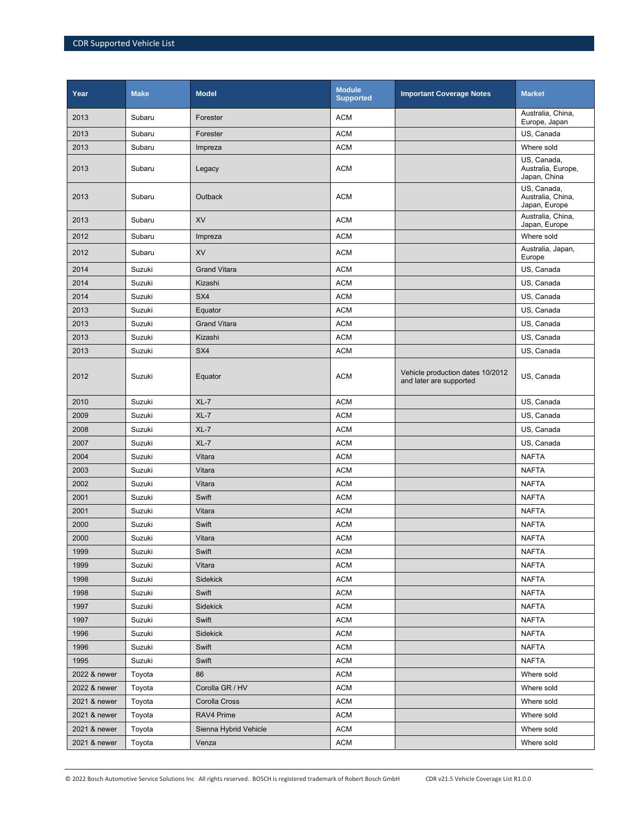| Year         | <b>Make</b> | <b>Model</b>          | <b>Module</b><br><b>Supported</b> | <b>Important Coverage Notes</b>                             | <b>Market</b>                                     |
|--------------|-------------|-----------------------|-----------------------------------|-------------------------------------------------------------|---------------------------------------------------|
| 2013         | Subaru      | Forester              | <b>ACM</b>                        |                                                             | Australia, China,<br>Europe, Japan                |
| 2013         | Subaru      | Forester              | <b>ACM</b>                        |                                                             | US, Canada                                        |
| 2013         | Subaru      | Impreza               | <b>ACM</b>                        |                                                             | Where sold                                        |
| 2013         | Subaru      | Legacy                | <b>ACM</b>                        |                                                             | US, Canada,<br>Australia, Europe,<br>Japan, China |
| 2013         | Subaru      | <b>Outback</b>        | <b>ACM</b>                        |                                                             | US, Canada,<br>Australia, China,<br>Japan, Europe |
| 2013         | Subaru      | XV                    | <b>ACM</b>                        |                                                             | Australia, China,<br>Japan, Europe                |
| 2012         | Subaru      | Impreza               | <b>ACM</b>                        |                                                             | Where sold                                        |
| 2012         | Subaru      | <b>XV</b>             | <b>ACM</b>                        |                                                             | Australia, Japan,<br>Europe                       |
| 2014         | Suzuki      | <b>Grand Vitara</b>   | <b>ACM</b>                        |                                                             | US, Canada                                        |
| 2014         | Suzuki      | Kizashi               | <b>ACM</b>                        |                                                             | US, Canada                                        |
| 2014         | Suzuki      | SX4                   | <b>ACM</b>                        |                                                             | US, Canada                                        |
| 2013         | Suzuki      | Equator               | <b>ACM</b>                        |                                                             | US, Canada                                        |
| 2013         | Suzuki      | <b>Grand Vitara</b>   | <b>ACM</b>                        |                                                             | US, Canada                                        |
| 2013         | Suzuki      | Kizashi               | <b>ACM</b>                        |                                                             | US, Canada                                        |
| 2013         | Suzuki      | SX4                   | <b>ACM</b>                        |                                                             | US, Canada                                        |
| 2012         | Suzuki      | Equator               | <b>ACM</b>                        | Vehicle production dates 10/2012<br>and later are supported | US, Canada                                        |
| 2010         | Suzuki      | $XL-7$                | <b>ACM</b>                        |                                                             | US, Canada                                        |
| 2009         | Suzuki      | $XL-7$                | <b>ACM</b>                        |                                                             | US, Canada                                        |
| 2008         | Suzuki      | $XL-7$                | <b>ACM</b>                        |                                                             | US, Canada                                        |
| 2007         | Suzuki      | $XL-7$                | <b>ACM</b>                        |                                                             | US, Canada                                        |
| 2004         | Suzuki      | Vitara                | <b>ACM</b>                        |                                                             | <b>NAFTA</b>                                      |
| 2003         | Suzuki      | Vitara                | <b>ACM</b>                        |                                                             | <b>NAFTA</b>                                      |
| 2002         | Suzuki      | Vitara                | <b>ACM</b>                        |                                                             | <b>NAFTA</b>                                      |
| 2001         | Suzuki      | Swift                 | <b>ACM</b>                        |                                                             | <b>NAFTA</b>                                      |
| 2001         | Suzuki      | Vitara                | <b>ACM</b>                        |                                                             | <b>NAFTA</b>                                      |
| 2000         | Suzuki      | Swift                 | <b>ACM</b>                        |                                                             | <b>NAFTA</b>                                      |
| 2000         | Suzuki      | Vitara                | <b>ACM</b>                        |                                                             | <b>NAFTA</b>                                      |
| 1999         | Suzuki      | Swift                 | <b>ACM</b>                        |                                                             | <b>NAFTA</b>                                      |
| 1999         | Suzuki      | Vitara                | <b>ACM</b>                        |                                                             | <b>NAFTA</b>                                      |
| 1998         | Suzuki      | Sidekick              | <b>ACM</b>                        |                                                             | <b>NAFTA</b>                                      |
| 1998         | Suzuki      | Swift                 | <b>ACM</b>                        |                                                             | <b>NAFTA</b>                                      |
| 1997         | Suzuki      | Sidekick              | <b>ACM</b>                        |                                                             | <b>NAFTA</b>                                      |
| 1997         | Suzuki      | Swift                 | <b>ACM</b>                        |                                                             | <b>NAFTA</b>                                      |
| 1996         | Suzuki      | Sidekick              | <b>ACM</b>                        |                                                             | <b>NAFTA</b>                                      |
| 1996         | Suzuki      | Swift                 | <b>ACM</b>                        |                                                             | <b>NAFTA</b>                                      |
| 1995         | Suzuki      | Swift                 | <b>ACM</b>                        |                                                             | <b>NAFTA</b>                                      |
| 2022 & newer | Toyota      | 86                    | <b>ACM</b>                        |                                                             | Where sold                                        |
| 2022 & newer | Toyota      | Corolla GR / HV       | <b>ACM</b>                        |                                                             | Where sold                                        |
| 2021 & newer | Toyota      | Corolla Cross         | <b>ACM</b>                        |                                                             | Where sold                                        |
| 2021 & newer | Toyota      | RAV4 Prime            | <b>ACM</b>                        |                                                             | Where sold                                        |
| 2021 & newer | Toyota      | Sienna Hybrid Vehicle | <b>ACM</b>                        |                                                             | Where sold                                        |
| 2021 & newer | Toyota      | Venza                 | <b>ACM</b>                        |                                                             | Where sold                                        |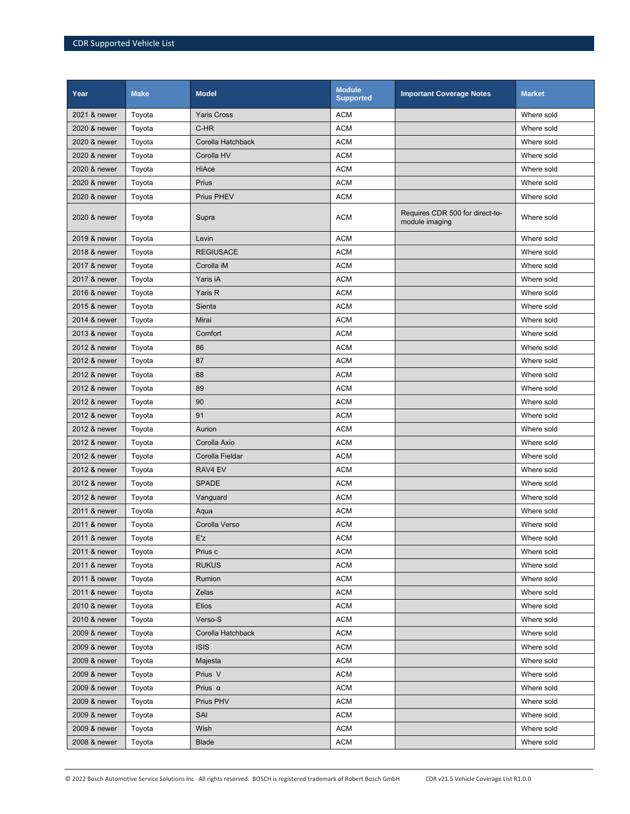| Year         | <b>Make</b> | <b>Model</b>       | <b>Module</b><br><b>Supported</b> | <b>Important Coverage Notes</b>                   | <b>Market</b> |
|--------------|-------------|--------------------|-----------------------------------|---------------------------------------------------|---------------|
| 2021 & newer | Toyota      | <b>Yaris Cross</b> | <b>ACM</b>                        |                                                   | Where sold    |
| 2020 & newer | Toyota      | C-HR               | <b>ACM</b>                        |                                                   | Where sold    |
| 2020 & newer | Toyota      | Corolla Hatchback  | <b>ACM</b>                        |                                                   | Where sold    |
| 2020 & newer | Toyota      | Corolla HV         | <b>ACM</b>                        |                                                   | Where sold    |
| 2020 & newer | Toyota      | <b>HiAce</b>       | <b>ACM</b>                        |                                                   | Where sold    |
| 2020 & newer | Toyota      | Prius              | <b>ACM</b>                        |                                                   | Where sold    |
| 2020 & newer | Toyota      | Prius PHEV         | <b>ACM</b>                        |                                                   | Where sold    |
| 2020 & newer | Toyota      | Supra              | <b>ACM</b>                        | Requires CDR 500 for direct-to-<br>module imaging | Where sold    |
| 2019 & newer | Toyota      | Levin              | <b>ACM</b>                        |                                                   | Where sold    |
| 2018 & newer | Toyota      | <b>REGIUSACE</b>   | <b>ACM</b>                        |                                                   | Where sold    |
| 2017 & newer | Toyota      | Corolla iM         | <b>ACM</b>                        |                                                   | Where sold    |
| 2017 & newer | Toyota      | Yaris iA           | <b>ACM</b>                        |                                                   | Where sold    |
| 2016 & newer | Toyota      | Yaris R            | <b>ACM</b>                        |                                                   | Where sold    |
| 2015 & newer | Toyota      | Sienta             | <b>ACM</b>                        |                                                   | Where sold    |
| 2014 & newer | Toyota      | Mirai              | <b>ACM</b>                        |                                                   | Where sold    |
| 2013 & newer | Toyota      | Comfort            | <b>ACM</b>                        |                                                   | Where sold    |
| 2012 & newer | Toyota      | 86                 | <b>ACM</b>                        |                                                   | Where sold    |
| 2012 & newer | Toyota      | 87                 | <b>ACM</b>                        |                                                   | Where sold    |
| 2012 & newer | Toyota      | 88                 | <b>ACM</b>                        |                                                   | Where sold    |
| 2012 & newer | Toyota      | 89                 | <b>ACM</b>                        |                                                   | Where sold    |
| 2012 & newer | Toyota      | 90                 | <b>ACM</b>                        |                                                   | Where sold    |
| 2012 & newer | Toyota      | 91                 | <b>ACM</b>                        |                                                   | Where sold    |
| 2012 & newer | Toyota      | Aurion             | <b>ACM</b>                        |                                                   | Where sold    |
| 2012 & newer | Toyota      | Corolla Axio       | <b>ACM</b>                        |                                                   | Where sold    |
| 2012 & newer | Toyota      | Corolla Fieldar    | <b>ACM</b>                        |                                                   | Where sold    |
| 2012 & newer | Toyota      | RAV4 EV            | <b>ACM</b>                        |                                                   | Where sold    |
| 2012 & newer | Toyota      | <b>SPADE</b>       | <b>ACM</b>                        |                                                   | Where sold    |
| 2012 & newer | Toyota      | Vanguard           | <b>ACM</b>                        |                                                   | Where sold    |
| 2011 & newer | Toyota      | Aqua               | <b>ACM</b>                        |                                                   | Where sold    |
| 2011 & newer | Toyota      | Corolla Verso      | <b>ACM</b>                        |                                                   | Where sold    |
| 2011 & newer | Toyota      | E'z                | <b>ACM</b>                        |                                                   | Where sold    |
| 2011 & newer | Toyota      | Prius c            | <b>ACM</b>                        |                                                   | Where sold    |
| 2011 & newer | Toyota      | <b>RUKUS</b>       | <b>ACM</b>                        |                                                   | Where sold    |
| 2011 & newer | Toyota      | Rumion             | ACM                               |                                                   | Where sold    |
| 2011 & newer | Toyota      | Zelas              | ACM                               |                                                   | Where sold    |
| 2010 & newer | Toyota      | <b>Etios</b>       | <b>ACM</b>                        |                                                   | Where sold    |
| 2010 & newer | Toyota      | Verso-S            | <b>ACM</b>                        |                                                   | Where sold    |
| 2009 & newer | Toyota      | Corolla Hatchback  | <b>ACM</b>                        |                                                   | Where sold    |
| 2009 & newer | Toyota      | <b>ISIS</b>        | <b>ACM</b>                        |                                                   | Where sold    |
| 2009 & newer | Toyota      | Majesta            | ACM                               |                                                   | Where sold    |
| 2009 & newer | Toyota      | Prius V            | <b>ACM</b>                        |                                                   | Where sold    |
| 2009 & newer | Toyota      | Prius $\alpha$     | <b>ACM</b>                        |                                                   | Where sold    |
| 2009 & newer | Toyota      | Prius PHV          | <b>ACM</b>                        |                                                   | Where sold    |
| 2009 & newer | Toyota      | SAI                | ACM                               |                                                   | Where sold    |
| 2009 & newer | Toyota      | Wish               | ACM                               |                                                   | Where sold    |
| 2008 & newer | Toyota      | <b>Blade</b>       | ACM                               |                                                   | Where sold    |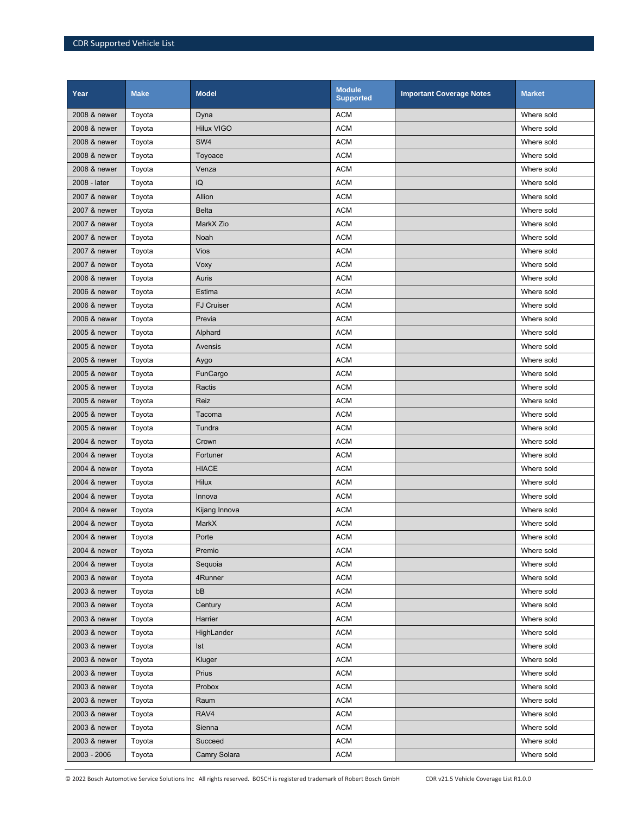| Year         | <b>Make</b> | <b>Model</b>      | <b>Module</b><br><b>Supported</b> | <b>Important Coverage Notes</b> | <b>Market</b> |
|--------------|-------------|-------------------|-----------------------------------|---------------------------------|---------------|
| 2008 & newer | Toyota      | Dyna              | <b>ACM</b>                        |                                 | Where sold    |
| 2008 & newer | Toyota      | <b>Hilux VIGO</b> | <b>ACM</b>                        |                                 | Where sold    |
| 2008 & newer | Toyota      | SW4               | <b>ACM</b>                        |                                 | Where sold    |
| 2008 & newer | Toyota      | Toyoace           | <b>ACM</b>                        |                                 | Where sold    |
| 2008 & newer | Toyota      | Venza             | <b>ACM</b>                        |                                 | Where sold    |
| 2008 - later | Toyota      | iQ                | <b>ACM</b>                        |                                 | Where sold    |
| 2007 & newer | Toyota      | Allion            | <b>ACM</b>                        |                                 | Where sold    |
| 2007 & newer | Toyota      | <b>Belta</b>      | <b>ACM</b>                        |                                 | Where sold    |
| 2007 & newer | Toyota      | MarkX Zio         | <b>ACM</b>                        |                                 | Where sold    |
| 2007 & newer | Toyota      | Noah              | <b>ACM</b>                        |                                 | Where sold    |
| 2007 & newer | Toyota      | <b>Vios</b>       | <b>ACM</b>                        |                                 | Where sold    |
| 2007 & newer | Toyota      | Voxy              | <b>ACM</b>                        |                                 | Where sold    |
| 2006 & newer | Toyota      | Auris             | <b>ACM</b>                        |                                 | Where sold    |
| 2006 & newer | Toyota      | Estima            | <b>ACM</b>                        |                                 | Where sold    |
| 2006 & newer | Toyota      | <b>FJ Cruiser</b> | <b>ACM</b>                        |                                 | Where sold    |
| 2006 & newer | Toyota      | Previa            | <b>ACM</b>                        |                                 | Where sold    |
| 2005 & newer | Toyota      | Alphard           | <b>ACM</b>                        |                                 | Where sold    |
| 2005 & newer | Toyota      | Avensis           | <b>ACM</b>                        |                                 | Where sold    |
| 2005 & newer | Toyota      | Aygo              | <b>ACM</b>                        |                                 | Where sold    |
| 2005 & newer | Toyota      | FunCargo          | <b>ACM</b>                        |                                 | Where sold    |
| 2005 & newer | Toyota      | Ractis            | <b>ACM</b>                        |                                 | Where sold    |
| 2005 & newer | Toyota      | Reiz              | <b>ACM</b>                        |                                 | Where sold    |
| 2005 & newer | Toyota      | Tacoma            | <b>ACM</b>                        |                                 | Where sold    |
| 2005 & newer | Toyota      | Tundra            | <b>ACM</b>                        |                                 | Where sold    |
| 2004 & newer | Toyota      | Crown             | <b>ACM</b>                        |                                 | Where sold    |
| 2004 & newer | Toyota      | Fortuner          | <b>ACM</b>                        |                                 | Where sold    |
| 2004 & newer | Toyota      | <b>HIACE</b>      | <b>ACM</b>                        |                                 | Where sold    |
| 2004 & newer | Toyota      | Hilux             | <b>ACM</b>                        |                                 | Where sold    |
| 2004 & newer | Toyota      | Innova            | <b>ACM</b>                        |                                 | Where sold    |
| 2004 & newer | Toyota      | Kijang Innova     | <b>ACM</b>                        |                                 | Where sold    |
| 2004 & newer | Toyota      | MarkX             | <b>ACM</b>                        |                                 | Where sold    |
| 2004 & newer | Toyota      | Porte             | <b>ACM</b>                        |                                 | Where sold    |
| 2004 & newer | Toyota      | Premio            | <b>ACM</b>                        |                                 | Where sold    |
| 2004 & newer | Toyota      | Sequoia           | <b>ACM</b>                        |                                 | Where sold    |
| 2003 & newer | Toyota      | 4Runner           | <b>ACM</b>                        |                                 | Where sold    |
| 2003 & newer | Toyota      | bB                | <b>ACM</b>                        |                                 | Where sold    |
| 2003 & newer | Toyota      | Century           | <b>ACM</b>                        |                                 | Where sold    |
| 2003 & newer | Toyota      | Harrier           | <b>ACM</b>                        |                                 | Where sold    |
| 2003 & newer | Toyota      | HighLander        | <b>ACM</b>                        |                                 | Where sold    |
| 2003 & newer | Toyota      | <b>Ist</b>        | <b>ACM</b>                        |                                 | Where sold    |
| 2003 & newer | Toyota      | Kluger            | <b>ACM</b>                        |                                 | Where sold    |
| 2003 & newer | Toyota      | Prius             | <b>ACM</b>                        |                                 | Where sold    |
| 2003 & newer | Toyota      | Probox            | <b>ACM</b>                        |                                 | Where sold    |
| 2003 & newer | Toyota      | Raum              | <b>ACM</b>                        |                                 | Where sold    |
| 2003 & newer | Toyota      | RAV4              | <b>ACM</b>                        |                                 | Where sold    |
| 2003 & newer | Toyota      | Sienna            | <b>ACM</b>                        |                                 | Where sold    |
| 2003 & newer | Toyota      | Succeed           | <b>ACM</b>                        |                                 | Where sold    |
| 2003 - 2006  | Toyota      | Camry Solara      | <b>ACM</b>                        |                                 | Where sold    |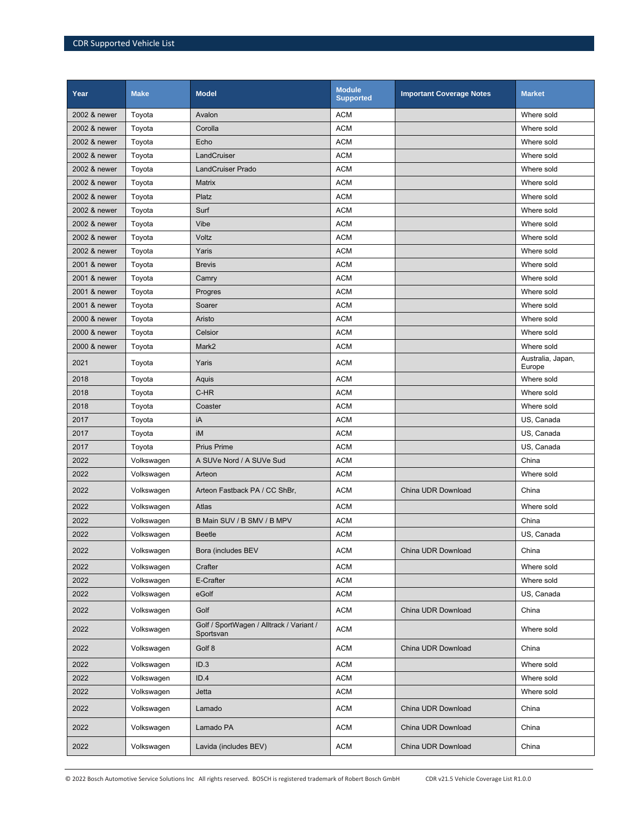| Year         | <b>Make</b>              | <b>Model</b>                                          | <b>Module</b><br><b>Supported</b> | <b>Important Coverage Notes</b> | <b>Market</b>                   |
|--------------|--------------------------|-------------------------------------------------------|-----------------------------------|---------------------------------|---------------------------------|
| 2002 & newer | Toyota                   | Avalon                                                | <b>ACM</b>                        |                                 | Where sold                      |
| 2002 & newer | Toyota                   | Corolla                                               | <b>ACM</b>                        |                                 | Where sold                      |
| 2002 & newer | Toyota                   | Echo                                                  | <b>ACM</b>                        |                                 | Where sold                      |
| 2002 & newer | Toyota                   | LandCruiser                                           | <b>ACM</b>                        |                                 | Where sold                      |
| 2002 & newer | Toyota                   | <b>LandCruiser Prado</b>                              | <b>ACM</b>                        |                                 | Where sold                      |
| 2002 & newer | Toyota                   | Matrix                                                | <b>ACM</b>                        |                                 | Where sold                      |
| 2002 & newer | Toyota                   | Platz                                                 | <b>ACM</b>                        |                                 | Where sold                      |
| 2002 & newer | Toyota                   | Surf                                                  | <b>ACM</b>                        |                                 | Where sold                      |
| 2002 & newer | Toyota                   | Vibe                                                  | <b>ACM</b>                        |                                 | Where sold                      |
| 2002 & newer | Toyota                   | Voltz                                                 | <b>ACM</b>                        |                                 | Where sold                      |
| 2002 & newer | Toyota                   | Yaris                                                 | <b>ACM</b>                        |                                 | Where sold                      |
| 2001 & newer | Toyota                   | <b>Brevis</b>                                         | <b>ACM</b>                        |                                 | Where sold                      |
| 2001 & newer | Toyota                   | Camry                                                 | <b>ACM</b>                        |                                 | Where sold                      |
| 2001 & newer | Toyota                   | Progres                                               | <b>ACM</b>                        |                                 | Where sold                      |
| 2001 & newer | Toyota                   | Soarer                                                | <b>ACM</b>                        |                                 | Where sold                      |
| 2000 & newer | Toyota                   | Aristo                                                | <b>ACM</b>                        |                                 | Where sold                      |
| 2000 & newer | Toyota                   | Celsior                                               | <b>ACM</b>                        |                                 | Where sold                      |
| 2000 & newer | Toyota                   | Mark2                                                 | <b>ACM</b>                        |                                 | Where sold<br>Australia, Japan, |
| 2021         | Toyota                   | Yaris                                                 | <b>ACM</b>                        |                                 | Europe                          |
| 2018         | Toyota                   | Aquis                                                 | <b>ACM</b>                        |                                 | Where sold                      |
| 2018         | Toyota                   | C-HR                                                  | <b>ACM</b>                        |                                 | Where sold                      |
| 2018         | Toyota                   | Coaster                                               | <b>ACM</b>                        |                                 | Where sold                      |
| 2017         | Toyota                   | iA                                                    | <b>ACM</b>                        |                                 | US, Canada                      |
| 2017         | Toyota                   | iM                                                    | <b>ACM</b>                        |                                 | US, Canada                      |
| 2017         | Toyota                   | <b>Prius Prime</b>                                    | <b>ACM</b>                        |                                 | US, Canada                      |
| 2022<br>2022 | Volkswagen               | A SUVe Nord / A SUVe Sud                              | <b>ACM</b><br><b>ACM</b>          |                                 | China<br>Where sold             |
| 2022         | Volkswagen<br>Volkswagen | Arteon<br>Arteon Fastback PA / CC ShBr,               | <b>ACM</b>                        | China UDR Download              | China                           |
|              |                          |                                                       |                                   |                                 |                                 |
| 2022         | Volkswagen               | Atlas                                                 | <b>ACM</b>                        |                                 | Where sold                      |
| 2022         | Volkswagen               | B Main SUV / B SMV / B MPV                            | <b>ACM</b>                        |                                 | China                           |
| 2022         | Volkswagen               | <b>Beetle</b>                                         | <b>ACM</b>                        |                                 | US, Canada                      |
| 2022         | Volkswagen               | Bora (includes BEV                                    | <b>ACM</b>                        | China UDR Download              | China                           |
| 2022         | Volkswagen               | Crafter                                               | <b>ACM</b>                        |                                 | Where sold                      |
| 2022         | Volkswagen               | E-Crafter                                             | <b>ACM</b>                        |                                 | Where sold                      |
| 2022         | Volkswagen               | eGolf                                                 | <b>ACM</b>                        |                                 | US, Canada                      |
| 2022         | Volkswagen               | Golf                                                  | <b>ACM</b>                        | China UDR Download              | China                           |
| 2022         | Volkswagen               | Golf / SportWagen / Alltrack / Variant /<br>Sportsvan | <b>ACM</b>                        |                                 | Where sold                      |
| 2022         | Volkswagen               | Golf 8                                                | <b>ACM</b>                        | China UDR Download              | China                           |
| 2022         | Volkswagen               | ID.3                                                  | <b>ACM</b>                        |                                 | Where sold                      |
| 2022         | Volkswagen               | ID.4                                                  | <b>ACM</b>                        |                                 | Where sold                      |
| 2022         | Volkswagen               | Jetta                                                 | <b>ACM</b>                        |                                 | Where sold                      |
| 2022         | Volkswagen               | Lamado                                                | <b>ACM</b>                        | China UDR Download              | China                           |
| 2022         | Volkswagen               | Lamado PA                                             | <b>ACM</b>                        | China UDR Download              | China                           |
| 2022         | Volkswagen               | Lavida (includes BEV)                                 | <b>ACM</b>                        | China UDR Download              | China                           |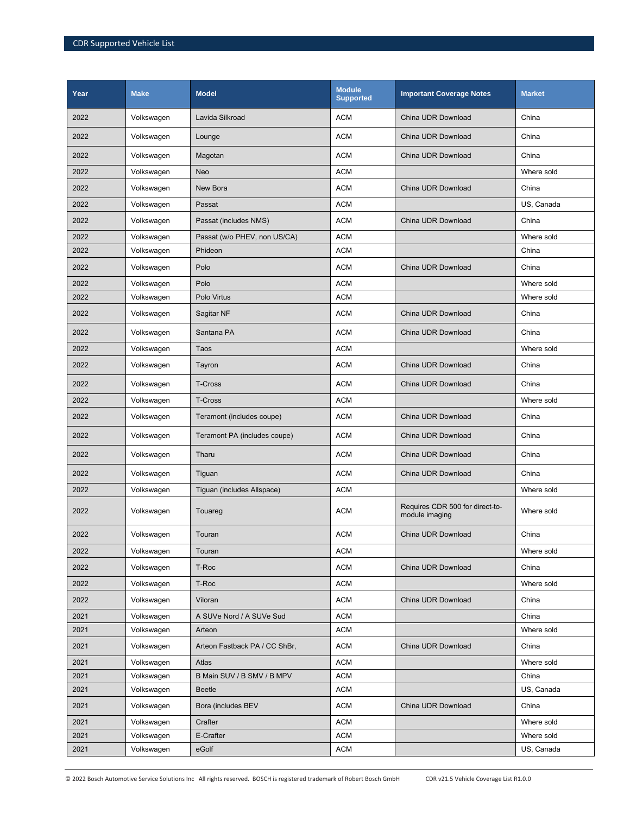| Year | <b>Make</b> | <b>Model</b>                  | <b>Module</b><br><b>Supported</b> | <b>Important Coverage Notes</b>                   | <b>Market</b> |
|------|-------------|-------------------------------|-----------------------------------|---------------------------------------------------|---------------|
| 2022 | Volkswagen  | Lavida Silkroad               | <b>ACM</b>                        | China UDR Download                                | China         |
| 2022 | Volkswagen  | Lounge                        | <b>ACM</b>                        | China UDR Download                                | China         |
| 2022 | Volkswagen  | Magotan                       | <b>ACM</b>                        | China UDR Download                                | China         |
| 2022 | Volkswagen  | Neo                           | <b>ACM</b>                        |                                                   | Where sold    |
| 2022 | Volkswagen  | New Bora                      | <b>ACM</b>                        | China UDR Download                                | China         |
| 2022 | Volkswagen  | Passat                        | <b>ACM</b>                        |                                                   | US. Canada    |
| 2022 | Volkswagen  | Passat (includes NMS)         | <b>ACM</b>                        | China UDR Download                                | China         |
| 2022 | Volkswagen  | Passat (w/o PHEV, non US/CA)  | <b>ACM</b>                        |                                                   | Where sold    |
| 2022 | Volkswagen  | Phideon                       | <b>ACM</b>                        |                                                   | China         |
| 2022 | Volkswagen  | Polo                          | <b>ACM</b>                        | China UDR Download                                | China         |
| 2022 | Volkswagen  | Polo                          | <b>ACM</b>                        |                                                   | Where sold    |
| 2022 | Volkswagen  | Polo Virtus                   | <b>ACM</b>                        |                                                   | Where sold    |
| 2022 | Volkswagen  | Sagitar NF                    | <b>ACM</b>                        | China UDR Download                                | China         |
| 2022 | Volkswagen  | Santana PA                    | <b>ACM</b>                        | China UDR Download                                | China         |
| 2022 | Volkswagen  | Taos                          | <b>ACM</b>                        |                                                   | Where sold    |
| 2022 | Volkswagen  | Tayron                        | <b>ACM</b>                        | China UDR Download                                | China         |
| 2022 | Volkswagen  | <b>T-Cross</b>                | <b>ACM</b>                        | China UDR Download                                | China         |
| 2022 | Volkswagen  | T-Cross                       | <b>ACM</b>                        |                                                   | Where sold    |
| 2022 | Volkswagen  | Teramont (includes coupe)     | <b>ACM</b>                        | China UDR Download                                | China         |
| 2022 | Volkswagen  | Teramont PA (includes coupe)  | <b>ACM</b>                        | China UDR Download                                | China         |
| 2022 | Volkswagen  | Tharu                         | <b>ACM</b>                        | China UDR Download                                | China         |
| 2022 | Volkswagen  | Tiguan                        | <b>ACM</b>                        | China UDR Download                                | China         |
| 2022 | Volkswagen  | Tiguan (includes Allspace)    | <b>ACM</b>                        |                                                   | Where sold    |
| 2022 | Volkswagen  | Touareg                       | <b>ACM</b>                        | Requires CDR 500 for direct-to-<br>module imaging | Where sold    |
| 2022 | Volkswagen  | Touran                        | <b>ACM</b>                        | China UDR Download                                | China         |
| 2022 | Volkswagen  | Touran                        | <b>ACM</b>                        |                                                   | Where sold    |
| 2022 | Volkswagen  | T-Roc                         | <b>ACM</b>                        | China UDR Download                                | China         |
| 2022 | Volkswagen  | T-Roc                         | <b>ACM</b>                        |                                                   | Where sold    |
| 2022 | Volkswagen  | Viloran                       | <b>ACM</b>                        | China UDR Download                                | China         |
| 2021 | Volkswagen  | A SUVe Nord / A SUVe Sud      | <b>ACM</b>                        |                                                   | China         |
| 2021 | Volkswagen  | Arteon                        | <b>ACM</b>                        |                                                   | Where sold    |
| 2021 | Volkswagen  | Arteon Fastback PA / CC ShBr, | <b>ACM</b>                        | China UDR Download                                | China         |
| 2021 | Volkswagen  | Atlas                         | <b>ACM</b>                        |                                                   | Where sold    |
| 2021 | Volkswagen  | B Main SUV / B SMV / B MPV    | <b>ACM</b>                        |                                                   | China         |
| 2021 | Volkswagen  | <b>Beetle</b>                 | <b>ACM</b>                        |                                                   | US, Canada    |
| 2021 | Volkswagen  | Bora (includes BEV            | <b>ACM</b>                        | China UDR Download                                | China         |
| 2021 | Volkswagen  | Crafter                       | <b>ACM</b>                        |                                                   | Where sold    |
| 2021 | Volkswagen  | E-Crafter                     | <b>ACM</b>                        |                                                   | Where sold    |
| 2021 | Volkswagen  | eGolf                         | <b>ACM</b>                        |                                                   | US, Canada    |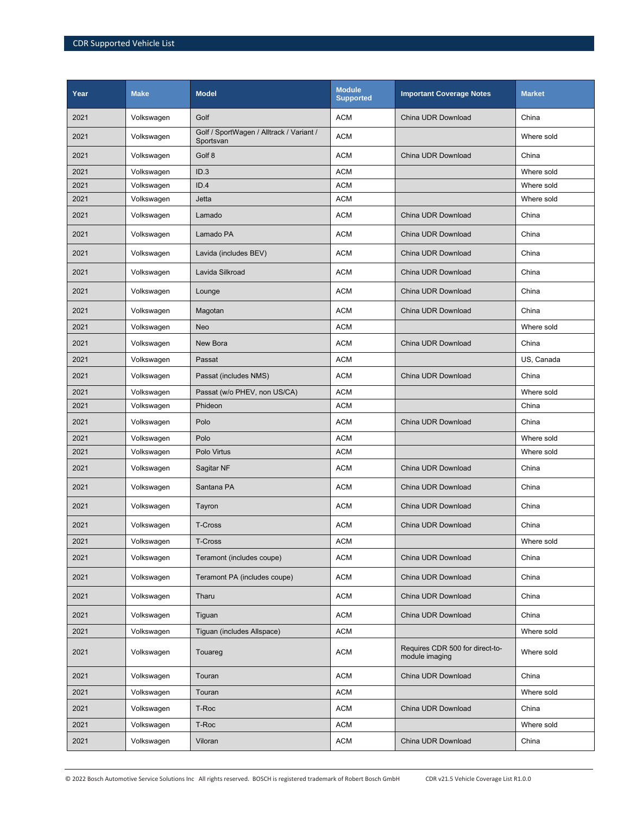| Year | <b>Make</b> | <b>Model</b>                                          | <b>Module</b><br><b>Supported</b> | <b>Important Coverage Notes</b>                   | <b>Market</b> |
|------|-------------|-------------------------------------------------------|-----------------------------------|---------------------------------------------------|---------------|
| 2021 | Volkswagen  | Golf                                                  | <b>ACM</b>                        | China UDR Download                                | China         |
| 2021 | Volkswagen  | Golf / SportWagen / Alltrack / Variant /<br>Sportsvan | <b>ACM</b>                        |                                                   | Where sold    |
| 2021 | Volkswagen  | Golf 8                                                | <b>ACM</b>                        | China UDR Download                                | China         |
| 2021 | Volkswagen  | ID.3                                                  | <b>ACM</b>                        |                                                   | Where sold    |
| 2021 | Volkswagen  | ID.4                                                  | <b>ACM</b>                        |                                                   | Where sold    |
| 2021 | Volkswagen  | Jetta                                                 | <b>ACM</b>                        |                                                   | Where sold    |
| 2021 | Volkswagen  | Lamado                                                | <b>ACM</b>                        | China UDR Download                                | China         |
| 2021 | Volkswagen  | Lamado PA                                             | <b>ACM</b>                        | China UDR Download                                | China         |
| 2021 | Volkswagen  | Lavida (includes BEV)                                 | <b>ACM</b>                        | China UDR Download                                | China         |
| 2021 | Volkswagen  | Lavida Silkroad                                       | <b>ACM</b>                        | China UDR Download                                | China         |
| 2021 | Volkswagen  | Lounge                                                | <b>ACM</b>                        | China UDR Download                                | China         |
| 2021 | Volkswagen  | Magotan                                               | <b>ACM</b>                        | China UDR Download                                | China         |
| 2021 | Volkswagen  | Neo                                                   | <b>ACM</b>                        |                                                   | Where sold    |
| 2021 | Volkswagen  | New Bora                                              | <b>ACM</b>                        | China UDR Download                                | China         |
| 2021 | Volkswagen  | Passat                                                | <b>ACM</b>                        |                                                   | US, Canada    |
| 2021 | Volkswagen  | Passat (includes NMS)                                 | <b>ACM</b>                        | China UDR Download                                | China         |
| 2021 | Volkswagen  | Passat (w/o PHEV, non US/CA)                          | <b>ACM</b>                        |                                                   | Where sold    |
| 2021 | Volkswagen  | Phideon                                               | <b>ACM</b>                        |                                                   | China         |
| 2021 | Volkswagen  | Polo                                                  | <b>ACM</b>                        | China UDR Download                                | China         |
| 2021 | Volkswagen  | Polo                                                  | <b>ACM</b>                        |                                                   | Where sold    |
| 2021 | Volkswagen  | Polo Virtus                                           | <b>ACM</b>                        |                                                   | Where sold    |
| 2021 | Volkswagen  | Sagitar NF                                            | <b>ACM</b>                        | China UDR Download                                | China         |
| 2021 | Volkswagen  | Santana PA                                            | <b>ACM</b>                        | China UDR Download                                | China         |
| 2021 | Volkswagen  | Tayron                                                | <b>ACM</b>                        | China UDR Download                                | China         |
| 2021 | Volkswagen  | T-Cross                                               | <b>ACM</b>                        | China UDR Download                                | China         |
| 2021 | Volkswagen  | T-Cross                                               | <b>ACM</b>                        |                                                   | Where sold    |
| 2021 | Volkswagen  | Teramont (includes coupe)                             | <b>ACM</b>                        | China UDR Download                                | China         |
| 2021 | Volkswagen  | Teramont PA (includes coupe)                          | <b>ACM</b>                        | China UDR Download                                | China         |
| 2021 | Volkswagen  | Tharu                                                 | <b>ACM</b>                        | China UDR Download                                | China         |
| 2021 | Volkswagen  | Tiguan                                                | <b>ACM</b>                        | China UDR Download                                | China         |
| 2021 | Volkswagen  | Tiguan (includes Allspace)                            | <b>ACM</b>                        |                                                   | Where sold    |
| 2021 | Volkswagen  | Touareg                                               | <b>ACM</b>                        | Requires CDR 500 for direct-to-<br>module imaging | Where sold    |
| 2021 | Volkswagen  | Touran                                                | <b>ACM</b>                        | China UDR Download                                | China         |
| 2021 | Volkswagen  | Touran                                                | <b>ACM</b>                        |                                                   | Where sold    |
| 2021 | Volkswagen  | T-Roc                                                 | <b>ACM</b>                        | China UDR Download                                | China         |
| 2021 | Volkswagen  | T-Roc                                                 | <b>ACM</b>                        |                                                   | Where sold    |
| 2021 | Volkswagen  | Viloran                                               | <b>ACM</b>                        | China UDR Download                                | China         |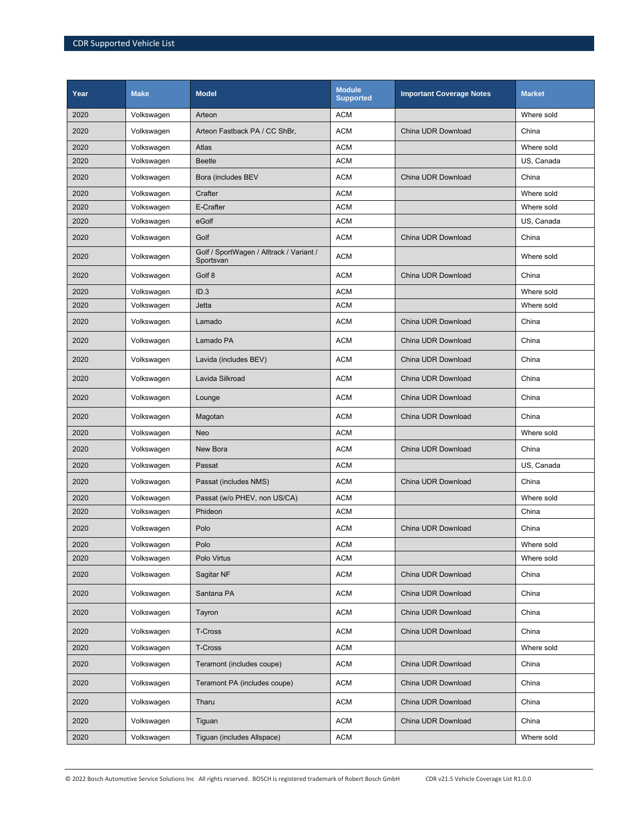| Year | <b>Make</b> | <b>Model</b>                                          | <b>Module</b><br><b>Supported</b> | <b>Important Coverage Notes</b> | <b>Market</b> |
|------|-------------|-------------------------------------------------------|-----------------------------------|---------------------------------|---------------|
| 2020 | Volkswagen  | Arteon                                                | <b>ACM</b>                        |                                 | Where sold    |
| 2020 | Volkswagen  | Arteon Fastback PA / CC ShBr,                         | <b>ACM</b>                        | China UDR Download              | China         |
| 2020 | Volkswagen  | Atlas                                                 | <b>ACM</b>                        |                                 | Where sold    |
| 2020 | Volkswagen  | <b>Beetle</b>                                         | <b>ACM</b>                        |                                 | US, Canada    |
| 2020 | Volkswagen  | Bora (includes BEV                                    | <b>ACM</b>                        | China UDR Download              | China         |
| 2020 | Volkswagen  | Crafter                                               | <b>ACM</b>                        |                                 | Where sold    |
| 2020 | Volkswagen  | E-Crafter                                             | <b>ACM</b>                        |                                 | Where sold    |
| 2020 | Volkswagen  | eGolf                                                 | <b>ACM</b>                        |                                 | US, Canada    |
| 2020 | Volkswagen  | Golf                                                  | <b>ACM</b>                        | China UDR Download              | China         |
| 2020 | Volkswagen  | Golf / SportWagen / Alltrack / Variant /<br>Sportsvan | <b>ACM</b>                        |                                 | Where sold    |
| 2020 | Volkswagen  | Golf 8                                                | <b>ACM</b>                        | China UDR Download              | China         |
| 2020 | Volkswagen  | ID.3                                                  | <b>ACM</b>                        |                                 | Where sold    |
| 2020 | Volkswagen  | Jetta                                                 | <b>ACM</b>                        |                                 | Where sold    |
| 2020 | Volkswagen  | Lamado                                                | <b>ACM</b>                        | China UDR Download              | China         |
| 2020 | Volkswagen  | Lamado PA                                             | <b>ACM</b>                        | China UDR Download              | China         |
| 2020 | Volkswagen  | Lavida (includes BEV)                                 | <b>ACM</b>                        | China UDR Download              | China         |
| 2020 | Volkswagen  | Lavida Silkroad                                       | <b>ACM</b>                        | China UDR Download              | China         |
| 2020 | Volkswagen  | Lounge                                                | <b>ACM</b>                        | China UDR Download              | China         |
| 2020 | Volkswagen  | Magotan                                               | <b>ACM</b>                        | China UDR Download              | China         |
| 2020 | Volkswagen  | Neo                                                   | <b>ACM</b>                        |                                 | Where sold    |
| 2020 | Volkswagen  | New Bora                                              | <b>ACM</b>                        | China UDR Download              | China         |
| 2020 | Volkswagen  | Passat                                                | <b>ACM</b>                        |                                 | US, Canada    |
| 2020 | Volkswagen  | Passat (includes NMS)                                 | <b>ACM</b>                        | China UDR Download              | China         |
| 2020 | Volkswagen  | Passat (w/o PHEV, non US/CA)                          | <b>ACM</b>                        |                                 | Where sold    |
| 2020 | Volkswagen  | Phideon                                               | <b>ACM</b>                        |                                 | China         |
| 2020 | Volkswagen  | Polo                                                  | <b>ACM</b>                        | China UDR Download              | China         |
| 2020 | Volkswagen  | Polo                                                  | <b>ACM</b>                        |                                 | Where sold    |
| 2020 | Volkswagen  | Polo Virtus                                           | <b>ACM</b>                        |                                 | Where sold    |
| 2020 | Volkswagen  | Sagitar NF                                            | <b>ACM</b>                        | China UDR Download              | China         |
| 2020 | Volkswagen  | Santana PA                                            | <b>ACM</b>                        | China UDR Download              | China         |
| 2020 | Volkswagen  | Tayron                                                | <b>ACM</b>                        | China UDR Download              | China         |
| 2020 | Volkswagen  | T-Cross                                               | <b>ACM</b>                        | China UDR Download              | China         |
| 2020 | Volkswagen  | <b>T-Cross</b>                                        | <b>ACM</b>                        |                                 | Where sold    |
| 2020 | Volkswagen  | Teramont (includes coupe)                             | <b>ACM</b>                        | China UDR Download              | China         |
| 2020 | Volkswagen  | Teramont PA (includes coupe)                          | <b>ACM</b>                        | China UDR Download              | China         |
| 2020 | Volkswagen  | Tharu                                                 | <b>ACM</b>                        | China UDR Download              | China         |
| 2020 | Volkswagen  | Tiguan                                                | <b>ACM</b>                        | China UDR Download              | China         |
| 2020 | Volkswagen  | Tiguan (includes Allspace)                            | <b>ACM</b>                        |                                 | Where sold    |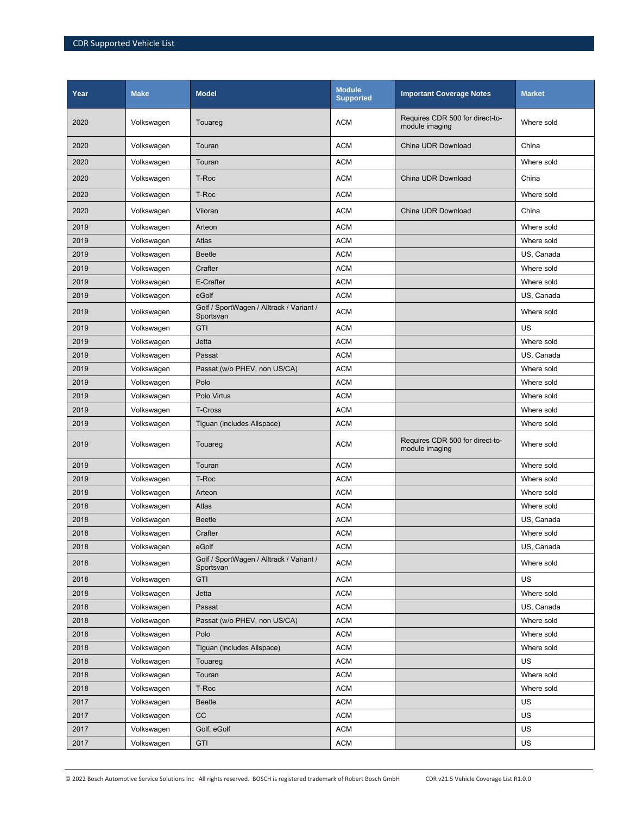| Year | <b>Make</b> | <b>Model</b>                                          | <b>Module</b><br><b>Supported</b> | <b>Important Coverage Notes</b>                   | <b>Market</b> |
|------|-------------|-------------------------------------------------------|-----------------------------------|---------------------------------------------------|---------------|
| 2020 | Volkswagen  | Touareg                                               | <b>ACM</b>                        | Requires CDR 500 for direct-to-<br>module imaging | Where sold    |
| 2020 | Volkswagen  | Touran                                                | <b>ACM</b>                        | China UDR Download                                | China         |
| 2020 | Volkswagen  | Touran                                                | <b>ACM</b>                        |                                                   | Where sold    |
| 2020 | Volkswagen  | T-Roc                                                 | <b>ACM</b>                        | China UDR Download                                | China         |
| 2020 | Volkswagen  | T-Roc                                                 | <b>ACM</b>                        |                                                   | Where sold    |
| 2020 | Volkswagen  | Viloran                                               | <b>ACM</b>                        | China UDR Download                                | China         |
| 2019 | Volkswagen  | Arteon                                                | <b>ACM</b>                        |                                                   | Where sold    |
| 2019 | Volkswagen  | Atlas                                                 | <b>ACM</b>                        |                                                   | Where sold    |
| 2019 | Volkswagen  | <b>Beetle</b>                                         | <b>ACM</b>                        |                                                   | US, Canada    |
| 2019 | Volkswagen  | Crafter                                               | <b>ACM</b>                        |                                                   | Where sold    |
| 2019 | Volkswagen  | E-Crafter                                             | <b>ACM</b>                        |                                                   | Where sold    |
| 2019 | Volkswagen  | eGolf                                                 | <b>ACM</b>                        |                                                   | US, Canada    |
| 2019 | Volkswagen  | Golf / SportWagen / Alltrack / Variant /<br>Sportsvan | <b>ACM</b>                        |                                                   | Where sold    |
| 2019 | Volkswagen  | GTI                                                   | <b>ACM</b>                        |                                                   | US            |
| 2019 | Volkswagen  | Jetta                                                 | <b>ACM</b>                        |                                                   | Where sold    |
| 2019 | Volkswagen  | Passat                                                | <b>ACM</b>                        |                                                   | US, Canada    |
| 2019 | Volkswagen  | Passat (w/o PHEV, non US/CA)                          | <b>ACM</b>                        |                                                   | Where sold    |
| 2019 | Volkswagen  | Polo                                                  | <b>ACM</b>                        |                                                   | Where sold    |
| 2019 | Volkswagen  | Polo Virtus                                           | <b>ACM</b>                        |                                                   | Where sold    |
| 2019 | Volkswagen  | <b>T-Cross</b>                                        | <b>ACM</b>                        |                                                   | Where sold    |
| 2019 | Volkswagen  | Tiguan (includes Allspace)                            | <b>ACM</b>                        |                                                   | Where sold    |
| 2019 | Volkswagen  | Touareg                                               | <b>ACM</b>                        | Requires CDR 500 for direct-to-<br>module imaging | Where sold    |
| 2019 | Volkswagen  | Touran                                                | <b>ACM</b>                        |                                                   | Where sold    |
| 2019 | Volkswagen  | T-Roc                                                 | <b>ACM</b>                        |                                                   | Where sold    |
| 2018 | Volkswagen  | Arteon                                                | <b>ACM</b>                        |                                                   | Where sold    |
| 2018 | Volkswagen  | Atlas                                                 | <b>ACM</b>                        |                                                   | Where sold    |
| 2018 | Volkswagen  | <b>Beetle</b>                                         | <b>ACM</b>                        |                                                   | US. Canada    |
| 2018 | Volkswagen  | Crafter                                               | <b>ACM</b>                        |                                                   | Where sold    |
| 2018 | Volkswagen  | eGolf                                                 | <b>ACM</b>                        |                                                   | US, Canada    |
| 2018 | Volkswagen  | Golf / SportWagen / Alltrack / Variant /<br>Sportsvan | <b>ACM</b>                        |                                                   | Where sold    |
| 2018 | Volkswagen  | GTI                                                   | <b>ACM</b>                        |                                                   | <b>US</b>     |
| 2018 | Volkswagen  | Jetta                                                 | <b>ACM</b>                        |                                                   | Where sold    |
| 2018 | Volkswagen  | Passat                                                | <b>ACM</b>                        |                                                   | US, Canada    |
| 2018 | Volkswagen  | Passat (w/o PHEV, non US/CA)                          | <b>ACM</b>                        |                                                   | Where sold    |
| 2018 | Volkswagen  | Polo                                                  | <b>ACM</b>                        |                                                   | Where sold    |
| 2018 | Volkswagen  | Tiguan (includes Allspace)                            | <b>ACM</b>                        |                                                   | Where sold    |
| 2018 | Volkswagen  | Touareg                                               | <b>ACM</b>                        |                                                   | US            |
| 2018 | Volkswagen  | Touran                                                | <b>ACM</b>                        |                                                   | Where sold    |
| 2018 | Volkswagen  | T-Roc                                                 | <b>ACM</b>                        |                                                   | Where sold    |
| 2017 | Volkswagen  | Beetle                                                | <b>ACM</b>                        |                                                   | US            |
| 2017 | Volkswagen  | cc                                                    | <b>ACM</b>                        |                                                   | US            |
| 2017 | Volkswagen  | Golf, eGolf                                           | <b>ACM</b>                        |                                                   | US            |
| 2017 | Volkswagen  | GTI                                                   | <b>ACM</b>                        |                                                   | US            |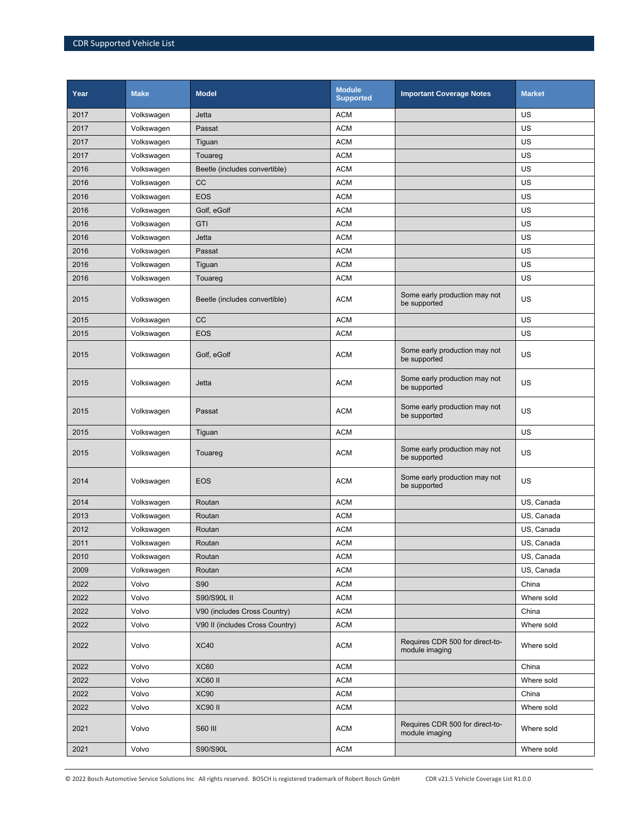| Year | <b>Make</b> | <b>Model</b>                    | <b>Module</b><br><b>Supported</b> | <b>Important Coverage Notes</b>                   | <b>Market</b> |
|------|-------------|---------------------------------|-----------------------------------|---------------------------------------------------|---------------|
| 2017 | Volkswagen  | Jetta                           | <b>ACM</b>                        |                                                   | US            |
| 2017 | Volkswagen  | Passat                          | <b>ACM</b>                        |                                                   | US            |
| 2017 | Volkswagen  | Tiguan                          | <b>ACM</b>                        |                                                   | US            |
| 2017 | Volkswagen  | Touareg                         | <b>ACM</b>                        |                                                   | US            |
| 2016 | Volkswagen  | Beetle (includes convertible)   | <b>ACM</b>                        |                                                   | US            |
| 2016 | Volkswagen  | cc                              | <b>ACM</b>                        |                                                   | US            |
| 2016 | Volkswagen  | <b>EOS</b>                      | <b>ACM</b>                        |                                                   | US            |
| 2016 | Volkswagen  | Golf, eGolf                     | <b>ACM</b>                        |                                                   | US            |
| 2016 | Volkswagen  | GTI                             | <b>ACM</b>                        |                                                   | US            |
| 2016 | Volkswagen  | Jetta                           | <b>ACM</b>                        |                                                   | US            |
| 2016 | Volkswagen  | Passat                          | <b>ACM</b>                        |                                                   | US            |
| 2016 | Volkswagen  | Tiguan                          | <b>ACM</b>                        |                                                   | US            |
| 2016 | Volkswagen  | Touareg                         | <b>ACM</b>                        |                                                   | US            |
| 2015 | Volkswagen  | Beetle (includes convertible)   | <b>ACM</b>                        | Some early production may not<br>be supported     | US            |
| 2015 | Volkswagen  | CC                              | <b>ACM</b>                        |                                                   | US            |
| 2015 | Volkswagen  | <b>EOS</b>                      | <b>ACM</b>                        |                                                   | US            |
| 2015 | Volkswagen  | Golf, eGolf                     | <b>ACM</b>                        | Some early production may not<br>be supported     | US            |
| 2015 | Volkswagen  | Jetta                           | <b>ACM</b>                        | Some early production may not<br>be supported     | US            |
| 2015 | Volkswagen  | Passat                          | <b>ACM</b>                        | Some early production may not<br>be supported     | US            |
| 2015 | Volkswagen  | Tiguan                          | <b>ACM</b>                        |                                                   | US            |
| 2015 | Volkswagen  | Touareg                         | <b>ACM</b>                        | Some early production may not<br>be supported     | US            |
| 2014 | Volkswagen  | <b>EOS</b>                      | <b>ACM</b>                        | Some early production may not<br>be supported     | US            |
| 2014 | Volkswagen  | Routan                          | <b>ACM</b>                        |                                                   | US, Canada    |
| 2013 | Volkswagen  | Routan                          | <b>ACM</b>                        |                                                   | US. Canada    |
| 2012 | Volkswagen  | Routan                          | <b>ACM</b>                        |                                                   | US, Canada    |
| 2011 | Volkswagen  | Routan                          | <b>ACM</b>                        |                                                   | US, Canada    |
| 2010 | Volkswagen  | Routan                          | <b>ACM</b>                        |                                                   | US, Canada    |
| 2009 | Volkswagen  | Routan                          | <b>ACM</b>                        |                                                   | US, Canada    |
| 2022 | Volvo       | <b>S90</b>                      | <b>ACM</b>                        |                                                   | China         |
| 2022 | Volvo       | S90/S90L II                     | <b>ACM</b>                        |                                                   | Where sold    |
| 2022 | Volvo       | V90 (includes Cross Country)    | ACM                               |                                                   | China         |
| 2022 | Volvo       | V90 II (includes Cross Country) | <b>ACM</b>                        |                                                   | Where sold    |
| 2022 | Volvo       | <b>XC40</b>                     | <b>ACM</b>                        | Requires CDR 500 for direct-to-<br>module imaging | Where sold    |
| 2022 | Volvo       | XC60                            | <b>ACM</b>                        |                                                   | China         |
| 2022 | Volvo       | <b>XC60 II</b>                  | <b>ACM</b>                        |                                                   | Where sold    |
| 2022 | Volvo       | <b>XC90</b>                     | <b>ACM</b>                        |                                                   | China         |
| 2022 | Volvo       | <b>XC90 II</b>                  | <b>ACM</b>                        |                                                   | Where sold    |
| 2021 | Volvo       | S60 III                         | <b>ACM</b>                        | Requires CDR 500 for direct-to-<br>module imaging | Where sold    |
| 2021 | Volvo       | S90/S90L                        | <b>ACM</b>                        |                                                   | Where sold    |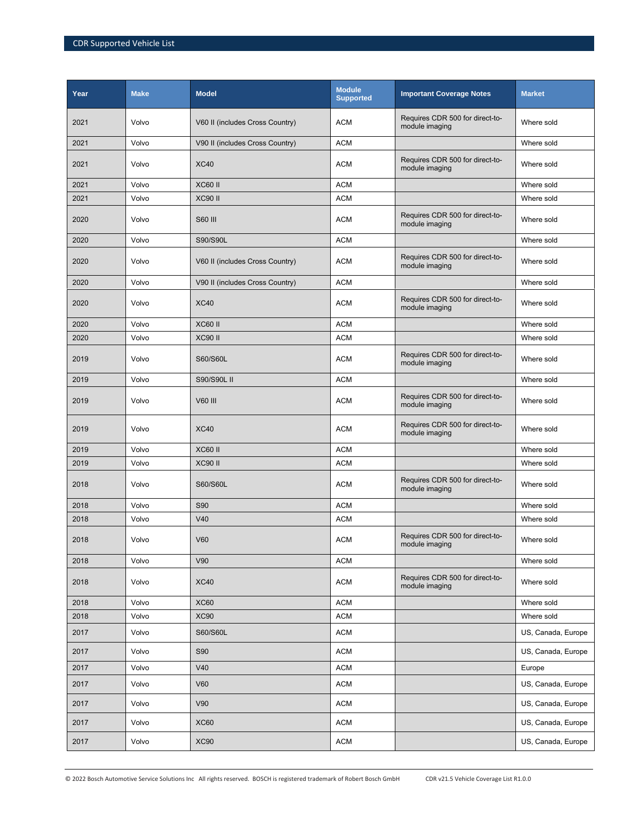| Year | <b>Make</b> | <b>Model</b>                    | <b>Module</b><br><b>Supported</b> | <b>Important Coverage Notes</b>                   | <b>Market</b>      |
|------|-------------|---------------------------------|-----------------------------------|---------------------------------------------------|--------------------|
| 2021 | Volvo       | V60 II (includes Cross Country) | <b>ACM</b>                        | Requires CDR 500 for direct-to-<br>module imaging | Where sold         |
| 2021 | Volvo       | V90 II (includes Cross Country) | <b>ACM</b>                        |                                                   | Where sold         |
| 2021 | Volvo       | <b>XC40</b>                     | <b>ACM</b>                        | Requires CDR 500 for direct-to-<br>module imaging | Where sold         |
| 2021 | Volvo       | <b>XC60 II</b>                  | <b>ACM</b>                        |                                                   | Where sold         |
| 2021 | Volvo       | <b>XC90 II</b>                  | <b>ACM</b>                        |                                                   | Where sold         |
| 2020 | Volvo       | <b>S60 III</b>                  | <b>ACM</b>                        | Requires CDR 500 for direct-to-<br>module imaging | Where sold         |
| 2020 | Volvo       | S90/S90L                        | <b>ACM</b>                        |                                                   | Where sold         |
| 2020 | Volvo       | V60 II (includes Cross Country) | <b>ACM</b>                        | Requires CDR 500 for direct-to-<br>module imaging | Where sold         |
| 2020 | Volvo       | V90 II (includes Cross Country) | <b>ACM</b>                        |                                                   | Where sold         |
| 2020 | Volvo       | <b>XC40</b>                     | <b>ACM</b>                        | Requires CDR 500 for direct-to-<br>module imaging | Where sold         |
| 2020 | Volvo       | <b>XC60 II</b>                  | <b>ACM</b>                        |                                                   | Where sold         |
| 2020 | Volvo       | <b>XC90 II</b>                  | <b>ACM</b>                        |                                                   | Where sold         |
| 2019 | Volvo       | S60/S60L                        | <b>ACM</b>                        | Requires CDR 500 for direct-to-<br>module imaging | Where sold         |
| 2019 | Volvo       | S90/S90L II                     | <b>ACM</b>                        |                                                   | Where sold         |
| 2019 | Volvo       | V60 III                         | <b>ACM</b>                        | Requires CDR 500 for direct-to-<br>module imaging | Where sold         |
| 2019 | Volvo       | <b>XC40</b>                     | <b>ACM</b>                        | Requires CDR 500 for direct-to-<br>module imaging | Where sold         |
| 2019 | Volvo       | <b>XC60 II</b>                  | <b>ACM</b>                        |                                                   | Where sold         |
| 2019 | Volvo       | <b>XC90 II</b>                  | <b>ACM</b>                        |                                                   | Where sold         |
| 2018 | Volvo       | S60/S60L                        | <b>ACM</b>                        | Requires CDR 500 for direct-to-<br>module imaging | Where sold         |
| 2018 | Volvo       | <b>S90</b>                      | <b>ACM</b>                        |                                                   | Where sold         |
| 2018 | Volvo       | V40                             | <b>ACM</b>                        |                                                   | Where sold         |
| 2018 | Volvo       | V60                             | ACM                               | Requires CDR 500 for direct-to-<br>module imaging | Where sold         |
| 2018 | Volvo       | V90                             | <b>ACM</b>                        |                                                   | Where sold         |
| 2018 | Volvo       | <b>XC40</b>                     | <b>ACM</b>                        | Requires CDR 500 for direct-to-<br>module imaging | Where sold         |
| 2018 | Volvo       | <b>XC60</b>                     | <b>ACM</b>                        |                                                   | Where sold         |
| 2018 | Volvo       | <b>XC90</b>                     | <b>ACM</b>                        |                                                   | Where sold         |
| 2017 | Volvo       | S60/S60L                        | <b>ACM</b>                        |                                                   | US, Canada, Europe |
| 2017 | Volvo       | <b>S90</b>                      | <b>ACM</b>                        |                                                   | US, Canada, Europe |
| 2017 | Volvo       | V40                             | <b>ACM</b>                        |                                                   | Europe             |
| 2017 | Volvo       | <b>V60</b>                      | <b>ACM</b>                        |                                                   | US, Canada, Europe |
| 2017 | Volvo       | V90                             | <b>ACM</b>                        |                                                   | US, Canada, Europe |
| 2017 | Volvo       | XC60                            | <b>ACM</b>                        |                                                   | US, Canada, Europe |
| 2017 | Volvo       | <b>XC90</b>                     | ACM                               |                                                   | US, Canada, Europe |

© 2022 Bosch Automotive Service Solutions Inc All rights reserved. BOSCH is registered trademark of Robert Bosch GmbH CDR v21.5 Vehicle Coverage List R1.0.0